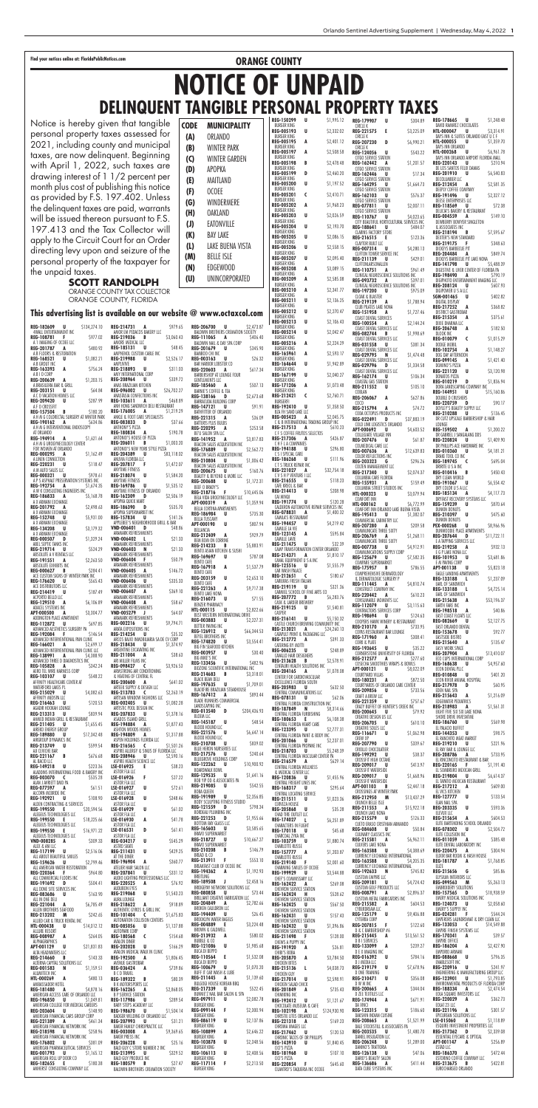Find your notices online at: FloridaPublicNotices.com **COUNTY** 

**REG-182609 U** \$134,274.10 4WALL ENTERTAINMENT INC **REG-108781 F** \$977.02 **REG-201787 A** \$480.92<br>A B FLOORS & RESTORATION **REG-168521 U** \$1,082.21 ABGROUT INC **REG-163393 A** \$756.24 ABIOCORP **REG-200639 A** \$1,203.15 A BRASILEIRA BAR & GRILL **REG-203151 U** \$64.84<br>A C O VACATION HOMES LLC **REG-209420 U** \$287.99 A F O CROSSFIT<br>**REG-157504 REG-157504 B** \$180.20<br>A H M G COLORECTAL SURGERY AT WINTER PARK<br>**REG-190162 A** \$634.86 A H M G INTERVENTIONAL ENDOSCOPY AT ORLANDO **REG-194914 A** \$1,621.64 A H M G UROGYNECOLOGY CENTE<mark>R</mark><br>FOR WOMEN AT ORLANDO **REG-000295 <b>A** \$1,162.49 **REG-220231 U** \$118.47 **REG-000321 U** \$978.61<br>
A P S ASPHALT PRESERVATION SYSTEMS INC<br> **REG-192754 A**<br>
A W K CONSULTING ENGINEERS INC<br>
A W K CONSULTING ENGINEERS 10 \$5,168.78<br> **REG-186833 A** \$2,198.63<br> **REG-201792 A** \$2,498.63 **REG-201792 A**<br>A X ARMANI EXCHANGE<br>**REG-152748** U **REG-152748 U** \$5,931.00<br>A X ARMANI EXCHANGE **REG-134208 U** \$3,179.32<br>A X ARMANI EXCHANGE **REG-000507 D** \$1,329.24 ABEL SEPTIC TANKS INC **REG-219714 U** \$524.29 ABSOLUTE A V RENTALS LLC **REG-191551 A** \$2,263.50<br>Absolute exhibits inc **REG-000627 B** \$284.41 **REG-176620 U** \$565.43 **E DISTRIBUTORS LLC REG-214419 U** \$187.49 ACPORTO BELLO LLC **REG-129510 A** \$6,106.89 ADACEL SYSTEMS INC **REG-**<br>AMI **REG-**ANA<br>**REG**-<br>ANA  $R$ **EG**-<br>ANH **REG-REG-**<br>ANT **REG-204389 U** \$83,118.02 **REG-**ANY<br>**REG REG-186390 D** \$535.70 **REG-VND-006401 D** \$48.86 **VND VND VND-006405 A** \$146.72 ARA<br>**VND** 

| APT-000500<br>A<br>ADDINGTON PLACE APARTMENT                       | \$3,304.77  |  |
|--------------------------------------------------------------------|-------------|--|
| REG-112872<br>U                                                    | \$697.85    |  |
| ADVANCED AESTHETICS SURGERY PA<br>REG-192084<br>F                  | \$146.54    |  |
| ADVANCED INTERVENTIONAL PAIN CLINIC                                |             |  |
| REG-166021<br>A                                                    | \$2,699.17  |  |
| ADVANCED INTERVENTIONAL PAIN CLINIC LLC                            |             |  |
| REG-138991<br>A<br>ADVANCED THREE D DIAGNOSTICS INC                | \$4,388.90  |  |
| REG-105828<br>A                                                    | S342.24     |  |
| AERO TEL WIRE HARNESS CORP                                         |             |  |
| REG-103107<br>U<br>AFFINITY HEALTHCARE CENTER AT                   | \$548.22    |  |
| WATERFORD LAKES PL                                                 |             |  |
| REG-215029<br>Ш                                                    | \$4,082.63  |  |
| AFFINITY MEDSPA LLC                                                |             |  |
| REG-216463<br>IJ<br>AGADIR HOOKAH LOUNGE                           | \$120.53    |  |
| REG-213313<br>U                                                    | \$839.94    |  |
| AHMED INDIAN GRILL & RESTAURANT                                    |             |  |
| REG-211405<br>U<br>AIREKO ENERGY GROUP                             | \$1,655.45  |  |
| REG-189880<br>u                                                    | \$17,342.48 |  |
| AIRGROUP DYNAMICS INC                                              |             |  |
| REG-213749<br>U                                                    | \$599.54    |  |
| AJI CEVICHE BAR<br>REG-221167<br>B                                 | S676.68     |  |
| AL BACIO LLC                                                       |             |  |
| REG-149218<br>U                                                    | \$223.36    |  |
| ALADDINS INTERNATIONAL FOOD & BAKERY INC<br><b>REG-003070</b><br>C | \$535.28    |  |
| ALAN J AVRIETT DMD PA                                              |             |  |
| REG-077597<br>A                                                    | \$61.51     |  |
| ALCORN MCBRIDE INC                                                 |             |  |
| REG-192921<br>U                                                    | \$108.90    |  |
| ALDEN CONTRACTING & SERVICES<br>REG-199550<br>Е                    | \$20,594.56 |  |
| ALEGEUS TECHNOLOGIES LLC                                           |             |  |
| REG-199550<br>E                                                    | \$18,225.66 |  |
| ALEGEUS TECHNOLOGIES LLC<br>REG-199550<br>Е                        | \$16,971.22 |  |
| ALEGEUS TECHNOLOGIES LLC                                           |             |  |
| VND-008285<br>A                                                    | \$309.33    |  |
| ALEX & ANI LLC                                                     |             |  |
| REG-117199<br>U<br>ALL ABOUT BEAUTIFUL SMILES                      | \$2,516.06  |  |
| REG-159626<br>U                                                    | \$2,799.46  |  |
| ALL AMERICAN WATER RESTORATION                                     |             |  |
| REG-220364<br>F                                                    | \$964.80    |  |
| ALL COMMERCIAL FLOORS INC<br>REG-191692<br>D                       | \$504.41    |  |
| ALL DONE SITE SERVICES INC                                         |             |  |
| REG-083686<br>U                                                    | \$163.90    |  |
| ALL IN ONE DELI<br>REG-221044<br>A                                 | \$6,785.49  |  |
| ALLEN BROTHERS SEAFOOD                                             |             |  |
| REG-213202<br>M                                                    | \$242.65    |  |
| ALLIED CAR & TRUCK RENTAL INC                                      | \$14.012.12 |  |
| <b>HTL-000438</b><br>U                                             |             |  |
|                                                                    |             |  |
| ALLURE RESORT<br><b>REG-008987</b><br>A                            | \$264.05    |  |
| ALPHAGRAPHICS                                                      |             |  |
| APT-001129<br>U                                                    | \$21,831.83 |  |
| ALTA HEADWATERS LLC<br>REG-214660<br>B                             | \$143.33    |  |
| ALTERNA CAPITAL SOLUTIONS LLC                                      |             |  |
| <b>REG-001583</b><br>N                                             | \$1,159.51  |  |
| ALUMITECH INC<br><b>HTL-000269</b><br>A                            |             |  |
| AMBASSADOR HOTEL                                                   | \$480.13    |  |
| REG-181480<br>A                                                    | \$4,878.16  |  |
| AMERICAN ACCESS CARE OF ORLANDO LLC                                |             |  |
| U<br>REG-196850<br>AMERICAN COLLEGE FOR MEDICAL CAREERS            | \$1,049.81  |  |
| REG-203604<br>U                                                    | \$148.90    |  |
| AMERICAN FINANCIAL CARS GROUP CORP                                 |             |  |
| REG-221389<br>A                                                    | S461.34     |  |
| AMERICAN FINANCIAL NETWORK INC<br>REG-218598<br>U                  | \$258.96    |  |
| AMERICAN FINANCIAL NETWORK INC                                     |             |  |
| REG-176802<br>U                                                    | \$381.09    |  |
| AMERICAN PHARMACEUTICAL SERVICES<br>REG-001793<br>U                | \$1,165.12  |  |
| AMERICAN ROLL UP DOOR CO                                           |             |  |
| REG-182655<br>E<br>AMHERST CONSULTING COMPANY LLC                  | \$180.38    |  |

| REG-214731<br>A<br>AMOR EM PEDACOS BAKERY LLC                                          | \$979.65                 | REG-206700<br><b>BALDWIN BROT</b>                                   |
|----------------------------------------------------------------------------------------|--------------------------|---------------------------------------------------------------------|
| REG-219036<br>B<br>AMORE MEDICAL LLC<br>U                                              | \$3,060.43<br>\$48.45    | REG-111065<br>BALDWIN NAIL                                          |
| REG-185131<br>AMPHENOL CUSTOM CABLE INC<br>REG-219988<br>u                             | \$2,526.17               | REG-201679<br>BAMBOO CHI II<br>REG-003163                           |
| AMPLIVIVE<br>REG-218893<br>U                                                           | \$311.03                 | BAR HARBOR L<br>REG-220603                                          |
| AMY INTERNATIONAL CORP<br>REG-208964<br>U<br>ANAS BRAZILIAN KITCHEN                    | \$339.72                 | <b>BARBERSHOP A</b><br>GENTLEMENTS<br><b>REG-185460</b>             |
| REG-096002<br>u<br>ANASTASIA CONFECTIONS INC                                           | \$26,702.27              | <b>BARNIE'S COFF</b><br>REG-138166                                  |
| REG-103611<br>A<br>ANH HONG SANDWICH DELI RESTAURANT                                   | \$468.89                 | BARRACUDA BL<br>REG-147121                                          |
| REG-176005<br>A<br>ANKLE & FOOT CARE SPECIALISTS<br>REG-083833<br>D                    | \$1,219.29<br>S37.66     | BATHFITTER OF<br>REG-221315<br><b>BATTERIS PLUS</b>                 |
| ANTHONY'S PIZZA<br>REG-180834<br>A                                                     | \$190.78                 | REG-220295<br>BE'U SALON SF                                         |
| ANTONIO'S HOUSE OF PIZZA<br>REG-206011<br>B<br>ANTONIO'S NEW YORK STYLE PIZZA          | \$1,003.20               | REG-141952<br><b>BEACON SALES</b>                                   |
| REG-204389<br>U<br>ANUVIA FLORIDA LLC                                                  | \$83,118.02              | REG-176889<br><b>BEACON SALES</b><br>REG-210804                     |
| REG-207817<br>F<br>ANYTIME FITNESS                                                     | \$1.472.07               | <b>BEACON SALES</b><br><b>REG-200675</b>                            |
| REG-218074<br>U<br><b>ANYTIME FITNESS</b><br>REG-169786<br>U                           | \$1,584.20<br>\$1,535.12 | <b>BEAUTY &amp; BEY</b><br><b>REG-200688</b><br><b>BEEF O BRADY</b> |
| ANYTIME FITNESS OF ORLANDO<br>REG-162309<br>D                                          | \$2,506.19               | REG-218716<br><b>BELA VIDA URO</b>                                  |
| APOPKA QUICK MART<br>REG-186390<br>D<br>APOPKA SUPERMARKET INC                         | \$535.70                 | APT-000319<br>BELLA CORTINA                                         |
| REG-157834<br>U<br>APPLEBEE'S NEIGHBORHOOD GRILL & BAR                                 | \$141.26                 | REG-186984<br>BELLA TUSCAN'<br>APT-000190                           |
| VND-006401<br>D<br>ARAMARK REFRESHMENTS                                                | \$48.86                  | BELLANCIA<br>REG-212409                                             |
| VND-006402<br>L<br>ARAMARK REFRESHMENTS<br><b>VND-006403</b><br>N                      | \$21.33<br>\$21.33       | BEM BOM ON<br>REG-214233                                            |
| ARAMARK REFRESHMENTS<br>VND-006404<br>F                                                | \$50.79                  | BENTO ASIAN K<br>REG-169697<br>BENTO CAFE                           |
| ARAMARK REFRESHMENTS<br><b>VND-006405</b><br>A<br>ARAMARK REFRESHMENTS                 | \$146.72                 | REG-167918<br>BENTO CAFE                                            |
| VND-006406<br>u<br>ARAMARK REFRESHMENTS                                                | \$335.33                 | REG-203159<br>BENTO CAFE<br>REG-221263                              |
| <b>VND-006407</b><br>A<br>ARAMARK REFRESHMENTS                                         | \$369.10                 | <b>BENTO LAKE NO</b><br>REG-216073                                  |
| VND-006408<br>A<br>ARAMARK REFRESHMENTS<br>VND-005279<br>IJ                            | \$58.67<br>\$64.07       | BENZER PHARN<br><b>HTL-000115</b>                                   |
| ARAMARK REFRESHMENTS<br>KEG-UUZZIO<br>U.                                               | \$9,794.71               | <b>BEST WESTERN</b><br>REG-003883<br>BETTER PAVING                  |
| ARATA EXPOSITIONS INC<br>REG-214254<br>U                                               | \$35.32                  | REG-126912<br><b>BEYEL BROTHE</b>                                   |
| ARCOS BAJIO INMOBILIARIA SA DE CV CORP<br>REG-218434<br>U<br>ARGENTINE EXCAVATING INC  | \$1,374.97               | REG-174820<br><b>BIG FIN SEAFO</b>                                  |
| REG-211004<br>A<br>ARI MILLER FILMS INC                                                | \$38.63                  | REG-003957<br>BIG MIKE'S INC<br>REG-133456                          |
| REG-098427<br>C<br>ARMSTRONG AIR CONDITIONING<br>& HEATING OF CENTRAL FL               | \$3,926.53               | <b>BIOZONE SCIEN</b><br>REG-214683                                  |
| <b>REG-200600</b><br>A<br>ARTEEK SUPPLY & DESIGN LLC                                   | \$641.02                 | BLACK BEAN DE<br>REG-197635                                         |
| REG-213783<br>C<br>ARTISAN WINDOW FASHIONS LLC                                         | \$2,263.19               | BLACKFIRE BRA<br>REG-167412<br><b>BLADE RUNNER</b>                  |
| REG-002405<br>U<br>ARTISTIC POOL DESIGN INC<br>REG-207833<br>IJ                        | \$1,082.28<br>\$1,378.16 | LANDSCAPING I<br><b>REG-013540</b>                                  |
| ASADOS ISLAND GRILL<br>REG-194884<br>A                                                 | \$1,877.43               | <b>BLOEM LLC</b><br>REG-145187<br>BLOOD HOUND                       |
| ASHTON WOODS HOMES<br>REG-194809<br>A                                                  | \$1,317.88               | REG-221576<br><b>BLOOD HOUND</b>                                    |
| ASPEN HOLDINGS FLORIDA LLC<br>REG-216565<br>C<br>ASPIRE ALLERGY & SINUS OF FLORIDA LLC | \$1,501.26               | REG-210708<br>BLUE HERON N                                          |
| REG-208946<br>U<br>ASPIRE HEALTH SCIENCE LLC                                           | \$2,590.16               | REG-217576<br><b>BLUEGROVE HC</b><br>REG-122262                     |
| LSE-016925<br>Е<br>ASTOR FLA LLC<br>F<br>LSE-016926                                    | \$38.23<br>\$27.22       | BOARDWALK B<br>REG-129535                                           |
| ASTOR FLA LLC<br>LSE-016927<br>U                                                       | \$72.61                  | BOB YIP OD &<br>REG-219085                                          |
| ASTOR FLA LLC<br>LSE-016928<br>U                                                       | \$348.46                 | BOBA QUEEN<br>REG-191989<br><b>BODY SCULPTII</b>                    |
| ASTOR FLA LLC<br>LSE-016929<br>U<br>ASTOR FLA LLC                                      | \$61.02                  | REG-121559<br>BORDEAU PLUA                                          |
| LSE-016930<br>A<br>ASTOR FLA LLC                                                       | \$41.78                  | REG-221253<br>BOTTOM BAY G<br>REG-165603                            |
| LSE-016531<br>D<br>ASTOR FLA LLC<br>REG-034217<br>U                                    | \$61.41<br>\$545.29      | BRAVO SUPERA<br>REG-218727                                          |
| ASTRO SKATE<br>REG-211431<br>U                                                         | \$429.25                 | <b>BRAVO SUPERA</b><br>REG-210208                                   |
| AT THE DINER<br>REG-196904<br>A                                                        | \$360.77                 | BREAD & CO<br>REG-213911<br><b>BREAKFAST CLL</b>                    |
| ATELIER HAIR SALON LLC<br>REG-207841<br>U<br>AUDIO LIGHTING PROFESSIONALS LLC          | \$331.12                 | REG-194362<br>BREITLING                                             |
| REG-220525<br>A<br><b>AUDUBON EYES</b>                                                 | \$76.92                  | REG-189508<br>BRIDGEPAY NET                                         |
| REG-219068<br>U<br>AURA LOUNGE<br>REG-218622                                           | \$1,543.23<br>\$918.89   | <b>REG-080858</b><br>BRILLIANT CREA<br><b>REG-204849</b>            |
| A<br>AUTHENTIC GYROS & GRILL INC<br>REG-101404<br>C                                    | \$1,675.83               | BROKEN CAULD<br>REG-194409                                          |
| AUTONATION COLLISION CENTERS<br>REG-085056<br>U                                        | \$1,127.88               | BROOKLYN WA<br><b>REG-004889</b>                                    |
| AUTOPARK CORP<br>REG-180568<br>C<br><b>AVALON DINER</b>                                | \$154.68                 | BROWN & CALI<br>REG-213932<br><b>BUBBLE &amp; CO</b>                |
| REG-202028<br>U<br>AVALON MEDICAL WALK IN CLINIC                                       | \$166.29                 | REG-121086<br>BUCA DI BEPPC                                         |
| REG-192500<br>A<br>AVENUE GASTROBAR                                                    | \$1,806.45               | REG-110564<br><b>BUCA DI BEPPC</b>                                  |
| REG-036424<br>A<br><b>B C D TRAVEL</b><br>REG-189322<br>B                              | \$739.86<br>\$80.39      | REG-100679<br>BUFF IT CAR W<br>REG-211445                           |
| <b>B K MOTORSPORTS LLC</b><br>REG-162265<br>A                                          | \$2,868.05               | BULGOGI HOUS<br>REG-217339                                          |
| <b>B P SERVICE STATION</b><br>REG-117986<br>U                                          | \$289.54                 | BUNNIE'Z NAIL<br><b>REG-097911</b><br>BURGER KING                   |
| <b>BABY STEPS ACADEMY LLC</b><br>REG-198670<br>U<br>BADGER WELDING OF ORLANDO LLC      | \$1,504.14               | REG-099144<br>BURGER KING                                           |
| REG-207993<br>U<br>BAKER FAMILY CHIROPRACTIC LLC                                       | \$31.21                  | REG-086119<br><b>BURGER KING</b>                                    |
| REG-003008<br>A<br><b>BAKER PRESS INC</b><br>REG-206228<br>U                           | \$9,369.65<br>\$25.16    | <b>REG-108899</b><br>BURGER KING<br><b>REG-103878</b>               |
| BALD GUY C STORE NUMBER 2 INC<br>REG-213995<br>U                                       | \$329.52                 | BURGER KING<br><b>REG-106113</b>                                    |
| <b>BALD GUY PRODUCE INC</b><br>REG-180579<br>B                                         | \$27.47                  | BURGER KING<br>REG-117114                                           |
| BALDWIN BROTHERS CREMATION SOCIETY                                                     |                          | <b>BURGER KING</b>                                                  |

| Ψ |                                                   |                                                    |                                                                               | WWW.OCTQXC0I.COM          | BU<br>REG                       |
|---|---------------------------------------------------|----------------------------------------------------|-------------------------------------------------------------------------------|---------------------------|---------------------------------|
|   | REG-206700                                        |                                                    | U<br>BALDWIN BROTHERS CREMATION SOCIETY                                       | \$2,473.87                | BU<br><b>REG</b>                |
|   | REG-111065                                        | A                                                  | BALDWIN NAIL & DAY SPA CORP                                                   | \$406.40                  | BU<br>REG                       |
|   | REG-201679<br>BAMBOO CHI INC<br>REG-003163        | IJ                                                 | U                                                                             | \$345.90<br>\$26.32       | BU<br><b>REG</b><br>BU          |
|   | REG-220603                                        | BAR HARBOR LOBSTER CO                              | A                                                                             | \$617.34                  | REG<br>BU                       |
|   | <b>GENTLEMENTS LLC</b>                            |                                                    | BARBERSHOP AT LOUNGE FOUR                                                     |                           | <b>REG</b><br>BU                |
|   | REG-185460                                        | BARNIE'S COFFEE & TEA                              | A                                                                             | \$507.13                  | <b>REG</b><br>BU                |
|   | REG-138166                                        |                                                    | D<br>BARRACUDA BUILDING CORP                                                  | \$2,673.68                | REG<br>BU                       |
|   | REG-147121                                        | IJ<br>BATHFITTER OF ORLANDO                        |                                                                               | \$91.91                   | REG<br>BZ)                      |
|   | REG-221315<br>REG-220295                          | A<br><b>BATTERIS PLUS BULBS</b><br>A               |                                                                               | \$36.09<br>\$253.58       | REG<br>Cδ<br>REG                |
|   | BE'U SALON SPA LLC<br>REG-141952                  | A                                                  |                                                                               | \$3,817.83                | CF<br><b>REG</b>                |
|   | REG-176889                                        | U                                                  | BEACON SALES ACQUISITION INC                                                  | \$2,562.72                | CH<br>REG                       |
|   | REG-210804                                        | IJ                                                 | BEACON SALES ACQUISITION INC                                                  | \$1,006.42                | CS<br><b>REG</b>                |
|   | REG-200675                                        | IJ                                                 | BEACON SALES ACQUISITION INC                                                  | \$160.76                  | C T<br>REG<br>C V               |
|   | REG-200688<br>BEEF O BRADY'S                      |                                                    | BEAUTY & BEYOND & MORE LLC<br>U                                               | \$1,172.31                | REG<br>CAI                      |
|   | REG-218716                                        | .F                                                 | BELA VIDA UROGYNECOLOGY LLC                                                   | \$10,645.06               | <b>REG</b><br>CAI               |
|   | APT-000319                                        | A                                                  | BELLA CORTINA APARTMENTS                                                      | \$1,359.94                | REG<br><b>CAI</b>               |
|   | REG-186984<br>BELLA TUSCANY                       | IJ                                                 |                                                                               | \$735.30                  | <b>REG</b><br>CAI               |
|   | APT-000190<br>BELLANCIA<br>REG-212409             |                                                    | U                                                                             | \$807.94<br>\$929.79      | REG<br>CAI<br>REG               |
|   | REG-214233                                        | BEM BOM ON CORRINE<br>B                            | A                                                                             | \$5,883.91                | CAI<br>REG                      |
|   | REG-169697                                        | - U                                                | BENTO ASIAN KITCHEN & SUSHI                                                   | \$787.08                  | CAI<br><b>REG</b>               |
|   | BENTO CAFE<br>REG-167918                          |                                                    | A                                                                             | \$1,537.79                | <b>CAI</b><br><b>REG</b>        |
|   | <b>BENTO CAFE</b><br>REG-203159                   |                                                    | U                                                                             | \$2,653.10                | CAI<br><b>REG</b><br><b>CAI</b> |
|   | BENTO CAFE<br>REG-221263<br>BENTO LAKE NONA       |                                                    | A                                                                             | \$9,717.38                | REG<br>CAI                      |
|   | REG-216073<br>BENZER PHARMACY                     |                                                    | U                                                                             | \$71.55                   | <b>REG</b><br>CAS.              |
|   | HTL-000115                                        | U                                                  | BEST WESTERN INTERNATIONAL DRIVE                                              | \$2,822.66                | REG<br>CAS                      |
|   | REG-003883<br>BETTER PAVING INC                   |                                                    | U                                                                             | \$2,227.31                | <b>REG</b><br>CAS<br>REG        |
|   | REG-126912                                        | BEYEL BROTHERS INC                                 | U                                                                             | \$66,344.53<br>\$3,554.41 | CA1<br><b>REG</b>               |
|   | REG-174820<br>REG-003957                          |                                                    | U<br>BIG FIN SEAFOOD KITCHEN<br>U                                             | \$30.40                   | <b>CAT</b><br><b>REG</b>        |
|   | BIG MIKE'S INC<br>REG-133456                      |                                                    | U                                                                             | \$482.96                  | (A)<br><b>REG</b>               |
|   | REG-214683                                        | B                                                  | BIOZONE SCIENTIFIC INTERNATIONAL INC                                          | \$3,318.01                | CEI<br>REG                      |
|   | <b>BLACK BEAN DELI</b><br>REG-197635              |                                                    | U                                                                             | \$1,709.01                | CEI<br>EX)<br>REG               |
|   | REG-167412                                        |                                                    | <b>BLACKFIRE BRAZILIAN STEAKHOUSE</b><br>A<br><b>BLADE RUNNERS COMMERCIAL</b> | \$893.44                  | CEI<br><b>REG</b>               |
|   | LANDSCAPING INC<br>REG-013540                     |                                                    | D                                                                             | \$204,436.93              | CEI<br>REG                      |
|   | BLOEM LLC<br>REG-145187                           |                                                    | U                                                                             | \$48.54                   | CEI<br>REG<br>CEI               |
|   | BLOOD HOUND LLC<br>REG-221576                     |                                                    | U                                                                             | \$6,647.14                | REG<br>CEI                      |
|   | BLOOD HOUND LLC<br>REG-210708                     |                                                    | U<br><b>BLUE HERON NURSERIES LLC</b>                                          | \$839.02                  | REG<br>CEI                      |
|   | REG-217576                                        |                                                    | U<br>BLUEGROVE HOLDINGS CORP                                                  | \$240.64                  | REG<br>CEI                      |
|   | REG-122262<br>BOARDWALK BOWL                      |                                                    | U                                                                             | \$10,900.92               | <b>REG</b><br>CEI<br>& 1        |
|   | REG-129535                                        |                                                    | U<br>BOB YIP OD & ASSOCIATES PA                                               | \$1,641.16                | REG<br>CEI                      |
|   | REG-219085<br><b>BOBA QUEEN</b><br>REG-191989     | U                                                  | U                                                                             | \$542.55<br>\$2,356.85    | <b>REG</b><br>CEI               |
|   | REG-121559                                        |                                                    | <b>BODY SCULPTING FITNESS STUDIO</b><br>D                                     | \$798.34                  | <b>REG</b><br>CEI               |
|   | REG-221253                                        | BORDEAU PLUMBING INC                               | D                                                                             | \$1,955.66                | REG<br>CH,<br>REG               |
|   | REG-165603                                        | BOTTOM BAY GLASS LLC<br>U                          |                                                                               | \$3,585.65                | CH.<br>REG                      |
|   | REG-218727                                        | BRAVO SUPERMARKET<br>u<br><b>BRAVO SUPERMARKET</b> |                                                                               | \$10,667.27               | CH.<br><b>REG</b>               |
|   | REG-210208<br>BREAD & CO                          |                                                    | B                                                                             | \$146.79                  | CH,<br>REG<br>CH,               |
|   | REG-213911                                        | F                                                  | BREAKFAST CLUB OF OCOEE INC                                                   | \$553.10                  | REG<br>CH,                      |
|   | REG-194362<br>BREITLING                           |                                                    | A                                                                             | \$1,192.93                | <b>REG</b><br>CHI               |
|   | REG-189508<br>REG-080858                          | J<br>U                                             | BRIDGEPAY NETWORK SOLUTIONS LLC                                               | \$2,458.16<br>\$73.44     | REG<br>CH                       |
|   | REG-204849                                        |                                                    | BRILLIANT CREATIVE FABRICATION LLC<br>A                                       | \$2,782.66                | <b>REG</b><br>СH                |
|   | REG-194409                                        | BROKEN CAULDRON LLC                                | U                                                                             | \$26.45                   | REG<br>СH<br>REG                |
|   | REG-004889                                        | <b>BROOKLYN WATER BAGELS</b><br>- E                |                                                                               | \$3,224.48                | (H<br>REG                       |
|   | REG-213932                                        | BROWN & CALDWELL                                   | A                                                                             | \$580.02                  | CHI<br>REG                      |
|   | BUBBLE & CO<br>REG-121086<br><b>BUCA DI BEPPO</b> |                                                    | U                                                                             | \$1,985.68                | СHI<br>REG                      |
|   | REG-110564<br>BUCA DI BEPPO                       | E                                                  |                                                                               | \$1,532.08                | СHI<br>REG<br>СH                |
|   | REG-100679                                        |                                                    | U<br>BUFF IT CAR WASH & LUBE                                                  | \$1,070.20                | REG<br>CНI                      |
|   | REG-211445                                        |                                                    | A<br><b>BULGOGI HOUSE KOREAN BBQ</b>                                          | \$1,139.60                | REG<br>СH                       |
|   | REG-217339<br>REG-097911                          |                                                    | U<br>BUNNIE'Z NAIL BAR SALON & SPA<br>U                                       | \$522.45                  | REG<br>СHI                      |
|   | BURGER KING<br>REG-099144                         | F                                                  |                                                                               | \$2,082.78<br>\$2,300.94  | REG<br>CH∣<br>REG               |
|   | <b>BURGER KING</b><br>REG-086119                  |                                                    | U                                                                             | \$2,137.86                | CHI<br>REG                      |
|   | BURGER KING<br>REG-108899                         |                                                    | A                                                                             | \$2,646.22                | СHI<br>REG                      |
|   | BURGER KING<br>REG-103878                         |                                                    | U                                                                             | \$2,348.56                | СH<br>REG                       |
|   | <b>BURGER KING</b><br>REG-106113<br>BURGER KING   |                                                    | U                                                                             | \$2,408.56                | CIC<br><b>REG</b><br>CIC        |
|   | REG-117114                                        | F                                                  |                                                                               | \$2,213.50                | REG                             |

## **NOTICE OF UNPAID DELINQUENT TANGIBLE PEI**

| RSONAL PROPERTY TAXES                                                        |        |                          |                                                                             |     |                                                |                          |                                                                                                            |
|------------------------------------------------------------------------------|--------|--------------------------|-----------------------------------------------------------------------------|-----|------------------------------------------------|--------------------------|------------------------------------------------------------------------------------------------------------|
| REG-150299<br>BURGER KING                                                    | U      | \$1,995.12               | REG-179907<br><b>CIRCLE K</b>                                               |     | U                                              | \$304.89                 | \$1,248.48<br><b>REG-178665</b><br>U<br>DAVID RAMIREZ CHOCOLATES                                           |
| REG-005193<br>BURGER KING                                                    | U      | \$2,332.02               | REG-221575<br>CIRCLE K                                                      |     | Е                                              | \$3,225.09               | <b>HTL-000047</b><br>\$3,314.91<br>U<br>DAYS INN & SUITES ORLANDO EAST U C F                               |
| <b>REG-005195</b><br>BURGER KING                                             | A      | \$2,401.12               | <b>REG-207230</b><br>CIRCLE K                                               |     | D                                              | \$6,990.21               | \$1,359.70<br><b>HTL-000055</b><br>U<br>DAYS INN ORLANDO                                                   |
| <b>REG-005197</b><br><b>BURGER KING</b>                                      | A      | \$2,508.58               | <b>REG-124056</b><br>CITGO SERVICE STATION                                  |     | U                                              | \$543.22                 | \$6,961.78<br><b>HTL-000268</b><br>U<br>DAYS INN ORLANDO AIRPORT FLORIDA MALL                              |
| <b>REG-005198</b><br><b>BURGER KING</b>                                      | B      | \$2,478.48               | REG-162442<br>CITGO SERVICE STATION                                         |     | A                                              | \$1,201.57               | REG-220143<br>\$210.94<br>U<br>DE LOS SANTOS FELIX DAMAS                                                   |
| <b>REG-005199</b><br><b>BURGER KING</b><br><b>REG-005200</b>                 | D<br>U | \$2,460.20<br>\$1,197.52 | <b>REG-162446</b><br>CITGO SERVICE STATION<br><b>REG-164295</b>             |     | U<br>U                                         | \$17.34<br>\$1,664.73    | <b>REG-201910</b><br>\$6,540.83<br>U<br><b>DECOLUMBER LLC</b><br><b>REG-212454</b><br>\$2,581.35<br>A      |
| BURGER KING<br><b>REG-005201</b>                                             | C      | \$2,410.71               | CITGO SERVICE STATION<br>REG-162103                                         |     | U                                              | \$576.37                 | DEEPLY COFFEE COMPANY<br>REG-191496<br>\$2,327.12<br>U                                                     |
| <b>BURGER KING</b><br><b>REG-005202</b>                                      | A      | \$1,968.23               | CITGO SERVICE STATION<br><b>REG-077811</b>                                  |     | U                                              | \$2,007.11               | DEESE ENTERPRISES LLC<br>\$72.38<br>REG-118569<br>U                                                        |
| <b>BURGER KING</b><br><b>REG-005203</b>                                      | U      | \$2,026.59               | CITGO SERVICE STATION<br>REG-110767                                         |     | U                                              | \$4,023.65               | DELICIA'S BAKERY & RESTAURANT<br>\$149.10<br><b>REG-004559</b><br>A                                        |
| BURGER KING<br><b>REG-005204</b><br><b>BURGER KING</b>                       | U      | \$2,193.70               | <b>REG-188641</b>                                                           |     | CITY BEAUTIFUL HORTICULTURAL SERVICES INC<br>U | S484.07                  | DEWBERRY BOWYER SINGLETON<br>& ASSOCIATES INC                                                              |
| <b>REG-005205</b><br><b>BURGER KING</b>                                      | U      | \$2,086.15               | <b>CLARINS FACTORY STORE</b><br>REG-216515<br><b>CLAYTOR BUILT LLC</b>      |     | E                                              | \$123.36                 | REG-218194<br>\$7,595.67<br>B<br>DEXTER'S NEW STANDARD<br>REG-219175<br>\$348.63<br>F                      |
| <b>REG-005206</b><br><b>BURGER KING</b>                                      | U      | \$2,558.15               | <b>REG-007314</b><br>CLIFTON TOWER SERVICE INC                              |     | U                                              | \$4,280.13               | DICKEYS BARBECUE PIT<br>\$849.74<br><b>REG-204484</b><br>A                                                 |
| <b>REG-005207</b><br><b>BURGER KING</b>                                      | U      | \$2,095.40               | REG-211139<br>CLIFTONLARSONALLEN                                            |     | U                                              | \$429.01                 | DICKEYS BARBECUE PIT LAKE NONA<br>\$5,488.39<br>REG-141798<br>U                                            |
| <b>REG-005208</b><br><b>BURGER KING</b>                                      | A      | \$3,089.15               | <b>REG-110751</b>                                                           |     | A<br>CLINICAL NEUROSCIENCE SOLUTIONS INC       | \$961.49                 | DIGESTIVE & LIVER CENTER OF FLORIDA PA<br><b>REG-198490</b><br>\$790.19<br>A                               |
| <b>REG-005209</b><br>BURGER KING                                             | A      | \$2,585.08               | <b>REG-093732</b>                                                           |     | A<br>CLINICAL NEUROSCIENCE SOLUTIONS INC       | \$397.01                 | DIGIPHOTO ENTERTAINMENT IMAGING LLC<br>\$607.93<br>REG-208124<br>U                                         |
| <b>REG-005210</b><br><b>BURGER KING</b><br><b>REG-005211</b>                 | A<br>U | \$2,341.77<br>\$2,136.25 | <b>REG-197200</b><br><b>CLOAK &amp; BLASTER</b>                             |     | U                                              | \$975.09                 | DIGIPOWER U S A LLC<br>\$402.82<br>SGN-001465<br>U                                                         |
| <b>BURGER KING</b><br><b>REG-005212</b>                                      | U      | \$2,270.47               | REG-219139<br><b>CLUB PILATES LAKE NONA</b><br>REG-151958                   |     | A<br>A                                         | \$1,788.94<br>\$1,727.46 | <b>DIGITAL DISPLAY</b><br>\$368.82<br>REG-217252<br>A<br>DISTRICT GASTROBAR                                |
| <b>BURGER KING</b><br><b>REG-005213</b>                                      | U      | \$2,106.43               | COAST DENTAL SERVICES<br><b>REG-100554</b>                                  |     | A                                              | \$2,144.24               | REG-215354<br>\$375.61<br>A<br>DIXIE DHARMA LLC                                                            |
| <b>BURGER KING</b><br>REG-005214                                             | U      | \$2,042.47               | COAST DENTAL SERVICES LLC<br><b>REG-082744</b>                              |     | B                                              | \$1,998.69               | <b>REG-206748</b><br>\$182.50<br>A<br>DLOOK INC                                                            |
| BURGER KING<br><b>REG-005216</b><br><b>BURGER KING</b>                       | A      | \$2,224.29               | COAST DENTAL SERVICES LLC<br>REG-031558                                     |     | U                                              | \$381.34                 | <b>REG-010079</b><br>C<br>\$1,015.29<br>DODGE MOBIL                                                        |
| REG-165961<br><b>BURGER KING</b>                                             | A      | \$2,593.17               | COAST DENTAL SERVICES LLC<br><b>REG-029795</b>                              |     | N                                              | \$1,474.48               | \$1,148.27<br><b>REG-102754</b><br>A<br>DOG DAY AFTERNOON                                                  |
| <b>REG-164644</b><br><b>BURGER KING</b>                                      | U      | \$1,942.89               | COAST DENTAL SERVICES LLC<br><b>REG-029796</b><br>COAST DENTAL SERVICES LLC |     | D                                              | \$1,334.58               | REG-099145<br>\$1,421.40<br>A<br>DOMINO'S PIZZA<br><b>REG-221120</b><br>U<br>\$3,120.98                    |
| REG-167199<br><b>BURGER KING</b>                                             | U      | \$2,040.27               | REG-162174<br>COASTAL GAS STATION                                           |     | U                                              | \$106.34                 | DONATOS PIZZA<br>\$1,836.94<br>REG-010219<br>D                                                             |
| <b>REG-171206</b><br>BURGER KING                                             | A      | \$1,073.48               | <b>REG-211552</b><br><b>LUBLAN</b>                                          |     | U                                              | \$105.10                 | DORA LANDSCAPING COMPANY INC<br>\$15,160.86<br><b>REG-144951</b><br>U                                      |
| REG-212421<br>BURGERFI                                                       | C      | \$2,760.71               | <b>REG-206067</b><br>COCO                                                   |     | A                                              | \$627.86                 | <b>DOUBLE D CRUSHERS</b><br>\$90.17<br>REG-220759<br>D                                                     |
| REG-192410<br>BZA FH SAND LAKE LLC<br><b>REG-005423</b>                      | U<br>A | \$1,358.50<br>\$2,045.75 | REG-215794                                                                  |     | A<br>CODA OCTOPUS PRODUCTS INC                 | \$74.72                  | DOYLEY'S BEAUTY SUPPLY LLC<br>REG-210288<br>\$136.45<br>U                                                  |
| C & B INTERNATIONAL TRADING GROUP INC<br>REG-217513                          | A      | \$610.23                 | REG-022491                                                                  |     | D<br>COLD LINK LOGISTICS ORLANDO               | \$37,883.19              | DR CUTZ UPSCALE BARBERSHOP & HAIR<br>LOUNGE                                                                |
| C F S COFFEE FRUTOS SELECTOS<br>REG-217306                                   | A      | \$426.87                 | APT-000692<br>COLLEGIATE VILLAGE INN<br><b>REG-207476</b>                   |     | U<br>U                                         | \$4,603.52<br>\$61.87    | \$1,200.22<br><b>REG-159502</b><br>A<br>DR GABRIEL J SANGALANG DDS<br><b>REG-220824</b><br>\$1,409.90<br>U |
| C H F L A COMPANIES<br>REG-194188                                            | U      | \$296.80                 | COLMEDICAL CARE LLC<br><b>REG-007636</b>                                    |     | A                                              | \$12,639.83              | DR PHILLIPS ACE HARDWARE INC<br><b>REG-010360</b><br>\$4,181.21<br>U                                       |
| C S I SPECIAL CARE<br><b>REG-186268</b>                                      | U      | \$111.96                 | COLOR REFLECTIONS INC<br>REG-203323                                         |     | G                                              | \$296.26                 | DRAKE TOOL CO INC<br>\$695.04<br>REG-189745<br>C                                                           |
| C T S TRUCK REPAIR INC<br>REG-221027                                         | A      | \$32,754.18              | COLTEN MANAGEMENT LLC<br>REG-217340                                         |     | U                                              | \$2,074.37               | DRIRITE U S A INC<br>\$450.43<br><b>REG-010416</b><br>B                                                    |
| C V S H P VENTURE I LLC<br>REG-216555<br>CAFE KREOL & BAR                    | U      | \$118.23                 | COLUMBIA CARE FLORIDA<br>REG-155931                                         |     | A                                              | \$159.49                 | DRY CLEAN WORLD<br>REG-191067<br>\$6,554.42<br>U                                                           |
| REG-214413<br>CAI MINQI                                                      | U      | \$208.98                 | <b>HTL-000323</b>                                                           |     | COLUMBIA STREET STUDIOS INC<br>U               | \$3,079.94               | DRY COLOR U S A LLC<br>REG-185134<br>\$4,117.73<br>A                                                       |
| REG-191774<br>CALDERON AUTOMOTIVE REPAIR SERVICES INC                        | U      | \$120.28                 | <b>COMFORT INN</b><br>HTL-000162                                            |     | U<br>COMFORT INN ORLANDO LAKE BUENA VISTA      | \$6,772.99               | DRYFAST RECOVERY SYSTEMS LLC<br>\$870.64<br>REG-159239<br>U<br>DUNKIN DONUTS                               |
| <b>REG-078831</b><br>CAMILA'S RESTAURANT                                     | A      | \$1,400.32               | REG-195413<br>COMMERCIAL CABINETRY LLC                                      |     | U                                              | \$1,382.07               | U<br>\$475.60<br>REG-210397<br><b>DUNKIN DONUTS</b>                                                        |
| <b>REG-194457</b><br>CAMILLE LA VIE                                          | U      | \$4,219.42               | <b>REG-207280</b><br>COMMUNICATE THREE SIXTY                                |     | A                                              | \$209.58                 | <b>PEX-000268</b><br>\$8,966.96<br>U<br>DUNWOODIE PLACE APARTMENTS                                         |
| REG-123145<br>CAMILLE LAVIE<br>REG-211475                                    | A<br>U | \$595.84<br>S32.39       | REG-206769<br>COMMUNICATE THREE SIXTY                                       |     | A                                              | \$1,268.11               | <b>REG-207644</b><br>\$11,722.11<br>D<br>E A TAPPING SERVICES LLC                                          |
| CAMP TRANSFORMATION CENTER ORLANDO<br>REG-214371                             | A      | \$1,810.17               | <b>REG-007738</b>                                                           |     | U<br>COMMUNICATIONS SUPPLY CORP                | \$4,912.91               | \$932.13<br>REG-219258<br>A<br>E G P LAKE NONA LLC                                                         |
| CANAL EQUIPMENT U S A INC<br>REG-125516                                      | U      | \$1,555.79               | REG-125679<br>COMPARE SUPERMARKET                                           |     | U                                              | \$7,582.35               | REG-101953<br>\$3,681.86<br>U<br>E M PAVING CORP                                                           |
| CAR WASH PALACE<br>REG-212651                                                | C      | \$180.67                 | <b>REG-175957</b><br>& DERMATOLOGIC SURGERY P                               |     | B<br>COMPREHENSIVE DERMATOLOGY                 | \$786.55                 | \$5,823.18<br>APT-001138<br>U<br>EAGLE LANDING APARTMENTS<br><b>REG-133188</b><br>\$1,237.09<br>L          |
| CARIERAS FRESH ITALIAN<br>REG-219119                                         | U      | \$321.36                 | REG-111445<br>CONSTRUCT COMPANY INC                                         |     | A                                              | \$4,810.74               | EARL OF SANDWICH<br>REG-133188<br>\$4,725.14<br>L                                                          |
| CARMIEL SCHOOL OF FINE ARTS CO<br><b>REG-207772</b><br>CASK & LARDER BREWERY | B      | \$6,283.76               | <b>REG-220442</b><br>CONSUMABLE MOMENTS LLC                                 |     | A                                              | \$610.23                 | EARL OF SANDWICH<br>REG-215638<br>\$53,196.37<br>A                                                         |
| REG-219125<br>CASPER                                                         | U      | \$1,540.81               | REG-112079<br>CONTRACTORS SERVICES CORP                                     |     | U                                              | \$3,115.63               | <b>EARTH FARE INC</b><br>REG-198518<br>\$40.86<br>A                                                        |
| REG-216141<br>CASTLE CHURCH BREWING COMMUNITY INC                            | U      | \$5,150.32               | REG-198694                                                                  |     | U<br>COOPERS HAWK WINERY & RESTAURANT          | \$124.63                 | EAST COAST FLOATS LLC<br><b>REG-082669</b><br>\$2,127.75<br>U                                              |
| REG-213021<br>CATAPULT PRINT & PACKAGING LLC                                 | A      | \$24,260.13              | <b>REG-210170</b><br>REG-171960                                             |     | A<br>COPAS RESTAURANT BAR LOUNGE               | \$733.95                 | EAST ORLANDO DENTAL<br>\$92.77<br>REG-153678<br>U<br>EASTSIDE BISTRO                                       |
| REG-212772<br>CATERING BY MOTTI                                              | A      | \$391.33                 | CORK & PLATE<br>REG-193645                                                  |     | A<br>U                                         | \$308.41<br>\$35.22      | REG-215640<br>\$135.47<br>A<br>EASY WORK SPACE                                                             |
| <b>REG-006235</b><br>CAVALLO HAIR DESIGNERS<br>REG-213628                    | U<br>B | \$248.89                 | REG-212577                                                                  |     | CORNERSTONE UNIVERSITY OF FLORIDA<br>A         | \$277.60                 | REG-207904<br>\$13,410.07<br>A<br>ECO CUPS INTERNATIONAL CORP                                              |
| CENTAURI HEALTH SOLUTIONS INC<br>REG-204165                                  | A      | \$2,578.91<br>\$1,078.08 | APT-000121                                                                  |     | COSECHA SMOOTHIES WRAPS & BOWLS<br>U           | \$8,022.09               | REG-168638<br>\$4,957.60<br>U<br>ECON DENTAL PLLC                                                          |
| CENTER FOR CARDIOVASCULAR<br>EXCELLENCE FLORIDA SOUTH                        |        |                          | COURTYARD VILLAS<br><b>REG-180231</b>                                       |     | A                                              | \$872.50                 | <b>REG-010848</b><br>\$401.20<br>U<br>ECON RIVER ANIMAL HOSPITAL                                           |
| REG-205983<br>CENTRAL COMMUNICATIONS LLC                                     | U      | \$632.50                 | <b>REG-209856</b>                                                           |     | COURTYARDS OF ORLANDO CARE CENTER<br>U         | \$733.56                 | \$60.95<br>REG-217978<br>D<br><b>EDEN NAIL SPA</b><br>REG-215643                                           |
| <b>REG-078131</b><br>CENTRAL FLORIDA CONSTRUCTION INC                        | U      | \$62.06                  | CRAFT A BREW LLC<br>REG-221359                                              | U U | CRAZY BUFFET OF HUNTER'S CREEK INC             | \$757.67                 | \$1,216.09<br>A<br>EDGEWATER PEDIATRICS<br>\$1,561.31<br>REG-218983<br>A                                   |
| REG-187849<br>CENTRAL FLORIDA FURBISHING                                     | N      | \$8,314.66               | <b>REG-200645</b><br>CREATIVE DESIGN US LLC                                 |     | U                                              | \$79.92                  | EIGHT FIVE SIX SIX LAKE NONA<br>SHORE DRIVE INVESNTME                                                      |
| REG-180653<br>CENTRAL FLORIDA HEART CARE<br>REG-123395                       | E<br>U | \$6,108.38<br>\$2,777.31 | <b>REG-206705</b><br><b>CREATIVE SOLES LLC</b>                              |     | U                                              | \$610.10                 | \$569.98<br><b>REG-186760</b><br>U<br>EL PALACIO BUFFET                                                    |
| CENTRAL FLORIDA PAINT & BODY INC<br>REG-201066                               | U      | \$2,237.01               | REG-116671<br>CREW XP                                                       |     | U                                              | \$1,062.98               | \$98.75<br>REG-144353<br>U<br>EL RANCHITO MEAT MARKET                                                      |
| CENTRAL FLORIDA PROPANE INC<br>REG-218703                                    | U      | \$5,248.39               | <b>REG-207790</b><br>CRIOLLO CHOCOLATIER                                    |     | U                                              | \$339.67                 | \$221.96<br>REG-219210<br>U<br>EL RAY BAR & LOUNGE LLC                                                     |
| CENTRAL FLORIDA VASCULAR CENTER PA<br>REG-216579                             | A      | \$629.14                 | REG-199292<br>CROSSFIT HIGH OCTANE                                          |     | U                                              | \$38.37                  | \$733.95<br><b>REG-208786</b><br>A<br>EL RINCONCITO RESTAURANT & BAR                                       |
| CENTRAL FLORIDA WELLNESS<br>& MEDICAL CENTER LLC                             |        |                          | <b>REG-209017</b><br>CROSSFIT WATERSIDE<br><b>REG-209017</b>                |     | U<br>U                                         | \$413.97<br>\$1,668.96   | \$1,191.40<br>REG-220165<br>F<br>EL SOMBRERO MEXICAN GRILL<br>REG-219804<br>U<br>\$6,614.37                |
| <b>REG-120836</b><br>CENTRAL FREIGHT LINES INC<br><b>REG-168317</b>          | U<br>U | \$1,455.96<br>\$295.64   | <b>CROSSFIT WATERSIDE</b><br>APT-001103                                     |     | B                                              | \$2,447.18               | EL TAPATIO MEXICAN RESTAURANT<br>REG-217212<br>\$609.00<br>A                                               |
| CENTRAL LOCATING SERVICE<br>REG-211511                                       | U      | \$1,023.36               | CROSSINGS AT WINTER PARK<br>REG-212950                                      |     | M                                              | \$13,437.29              | EL VICS KITCHEN<br>\$133.54<br>REG-127777<br>U                                                             |
| <b>CERVEZA HOUSE</b><br><b>REG-205868</b>                                    | U      | \$35.28                  | CRUNCH BELLE ISLE<br>REG-211553                                             |     | A                                              | \$15,922.18              | ELAN NAIL SPA<br>\$593.36<br><b>REG-203335</b><br>U                                                        |
| CHAD TIRE OUTLET LLC<br><b>REG-174027</b>                                    | L      | \$6,251.89               | CRUNCH LAKE NONA<br>REG-215579                                              |     | U                                              | \$126.33                 | ELEVUX LLC<br>\$604.53<br>REG-215654<br>A                                                                  |
| CHARACTERS IN FLIGHT<br>REG-170118                                           | U      | \$45.68                  | <b>REG-084608</b><br><b>CULINARY CLASSICS INC</b>                           |     | CUETO ERASO CRISTHIAN ARMANDO<br>U             | \$50.84                  | ELITE BARTENDING SCHOOL ORLANDO<br>\$2,504.72<br><b>REG-078302</b><br>U<br>ELITE COLLISION INC             |
| CHARCOAL ZYKA INC<br>REG-103759                                              | U      | \$1,880.74               | REG-215581<br>CULVERS LAKE NONA                                             |     | A                                              | \$6,962.11               | \$385.48<br>REG-011059<br>A<br>ELITE DENTAL LABORATORY INC                                                 |
| CHARLOTTE RUSSE<br><b>REG-157777</b><br><b>CHARLOTTE RUSSE</b>               | A      | \$1,203.87               | REG-163588                                                                  |     | U<br>CURRENCY EXCHANGE INTERNATIONAL           | \$4,388.69               | <b>REG-220475</b><br>\$304.94<br>A<br>ELIXIR BAR ROOM & HASH HOUSE                                         |
| REG-219140<br>CHARMING SMILES OF OCOEE                                       | F      | \$2,001.60               | <b>REG-163588</b>                                                           |     | U<br>CURRENCY EXCHANGE INTERNATIONAL           | \$4,205.35               | \$1,768.85<br><b>REG-181787</b><br>A<br>ELIZE                                                              |
| REG-199929<br>CHEF'S COMMISSARY LLC                                          | U      | \$3,544.88               | REG-192633<br><b>CUSTOM EMPIRE LLC</b>                                      |     | N                                              | \$745.82                 | \$85.86<br>REG-215656<br>G<br>ELYSIUM INTERIORS LLC                                                        |
| <b>REG-162422</b><br>CHEVRON SERVICE STATION                                 | A      | \$269.08                 | REG-209181<br>CUSTOM GOLF PRODUCTS LLC                                      |     | U                                              | \$4,724.42               | REG-099563<br>\$5,263.13<br>M<br><b>EMBROIDERY SOLUTIONS</b>                                               |
| <b>REG-162424</b><br>CHEVRON SERVICE STATION                                 | н      | \$528.62                 | <b>REG-008791</b>                                                           |     | A<br>CUSTOM METAL FABRICATORS INC              | \$2,896.37<br>\$604.53   | REG-157565<br>\$18,938.59<br>D<br>EMERY MEDICAL SOLUTIONS INC<br>\$2,058.60<br>REG-124073<br>U             |
| REG-162425<br>CHEVRON SERVICE STATION<br>REG-162431                          | U<br>U | \$567.50<br>\$157.43     | REG-215582<br>CYBERDREAM LLC<br>REG-125179                                  |     | A<br>U                                         | \$9,406.88               | EMERY'S SUPPLY INC<br>\$544.24<br><b>REG-024281</b><br>F                                                   |
| CHEVRON SERVICE STATION<br><b>REG-162432</b>                                 | U      | \$1,396.86               | CYTERRA CORP<br>REG-207815                                                  |     | F                                              | \$122.60                 | EMPERORS LAUNDROMAT & DRY CLEAN LLC<br>REG-133053<br>\$14,549.88<br>C                                      |
| CHEVRON SERVICE STATION<br>REG-211498                                        | F      | \$128.00                 | D & C BARBERSHOP #6<br>REG-215445                                           |     | A                                              | \$13,561.52              | EMPIRE FINISH SYSTEMS LLC<br>\$39.57<br><b>REG-170341</b><br>A                                             |
| CHEWS A PUPPY INC<br>REG-191920                                              | A      | \$26.81                  | D B I SERVICES<br>REG-133099                                                |     | A                                              | \$239.27                 | EMPIRE OFFICE<br><b>REG-186204</b><br>\$2,427.90<br>A                                                      |
| CHIBI'S BOBA<br><b>REG-205870</b>                                            | A      | \$3,784.50               | D E X IMAGING INC<br>REG-016392                                             |     | U                                              | \$784.16                 | EMPORIO ARMANI<br>\$796.35<br><b>REG-088668</b><br>U                                                       |
| <b>CHICKEN BITES</b><br>REG-215136                                           | L      | \$4,038.73               | D J MEDIA LLC<br>REG-219179<br>D ONE TRAINING                               |     | U                                              | \$7,678.96               | ENABLESOFT INC<br>\$241.97<br>REG-220916<br>U<br>ENGINEERING & MANUFACTURING GROUP LLC                     |
| CHICKEN GUY<br>REG-217014<br>CHICKEN SALAD CHICK                             | U      | \$2,598.91               | REG-210471<br>D W M INC                                                     |     | U                                              | \$356.08                 | \$1,793.85<br>REG-123901<br>U<br>ENVIRONMENTAL PRODUCTS OF FLORIDA CORP                                    |
| REG-201849<br>CHIMIKING INC                                                  | A      | \$735.43                 | <b>REG-200665</b><br><b>D ZEE TEXTILES LLC</b>                              |     | A                                              | \$344.04                 | \$2,474.54<br><b>REG-188334</b><br>A<br>EOLA SQUARE INVESTORS LLC                                          |
| REG-192412<br>CHOCOLATE MUSEUM & CAFE                                        | U      | \$1,121.67               | REG-174944<br>DA VINCI                                                      |     | A                                              | \$671.91                 | \$362.73<br>REG-220029<br>A<br>EOLA123 LLC                                                                 |
| REG-102198<br>CHRISTIE LITES ORLANDO LLC                                     | A      | \$124,930.90             | REG-123315<br>DAKSHIN INDIAN CUISINE                                        |     | U                                              | \$186.60                 | \$301.57<br>REG-221196<br>A<br>EPICUREAN SOLUTIONS LLC                                                     |
| REG-221318<br>CHROMA IMAGES LLC                                              | A      | \$169.23                 | <b>REG-208665</b><br><b>REG-203535</b>                                      |     | A<br>DALE STOCKSTILL & ASSOCIATES PA<br>U      | \$1,521.99<br>\$1,480.70 | LSE-015060<br>\$1,118.89<br>A<br>ESQUIRE INVESTMENT PROPERTIES LLC<br>REG-217362<br>\$2,339.08<br>D        |
| REG-217462<br>CHRONIC TACOS OF DR PHILLIPS<br>REG-143910                     | U<br>U | \$120.53<br>\$1,840.45   | DANIEL INSULATION LLC<br><b>REG-206248</b>                                  |     | U                                              | \$1,289.00               | ESSENTIAL EYECARE & OPTICAL<br>APT-001147<br>\$256.89<br>A                                                 |
| CICI'S PIZZA<br>REG-181968                                                   | U      | \$107.10                 | DANINO'S TRATTORIA<br>REG-126138                                            |     | U                                              | \$47.06                  | ESTAD LLC<br>\$472.44<br><b>REG-186370</b><br>A                                                            |
| CICI'S PIZZA<br><b>REG-220854</b><br>CILANTRO'S TAQUERIA INC OCOEE           | F      | \$645.60                 | DARIO'S BEAUTY SALON<br>REG-136686<br>DATA CUBE SYSTEMS INC                 |     | A                                              | \$411.44                 | ESTORINO COFFEE COMPANY LLC<br>\$422.81<br>REG-213675<br>B<br>EUROCHARGED ORLANDO                          |

Notice is hereby given that tangible personal property taxes assessed for 2021, including county and municipal taxes, are now delinquent. Beginning with April 1, 2022, such taxes are drawing interest of 1 1/2 percent per month plus cost of publishing this notice as provided by F.S. 197.402. Unless the delinquent taxes are paid, warrants will be issued thereon pursuant to F.S. 197.413 and the Tax Collector will apply to the Circuit Court for an Order directing levy upon and seizure of the personal property of the taxpayer for the unpaid taxes.

**SCOTT RANDOLPH**

ORANGE COUNTY TAX COLLECTOR ORANGE COUNTY, FLORIDA

**CODE MUNICIPALITY**

**(A)** ORLANDO **(B)** WINTER PARK **(C)** WINTER GARDEN

**(D)** APOPKA **(E)** MAITLAND **(F)** OCOEE **(G)** WINDERMERE **(H)** OAKLAND **(J)** EATONVILLE **(K)** BAY LAKE

**(L)** LAKE BUENA VISTA

**(M)** BELLE ISLE **(N)** EDGEWOOD **(U)** UNINCORPORATED

#### **This advertising list is available on our website @ www.octaxcol.com**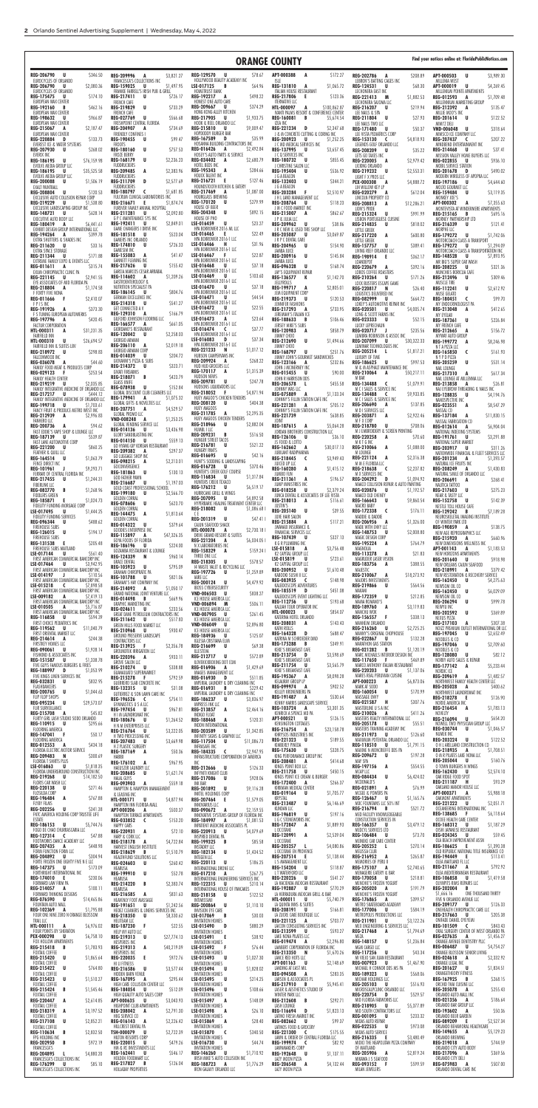| REG-129570 U<br>APT-000388<br><b>REG-206790</b><br>\$346.50<br>\$78.67<br>A<br>\$172.27<br>\$3,989.30<br>U<br>REG-209996 A<br>\$3,821.27<br><b>REG-202786</b><br>\$208.89<br><b>APT-000503</b><br><b>U</b><br>A<br>HOLLYWOOD BEAUTY ACADEMY INC<br>EUROCYCLES OF ORLANDO<br>FRANCESCA'S COLLECTIONS INC<br><b>ISLE</b><br>LEBRON'S BATTING CAGES INC<br>MILLENIA WEST<br><b>REG-206790</b><br>\$2,080.36<br>\$1,497.95<br>LSE-017125<br>\$64.96<br>REG-131810 A<br>\$1,065.72<br>U<br>REG-159025<br>B<br>REG-124531<br>U<br>\$68.30<br>U<br>\$4,269.45<br>U<br>APT-000019<br>HOMETRUST BANK<br>EUROCYCLES OF ORLANDO<br>ITALIAN HOUSE RESTAURANT<br>FRANKIE FARRELL'S IRISH PUB & GRILL<br>LECHONERA EAST INC<br>MILLENIUM POINTE APARTMENTS<br>\$498.22<br>REG-192217<br>A<br>\$123.36<br><b>REG-175475</b><br>\$174.10<br>REG-217411<br><b>REG-217806</b><br>- E<br>REG-221413<br>M<br>REG-012593<br>\$1,709.48<br>- U<br>U<br>\$726.17<br>\$1,882.53<br>A<br>HONEST ONE AUTO CARE<br>EUROPEAN WAX CENTER<br>FRENCH CAFE<br><b>ITERNATIVE LLC</b><br>LECHONERA SAJOMA LLC<br>MILLENNIUM MARKETING GROUP<br>\$374.29<br><b>REG-209667</b><br>REG-192160<br>\$462.16<br>REG-219829<br>U<br>\$733.29<br>U<br><b>HTL-000097</b><br>\$100,862.87<br>A<br>REG-216207<br>U<br>\$219.94<br>REG-212392<br>\$135.47<br>B<br>A<br>HONG KONG ALLEY KITCHEN<br>EUROPEAN WAX CENTER<br>IVANTI PALMS RESORT & CONFERENCE CENTER<br>MILLIE MOO'S INC<br><b>FRENCH CAFE</b><br>LEE NAILS & SPA<br>\$1,933.75<br>\$966.87<br>REG-217905<br>REG-198632<br>\$566.68<br>U<br><b>REG-160081</b><br>B<br>\$5,674.54<br>\$122.52<br>U<br><b>REG-027769</b><br>U<br>REG-211804<br>U<br>\$27.93<br>REG-201614<br><b>U</b><br>HOOK & REEL ORLANDO LLC<br>FRESHPOINT CENTRAL FLORIDA<br>EUROPEAN WAX CENTER<br>IZEA INC<br>LEE NAILS TWO LLC<br>MIMI'Z DELI<br>\$9,009.47<br>\$734.69<br>REG-215810<br>REG-221234 D<br>\$2,347.68<br><b>REG-215067</b><br>\$2,187.47<br><b>REG-204907</b><br>U<br>REG-171480<br>\$50.37<br>\$318.64<br>A<br>A<br>U<br><b>VND-006048</b><br>U<br>HOPDODDY BURGER BAR<br><b>EUROPEAN WAX CENTER</b><br>J & M CONCRETE CUTTING & CORING INC<br><b>FRIENDLY CONFINES I</b><br>LEE VISTA PEDIATRICS CORP<br>MIMSCO ICE COMPANY LLC<br>\$35.99<br>REG-167589<br>REG-200923 U<br><b>REG-220884</b><br>\$133.73<br>\$99.47<br>D<br>\$1,252.25<br><b>REG-190455</b><br>U<br>REG-153130<br>\$4,818.93<br><b>REG-207437</b><br>\$207.22<br>D.<br>$\mathsf{C}$<br>$\epsilon$<br>HOSANNA BUILDING CONTRACTORS INC<br>J C MD MEDICAL SERVICES INC<br>EVEREST ICE & WATER SYSTEMS<br><b>FROOTS</b><br>LEGENDS GOLF ORLANDO LLC<br>MINDBEND ENTERTAINMENT INC<br>\$2,492.84<br>U<br>\$757.53<br><b>REG-016426</b><br><b>REG-207930</b><br><b>REG-180160</b><br>A<br>REG-137995<br>\$3,657.45<br>U<br>\$268.02<br>U<br><b>REG-208209</b><br>U<br>\$35.22<br>\$37.41<br>REG-214468<br>U<br>HOSEY'S AUTO PARTS & SERVICE<br>EVERIX INC<br>J C Q SERVICES INC<br><b>FROZE BERRY</b><br>LETS GO TAXES INC<br>MISSION VALLEY HOME BUYERS LLC<br>\$2,680.79<br><b>REG-034402</b><br>A<br>\$76,159.98<br>U<br>\$2,236.23<br>\$855.45<br>REG-186195<br>REG-168179<br><b>REG-180732</b><br>U<br>U<br><b>REG-022855</b><br>\$936.10<br><b>REG-220005</b><br>\$2,979.42<br>U<br>A<br>HOTEL BEDS INC<br>EVOLVE MEDIA GROUP LLC<br><b>FUDDRUCKERS</b><br>J CHRISTINE SALON LLC<br>LICKING ORLANDO<br>MOBIL SERVICE STATION<br>REG-195343<br>\$284.66<br><b>REG-209485</b><br>\$2,383.96<br>A<br>\$35,525.58<br>A<br>\$536.92<br>REG-186195<br>REG-195404<br>U<br>REG-219232<br>\$490.02<br>U<br><b>U</b><br>\$2,553.31<br><b>REG-201678</b><br>D D<br>HOUCK TALENT INC<br>EVOLVE MEDIA GROUP LLC<br>FUDDRUCKERS<br>J G A BEACON<br>MODERN WIRELESS OF APOPKA LLC<br>LIGHT F X PROS LLC<br>\$127.46<br>REG-216721<br>\$2,577.69<br>-E<br>REG-132403<br>U<br><b>REG-200088</b><br>\$1,506.19<br>REG-211709<br>D<br>\$344.21<br>U<br>PEX-000308<br>\$4,888.72<br>A<br>REG-197186<br>- U<br>\$4,644.60<br>HOUNDSTOOTH KITCHEN & EATERY<br><b>EXALT PAINTBALL</b><br>FUDDRUCKERS<br>J G A BEACON<br>LIH WILLOW KEY LP<br>MOLTO GOURMET LLC<br>REG-217469<br>\$1,087.00<br><b>REG-180797</b><br>\$1,681.85<br>$\mathsf{C}$<br>\$120.53<br>A<br>REG-203284<br><b>REG-208804</b><br><b>U</b><br>-F<br>\$2,510.97<br><b>REG-020279</b><br>\$612.04<br>\$3,119.35<br>A<br><b>REG-159484</b><br>U<br>HOURGLASS BREWING<br>FULCRUM CLINICAL LABORATORIES INC<br>J H L LAND MANAGEMENT LLC<br>EXCLUSIVE AUTO COLLISION REPAIR CORP<br>LINCOLN PROPERTY CO<br>MONKEY JOE'S<br>\$279.99<br>REG-170120<br>U<br>\$1,874.74<br>REG-219229<br>\$1,538.80<br>REG-216671<br>- E<br><b>REG-208764</b><br>\$118.23<br><b>U</b><br>U<br>APT-000302<br>\$7,355.63<br>\$12,286.21<br>REG-208813<br>A<br>A<br><b>HOUSE OF BEER</b><br>FUREVER FAMILY ANIMAL HOSPITAL<br>EXCLUSIVE LANDSCAPING GROUP INC<br>J M C FOOD MARKET INC<br>MONTEVISTA AT WINDERMERE APARTMENTS<br>LION'S PRIDE<br>REG-204348<br>U<br>\$892.15<br>REG-211281<br>\$2,092.80<br>U<br>\$628.14<br>\$862.67<br>REG-148721<br>REG-215007<br>\$991.99<br>- U<br>A<br>REG-215324<br>U<br>REG-215165<br>\$695.16<br>B<br>HOUSE OF PHO<br><b>G P C MAINTENANCE SYS INC</b><br>EXECUTIVE AUTO BODY LLC<br>J P & JULIA LLC<br>LISBON PORTUGUESE CUISINE<br>MORNEY PARTNERSHIP LTD<br>\$23.27<br>LSE-016459<br>U<br>REG-192411<br>\$2,849.01<br>REG-180419<br>\$6,441.61<br>U<br><b>REG-209962</b><br>U<br>\$38.86<br>REG-214835<br>U<br>\$818.02<br>REG-216339<br>\$121.41<br>U<br>A<br>HPA BORROWER 2016 ML LLC<br>GAME CHANGERS I DRIVE INC<br>J R C NEW & USED TIRE SHOP LLC<br>EXHIBIT DESIGN GROUP INTERNATIONAL LLC<br>LITTLE GREEK<br>MORPHE LLC<br>\$22.49<br>LSE-016465<br>\$523.04<br>REG-181518<br>Е.<br>U<br><b>REG-205087</b><br>– U<br>\$3,069.87<br>REG-194264<br>\$399.78<br>\$600.80<br><b>U</b><br>A<br>REG-217220<br>A<br>REG-179272<br>\$1,742.06<br><b>GAMERS INC ORLANDO</b><br>HPA BORROWER 2016-1 LLC<br>J R P C DENTAL CARE<br>EXTRA SHUTTERS & SHADES INC<br><b>LITTLE GREEK</b><br>MOTORCOACH CLASS A TRANSPORT<br>LSE-016466<br>\$31.96<br>REG-174810<br>\$726.33<br>н<br>U<br>\$33.16<br><b>REG-204965</b><br>REG-211620<br>- U<br>U<br>\$154.90<br>REG-179272 U<br>\$1,294.09<br>REG-157757<br>U<br>\$389.41<br>HPA BORROWER 2016-1 LLC<br><b>GAMESIM INC</b><br>EXTRA SPACE STORAGE<br>JAMBA JUICE<br>MOTORCOACH CLASS A TRANSPORTATION INC<br>LIVING REEF ORLANDO LLC<br>\$22.87<br>LSE-016467<br>\$41.47<br><b>REG-155083</b><br>A<br>Æ<br>REG-200916<br>\$171.88<br>U<br>\$145.84<br>REG-211344<br>U<br>REG-198914<br>\$362.17<br>REG-148528<br>\$7,893.95<br>- E<br>U<br>HPA BORROWER 2016-1 LLC<br>GANNETT FLEMING INC<br>EXTREME FAMILY EXPO & EVENTS LLC<br>JAMBA JUICE<br>LOANDEPOT<br>MR BIG'S SUPER CAR WASH<br>LSE-016468<br>\$37.18<br>\$155.42<br>U<br>REG-217626<br>U<br>\$168.74<br>REG-011611 A<br>\$315.74<br><b>REG-096328</b><br>U<br>\$392.16<br>\$321.36<br>REG-220679<br><b>REG-208225</b><br>A<br>U<br>HPA BORROWER 2016-1 LLC<br>GARCIA MARCOS CESAR ARRABAL<br>EXUM CHIROPRACTIC CLINIC PA<br>JAY'S EQUIPMENT REPAIR<br>LOBOS COFFEE ROASTERS<br>MUNCHIES BORICUA CAFE<br>\$103.60<br>LSE-016469<br>\$1,209.26<br>U<br>REG-114602<br>A<br>REG-221145 U<br>\$2,941.55<br>REG-136577<br>\$1,142.70<br>K<br>REG-210264<br>\$171.26<br>REG-212496<br>\$309.46<br>U<br>U<br>GASTROENTEROLOGY &<br>HPA BORROWER 2016-1 LLC<br>EYE ASSOCIATES OF MID FLORIDA PA<br>JELLYROLLS<br>LOCK BUSTERS ESCAPE GAME<br>MUSCLE TIRE<br>\$37.18<br>LSE-016470<br>NUTRITION SPECIALIST PA<br>U<br>REG-199717<br>\$2,805.01<br><b>REG-218804</b><br>A<br>\$1,174.58<br>A<br>REG-220817<br>\$26.40<br>U<br>\$2,612.92<br>N<br>REG-112241<br>HPA BORROWER 2016-1 LLC<br>\$804.76<br>REG-186145<br>U<br>F FORTY FIVE NONA<br>JEM EQUIPMENT CORP<br>MUSE GELATO<br>LOGISTICS DELIVERED INC<br>\$44.54<br>LSE-016471<br>GERMAN EXCELLENCE INC<br>U<br>\$2,410.07<br>REG-219373<br>REG-011666<br>- F<br>U<br>\$120.53<br>\$664.72<br>\$99.70<br><b>REG-180451</b><br><b>REG-082999</b><br>U<br>C<br>HPA BORROWER 2016-1 LLC<br>\$541.27<br>REG-214318<br>U<br>JENNIFER FASHIONS<br><b>FPISINC</b><br>LOKEY'S AUTOMOTIVE REPAIR INC<br>MY ENDOCRINOLOGIST PA<br>LSE-016472<br>\$22.55<br>GET CONNECTED A V<br>U<br>\$733.95<br>\$373.30<br>REG-217293<br>\$4,005.74<br>REG-191926<br><b>REG-020501</b><br>\$412.65<br>A<br>U<br>REG-213048<br>A<br>A<br>HPA BORROWER 2016-1 LLC<br>\$166.79<br>REG-129310<br>A<br>F S TUNING EUROPEAN AUTOWERKS<br>JEREMIAH'S ITALIAN ICE<br>LONG & SCOTT FARMS INC<br>MY EYELAB<br>LSE-016473<br>\$23.64<br>GILFORD JOHNSON FLOORING LLC<br>A<br>\$52.15<br><b>REG-197796</b><br>\$420.45<br>REG-188633<br>\$106.46<br><b>REG-023333</b><br>A<br>B<br>U<br>REG-187361<br>U<br>\$226.84<br>\$661.05<br>HPA BORROWER 2016-1 LLC<br>REG-166577<br>A<br>LUCKY LEPRECHAUN<br>FACTUR CORPORATION<br>JERSEY MIKE'S SUBS<br>MY FRENCH CAFE<br>\$37.77<br>GIORDANO'S RESTAURANT<br>LSE-016474<br>C<br>REG-120983<br>\$858.79<br><b>REG-020717</b><br>\$235.56<br>HTL-000311<br>\$31,231.35<br>A<br>A<br>J<br>REG-212665<br>\$156.72<br>A<br>HPA BORROWER 2016-1 LLC<br><b>REG-120042</b><br>\$2,258.03<br>U<br>LUMBRA ROBINSON & ASSOC INC<br>JIMMY CHOO<br>FAIRFIELD INN<br>MYWAY AUTO GROUP<br>\$37.34<br>LSE-016083<br>GIORGIO ARMANI<br>D<br>\$26,694.57<br>REG-212690<br>HTL-000310<br>U<br>U<br>\$1,494.66<br><b>REG-207099</b><br>U<br>\$30,322.33<br>REG-199772<br>\$8,246.98<br>A<br>HPA BORROWER 2016-1 LLC<br>REG-206110<br>\$2,019.18<br>A<br>FAIRFIELD INN & SUITES LBV<br>LUMINAR TECHNOLOGIES INC<br>JIMMY CHOO<br>N T A PIZZA LLC<br>\$1,017.12<br>GIORGIO ARMANI CORP<br>REG-221233<br>N<br>\$298.83<br>REG-168797<br>U<br>\$251.76<br>REG-205214<br>\$1,817.21<br>REG-218972<br>\$161.93<br>U<br>L.<br><b>REG-165850</b><br>C<br>HUBSON CAMPERVANS INC<br>REG-014039<br>\$204.72<br>FALCONWOOD INC<br>JIMMY JOHN'S GOURMET SANDWICHES<br>LUXURY OF TIME<br>N Y P D PIZZA<br>REG-209924 A<br>\$268.22<br>GIOVANNI'S PIZZA & SUBS<br>\$997.53<br>\$44.60<br>\$232.86<br>REG-186625 U<br><b>REG-036078</b><br>REG-123166 A<br>\$531.14<br>A<br><b>REG-205259</b><br>U<br>HUD HUD GROCERS LLC<br>\$323.71<br>REG-214372 U<br>M & M ASPHALT MAINTENANCE INC<br>FAMILY FOOD MEAT & PRODUCES CORP<br>JOHN J MCINERNEY INC<br>NAIL LOUNGE<br>REG-170117 A<br>\$1,315.39<br>GIVATI FIREARMS<br>\$90.00<br>REG-015455 U<br><b>REG-210064</b><br>\$50,217.11<br>REG-029123<br>\$253.54<br>A<br>- F<br>REG-217310<br>\$617.34<br>A<br>\$423.79<br>HUDSON NEWS<br>REG-218071 B<br><b>FAMILY HEALTH CENTER</b><br>JOHN R HARRISON DDS<br>M BAR<br>NAIL LOUNGE AT MILLENNIA LLC<br>\$247.78<br><b>REG-209781</b><br>U<br>GLASS KNIFE<br>\$2,035.85<br>REG-206578 L<br>\$455.58<br>REG-134488 C<br>\$1,079.91<br>REG-219219 U<br>REG-213858 A<br>\$26.81<br>HUDSONS LIQUIDATORS LLC<br>REG-078938 U<br>\$152.84<br>FAMILY INTEGRATIVE MEDICINE OF ORLANDO LLC<br>JOHNNY WAS LLC<br>M C I SALES & SERVICE INC<br>NAJ EYEBROW THREADING & NAILS INC<br>GLOBAL DISCOUNT CLUB CLEANERS LLC<br><b>REG-218052</b><br>\$4,871.94<br>- F<br>REG-217217 U<br>\$444.12<br>REG-075889 A<br>\$1,133.34<br><b>REG-134488</b><br>\$9,933.85<br>$\epsilon$<br>REG-128835 U<br>\$4,194.76<br>HUEY MAGOO'S CHICKEN TENDERS<br>\$1,075.32<br>REG-179941 A<br>M C I SALES & SERVICE INC<br>FAMILY INTEGRATIVE MEDICINE OF ORLANDO LLC<br>JOHNNY'S FILLIN STATION CAFE INC<br>NANOSPECTIVE INC<br><b>REG-208120</b><br>\$404.38<br>– U<br>GLOBAL GIFTS & NOVELTIES LLC<br><b>REG-206690</b><br>REG-199718 U<br>\$1,703.61<br>REG-221281 A<br>\$705.12<br>\$137.85<br>A<br>REG-023551 A<br>\$8,547.29<br><b>HUEY MAGOOS</b><br>REG-207751 A<br>\$4,529.57<br>M D I SERVICES LLC<br>FANCY FRUIT & PRODUCE METRO WEST INC<br>JOHNNY'S FILLIN STATION CAFE INC<br>NASSAL CO<br>REG-211785<br>\$2,295.35<br>GLOBAL PROMO LLC<br>A<br>\$2,922.46<br>REG-212939<br>\$2,996.83<br>REG-221739<br>\$638.85<br>REG-203871 A<br>A<br>REG-137184<br>\$11,830.15<br>A<br>HUEY MAGOOS CHICKEN TENDERS<br>\$1,253.25<br>VND-008248 A<br>M F X CORP<br><b>FANHERO LLC</b><br>JOINT<br>NASSAL FABRICATION CO<br>REG-218966 U<br>\$2,882.04<br>GLOBAL VENDING SERVICE LLC<br>REG-200736 A<br>\$94.62<br>REG-187615 A<br>\$5,064.28<br>REG-218780 U<br>\$708.06<br>\$6,904.04<br><b>REG-012614</b><br>A<br>HUMBL I LLC<br>\$3,436.98<br><b>REG-014136</b><br>U<br>M J EMBROIDERY & SCREEN PRINTING<br>FAST EDDIE'S VAPE SHOP & LOUNGE LLC<br>JORDAN BROTHERS CONSTRUCTION LLC<br>NATIONAL INDEXING SYSTEMS<br>REG-209231<br>\$516.50<br>$\overline{B}$<br>GLORY SANDBLASTING INC<br>REG-187139 U<br>REG-126106 U<br>\$36.10<br><b>REG-220258</b><br>\$539.87<br>A<br>\$70.60<br>REG-191761 U<br>\$3,291.88<br>HUNGER STREET TACOS<br>REG-014150 U<br>\$559.13<br>FAST LANE AUTOMOTIVE CORP<br>JS FOOD & LOTTO<br>M K T G INC<br>NATIONAL SUPER MARKET<br>REG-216781<br>\$521.22<br>GO HYANG GIP KOREAN RESTAURANT<br>U<br>\$30,017.13<br>REG-221200 U<br>\$860.25<br>REG-162662 A<br>REG-210066 A<br>\$1,088.00<br>REG-203917 U<br>\$311.26<br>HUNGRY PANTS<br>\$297.37<br>REG-209382 A<br>JUBILANT RADIPHARMA<br>M LOUNGE<br>FEATHER & QUILL LLC<br>NATIONWIDE FINANCIAL & FLEET SERVICES LLC<br>\$42.16<br><b>REG-016695</b><br><b>U</b><br>GO LUGGAGE SHOP INC<br>\$2,316.38<br>REG-218445<br>\$3,949.43<br>REG-221124 A<br>REG-164514<br>\$1,063.79<br><b>REG-201234</b><br>U<br>$\epsilon$<br>A<br>\$1,393.57<br>HUNT'S SODDING & LANDSCAPING<br>REG-098215 A<br>\$2,213.01<br>JUICED UP LLC<br>FENCE DIRECT INC<br>M M E FLORIDA LLC<br>NATURAL ICE FRUITS INC<br>\$370.46<br><b>REG-016728</b><br>GOCONVERGENCE<br>U<br>REG-101961<br>\$9,293.71<br>REG-160280 A<br>\$1,415.12<br>REG-218638<br>\$2,237.82<br>$\overline{\mathbf{C}}$<br>REG-208249 A<br>\$1,430.83<br>$\mathsf{J}$<br>HUNTER'S CREEK GOLF COURSE<br>\$130.13<br>REG-181863 U<br>FERRARI OF CENTRAL FLORIDA INC<br>JUMBO FUN<br>M X SERVICES INC<br>NATURAL SMILE OF ORLANDO LLC<br>REG-116834<br>\$1,317.84<br>GOD FATHER PAWN<br>. U<br>\$196.57<br>REG-217455 U<br>\$1,244.31<br>REG-211361<br>REG-204292 D<br>\$1,094.92<br>A<br>REG-206691 A<br>\$268.41<br>HUNTERS CREEK TEXACO<br>\$1,197.03<br>REG-216687 U<br>FIBERLINK LLC<br>MAACO COLLISION REPAIR & AUTO PAINTING<br>JUMP MINISTRIES INC<br>NAUTICA TATTOO<br>GOLD COAST PROFESSIONAL SCHOOL<br>REG-176212<br>\$6,519.17<br>. U<br><b>REG-082770</b><br>\$1,268.96<br>REG-018258 U<br>\$2,379.24<br><b>REG-020876</b><br>$\overline{B}$<br>U<br>\$1,192.57<br>REG-217603 U<br>\$275.23<br>REG-199180 U<br>\$2,566.70<br>HURRICANE GRILL & WINGS<br>JUNCA DENTAL & ASSOCIATES OF LEE VISTA<br>MAACO OLD CHENEY<br><b>FIDDLERS GREEN</b><br>NEAR & TASTY LLC<br>REG-207095 U<br>\$4,892.58<br>GOLDEN CORRAL<br>\$9,860.54<br><b>REG-185871</b><br>REG-218013 A<br>REG-166643 U<br>\$1,024.73<br>\$116.61<br>\$142.39<br>REG-152758 U<br>- E<br>HYPERBARIC HEALING TREATMENT CENTER LLC<br>REG-078606 U<br>\$623.70<br><b>JUSTIN'S</b><br>MACRO BABY<br>FIDELITY FUNDING MORGAGE CORP<br>NESTLE TOLL HOUSE CAFE<br>REG-218082 U<br>\$1,086.68  <br>GOLDEN CORRAL<br>REG-205140 U<br>\$39.55<br>REG-172338 C<br>\$176.11<br>LSE-017495<br>\$1,444.25<br>REG-129242 B<br>\$7,189.28<br>U<br>REG-144475 A<br>CE<br>\$1,813.64<br>FIDELITY FUNDING SERVICES<br>JUVE HAIR SALON<br>MADDIE & DADDIE<br>NEUROSKELETAL IMAGING INSTITUTE<br>\$47.41  <br>GOLDEN CORRAL<br>REG-201319 U<br>REG-215884 A<br><b>REG-096344</b><br>\$488.62<br>\$117.21<br><b>REG-206956</b><br>\$1,326.00<br>— U<br>OF WINTER PARK LTD<br>A<br>REG-014322 U<br>\$379.64<br>CAJUN SEAFOOD SHACK<br><b>FIREHOUSE SUBS</b><br>JWANAIX INSURANCE &<br>MADE WITH ENVY LLC<br>\$138.75<br>REG-190859<br>A<br><b>HTL-000078</b><br>\$2,730.18  <br>GOODIES ENTERPRISE INC<br>A<br>FINANCIAL SERVICES LLC<br>\$194.17<br>REG-126015 U<br>REG-148753<br>U<br>\$2,008.80<br>NEW AGE REPROGRAPHICS LLC<br>DRIVE GRAND RESORT & SUITES<br>\$47,326.35<br>REG-115897<br>A<br><b>FIREHOUSE SUBS</b><br>REG-107439 U<br>\$327.13<br>MAGIC DESIGN CORP<br><b>REG-215920</b><br>\$660.96<br>A<br><b>REG-221204</b><br>$$6,034.05$  <br>GOYA FOODS OF FLORIDA<br>A<br><b>REG-195224</b><br>\$205.48<br>K G R PLUMBING INC<br>A<br>\$764.79<br>REG-131538 E<br>NEW DIMENSIONS WELLNESS INC<br>\$224.00<br>REG-186196<br><b>U</b><br>N X LABORATORIES INC<br>MAGNOLIA<br>FIREHOUSE SUBS MAITLAND<br>\$3,756.48<br>LSE-015818<br>APT-001143<br>\$1,183.53<br>A<br>A<br>GOZAMBA RESTAURANT & LOUNGE<br>REG-158329<br>\$159.241<br>A<br>\$561.40<br>K2 CAPITAL GROUP LLC<br>\$21.83<br>LSE-017144<br>REG-113278<br>U<br>A<br>NEW HORIZONS APARTMENTS<br>\$960.14<br>THREE ONE LLC<br>REG-124339 N<br>FIRST AMERICAN COMMERCIAL BANCORP INC<br>\$723.61<br>LSE-015819<br><b>U</b><br>MAGRUDER LASER VISION<br>REG-201640 U<br>\$918.98<br>\$578.57<br>REG-218305<br><b>GRACE DENTAL</b><br><b>U</b><br>LSE-017464<br>U<br>\$3,942.95<br>K2 CAPITAL GROUP LLC<br>\$388.55<br><b>REG-183756</b><br>NEW ORLEANS CAJUN SEAFOOD<br>A<br>\$795.09<br>U<br>14 WASTE VALET & RECYCLING LLC<br>REG-105923<br>FIRST AMERICAN COMMERCIAL BANCORP INC<br>REG-200952 U<br>\$1,610.48<br>MAJESTIC<br>REG-218991 A<br>\$379.42<br>\$1,259.89<br>GRAHAM CHIROPRATIC PA<br>REG-197726 U<br>LSE-014197<br>KABOOKI SUSHI II LLC<br>\$18,273.92<br>$\mathsf{J}$<br>REG-210067 A<br>NEW RESTORATION & RECOVERY SERVICE<br>\$110.56<br><b>REG-101788</b><br>\$821.06<br>IAIRE LLC<br>U<br>FIRST AMERICAN COMMERCIAL BANCORP INC<br>\$148.98<br>REG-083935 C<br>MAJORS INVESTMENTS<br>REG-162450 U<br>\$4,275.63<br>\$4,479.92<br><b>GRAHAM'S HAY COMPANY INC</b><br>REG-200124 U<br>LSE-015218<br>KALEIDOSCOPE ADVENTURES<br>REG-219866<br>U<br>\$564.56<br>$\epsilon$<br>\$7,898.58<br>NEWSOM OIL CO<br><b>IBOSS CYBERSECURITY</b><br>REG-214092 A<br>\$1,050.17<br>MAKANI<br>FIRST AMERICAN COMMERCIAL BANCORP INC<br>REG-185519 D<br>\$451.08<br>REG-162450 U<br>\$6,029.09<br>GRAND NATIONAL JOINT VENTURE LLC<br>\$838.27<br>VND-006503 U<br>KALEIDOSCOPE EVENT LIGHTING LLC<br>REG-172359 U<br>\$212.85<br>LSE-009182<br>\$7,419.13<br>A<br>NEWSOM OIL CO<br>REG-014498 B<br>\$669.96<br>ICE HOUSE AMERICA LLC<br>FIRST AMERICAN COMMERCIAL BANCORP INC<br>\$193.68<br>MAMA ROMANO'S<br>REG-206294 U<br>REG-112756 U<br>\$999.78<br>GRAPHIC MARKETING INC<br>\$506.11<br>VND-006894 M<br>KALUAH TOUR OPERATOR INC<br>LSE-010505<br>REG-189760 A<br>\$3,119.83<br>NEWYU INC<br>A<br>\$5,716.87<br>\$233.56<br>ICE HOUSE AMERICA LLC<br>REG-024611 U<br>FIRST AMERICAN COMMERCIAL BANCORP INC<br><b>HTL-000023</b><br>MANCHU WOK<br>U.<br>S854.07<br>REG-202592 U<br>\$369.89<br>GREAT DANE PETROLEUM CONTRACTORS INC<br>VND-007905 U<br>\$261.45<br>\$594.39<br>KATERINA HOTEL ORLANDO<br>\$338.13<br>REG-116858<br>U.<br>REG-156557<br>- F<br>NEXUS PIZZA<br>ICE HOUSE AMERICA LLC<br>REG-211642 U<br>\$517.83<br>FIRST CHOICE PEDIATRICS INC<br>\$143.43<br><b>REG-208031</b><br>MANHEIM ORLANDO<br>REG-217103<br>A<br>\$307.38<br>A<br>GREEN HILLS FOOD MARKET LLC<br>VND-006049 U<br>\$2,896.80<br><b>REG-216260</b><br>\$2,725.25<br>KATHI ROLLS<br><b>U</b><br>REG-119562 U<br>\$11,040.79<br>NOIZZ PREMIUM OUTLET INTERNATIONAL DR LLC<br>\$930.47<br>ICE HOUSE AMERICA LLC<br>REG-210968 U<br>MANNY'S ORIGINAL CHOPHOUSE<br>FIRST ORIENTAL MARKET LLC<br>REG-164328 D<br>\$688.47<br><b>REG-197045</b><br>\$2,652.49<br><b>U</b><br>GROUND PRESERVE LANDSCAPE<br><b>REG-184936</b><br>\$125.07<br>U<br>KATRINA M SCHROEDER DMD<br><b>REG-022867</b><br>\$132.28<br>\$244.38<br>U<br>REG-214614<br>NOODLES & CO<br>A<br>IGLESIA CRISTIANA ELIM<br>CONTRACTORS LLC<br>MARATHON GAS STATION<br>FIRSTKEY HOMES LLC<br>REG-175288 B<br>\$349.91<br>U<br>\$2,709.60<br><b>REG-197046</b><br>\$69.38<br>REG-216699<br>REG-213925 F<br>\$2,356.78<br>U<br>\$1,928.14<br>KEKE'S BREAKFAST CAFE<br><b>REG-021282</b><br>\$1,120.19<br><b>REG-090061</b><br>$\overline{B}$<br>U<br>NOODLES & CO<br><b>GROUNDTEK IRRIGATION LLC</b><br>ILLESTEVA<br>\$3,598.69<br>MARC MICHAELS INTERIOR DESIGN INC<br>FISHKIND & ASSOCIATES INC<br>REG-213754 D<br><b>REG-128080</b><br>– U<br>\$82.12<br>\$933.11<br>\$572.89<br>REG-220396 A<br>REG-212717 U<br>\$1,338.78<br>\$469.89<br>REG-151587 U<br>KEKE'S BREAKFAST CAFE<br><b>REG-117650</b><br>- F<br>NORBY AUTO SALES & REPAIR<br>ILOVEKICKBOXING DOT COM<br>GROVE SALON LLC<br>FIVE GUYS FAMOUS BURGERS & FRIES<br>REG-211754 U<br>\$3,565.79<br>MARCO ANTHONY ITALIAN RESTAURANT<br>REG-177142 A<br>\$5,233.44<br>\$1,429.69<br>REG-016906 A<br>REG-210274 U<br>\$338.88<br>KEKE'S BREAKFAST CAFE<br>REG-188997 D<br>\$1,053.99<br><b>REG-220203 U</b><br>\$1,137.06<br>NORDIC ICE<br><b>GUANAJUATO SUPERMARKET</b><br>IMAGES MANAGEMENT LLC<br>\$8,098.28<br>MARES REAL PERUVIAN CUISINE<br>FIVE KINGS LINEN SERVICES INC<br>REG-195367 A<br>\$1,482.57<br>REG-209619 A<br>\$792.59<br>\$511.85<br>REG-215278 F<br>REG-016930 D<br><b>APT-000223</b><br>\$6,873.06<br><b>REG-032831</b><br>\$832.95<br>KELAURAY GROUP LP<br>A<br>NORTHWEST FAMILY HEALTH CENTER LLC<br><b>U</b><br>IMPERIAL LAUNDRY & DRY CLEANING INC<br>GUERRERO SLAB CONCRETE INC<br>\$902.52<br>FLASHDANCERS<br>REG-099974 A<br>MARK AT SODO<br><b>REG-205028</b><br>\$400.62<br>A<br>\$31.08<br>REG-016931 B<br>REG-132315 U<br>\$229.42<br>\$1,044.63<br>REG-200765 U<br>KELLEY KRONENBERG PA<br>REG-160054 U<br>\$170.99<br>NORTHWEST LAUNDROMAT INC<br>IMPERIAL LAUNDRY & DRY CLEANING INC<br>GUTIERREZ & SON LAWN CARE INC<br>\$530.64<br>MASSAGE ENVY<br>REG-191487 A<br>FLIP FLOP SHOPS<br>\$126.90<br>REG-218278 E<br>REG-186237 U<br>REG-196526 C<br>\$754.11<br>\$3,836.97<br>\$29,573.07<br>KENNY HARRIS LANDSCAPE SERVICE<br>REG-021587 H<br>\$307.76<br><b>REG-095234</b><br>U<br>NORXE AMERICA INC<br>GYMNASTICS U S A LLC<br>IMPRESS INK LLC<br>FLIR SURVEILLANCE<br>REG-103724 A<br>\$3,301.35<br>MASTERLINE U S A INC<br>REG-216454 A<br>\$1,783.13<br>REG-213857 A<br>\$2,464.16<br>\$967.81<br>REG-197454 U<br>\$411.26<br>REG-215708 A<br>\$45.82<br>KENRICK A SPENCE MD PA<br><b>REG-210026</b><br>NOVELTY<br>A<br>H I M LAUNDROMAT INC<br>INDIGO FLOAT<br>MASTERS REALTY INTERNATIONAL LLC<br>\$654.20<br>FLIRTY GIRL LASH STUDIO SODO ORLANDO<br>\$126.15<br>APT-000521 U<br>REG-216094 U<br>REG-180676 U<br>\$1,264.52<br><b>REG-188468</b><br>\$120.31<br>A<br>NOWELL TWO PHYSICIAN GROUP LLC<br>REG-205178<br>\$55.51<br>REG-110915 U<br>KENSINGTON COTTAGES<br>U<br>\$295.66<br>H N M ENTERPRISES LLC<br>INDON INTERNATIONAL<br>\$23,158.78<br>MASTERS TRAINING ACADEMY INC<br>\$1,046.57<br>FLOORING AMERICA<br>REG-216754 A<br><b>REG-030744 U</b><br>\$1,342.85<br>REG-203589 U<br>\$3,222.05<br>REG-216764<br>U<br>\$50.17<br>KHRYSOS INDUSTRIES INC<br>REG-211973 U<br>\$126.60<br>NUMEK INC<br>REG-147041<br>- F<br>H TWO PROCESSING INC<br>INFINITY SIGNS & GRAPHIX LLC<br>MAXIMUM POTENTIAL ORLANDO LLC<br><b>REG-203224 U</b><br>\$122.52<br>FLOORING AMERICA<br><b>REG-221323</b><br>\$189.55<br>U<br>\$3,669.98<br>\$11,086.73<br><b>REG-207483</b><br>REG-117504<br><b>U</b><br>. U<br>O H L ARELLANO CONSTRUCTION CO<br>\$434.18<br>\$1,791.15<br>KIMBERLY PINEDA<br>REG-118510 U<br>REG-012553<br>A<br>H Z PLASTIC SURGERY<br>INFRASAFE INC<br>REG-218935 A<br>\$1,708.51<br>FLORIDA ELECTRIC MOTOR SERVICE<br>REG-175630 U<br>\$328.75<br>MAXINE N MONCRIEFFE DDS PA<br>\$2,947.95<br>\$50.36<br><b>REG-184335</b><br>$\epsilon$<br>REG-187169 A<br>\$300.69<br>KING PERFORMANCE GROUP INC<br>REG-209672 U<br>\$197.28<br>O M R PILATES LAKE NONA LLC<br><b>REG-209483</b><br>N<br>INFRASTRUCTURE CORPORATION OF AMERICA<br>HABIBI<br>MAY SPA<br><b>REG-205044 U</b><br>\$160.76<br>FLORIDA T SHIRTS PLUS<br><b>REG-208481</b><br>\$414.68<br>A<br>\$967.95<br>REG-176102 A<br>INC<br>REG-197156 A<br>\$554.55<br>O TOWN BURGERS N WINGS<br>LSE-016863<br>\$1,818.35<br>KINGS POINT BOX LLC<br><b>U</b><br>REG-212666 U<br>\$126.33<br>HAEUSZER LAUNDRY LLC<br>REG-211758 U<br>\$450.15<br>\$2,574.10<br>FLORIDA UNDERGROUND CONSTRUCTION INC<br>MCAP LLC<br>REG-162430 U<br>INFYNITI KNIGHT CLUB<br>\$1,621.74<br>REG-208685 U<br>KINGS POINT ICE CREAM & BURGER<br><b>REG-084434 U</b><br>OAK RIDGE FOOD SPOT<br>REG-219268<br><b>U</b><br>\$14,182.50<br>\$6,424.02<br>\$928.06<br>REG-217086 U<br>HALAL GUYS<br>\$93.29<br>FLORIS CAR WASH LLC<br>REG-172400 A<br>\$266.37<br>MCDONALD'S<br>REG-211187 H<br>REG-093903 A<br>\$559.18<br>INK BAR<br>REG-021891 A<br>OAKLAND MANOR HOUSE LLC<br><b>REG-220138</b><br>\$271.46<br>KIRKMAN MEDICAL CENTER<br>\$76.99<br>U<br>HAMPTON & HAMPTON MANAGEMENT<br>\$9,116.28<br>REG-201892 U<br><b>FLOSILDA CORP</b><br>REG-019164 U<br>\$5,988.18<br>\$1,705.77<br>MCGEE & POWERS PA<br>APT-000371<br>A<br>INKTEL HOLDINGS CORP<br>& LEASING INC<br>\$767.88<br><b>OAKMONT APARTMENTS</b><br>KRYSTAL<br>\$1,165.76<br>REG-196484 A<br>REG-126467<br>U<br>\$4,877.94<br>REG-207464 E<br>\$1,579.05<br>HTL-000171<br>U<br><b>REG-221222 U</b><br>FLYBY FILMS<br>REG-213487 U<br>\$6,146.69<br>MDC FOUNTAINS LLC 50% INT<br>\$2,051.71<br>HAMPTON INN FLORIDA MALL<br>INNOVARIUS LLC<br>REG-216794 B<br>\$521.72<br>OCEANEERING INTERNATIONAL INC<br>REG-202256 U<br>\$341.38<br>KUNDAN LLC<br>\$503.37<br>APT-000206 A<br>REG-090672 A<br>\$2,159.55<br>FNTC AMERICA HOLDING CORP TRUSTEE LIFE<br>REG-196819 U<br>\$197.16<br>MED FACILITY KNOWLEDGEABLE<br>REG-138685 F<br>\$6,118.64<br>HAMPTON TERRACE APARTMENTS<br>INNOVATIVE SYSTEMS GROUP OF FLORIDA INC<br>L G C STONEWORKS INC<br>OCOEE HEALTH CARE CENTER<br>ESTATE<br>CONSTUCTION SERVICES IN<br>REG-184997 A<br>\$153.20<br>\$1,081.53<br>REG-033852 C<br>\$1,187.29<br>\$1,889.93<br>\$3,479.12<br>REG-168312 U<br>REG-186153 U<br>\$5,744.76<br>REG-172847 A<br>REG-166357 U<br>INPATIENT MEDICINE ASSOCIATES PL<br>HAPPY CARS<br>OISHI JAPANESE RESTAURANT<br>FOGO DE CHAO CHURRASCARIA LLC<br>L OCCITANE<br>MEDCYL SERVICES LTD<br>\$72.10<br>\$4,079.69<br>REG-220931 A<br>REG-220913 U<br>REG-120991 A<br>\$2,539.04<br><b>REG-024345 U</b><br>\$59.45<br>REG-127314 C<br>\$47.88<br><b>REG-106484</b><br>\$73.70<br><b>U</b><br>HARP & CORK LLC<br>INSPIRED DENTAL PA<br>OLA BEACH IMPROVEMENT ASSN<br>FOOTWORKS DANCE ACADEMY LLC<br>MEINEKE CAR CARE CENTER<br>L OCCITANE<br>REG-199325 B<br>\$85.58<br>REG-218178 A<br>\$4,722.84<br>REG-106625 E<br>\$448.98<br>REG-205257 L<br>\$4,080.86<br>\$270.14<br>\$1,390.38<br>REG-207435 A<br>REG-205252 L<br>HARVEST ENGLISH INSTITUTE<br>INSTADRY LLC<br>OLD REPUBLIC NATIONAL TITLE INSURANCE CO<br>FORM FUNCTION FORM LLC<br>L OCCITANE EN PROVENCE<br>MELISSA CLUB<br>\$1,510.79<br>REG-182134 U<br>\$1,434.52<br>REG-218629 B<br>\$1,138.44<br>REG-216952 A<br>\$265.87<br>REG-194449 E<br>REG-204892 U<br>\$304.94<br>REG-207514 E<br>\$113.41<br>HEALTHFUND SOLUTIONS LLC<br>INTEGEN LLC<br>L S MANAGEMENT LLC<br>MEMORIES OF PERU II<br>OLEA MAITLAND FL LLC<br>FORTE FROZEN ONE EIGHTY FIVE N E LLC<br>REG-220113<br>$\mathbf{U}$<br>\$186.25<br>REG-024603 U<br>\$260.42<br>\$118.87<br>REG-154204 U<br>REG-175107 A<br>\$2,740.65<br>\$792.92<br>REG-147375 U<br>\$173.09<br>REG-211667 A<br>INTERNATIONAL DRONE LLC<br>HEARUSA<br>OLEA MEDITERRANEAN RESTAURANT<br>L T WATERFORD LLC<br>FORTHRIGHT INTERNATIONAL INC<br>MENAGERIE EATERY & BAR<br>\$52.78<br>REG-199910 U<br><b>REG-017210</b><br>\$267.75<br>A<br>\$541.27<br>\$1,419.58<br>\$230.06<br>REG-220226 U<br><b>REG-170058</b><br>\$218.81<br>REG-106858 U<br>REG-174010 E<br>U.<br>INTERNATIONAL ENGINEERING SERVICES INC<br>HEARUSA<br>LA HACIENDA MEXICAN RESTAURANT<br>OLYMPITS RIMS REPAIRS LLC<br>FORWARD LAW FIRM PA<br>MENCHIE'S FROZEN YOGURT<br>\$2,383.74<br>REG-214220 B<br>REG-122315 U<br>\$210.14<br>\$100.11<br>REG-192887 U<br>\$770.29<br>\$191.79<br><b>REG-202004</b><br>REG-214057 A<br><b>REG-205020</b><br><b>B</b><br>INTERNATIONAL HOUSE OF PANCAKES<br>A<br>HEARUSA<br>\$1,666.16<br>ONE THOUSAND THIRTY<br>LA HERRADURA MEXICAN GRILL & BAR<br>MENCHIE'S FROZEN YOGURT<br>FORWARD THINKING DESIGNS<br>REG-216585 A<br>\$831.63<br>REG-218158 U<br>\$122.52<br>\$399.57<br>FIVE N ORLANDO AVENUE LLC<br>\$14,465.86<br><b>HTL-000011</b><br>\$5,740.79<br>REG-176865<br><b>REG-076590</b><br><b>U</b><br>HEAVENLY FOOT MASSAGE<br>INTIMISSIMI<br><b>U</b><br>A<br>LA QUINTA INNS & SUITES<br>METRO SKATEBOARD ACADEMY<br>REG-209177 U<br>\$126.33<br>FOUNTAIN AUTO MALL<br>REG-191651 U<br>\$1,242.56<br><b>REG-200864 U</b><br>\$1,110.10<br>REG-102369 A<br>\$1,795.88<br>REG-208191 U<br>\$166.81<br><b>REG-177006</b><br>\$584.19<br>ONEHEALTH CHIROPRACTIC CARE LLC<br>U<br>HEDEZ CLEANERS & LINENS SERVICES INC<br>INVISION EYE CARE<br>FOUR ONE NINE ZERO N ORANGE BLOSSOM<br>REG-217663 U<br>\$205.38<br>LA ZUCRE CAKE BOUTIQUE LLC<br>METROPOLIS PRODUCTIONS LLC<br>REG-218350 U<br>\$8,330.62<br>LSE-017069<br>\$30.03<br>B<br>ONIFADE DANIEL OYEYEMI<br>\$703.77<br>REG-221125 A<br>\$3,122.26<br>TRAIL LLC<br>REG-211901 U<br>HELITEAM LLC<br>INVITATION HOMES<br>REG-101509 C<br>\$843.43<br>HTL-000111 A<br>LAICON CONSULTING SERVICES INC<br>MEX ENGENEERING & SERVICES LLC<br>\$6,976.02<br>\$22.55<br>\$880.29<br>LSE-015490<br>REG-187230 F<br><b>D</b><br>REG-213599 U<br>\$593.27<br>ORAL SURGERY CENTER OF WEST ORLANDO PA<br>FOUR POINTS BY SHERATON<br>REG-217468 A<br>\$1,794.69<br>HELP MY AUTO LLC<br>INVITATION HOMES<br>\$6,758.10<br>REG-027635 A<br>\$1,456.27<br>PEX-000298 U<br>\$27,774.13<br>\$38.92<br>LAKE NONA PILATES LLC<br>MEZA<br>REG-219313 U<br>LSE-015491 E<br>ORANGE AVENUE DENTISTRY PLLC<br>REG-148157 U<br>\$1,236.84<br>REG-019474 A<br>\$2,296.80<br>FOX HOLLOW APARTMENTS<br>HESPEROS INC<br>INVITATION HOMES<br>\$4,754.27<br>REG-215418 B<br>\$1,783.93<br>\$40,219.09<br>\$76.44<br>LAMBERT CORPORATION OF FLORIDA INC<br>MGM CARGO LLC<br><b>REG-006487 U</b><br>REG-219313<br>$\mathbf{A}$<br>LSE-015492 F<br>ORANGE BLOSSOM SENIOR LIVING<br><b>FOXTAIL COFFEE</b><br>REG-213350 N<br>\$1,670.26<br>REG-117256 U<br>\$43.34<br>INVITATION HOMES<br>HESPEROS INC<br>REG-215420 U<br>REG-024618 A<br>\$2,332.92<br>\$1,865.64<br>- E .<br>\$972.76<br>LANCE RED HOTS LLC<br>MI VIEJO SAN JUAN RESTAURANT<br>LSE-015493<br>\$1,027.30<br><b>REG-220035</b><br><b>U</b><br>\$2,148.69<br>REG-007923 U<br>\$1,467.90<br>ORANGE LEGAL INC<br>FOXTAIL COFFEE<br>APT-001163 U<br>HI LI FITNESS<br>INVITATION HOMES<br>MICHAEL H CONNOR DDS MS PA<br>REG-201627 U<br>\$1,834.51<br><b>U</b><br>\$764.80<br>\$3,577.44<br>LANDING AT EAST MIL<br>REG-215422<br>\$1,828.02<br>REG-216586 U<br>LSE-015494 U<br><b>FOXTAIL COFFEE</b><br>\$283.35<br>\$568.06<br>ORANGETHEORY FITNESS<br>HIDDEN BARN VENUE<br><b>INVITATION HOMES</b><br>REG-094508 A<br>REG-189323<br><b>U</b><br>REG-215423<br>U<br>\$295.44<br>\$214.25<br>LARSEN & ASSOCIATES PL<br>MICHAR HOLDINGS LLC<br>REG-167925 B<br>\$268.15<br>\$1,510.27<br>REG-167095 A<br>LSE-015495<br>U<br><b>FOXTAIL COFFEE</b><br><b>INVITATION HOMES</b><br>REG-205103<br>U<br>\$516.93<br>ORCHID THAI CUISINE LLC<br>HIGH CARE COLLISION CENTER LLC<br>REG-217910 B<br>\$5,945.41<br>MICROSCALPCLINIC ORLANDO LLC<br>\$255.43<br>REG-215424 B<br>\$1,545.46<br>\$512.09<br>LSE-015496<br>\$108.66<br>LASER & AESTHETICS STUDIO OF<br>REG-205078 A<br>REG-184054 U<br>U<br>WINTER PARK LLC<br><b>FOXTAIL COFFEE</b><br>HIGH QUALITY AUTO SALES CORP<br><b>INVITATION HOMES</b><br><b>REG-220754</b><br>\$529.57<br>ORLANDO AUTO MALL INC<br>D<br><b>REG-220447</b><br>REG-212608 B<br>A<br>\$2,614.85<br>APT-000635 U<br>\$3,043.93<br>LSE-015497<br>\$292.71<br>MID FLORIDA FABWORKS LLC<br><b>REG-021356</b><br>\$186.64<br>A<br>\$148.09<br>A<br><b>FOXTAIL COFFEE</b><br>HIGHPOINT CLUB APARTMENTS<br>INVITATION HOMES<br>ORLANDO BAR GROUP LLC<br>REG-218905<br>\$5,377.89<br>LASH LOUNGE<br>U<br>REG-218319 A<br>LSE-015498<br><b>REG-193602</b><br>\$50.36<br>REG-208042 A<br>\$2,791.30<br>\$26.10<br>REG-116694<br>MID SOUTH CONTRACTORS LLC<br>\$3,197.52<br>A<br>D.<br>\$1,823.13<br>A<br>ORLANDO BEER GARDEN<br>FOXTAIL COFFEE<br>HIIG SERVICE CO<br>INVITATION HOMES<br>LATINO FRESH MARKET INC<br><b>REG-001095</b><br>\$233.32<br>U<br>REG-217108<br>U<br>A<br>\$2,226.42<br>LSE-015869<br>\$99.37<br>MIDAS AUTO REPAIR<br><b>REG-089209 E</b><br>\$2,527.34<br>\$2,852.21<br>REG-016143<br>A<br>\$28.40<br>REG-082662 U<br>INVITATION HOMES<br>REG-022535<br>ORLANDO BEHAVIORAL HEALTHCARE<br><b>FOXTAIL COFFEE</b><br>HILLCREST DENTAL PA<br>LATINOS FOOD & GROCERY<br>\$973.08<br>U<br>MIDAS AUTO SERVICE<br>U<br>\$2,722.39<br>LSE-015870<br>\$340.50<br>\$5,129.23<br>REG-110634<br>\$2,832.50<br>TSH-000079<br>C<br>REG-221300 C<br>\$175.55<br><b>REG-149655</b><br>A<br>B<br><b>INVITATION HOMES</b><br>LAWN & ORDER OF CENTRAL FLORIDA LLC<br>REG-216335 E<br>ORLANDO BREWING<br>FPG HOLDING INC<br>HILTON RESORTS CORP<br>\$3,480.49<br>REG-202950 B<br>\$479.26<br>\$972.19<br><b>REG-220015</b><br>U<br>LSE-016730<br>\$44.74<br>REG-199974 C<br>\$82.92<br>MIDICI THE NEAPOLITAN PIZZA COMPANY<br>REG-219018<br>U<br>\$744.59<br>A<br><b>FRANCESCA'S</b><br>HM & RC INVESTMENTS LLC<br>INVITATION HOMES<br>LAWNMAKERS CORP<br>OF MAITLAND<br>ORLANDO CITY AUTO BODY<br>REG-146260 U<br><b>REG-204895</b><br>REG-162441 U<br>\$546.17<br>\$1,710.92<br>REG-192648 U<br><b>REG-205906</b><br>REG-217096 A<br>\$369.56<br>\$4,880.20<br>\$1,137.11<br>\$2,819.24<br>A<br>-L<br>IRISH MIKE'S AUTO COLLISION INC<br>HOLDEN FOODMART LLC<br>ORLANDO CITY DELI<br>FRANCESCA'S COLLECTIONS INC<br>LAZY MOON PIZZA<br>MIKAWA J S SEAFOOD<br><b>REG-188723</b><br>REG-217827<br>\$126.04<br>A<br>\$1,776.29<br><b>REG-075983</b><br>\$507.00<br>REG-176299 U<br>\$85.10<br>B<br><b>REG-206548</b><br>\$4,132.44<br>REG-093152 F<br>\$599.59<br>A<br>A<br>HOLLADAY PROPERTIES<br>IRON GALAXY ORLANDO LLC<br>MILAN JEWELERS<br>FRANCESCA'S COLLECTIONS INC<br>LAZY MOON PIZZA<br>ORLANDO DENTAL CARE INC |  | <b>ORANGE COUNTY</b> |  | Find your notices online at: FloridaPublicNotices.com |
|---------------------------------------------------------------------------------------------------------------------------------------------------------------------------------------------------------------------------------------------------------------------------------------------------------------------------------------------------------------------------------------------------------------------------------------------------------------------------------------------------------------------------------------------------------------------------------------------------------------------------------------------------------------------------------------------------------------------------------------------------------------------------------------------------------------------------------------------------------------------------------------------------------------------------------------------------------------------------------------------------------------------------------------------------------------------------------------------------------------------------------------------------------------------------------------------------------------------------------------------------------------------------------------------------------------------------------------------------------------------------------------------------------------------------------------------------------------------------------------------------------------------------------------------------------------------------------------------------------------------------------------------------------------------------------------------------------------------------------------------------------------------------------------------------------------------------------------------------------------------------------------------------------------------------------------------------------------------------------------------------------------------------------------------------------------------------------------------------------------------------------------------------------------------------------------------------------------------------------------------------------------------------------------------------------------------------------------------------------------------------------------------------------------------------------------------------------------------------------------------------------------------------------------------------------------------------------------------------------------------------------------------------------------------------------------------------------------------------------------------------------------------------------------------------------------------------------------------------------------------------------------------------------------------------------------------------------------------------------------------------------------------------------------------------------------------------------------------------------------------------------------------------------------------------------------------------------------------------------------------------------------------------------------------------------------------------------------------------------------------------------------------------------------------------------------------------------------------------------------------------------------------------------------------------------------------------------------------------------------------------------------------------------------------------------------------------------------------------------------------------------------------------------------------------------------------------------------------------------------------------------------------------------------------------------------------------------------------------------------------------------------------------------------------------------------------------------------------------------------------------------------------------------------------------------------------------------------------------------------------------------------------------------------------------------------------------------------------------------------------------------------------------------------------------------------------------------------------------------------------------------------------------------------------------------------------------------------------------------------------------------------------------------------------------------------------------------------------------------------------------------------------------------------------------------------------------------------------------------------------------------------------------------------------------------------------------------------------------------------------------------------------------------------------------------------------------------------------------------------------------------------------------------------------------------------------------------------------------------------------------------------------------------------------------------------------------------------------------------------------------------------------------------------------------------------------------------------------------------------------------------------------------------------------------------------------------------------------------------------------------------------------------------------------------------------------------------------------------------------------------------------------------------------------------------------------------------------------------------------------------------------------------------------------------------------------------------------------------------------------------------------------------------------------------------------------------------------------------------------------------------------------------------------------------------------------------------------------------------------------------------------------------------------------------------------------------------------------------------------------------------------------------------------------------------------------------------------------------------------------------------------------------------------------------------------------------------------------------------------------------------------------------------------------------------------------------------------------------------------------------------------------------------------------------------------------------------------------------------------------------------------------------------------------------------------------------------------------------------------------------------------------------------------------------------------------------------------------------------------------------------------------------------------------------------------------------------------------------------------------------------------------------------------------------------------------------------------------------------------------------------------------------------------------------------------------------------------------------------------------------------------------------------------------------------------------------------------------------------------------------------------------------------------------------------------------------------------------------------------------------------------------------------------------------------------------------------------------------------------------------------------------------------------------------------------------------------------------------------------------------------------------------------------------------------------------------------------------------------------------------------------------------------------------------------------------------------------------------------------------------------------------------------------------------------------------------------------------------------------------------------------------------------------------------------------------------------------------------------------------------------------------------------------------------------------------------------------------------------------------------------------------------------------------------------------------------------------------------------------------------------------------------------------------------------------------------------------------------------------------------------------------------------------------------------------------------------------------------------------------------------------------------------------------------------------------------------------------------------------------------------------------------------------------------------------------------------------------------------------------------------------------------------------------------------------------------------------------------------------------------------------------------------------------------------------------------------------------------------------------------------------------------------------------------------------------------------------------------------------------------------------------------------------------------------------------------------------------------------------------------------------------------------------------------------------------------------------------------------------------------------------------------------------------------------------------------------------------------------------------------------------------------------------------------------------------------------------------------------------------------------------------------------------------------------------------------------------------------------------------------------------------------------------------------------------------------------------------------------------------------------------------------------------------------------------------------------------------------------------------------------------------------------------------------------------------------------------------------------------------------------------------------------------------------------------------------------------------------------------------------------------------------------------------------------------------------------------------------------------------------------------------------------------------------------------------------------------------------------------------------------------------------------------------------------------------------------------------------------------------------------------------------------------------------------------------------------------------------------------------------------------------------------------------------------------------------------------------------------------------------------------------------------------------------------------------------------------------------------------------------------------------------------------------------------------------------------------------------------------------------------------------------------------------------------------------------------------------------------------------------------------------------------------------------------------------------------------------------------------------------------------------------------------------------------------------------------------------------------------------------------------------------------------------------------------------------------------------------------------------------------------------------------------------------------------------------------------------------------------------------------------------------------------------------------------------------------------------------------------------------------------------------------------------------------------------------------------------------------------------------------------------------------------------------------------------------------------------------------------------------------------------------------------------------------------------------------------------------------------------------------------------------------------------------------------------------------------------------------------------------------------------------------------------------------------------------------------------------------------------------------------------------------------------------------------------------------------------------------------------------------------------------------------------------------------------------------------------------------------------------------------------------------------------------------------------------------------------------------------------------------------------------------------------------------------------------------------------------------------------------------------------------------------------------------------------------------------------------------------------------------------------------------------------------------------------------------------------------------------------------------------------------------------------------------------------------------------------------------------------------------------------------------------------------------------------------------------------------------------------------------------------------------------------------------------------------------------------------------------------------------------------------------------------------------------------------------------------------------------------------------------------------------------------------------------------------------------------------------------------------------------------------------------------------------------------------------------------------------------------------------------------------------------------------------------------------------------------------------------------------------------------------------------------------------------------------------------------------------------------------------------------------------------------------------------------------------------------------------------------------------------------------------------------------------------------------------------------------------------------------------------------------------------------------------------------------------------------------------------------------------------------------------------------------------------------------------------------------------------------------------------------------------------------------------------------------------------------------------------------------------------------------------------------------------------------------------------------------------------------------------------------------------------------------------------------------------------------------------------------------------------------------------------------------------------------------------------------------------------------------------------------------------------------------------------------------------------------------------------------------------------------------------------------------------------------------------------------------------------------------------------------------------------------------------------------------------------------------------------------------------------------------------------------------------------------------------------------------------------------------------------------------------------------------------------------------------------------------------------------------------------------------------------------------------------------------------------------------------------------------------------------------------------------------------------------------------------------------------------------------------------------------------------------------------------------------------------------------------------------------------------------------------------------------------------------------------------------------------------------------------------------------------------------------------------------------------------------------------------------------------------------------------------------------------------------------------------------------------------------------------------------------------------------------------------------------------------------------------------------------------------------------------------------------------------------------------------------------------------------------------------------------------------------------------------------------------------------------------------------------------------------------------------------------------------------------------------------------------------------------------------------------------------------------------------------------------------------------------------------------------------------------------------------------------------------------------------------------------------------------------------------------------------------------------------------------------------------------------------------------------------------------------------------------------------------------------------------------------------------------------------------------------------------------------------------------------------------------------------------------------------------------------------------------------------------------------------------------------------------------------------------------------------------------------------------------------------------------------------------------------------------------------------------------------------------------------------------------------------------------------------------------------------------------------------------------------------------------------------------------------------------------------------------------------------------------------------------------------------------------------------------------------------------------------------------------------------------------------------------------------------------------------------------------------------------------------------------------------------------------------------------------------------------------------------------------------------------------------------------------------------------------------------------------------------------------------------------------------------------------------------------------------------------------------------------------------------------------------------------------------------------------------------------------------------------------------------------------------------------------------------------------------------------------------------------------------------------------------------------------------------------------------------------------------------------------------------------------------------------------------------------------------------------------------------------------------------------------------------------------------------------------------------------------------------------------------------------------------------------------------------------------------------------------------------------------------------------------------------------------------------------------------------------------------------------------------------------------------------------------------------------------------------------------------------------------------------------------------------------------------------------------------------------------------------------------------------------------------------------------------------------------------------------------------------------------------------------------------------------------------------------------------------------------------------------------------------------------------------------------------------------------------------------------------------------------------------------------------------------------------------------------------------------------------------------------------------------------------------------------------------------------------------------------------------------------------------------------------------------------------------------------------------------------------------------------------------------------------------------------------------------------------------------------------------------------------------------------------------------------------------------------------------------------------------------------------------------------------------------------------------------------------------------------------------------------------------------------------------------------------------------------------------------------------------------------------------------------------------------------------------------------------------------------------------------------------------------------------------------------------------------------------------------------------------------------------------------------------------------------------------------------------------------------------------------------------------------------------------------------------------------------------------------------------------------------------------------------------------------------------------------------------------------------------------------------------------------------------------------------------------------------------------------------------------------------------------------------------------------------------------------------------------------------------------------------------------------------------------------------------------------------------------------------------------------------------------------------------------------------------------------------------------------------------------------------------------------------------------------------------------------------------------------------------------------------------------------------------------------------------------------------------------------------------------------------------------------------------------------------------------------------------------------------------------------------------------------------------------------------------------------------------------------------------------------------------------------------------------------------------------------------------------------------------------------------------------------------------------------------------------------------------------------------------------------------------------------------------------------------------------------------------------------------------------------------------------------------------------------------------------------------------------------------------------------------------------------------------------------------------------------------------------------------------------------------------------------------------------------------------------------------------------------------------------------------------------------------------------------------------------------------------------------------------------------------------------------------------------------------------------------------------------------------------------------------------------------------------------------------------------------------------------------------------------------------------------------------------------------------------------------------------------------------------------------------------------------------------------------------------------------------------------------------------------------------------------------------------------------------------------------------------------------------------------------------------------------------------------------------------------------------------------------------------------------------------------------------------------------------------------------------------------------------------------------------------------------------------------------------------------------------------------------------------------------------------------------------------------------------------------------------------------------------------------------------------------------------------------------------------------------------------------------------------------------------------------------------------------------------------------------------------------------------------------------------------------------------------------------------------------------------------------------------------------------------------------------------------------------------------------------------------------------------------------------------------------------------------------------------------------------------------------------------------------------------------------------------------------------------------------------------------------------------------------------------------------------------------------------------------------------------------------------------------------------------------------------------------------------------------------------------------------------------------------------------------------------------------------------------------------------------------------------------------------------------------------------------------------------------------------------------------------------------------------------------------------------------------------------------------------------------------------------------------------------------------------------------------------------------------------------------------------------------------------------------------------------------------------------------------------------------------------------------------------------------------------------------------------------------------------------------------------------------------------------------------------------------------------------------------------------------------------------------------------------------------------------------------------------------------------------------------------------------------------------------------------------------------------------------------------------------------------------------------------------------------------------------------------------------------------------------------------------------------------------------------------------------------------------------------------------------------------------------------------------------------------------------------------------------------------------------------------------------------------------------------------------------------------------------------------------------------------------------------------------------------------------------------------------------------------------------------------------------------------------------------------------------------------------------------------------------------------------------------------------------------------------------------------------------------------------------------------------------------------------------------------------------------------------------------------------------------------------------------------------------------------------------------------------------------------------------------------------------------------------------------------------------------------------------------------------------------------------------------------------------------------------------------------------------------------------------------------------------------------------------------------------------------------------------------------------------------------------------------------------------------------------------------------------------------------------------------------------------------------------------------------------------------------------------------------------------------------------------------------------------------------------------------------------------------------------------------------------------------------------------------------------------------------------------------------------------------------------------------------------------------------------------------------------------------------------------------------------------------------------------------------------------------------------------------------------------------------------------------------------------------------------------------------------------------------------------------------------------------------------------------------------------------------------------------------------------------------------------------------------------------------------------------------------------------------------------------------------------------------------------------------------------------------------------------------------------------------------------------------------------------------------------------------------------------------------------------------------------------------------------------------------------------------------------------------------------------------------------------------------------------------------------------------------------------------------------------------------------------------------------------------------------------------------------------------------------------------------------------------------------------------------------------------------------------------------------------------------------------------------------------------------------------------------------------------------------------------------------------------------------------------------------------------------------------------------------------------------------------------------------------------------------------------------------------------------------------------------------------------------------------------------------------------------------------------------------------------------------------------------------------------------------------------------------------------------------------------------------------------------------------------------------------------------------------------------------------------------------------------------------------------------------------------------------------------------------------------------------------------------------------------------------------------------------------------------------------------------------------------------------------------------------------------------------------------------------------------------------------------------------------------------------------------------------------------------------------------------------------------------------------------------------------------------------------------------------------------------------------------------------------------------------------------------------------------------------------------------------------------------------------------------------------------------------------------------------------------------------------------------------------------------------------------------------------------------------------------------------------------------------------------------------------------------------------------------------------------------------------------------------------------------------------------------------------------------------------------------------------------------------------------------------------------------------------------------------------------------------------------------------------------------------------------------------------------------------------------------------------------------------------------------------------------------------------------------------------------------------------------------------------------------------------------------------------------------------------------------------------------------------------------------------------------------------------------------------------------------------------------------------------------------------------------------------------------------------------------------------------------------------------------------------------------------------------------------------------------------------------------------------------------------------------------------------------------------------------------------------------------------------------------------------------------------------------------------------------------|--|----------------------|--|-------------------------------------------------------|
|                                                                                                                                                                                                                                                                                                                                                                                                                                                                                                                                                                                                                                                                                                                                                                                                                                                                                                                                                                                                                                                                                                                                                                                                                                                                                                                                                                                                                                                                                                                                                                                                                                                                                                                                                                                                                                                                                                                                                                                                                                                                                                                                                                                                                                                                                                                                                                                                                                                                                                                                                                                                                                                                                                                                                                                                                                                                                                                                                                                                                                                                                                                                                                                                                                                                                                                                                                                                                                                                                                                                                                                                                                                                                                                                                                                                                                                                                                                                                                                                                                                                                                                                                                                                                                                                                                                                                                                                                                                                                                                                                                                                                                                                                                                                                                                                                                                                                                                                                                                                                                                                                                                                                                                                                                                                                                                                                                                                                                                                                                                                                                                                                                                                                                                                                                                                                                                                                                                                                                                                                                                                                                                                                                                                                                                                                                                                                                                                                                                                                                                                                                                                                                                                                                                                                                                                                                                                                                                                                                                                                                                                                                                                                                                                                                                                                                                                                                                                                                                                                                                                                                                                                                                                                                                                                                                                                                                                                                                                                                                                                                                                                                                                                                                                                                                                                                                                                                                                                                                                                                                                                                                                                                                                                                                                                                                                                                                                                                                                                                                                                                                                                                                                                                                                                                                                                                                                                                                                                                                                                                                                                                                                                                                                                                                                                                                                                                                                                                                                                                                                                                                                                                                                                                                                                                                                                                                                                                                                                                                                                                                                                                                                                                                                                                                                                                                                                                                                                                                                                                                                                                                                                                                                                                                                                                                                                                                                                                                                                                                                                                                                                                                                                                                                                                                                                                                                                                                                                                                                                                                                                                                                                                                                                                                                                                                                                                                                                                                                                                                                                                                                                                                                                                                                                                                                                                                                                                                                                                                                                                                                                                                                                                                                                                                                                                                                                                                                                                                                                                                                                                                                                                                                                                                                                                                                                                                                                                                                                                                                                                                                                                                                                                                                                                                                                                                                                                                                                                                                                                                                                                                                                                                                                                                                                                                                                                                                                                                                                                                                                                                                                                                                                                                                                                                                                                                                                                                                                                                                                                                                                                                                                                                                                                                                                                                                                                                                                                                                                                                                                                                                                                                                                                                                                                                                                                                                                                                                                                                                                                                                                                                                                                                                                                                                                                                                                                                                                                                                                                                                                                                                                                                                                                                                                                                                                                                                                                                                                                                                                                                                                                                                                                                                                                                                                                                                                                                                                                                                                                                                                                                                                                                                                                                                                                                                                                                                                                                                                                                                                                                                                                                                                                                                                                                                                                                                                                                                                                                                                                                                                                                                                                                                                                                                                                                                                                                                                                                                                                                                                                                                                                                                                                                                                                                                                                                                                                                                                                                                                                                                                                                                                                                                                                                                                                                                                                                                                                                                                                                                                                                                                                                                                                                                                                                                                                                                                                                                                                                                                                                                                                                                                                                                                                                                                                                                                                                                                                                                                                                                                                                                                                                                                                                                                                                                                                                                                                                                                                                                                                                                                                                                                                                                                                                                                                                                                                                                                                                                                                                                                                                                                                                                                                                                                                                                                                                                                                                                                                                                                                                                                                                                                                                                                                                                                                                                                                                                                                                                                                                                                                                                                                                                                                                                                                                                                                                                                                                                                                                                                                                                                                                                                                                                                                                                                                                                                                                                                                                                                                                                                                                                                                                                                                                                                                                                                                                                                                                                                                                                                                                                                                                                                                                                                                                                                                                                                                                                                                                                                                                                                                                                                                                                                                                                                                                                                                                                                                                                                                                                                                                                                                                                                                                                                                                                                                                                                                                                                                                                                                                                                                                                                                                                                                                                                                                                                                                                                                                                                                                                                                                                                                                                                                                                                                                                                                                                                                                                                                                                                                                                                                                                                                                                                                                                                                                                                                                                                                                                                                                                                                                                                                                                                                                                                                                                                                                                                                                                                                                                                                                                                                                                                                                                                                                                                                                                                                                                                                                                                                                                                                                                                                                                                                                                                                                                                                                                                                                                                                                                                                                                                                                                                                                                                                                                                                                                                                                                                                                                                                                                                                                                                                                                                                                                                                                                                                                                                                                                                                                                                                                                                                                                                                                                                                                                                                                                                                                                                                                                                                                                                                                                                                                                                                                                                                                                                                                                                                                                                                                                                                                                                                                                                                                                                                                                                                                                                                                                                                                                                                                                                                                                                                                                                                                                                                                                                                                                                                                                                                                                                                                                                                                                                                                                                                                                                                                                                                                                                                                                                                                                                                                                                                                                                                                                                                                                                                                                                                                                                                                                                                                                                                                                                                                                                                                                                                                                                                                                                                                                                                                                                                                                                                                                                                       |  |                      |  |                                                       |
|                                                                                                                                                                                                                                                                                                                                                                                                                                                                                                                                                                                                                                                                                                                                                                                                                                                                                                                                                                                                                                                                                                                                                                                                                                                                                                                                                                                                                                                                                                                                                                                                                                                                                                                                                                                                                                                                                                                                                                                                                                                                                                                                                                                                                                                                                                                                                                                                                                                                                                                                                                                                                                                                                                                                                                                                                                                                                                                                                                                                                                                                                                                                                                                                                                                                                                                                                                                                                                                                                                                                                                                                                                                                                                                                                                                                                                                                                                                                                                                                                                                                                                                                                                                                                                                                                                                                                                                                                                                                                                                                                                                                                                                                                                                                                                                                                                                                                                                                                                                                                                                                                                                                                                                                                                                                                                                                                                                                                                                                                                                                                                                                                                                                                                                                                                                                                                                                                                                                                                                                                                                                                                                                                                                                                                                                                                                                                                                                                                                                                                                                                                                                                                                                                                                                                                                                                                                                                                                                                                                                                                                                                                                                                                                                                                                                                                                                                                                                                                                                                                                                                                                                                                                                                                                                                                                                                                                                                                                                                                                                                                                                                                                                                                                                                                                                                                                                                                                                                                                                                                                                                                                                                                                                                                                                                                                                                                                                                                                                                                                                                                                                                                                                                                                                                                                                                                                                                                                                                                                                                                                                                                                                                                                                                                                                                                                                                                                                                                                                                                                                                                                                                                                                                                                                                                                                                                                                                                                                                                                                                                                                                                                                                                                                                                                                                                                                                                                                                                                                                                                                                                                                                                                                                                                                                                                                                                                                                                                                                                                                                                                                                                                                                                                                                                                                                                                                                                                                                                                                                                                                                                                                                                                                                                                                                                                                                                                                                                                                                                                                                                                                                                                                                                                                                                                                                                                                                                                                                                                                                                                                                                                                                                                                                                                                                                                                                                                                                                                                                                                                                                                                                                                                                                                                                                                                                                                                                                                                                                                                                                                                                                                                                                                                                                                                                                                                                                                                                                                                                                                                                                                                                                                                                                                                                                                                                                                                                                                                                                                                                                                                                                                                                                                                                                                                                                                                                                                                                                                                                                                                                                                                                                                                                                                                                                                                                                                                                                                                                                                                                                                                                                                                                                                                                                                                                                                                                                                                                                                                                                                                                                                                                                                                                                                                                                                                                                                                                                                                                                                                                                                                                                                                                                                                                                                                                                                                                                                                                                                                                                                                                                                                                                                                                                                                                                                                                                                                                                                                                                                                                                                                                                                                                                                                                                                                                                                                                                                                                                                                                                                                                                                                                                                                                                                                                                                                                                                                                                                                                                                                                                                                                                                                                                                                                                                                                                                                                                                                                                                                                                                                                                                                                                                                                                                                                                                                                                                                                                                                                                                                                                                                                                                                                                                                                                                                                                                                                                                                                                                                                                                                                                                                                                                                                                                                                                                                                                                                                                                                                                                                                                                                                                                                                                                                                                                                                                                                                                                                                                                                                                                                                                                                                                                                                                                                                                                                                                                                                                                                                                                                                                                                                                                                                                                                                                                                                                                                                                                                                                                                                                                                                                                                                                                                                                                                                                                                                                                                                                                                                                                                                                                                                                                                                                                                                                                                                                                                                                                                                                                                                                                                                                                                                                                                                                                                                                                                                                                                                                                                                                                                                                                                                                                                                                                                                                                                                                                                                                                                                                                                                                                                                                                                                                                                                                                                                                                                                                                                                                                                                                                                                                                                                                                                                                                                                                                                                                                                                                                                                                                                                                                                                                                                                                                                                                                                                                                                                                                                                                                                                                                                                                                                                                                                                                                                                                                                                                                                                                                                                                                                                                                                                                                                                                                                                                                                                                                                                                                                                                                                                                                                                                                                                                                                                                                                                                                                                                                                                                                                                                                                                                                                                                                                                                                                                                                                                                                                                                                                                                                                                                                                                                                                                                                                                                                                                                                                                                                                                                                                                                                                                                                                                                                                                                                                                                                                                                                                                                                                                                                                                                                                                                                                                                                                                                                                                                                                                                                                                                                                                                                                                                                                                                                                                                                                                                                                                                                                                                                                                                                                                                                                                                                                                                                                                                                                                                                                                                                                                                                                                                                                                                                                                                                                                                                                                                                                                                                                                                                                                                                                                                                                                                                                                                                                                                                                                                                                                                                                                                                                                                                                                                                                                                                                                                                                                                                                                                                                                                                                                                                                                                                                                                                                                                                                                                                                                                                                                                                                                                                                                                                                                                                                                                                                                                                                                                                                                                                                                                                                                                                                                                                                                                                                                                                                                                                                                                                                                                                                                                                                                                                                                                                                                                                                                                                                                                                                                                                                                                                                                                                                                                                                                                                                                                       |  |                      |  |                                                       |
|                                                                                                                                                                                                                                                                                                                                                                                                                                                                                                                                                                                                                                                                                                                                                                                                                                                                                                                                                                                                                                                                                                                                                                                                                                                                                                                                                                                                                                                                                                                                                                                                                                                                                                                                                                                                                                                                                                                                                                                                                                                                                                                                                                                                                                                                                                                                                                                                                                                                                                                                                                                                                                                                                                                                                                                                                                                                                                                                                                                                                                                                                                                                                                                                                                                                                                                                                                                                                                                                                                                                                                                                                                                                                                                                                                                                                                                                                                                                                                                                                                                                                                                                                                                                                                                                                                                                                                                                                                                                                                                                                                                                                                                                                                                                                                                                                                                                                                                                                                                                                                                                                                                                                                                                                                                                                                                                                                                                                                                                                                                                                                                                                                                                                                                                                                                                                                                                                                                                                                                                                                                                                                                                                                                                                                                                                                                                                                                                                                                                                                                                                                                                                                                                                                                                                                                                                                                                                                                                                                                                                                                                                                                                                                                                                                                                                                                                                                                                                                                                                                                                                                                                                                                                                                                                                                                                                                                                                                                                                                                                                                                                                                                                                                                                                                                                                                                                                                                                                                                                                                                                                                                                                                                                                                                                                                                                                                                                                                                                                                                                                                                                                                                                                                                                                                                                                                                                                                                                                                                                                                                                                                                                                                                                                                                                                                                                                                                                                                                                                                                                                                                                                                                                                                                                                                                                                                                                                                                                                                                                                                                                                                                                                                                                                                                                                                                                                                                                                                                                                                                                                                                                                                                                                                                                                                                                                                                                                                                                                                                                                                                                                                                                                                                                                                                                                                                                                                                                                                                                                                                                                                                                                                                                                                                                                                                                                                                                                                                                                                                                                                                                                                                                                                                                                                                                                                                                                                                                                                                                                                                                                                                                                                                                                                                                                                                                                                                                                                                                                                                                                                                                                                                                                                                                                                                                                                                                                                                                                                                                                                                                                                                                                                                                                                                                                                                                                                                                                                                                                                                                                                                                                                                                                                                                                                                                                                                                                                                                                                                                                                                                                                                                                                                                                                                                                                                                                                                                                                                                                                                                                                                                                                                                                                                                                                                                                                                                                                                                                                                                                                                                                                                                                                                                                                                                                                                                                                                                                                                                                                                                                                                                                                                                                                                                                                                                                                                                                                                                                                                                                                                                                                                                                                                                                                                                                                                                                                                                                                                                                                                                                                                                                                                                                                                                                                                                                                                                                                                                                                                                                                                                                                                                                                                                                                                                                                                                                                                                                                                                                                                                                                                                                                                                                                                                                                                                                                                                                                                                                                                                                                                                                                                                                                                                                                                                                                                                                                                                                                                                                                                                                                                                                                                                                                                                                                                                                                                                                                                                                                                                                                                                                                                                                                                                                                                                                                                                                                                                                                                                                                                                                                                                                                                                                                                                                                                                                                                                                                                                                                                                                                                                                                                                                                                                                                                                                                                                                                                                                                                                                                                                                                                                                                                                                                                                                                                                                                                                                                                                                                                                                                                                                                                                                                                                                                                                                                                                                                                                                                                                                                                                                                                                                                                                                                                                                                                                                                                                                                                                                                                                                                                                                                                                                                                                                                                                                                                                                                                                                                                                                                                                                                                                                                                                                                                                                                                                                                                                                                                                                                                                                                                                                                                                                                                                                                                                                                                                                                                                                                                                                                                                                                                                                                                                                                                                                                                                                                                                                                                                                                                                                                                                                                                                                                                                                                                                                                                                                                                                                                                                                                                                                                                                                                                                                                                                                                                                                                                                                                                                                                                                                                                                                                                                                                                                                                                                                                                                                                                                                                                                                                                                                                                                                                                                                                                                                                                                                                                                                                                                                                                                                                                                                                                                                                                                                                                                                                                                                                                                                                                                                                                                                                                                                                                                                                                                                                                                                                                                                                                                                                                                                                                                                                                                                                                                                                                                                                                                                                                                                                                                                                                                                                                                                                                                                                                                                                                                                                                                                                                                                                                                                                                                                                                                                                                                                                                                                                                                                                                                                                                                                                                                                                                                                                                                                                                                                                                                                                                                                                                                                                                                                                                                                                                                                                                                                                                                                                                                                                                                                                                                                                                                                                                                                                                                                                                                                                                                                                                                                                                                                                                                                                                                                                                                                                                                                                                                                                                                                                                                                                                                                                                                                                                                                                                                                                                                                                                                                                                                                                                                                                                                                                                                                                                                                                                                                                                                                                                                                                                                                                                                                                                                                                                                                                                                                                                                                                                                                                                                                                                                                                                                                                                                                                                                                                                                                                                                                                                                                                                                                                                                                                                                                                                                                                                                                                                                                                                                                                                                                                                                                                                                                                                                                                       |  |                      |  |                                                       |
|                                                                                                                                                                                                                                                                                                                                                                                                                                                                                                                                                                                                                                                                                                                                                                                                                                                                                                                                                                                                                                                                                                                                                                                                                                                                                                                                                                                                                                                                                                                                                                                                                                                                                                                                                                                                                                                                                                                                                                                                                                                                                                                                                                                                                                                                                                                                                                                                                                                                                                                                                                                                                                                                                                                                                                                                                                                                                                                                                                                                                                                                                                                                                                                                                                                                                                                                                                                                                                                                                                                                                                                                                                                                                                                                                                                                                                                                                                                                                                                                                                                                                                                                                                                                                                                                                                                                                                                                                                                                                                                                                                                                                                                                                                                                                                                                                                                                                                                                                                                                                                                                                                                                                                                                                                                                                                                                                                                                                                                                                                                                                                                                                                                                                                                                                                                                                                                                                                                                                                                                                                                                                                                                                                                                                                                                                                                                                                                                                                                                                                                                                                                                                                                                                                                                                                                                                                                                                                                                                                                                                                                                                                                                                                                                                                                                                                                                                                                                                                                                                                                                                                                                                                                                                                                                                                                                                                                                                                                                                                                                                                                                                                                                                                                                                                                                                                                                                                                                                                                                                                                                                                                                                                                                                                                                                                                                                                                                                                                                                                                                                                                                                                                                                                                                                                                                                                                                                                                                                                                                                                                                                                                                                                                                                                                                                                                                                                                                                                                                                                                                                                                                                                                                                                                                                                                                                                                                                                                                                                                                                                                                                                                                                                                                                                                                                                                                                                                                                                                                                                                                                                                                                                                                                                                                                                                                                                                                                                                                                                                                                                                                                                                                                                                                                                                                                                                                                                                                                                                                                                                                                                                                                                                                                                                                                                                                                                                                                                                                                                                                                                                                                                                                                                                                                                                                                                                                                                                                                                                                                                                                                                                                                                                                                                                                                                                                                                                                                                                                                                                                                                                                                                                                                                                                                                                                                                                                                                                                                                                                                                                                                                                                                                                                                                                                                                                                                                                                                                                                                                                                                                                                                                                                                                                                                                                                                                                                                                                                                                                                                                                                                                                                                                                                                                                                                                                                                                                                                                                                                                                                                                                                                                                                                                                                                                                                                                                                                                                                                                                                                                                                                                                                                                                                                                                                                                                                                                                                                                                                                                                                                                                                                                                                                                                                                                                                                                                                                                                                                                                                                                                                                                                                                                                                                                                                                                                                                                                                                                                                                                                                                                                                                                                                                                                                                                                                                                                                                                                                                                                                                                                                                                                                                                                                                                                                                                                                                                                                                                                                                                                                                                                                                                                                                                                                                                                                                                                                                                                                                                                                                                                                                                                                                                                                                                                                                                                                                                                                                                                                                                                                                                                                                                                                                                                                                                                                                                                                                                                                                                                                                                                                                                                                                                                                                                                                                                                                                                                                                                                                                                                                                                                                                                                                                                                                                                                                                                                                                                                                                                                                                                                                                                                                                                                                                                                                                                                                                                                                                                                                                                                                                                                                                                                                                                                                                                                                                                                                                                                                                                                                                                                                                                                                                                                                                                                                                                                                                                                                                                                                                                                                                                                                                                                                                                                                                                                                                                                                                                                                                                                                                                                                                                                                                                                                                                                                                                                                                                                                                                                                                                                                                                                                                                                                                                                                                                                                                                                                                                                                                                                                                                                                                                                                                                                                                                                                                                                                                                                                                                                                                                                                                                                                                                                                                                                                                                                                                                                                                                                                                                                                                                                                                                                                                                                                                                                                                                                                                                                                                                                                                                                                                                                                                                                                                                                                                                                                                                                                                                                                                                                                                                                                                                                                                                                                                                                                                                                                                                                                                                                                                                                                                                                                                                                                                                                                                                                                                                                                                                                                                                                                                                                                                                                                                                                                                                                                                                                                                                                                                                                                                                                                                                                                                                                                                                                                                                                                                                                                                                                                                                                                                                                                                                                                                                                                                                                                                                                                                                                                                                                                                                                                                                                                                                                                                                                                                                                                                                                                                                                                                                                                                                                                                                                                                                                                                                                                                                                                                                                                                                                                                                                                                                                                                                                                                                                                                                                                                                                                                                                                                                                                                                                                                                                                                                                                                                                                                                                                                                                                                                                                                                                                                                                                                                                                                                                                                                                                                                                                                                                                                                                                                                                                                                                                                                                                                                                                                                                                                                                                                                                                                                                                                                                                                                                                                                                                                                                                                                                                                                                                                                                                                                                                                                                                                                                                                                                                                                                                                                                                                                                                                                                                                                                                                                                                                                                                                                                                                                                                                                                                                                                                                                                                                                                                                                                                                                                                                                                                                                                                                                                                                                                                                                                                                                                                                                                                                                                                                                                                                                                                                                                                                                                                                                       |  |                      |  |                                                       |
|                                                                                                                                                                                                                                                                                                                                                                                                                                                                                                                                                                                                                                                                                                                                                                                                                                                                                                                                                                                                                                                                                                                                                                                                                                                                                                                                                                                                                                                                                                                                                                                                                                                                                                                                                                                                                                                                                                                                                                                                                                                                                                                                                                                                                                                                                                                                                                                                                                                                                                                                                                                                                                                                                                                                                                                                                                                                                                                                                                                                                                                                                                                                                                                                                                                                                                                                                                                                                                                                                                                                                                                                                                                                                                                                                                                                                                                                                                                                                                                                                                                                                                                                                                                                                                                                                                                                                                                                                                                                                                                                                                                                                                                                                                                                                                                                                                                                                                                                                                                                                                                                                                                                                                                                                                                                                                                                                                                                                                                                                                                                                                                                                                                                                                                                                                                                                                                                                                                                                                                                                                                                                                                                                                                                                                                                                                                                                                                                                                                                                                                                                                                                                                                                                                                                                                                                                                                                                                                                                                                                                                                                                                                                                                                                                                                                                                                                                                                                                                                                                                                                                                                                                                                                                                                                                                                                                                                                                                                                                                                                                                                                                                                                                                                                                                                                                                                                                                                                                                                                                                                                                                                                                                                                                                                                                                                                                                                                                                                                                                                                                                                                                                                                                                                                                                                                                                                                                                                                                                                                                                                                                                                                                                                                                                                                                                                                                                                                                                                                                                                                                                                                                                                                                                                                                                                                                                                                                                                                                                                                                                                                                                                                                                                                                                                                                                                                                                                                                                                                                                                                                                                                                                                                                                                                                                                                                                                                                                                                                                                                                                                                                                                                                                                                                                                                                                                                                                                                                                                                                                                                                                                                                                                                                                                                                                                                                                                                                                                                                                                                                                                                                                                                                                                                                                                                                                                                                                                                                                                                                                                                                                                                                                                                                                                                                                                                                                                                                                                                                                                                                                                                                                                                                                                                                                                                                                                                                                                                                                                                                                                                                                                                                                                                                                                                                                                                                                                                                                                                                                                                                                                                                                                                                                                                                                                                                                                                                                                                                                                                                                                                                                                                                                                                                                                                                                                                                                                                                                                                                                                                                                                                                                                                                                                                                                                                                                                                                                                                                                                                                                                                                                                                                                                                                                                                                                                                                                                                                                                                                                                                                                                                                                                                                                                                                                                                                                                                                                                                                                                                                                                                                                                                                                                                                                                                                                                                                                                                                                                                                                                                                                                                                                                                                                                                                                                                                                                                                                                                                                                                                                                                                                                                                                                                                                                                                                                                                                                                                                                                                                                                                                                                                                                                                                                                                                                                                                                                                                                                                                                                                                                                                                                                                                                                                                                                                                                                                                                                                                                                                                                                                                                                                                                                                                                                                                                                                                                                                                                                                                                                                                                                                                                                                                                                                                                                                                                                                                                                                                                                                                                                                                                                                                                                                                                                                                                                                                                                                                                                                                                                                                                                                                                                                                                                                                                                                                                                                                                                                                                                                                                                                                                                                                                                                                                                                                                                                                                                                                                                                                                                                                                                                                                                                                                                                                                                                                                                                                                                                                                                                                                                                                                                                                                                                                                                                                                                                                                                                                                                                                                                                                                                                                                                                                                                                                                                                                                                                                                                                                                                                                                                                                                                                                                                                                                                                                                                                                                                                                                                                                                                                                                                                                                                                                                                                                                                                                                                                                                                                                                                                                                                                                                                                                                                                                                                                                                                                                                                                                                                                                                                                                                                                                                                                                                                                                                                                                                                                                                                                                                                                                                                                                                                                                                                                                                                                                                                                                                                                                                                                                                                                                                                                                                                                                                                                                                                                                                                                                                                                                                                                                                                                                                                                                                                                                                                                                                                                                                                                                                                                                                                                                                                                                                                                                                                                                                                                                                                                                                                                                                                                                                                                                                                                                                                                                                                                                                                                                                                                                                                                                                                                                                                                                                                                                                                                                                                                                                                                                                                                                                                                                                                                                                                                                                                                                                                                                                                                                                                                                                                                                                                                                                                                                                                                                                                                                                                                                                                                                                                                                                                                                                                                                                                                                                                                                                                                                                                                                                                                                                                                                                                                                                                                                                                                                                                                                                                                                                                                                                                                                                                                                                                                                                                                                                                                                                                                                                                                                                                                                                                                                                                                                                                                                                                                                                                                                                                                                                                                                                                                                                                                                                                                                                                                                                                                                                                                                                                                                                                                                                                                                                                                                                                                                                                                                                                                                                                                                                                                                                                                                                                                                                                                                                                                                                                                                                                                                                                                                                                                                                                                                                                                                                                                                                                                                                                                                                                                                                                                                                                                                                                                                                                                                                                                                                                                                                                                                                                                                                                                                                                                                                                                                                                                                       |  |                      |  |                                                       |
|                                                                                                                                                                                                                                                                                                                                                                                                                                                                                                                                                                                                                                                                                                                                                                                                                                                                                                                                                                                                                                                                                                                                                                                                                                                                                                                                                                                                                                                                                                                                                                                                                                                                                                                                                                                                                                                                                                                                                                                                                                                                                                                                                                                                                                                                                                                                                                                                                                                                                                                                                                                                                                                                                                                                                                                                                                                                                                                                                                                                                                                                                                                                                                                                                                                                                                                                                                                                                                                                                                                                                                                                                                                                                                                                                                                                                                                                                                                                                                                                                                                                                                                                                                                                                                                                                                                                                                                                                                                                                                                                                                                                                                                                                                                                                                                                                                                                                                                                                                                                                                                                                                                                                                                                                                                                                                                                                                                                                                                                                                                                                                                                                                                                                                                                                                                                                                                                                                                                                                                                                                                                                                                                                                                                                                                                                                                                                                                                                                                                                                                                                                                                                                                                                                                                                                                                                                                                                                                                                                                                                                                                                                                                                                                                                                                                                                                                                                                                                                                                                                                                                                                                                                                                                                                                                                                                                                                                                                                                                                                                                                                                                                                                                                                                                                                                                                                                                                                                                                                                                                                                                                                                                                                                                                                                                                                                                                                                                                                                                                                                                                                                                                                                                                                                                                                                                                                                                                                                                                                                                                                                                                                                                                                                                                                                                                                                                                                                                                                                                                                                                                                                                                                                                                                                                                                                                                                                                                                                                                                                                                                                                                                                                                                                                                                                                                                                                                                                                                                                                                                                                                                                                                                                                                                                                                                                                                                                                                                                                                                                                                                                                                                                                                                                                                                                                                                                                                                                                                                                                                                                                                                                                                                                                                                                                                                                                                                                                                                                                                                                                                                                                                                                                                                                                                                                                                                                                                                                                                                                                                                                                                                                                                                                                                                                                                                                                                                                                                                                                                                                                                                                                                                                                                                                                                                                                                                                                                                                                                                                                                                                                                                                                                                                                                                                                                                                                                                                                                                                                                                                                                                                                                                                                                                                                                                                                                                                                                                                                                                                                                                                                                                                                                                                                                                                                                                                                                                                                                                                                                                                                                                                                                                                                                                                                                                                                                                                                                                                                                                                                                                                                                                                                                                                                                                                                                                                                                                                                                                                                                                                                                                                                                                                                                                                                                                                                                                                                                                                                                                                                                                                                                                                                                                                                                                                                                                                                                                                                                                                                                                                                                                                                                                                                                                                                                                                                                                                                                                                                                                                                                                                                                                                                                                                                                                                                                                                                                                                                                                                                                                                                                                                                                                                                                                                                                                                                                                                                                                                                                                                                                                                                                                                                                                                                                                                                                                                                                                                                                                                                                                                                                                                                                                                                                                                                                                                                                                                                                                                                                                                                                                                                                                                                                                                                                                                                                                                                                                                                                                                                                                                                                                                                                                                                                                                                                                                                                                                                                                                                                                                                                                                                                                                                                                                                                                                                                                                                                                                                                                                                                                                                                                                                                                                                                                                                                                                                                                                                                                                                                                                                                                                                                                                                                                                                                                                                                                                                                                                                                                                                                                                                                                                                                                                                                                                                                                                                                                                                                                                                                                                                                                                                                                                                                                                                                                                                                                                                                                                                                                                                                                                                                                                                                                                                                                                                                                                                                                                                                                                                                                                                                                                                                                                                                                                                                                                                                                                                                                                                                                                                                                                                                                                                                                                                                                                                                                                                                                                                                                                                                                                                                                                                                                                                                                                                                                                                                                                                                                                                                                                                                                                                                                                                                                                                                                                                                                                                                                                                                                                                                                                                                                                                                                                                                                                                                                                                                                                                                                                                                                                                                                                                                                                                                                                                                                                                                                                                                                                                                                                                                                                                                                                                                                                                                                                                                                                                                                                                                                                                                                                                                                                                                                                                                                                                                                                                                                                                                                                                                                                                                                                                                                                                                                                                                                                                                                                                                                                                                                                                                                                                                                                                                                                                                                                                                                                                                                                                                                                                                                                                                                                                                                                                                                                                                                                                                                                                                                                                                                                                                                                                                                                                                                                                                                                                                                                                                                                                                                                                                                                                                                                                                                                                                                                                                                                                                                                                                                                                                                                                                                                                                                                                                                                                                                                                                                                                                                                                                                                                                                                                                                                                                                                                                                                                                                                                                                                                                                                                                                                                                                                                                                                                                                                                                                                                                                                                                                                                                                                                                                                                                                                                                                                                                                                                                                                                                                                                                                                                                                                                                                                                                                                                                                                                                                                                                                                                                                                                                                                                                                                                                                                                                                                                                                                                                                                                                                                                                                                                                                                                                                                                                                                                                                                                                                                                                                                                                                                                                                                                                                                                                                                                                                                                                       |  |                      |  |                                                       |
|                                                                                                                                                                                                                                                                                                                                                                                                                                                                                                                                                                                                                                                                                                                                                                                                                                                                                                                                                                                                                                                                                                                                                                                                                                                                                                                                                                                                                                                                                                                                                                                                                                                                                                                                                                                                                                                                                                                                                                                                                                                                                                                                                                                                                                                                                                                                                                                                                                                                                                                                                                                                                                                                                                                                                                                                                                                                                                                                                                                                                                                                                                                                                                                                                                                                                                                                                                                                                                                                                                                                                                                                                                                                                                                                                                                                                                                                                                                                                                                                                                                                                                                                                                                                                                                                                                                                                                                                                                                                                                                                                                                                                                                                                                                                                                                                                                                                                                                                                                                                                                                                                                                                                                                                                                                                                                                                                                                                                                                                                                                                                                                                                                                                                                                                                                                                                                                                                                                                                                                                                                                                                                                                                                                                                                                                                                                                                                                                                                                                                                                                                                                                                                                                                                                                                                                                                                                                                                                                                                                                                                                                                                                                                                                                                                                                                                                                                                                                                                                                                                                                                                                                                                                                                                                                                                                                                                                                                                                                                                                                                                                                                                                                                                                                                                                                                                                                                                                                                                                                                                                                                                                                                                                                                                                                                                                                                                                                                                                                                                                                                                                                                                                                                                                                                                                                                                                                                                                                                                                                                                                                                                                                                                                                                                                                                                                                                                                                                                                                                                                                                                                                                                                                                                                                                                                                                                                                                                                                                                                                                                                                                                                                                                                                                                                                                                                                                                                                                                                                                                                                                                                                                                                                                                                                                                                                                                                                                                                                                                                                                                                                                                                                                                                                                                                                                                                                                                                                                                                                                                                                                                                                                                                                                                                                                                                                                                                                                                                                                                                                                                                                                                                                                                                                                                                                                                                                                                                                                                                                                                                                                                                                                                                                                                                                                                                                                                                                                                                                                                                                                                                                                                                                                                                                                                                                                                                                                                                                                                                                                                                                                                                                                                                                                                                                                                                                                                                                                                                                                                                                                                                                                                                                                                                                                                                                                                                                                                                                                                                                                                                                                                                                                                                                                                                                                                                                                                                                                                                                                                                                                                                                                                                                                                                                                                                                                                                                                                                                                                                                                                                                                                                                                                                                                                                                                                                                                                                                                                                                                                                                                                                                                                                                                                                                                                                                                                                                                                                                                                                                                                                                                                                                                                                                                                                                                                                                                                                                                                                                                                                                                                                                                                                                                                                                                                                                                                                                                                                                                                                                                                                                                                                                                                                                                                                                                                                                                                                                                                                                                                                                                                                                                                                                                                                                                                                                                                                                                                                                                                                                                                                                                                                                                                                                                                                                                                                                                                                                                                                                                                                                                                                                                                                                                                                                                                                                                                                                                                                                                                                                                                                                                                                                                                                                                                                                                                                                                                                                                                                                                                                                                                                                                                                                                                                                                                                                                                                                                                                                                                                                                                                                                                                                                                                                                                                                                                                                                                                                                                                                                                                                                                                                                                                                                                                                                                                                                                                                                                                                                                                                                                                                                                                                                                                                                                                                                                                                                                                                                                                                                                                                                                                                                                                                                                                                                                                                                                                                                                                                                                                                                                                                                                                                                                                                                                                                                                                                                                                                                                                                                                                                                                                                                                                                                                                                                                                                                                                                                                                                                                                                                                                                                                                                                                                                                                                                                                                                                                                                                                                                                                                                                                                                                                                                                                                                                                                                                                                                                                                                                                                                                                                                                                                                                                                                                                                                                                                                                                                                                                                                                                                                                                                                                                                                                                                                                                                                                                                                                                                                                                                                                                                                                                                                                                                                                                                                                                                                                                                                                                                                                                                                                                                                                                                                                                                                                                                                                                                                                                                                                                                                                                                                                                                                                                                                                                                                                                                                                                                                                                                                                                                                                                                                                                                                                                                                                                                                                                                                                                                                                                                                                                                                                                                                                                                                                                                                                                                                                                                                                                                                                                                                                                                                                                                                                                                                                                                                                                                                                                                                                                                                                                                                                                                                                                                                                                                                                                                                                                                                                                                                                                                                                                                                                                                                                                                                                                                                                                                                                                                                                                                                                                                                                                                                                                                                                                                                                                                                                                                                                                                                                                                                                                                                                                                                                                                                                                                                                                                                                                                                                                                                                                                                                                                                                                                                                                                                                                                                                                                                                                                                                                                                                                                                                                                                                                                                                                                                                                                                                                                                                                                                                                                                                                                                                                                                                                                                                                                                                                                                                                                                                                                                                                                                                                                                                                                                                                                                                                                                                                                                                                                                                                                                                                                                                                                                                                                                                                                                                                                                                                                                                                                                                                                                                                                                                                                                                                                                                                                                                                                                                                                                                                                                                                       |  |                      |  |                                                       |
|                                                                                                                                                                                                                                                                                                                                                                                                                                                                                                                                                                                                                                                                                                                                                                                                                                                                                                                                                                                                                                                                                                                                                                                                                                                                                                                                                                                                                                                                                                                                                                                                                                                                                                                                                                                                                                                                                                                                                                                                                                                                                                                                                                                                                                                                                                                                                                                                                                                                                                                                                                                                                                                                                                                                                                                                                                                                                                                                                                                                                                                                                                                                                                                                                                                                                                                                                                                                                                                                                                                                                                                                                                                                                                                                                                                                                                                                                                                                                                                                                                                                                                                                                                                                                                                                                                                                                                                                                                                                                                                                                                                                                                                                                                                                                                                                                                                                                                                                                                                                                                                                                                                                                                                                                                                                                                                                                                                                                                                                                                                                                                                                                                                                                                                                                                                                                                                                                                                                                                                                                                                                                                                                                                                                                                                                                                                                                                                                                                                                                                                                                                                                                                                                                                                                                                                                                                                                                                                                                                                                                                                                                                                                                                                                                                                                                                                                                                                                                                                                                                                                                                                                                                                                                                                                                                                                                                                                                                                                                                                                                                                                                                                                                                                                                                                                                                                                                                                                                                                                                                                                                                                                                                                                                                                                                                                                                                                                                                                                                                                                                                                                                                                                                                                                                                                                                                                                                                                                                                                                                                                                                                                                                                                                                                                                                                                                                                                                                                                                                                                                                                                                                                                                                                                                                                                                                                                                                                                                                                                                                                                                                                                                                                                                                                                                                                                                                                                                                                                                                                                                                                                                                                                                                                                                                                                                                                                                                                                                                                                                                                                                                                                                                                                                                                                                                                                                                                                                                                                                                                                                                                                                                                                                                                                                                                                                                                                                                                                                                                                                                                                                                                                                                                                                                                                                                                                                                                                                                                                                                                                                                                                                                                                                                                                                                                                                                                                                                                                                                                                                                                                                                                                                                                                                                                                                                                                                                                                                                                                                                                                                                                                                                                                                                                                                                                                                                                                                                                                                                                                                                                                                                                                                                                                                                                                                                                                                                                                                                                                                                                                                                                                                                                                                                                                                                                                                                                                                                                                                                                                                                                                                                                                                                                                                                                                                                                                                                                                                                                                                                                                                                                                                                                                                                                                                                                                                                                                                                                                                                                                                                                                                                                                                                                                                                                                                                                                                                                                                                                                                                                                                                                                                                                                                                                                                                                                                                                                                                                                                                                                                                                                                                                                                                                                                                                                                                                                                                                                                                                                                                                                                                                                                                                                                                                                                                                                                                                                                                                                                                                                                                                                                                                                                                                                                                                                                                                                                                                                                                                                                                                                                                                                                                                                                                                                                                                                                                                                                                                                                                                                                                                                                                                                                                                                                                                                                                                                                                                                                                                                                                                                                                                                                                                                                                                                                                                                                                                                                                                                                                                                                                                                                                                                                                                                                                                                                                                                                                                                                                                                                                                                                                                                                                                                                                                                                                                                                                                                                                                                                                                                                                                                                                                                                                                                                                                                                                                                                                                                                                                                                                                                                                                                                                                                                                                                                                                                                                                                                                                                                                                                                                                                                                                                                                                                                                                                                                                                                                                                                                                                                                                                                                                                                                                                                                                                                                                                                                                                                                                                                                                                                                                                                                                                                                                                                                                                                                                                                                                                                                                                                                                                                                                                                                                                                                                                                                                                                                                                                                                                                                                                                                                                                                                                                                                                                                                                                                                                                                                                                                                                                                                                                                                                                                                                                                                                                                                                                                                                                                                                                                                                                                                                                                                                                                                                                                                                                                                                                                                                                                                                                                                                                                                                                                                                                                                                                                                                                                                                                                                                                                                                                                                                                                                                                                                                                                                                                                                                                                                                                                                                                                                                                                                                                                                                                                                                                                                                                                                                                                                                                                                                                                                                                                                                                                                                                                                                                                                                                                                                                                                                                                                                                                                                                                                                                                                                                                                                                                                                                                                                                                                                                                                                                                                                                                                                                                                                                                                                                                                                                                                                                                                                                                                                                                                                                                                                                                                                                                                                                                                                                                                                                                                                                                                                                                                                                                                                                                                                                                                                                                                                                                                                                                                                                                                                                                                                                                                                                                                                                                                                                                                                                                                                                                                                                                                                                                                                                                                                                                                                                                                                                                                                                                                                                                                                                                                                                                                                                                                                                                                                                                                                                                                                                                                                                                                                                                                                                                                                                                                                                                                                                                                                                                                                                                                                                                                                                                                                                                                                                                                                                                                                                                                                                                                                                                                                                                                                                                                                                                                                                                                                                                                                                                                                                                                                                                                                                                                                                                                                                                                                                                                                                                                                                                                                                                                                                                                                                                                                                                                                                                                                                                                                                                                       |  |                      |  |                                                       |
|                                                                                                                                                                                                                                                                                                                                                                                                                                                                                                                                                                                                                                                                                                                                                                                                                                                                                                                                                                                                                                                                                                                                                                                                                                                                                                                                                                                                                                                                                                                                                                                                                                                                                                                                                                                                                                                                                                                                                                                                                                                                                                                                                                                                                                                                                                                                                                                                                                                                                                                                                                                                                                                                                                                                                                                                                                                                                                                                                                                                                                                                                                                                                                                                                                                                                                                                                                                                                                                                                                                                                                                                                                                                                                                                                                                                                                                                                                                                                                                                                                                                                                                                                                                                                                                                                                                                                                                                                                                                                                                                                                                                                                                                                                                                                                                                                                                                                                                                                                                                                                                                                                                                                                                                                                                                                                                                                                                                                                                                                                                                                                                                                                                                                                                                                                                                                                                                                                                                                                                                                                                                                                                                                                                                                                                                                                                                                                                                                                                                                                                                                                                                                                                                                                                                                                                                                                                                                                                                                                                                                                                                                                                                                                                                                                                                                                                                                                                                                                                                                                                                                                                                                                                                                                                                                                                                                                                                                                                                                                                                                                                                                                                                                                                                                                                                                                                                                                                                                                                                                                                                                                                                                                                                                                                                                                                                                                                                                                                                                                                                                                                                                                                                                                                                                                                                                                                                                                                                                                                                                                                                                                                                                                                                                                                                                                                                                                                                                                                                                                                                                                                                                                                                                                                                                                                                                                                                                                                                                                                                                                                                                                                                                                                                                                                                                                                                                                                                                                                                                                                                                                                                                                                                                                                                                                                                                                                                                                                                                                                                                                                                                                                                                                                                                                                                                                                                                                                                                                                                                                                                                                                                                                                                                                                                                                                                                                                                                                                                                                                                                                                                                                                                                                                                                                                                                                                                                                                                                                                                                                                                                                                                                                                                                                                                                                                                                                                                                                                                                                                                                                                                                                                                                                                                                                                                                                                                                                                                                                                                                                                                                                                                                                                                                                                                                                                                                                                                                                                                                                                                                                                                                                                                                                                                                                                                                                                                                                                                                                                                                                                                                                                                                                                                                                                                                                                                                                                                                                                                                                                                                                                                                                                                                                                                                                                                                                                                                                                                                                                                                                                                                                                                                                                                                                                                                                                                                                                                                                                                                                                                                                                                                                                                                                                                                                                                                                                                                                                                                                                                                                                                                                                                                                                                                                                                                                                                                                                                                                                                                                                                                                                                                                                                                                                                                                                                                                                                                                                                                                                                                                                                                                                                                                                                                                                                                                                                                                                                                                                                                                                                                                                                                                                                                                                                                                                                                                                                                                                                                                                                                                                                                                                                                                                                                                                                                                                                                                                                                                                                                                                                                                                                                                                                                                                                                                                                                                                                                                                                                                                                                                                                                                                                                                                                                                                                                                                                                                                                                                                                                                                                                                                                                                                                                                                                                                                                                                                                                                                                                                                                                                                                                                                                                                                                                                                                                                                                                                                                                                                                                                                                                                                                                                                                                                                                                                                                                                                                                                                                                                                                                                                                                                                                                                                                                                                                                                                                                                                                                                                                                                                                                                                                                                                                                                                                                                                                                                                                                                                                                                                                                                                                                                                                                                                                                                                                                                                                                                                                                                                                                                                                                                                                                                                                                                                                                                                                                                                                                                                                                                                                                                                                                                                                                                                                                                                                                                                                                                                                                                                                                                                                                                                                                                                                                                                                                                                                                                                                                                                                                                                                                                                                                                                                                                                                                                                                                                                                                                                                                                                                                                                                                                                                                                                                                                                                                                                                                                                                                                                                                                                                                                                                                                                                                                                                                                                                                                                                                                                                                                                                                                                                                                                                                                                                                                                                                                                                                                                                                                                                                                                                                                                                                                                                                                                                                                                                                                                                                                                                                                                                                                                                                                                                                                                                                                                                                                                                                                                                                                                                                                                                                                                                                                                                                                                                                                                                                                                                                                                                                                                                                                                                                                                                                                                                                                                                                                                                                                                                                                                                                                                                                                                                                                                                                                                                                                                                                                                                                                                                                                                                                                                                                                                                                                                                                                                                                                                                                                                                                                                                                                                                                                                                                                                                                                                                                                                                                                                                                                                                                                                                                                                                                                                                                                                                                                                                                                                                                                                                                                                                                                                                                                                                                                                                                                                                                                                                                                                                                                                                                                                                                                                                                                                                                                                                                                                                                                                                                                                                                                                                                                                                                                                                                                                                                                                                                                                                                                                                                                                                                                                                                                                                                                                                                                                                                                                                                                                                                                                                                                                                                                                                                                                                                                                                                                                                                                                                                                                                                                                                                                                                                                                                                                                                                                                                                                                                                                                                                                                                                                                                                                                                                                                                                                       |  |                      |  |                                                       |
|                                                                                                                                                                                                                                                                                                                                                                                                                                                                                                                                                                                                                                                                                                                                                                                                                                                                                                                                                                                                                                                                                                                                                                                                                                                                                                                                                                                                                                                                                                                                                                                                                                                                                                                                                                                                                                                                                                                                                                                                                                                                                                                                                                                                                                                                                                                                                                                                                                                                                                                                                                                                                                                                                                                                                                                                                                                                                                                                                                                                                                                                                                                                                                                                                                                                                                                                                                                                                                                                                                                                                                                                                                                                                                                                                                                                                                                                                                                                                                                                                                                                                                                                                                                                                                                                                                                                                                                                                                                                                                                                                                                                                                                                                                                                                                                                                                                                                                                                                                                                                                                                                                                                                                                                                                                                                                                                                                                                                                                                                                                                                                                                                                                                                                                                                                                                                                                                                                                                                                                                                                                                                                                                                                                                                                                                                                                                                                                                                                                                                                                                                                                                                                                                                                                                                                                                                                                                                                                                                                                                                                                                                                                                                                                                                                                                                                                                                                                                                                                                                                                                                                                                                                                                                                                                                                                                                                                                                                                                                                                                                                                                                                                                                                                                                                                                                                                                                                                                                                                                                                                                                                                                                                                                                                                                                                                                                                                                                                                                                                                                                                                                                                                                                                                                                                                                                                                                                                                                                                                                                                                                                                                                                                                                                                                                                                                                                                                                                                                                                                                                                                                                                                                                                                                                                                                                                                                                                                                                                                                                                                                                                                                                                                                                                                                                                                                                                                                                                                                                                                                                                                                                                                                                                                                                                                                                                                                                                                                                                                                                                                                                                                                                                                                                                                                                                                                                                                                                                                                                                                                                                                                                                                                                                                                                                                                                                                                                                                                                                                                                                                                                                                                                                                                                                                                                                                                                                                                                                                                                                                                                                                                                                                                                                                                                                                                                                                                                                                                                                                                                                                                                                                                                                                                                                                                                                                                                                                                                                                                                                                                                                                                                                                                                                                                                                                                                                                                                                                                                                                                                                                                                                                                                                                                                                                                                                                                                                                                                                                                                                                                                                                                                                                                                                                                                                                                                                                                                                                                                                                                                                                                                                                                                                                                                                                                                                                                                                                                                                                                                                                                                                                                                                                                                                                                                                                                                                                                                                                                                                                                                                                                                                                                                                                                                                                                                                                                                                                                                                                                                                                                                                                                                                                                                                                                                                                                                                                                                                                                                                                                                                                                                                                                                                                                                                                                                                                                                                                                                                                                                                                                                                                                                                                                                                                                                                                                                                                                                                                                                                                                                                                                                                                                                                                                                                                                                                                                                                                                                                                                                                                                                                                                                                                                                                                                                                                                                                                                                                                                                                                                                                                                                                                                                                                                                                                                                                                                                                                                                                                                                                                                                                                                                                                                                                                                                                                                                                                                                                                                                                                                                                                                                                                                                                                                                                                                                                                                                                                                                                                                                                                                                                                                                                                                                                                                                                                                                                                                                                                                                                                                                                                                                                                                                                                                                                                                                                                                                                                                                                                                                                                                                                                                                                                                                                                                                                                                                                                                                                                                                                                                                                                                                                                                                                                                                                                                                                                                                                                                                                                                                                                                                                                                                                                                                                                                                                                                                                                                                                                                                                                                                                                                                                                                                                                                                                                                                                                                                                                                                                                                                                                                                                                                                                                                                                                                                                                                                                                                                                                                                                                                                                                                                                                                                                                                                                                                                                                                                                                                                                                                                                                                                                                                                                                                                                                                                                                                                                                                                                                                                                                                                                                                                                                                                                                                                                                                                                                                                                                                                                                                                                                                                                                                                                                                                                                                                                                                                                                                                                                                                                                                                                                                                                                                                                                                                                                                                                                                                                                                                                                                                                                                                                                                                                                                                                                                                                                                                                                                                                                                                                                                                                                                                                                                                                                                                                                                                                                                                                                                                                                                                                                                                                                                                                                                                                                                                                                                                                                                                                                                                                                                                                                                                                                                                                                                                                                                                                                                                                                                                                                                                                                                                                                                                                                                                                                                                                                                                                                                                                                                                                                                                                                                                                                                                                                                                                                                                                                                                                                                                                                                                                                                                                                                                                                                                                                                                                                                                                                                                                                                                                                                                                                                                                                                                                                                                                                                                                                                                                                                                                                                                                                                                                                                                                                                                                                                                                                                                                                                                                                                                                                                                                                                                                                                                                                                                                                                                                                                                                                                                                                                                                                                                                                                                                                                                                                                                                                                                                                                                                                                                                                                                                                                                                                                                                                                                                                                                                                                                                                                                                                                                                                                                                                                                                                                                                                                                                                                                                                                                                                                                                                                                                                                                                                                                                                                                                                                                                                                                                                                                                                                                                                                                                                       |  |                      |  |                                                       |
|                                                                                                                                                                                                                                                                                                                                                                                                                                                                                                                                                                                                                                                                                                                                                                                                                                                                                                                                                                                                                                                                                                                                                                                                                                                                                                                                                                                                                                                                                                                                                                                                                                                                                                                                                                                                                                                                                                                                                                                                                                                                                                                                                                                                                                                                                                                                                                                                                                                                                                                                                                                                                                                                                                                                                                                                                                                                                                                                                                                                                                                                                                                                                                                                                                                                                                                                                                                                                                                                                                                                                                                                                                                                                                                                                                                                                                                                                                                                                                                                                                                                                                                                                                                                                                                                                                                                                                                                                                                                                                                                                                                                                                                                                                                                                                                                                                                                                                                                                                                                                                                                                                                                                                                                                                                                                                                                                                                                                                                                                                                                                                                                                                                                                                                                                                                                                                                                                                                                                                                                                                                                                                                                                                                                                                                                                                                                                                                                                                                                                                                                                                                                                                                                                                                                                                                                                                                                                                                                                                                                                                                                                                                                                                                                                                                                                                                                                                                                                                                                                                                                                                                                                                                                                                                                                                                                                                                                                                                                                                                                                                                                                                                                                                                                                                                                                                                                                                                                                                                                                                                                                                                                                                                                                                                                                                                                                                                                                                                                                                                                                                                                                                                                                                                                                                                                                                                                                                                                                                                                                                                                                                                                                                                                                                                                                                                                                                                                                                                                                                                                                                                                                                                                                                                                                                                                                                                                                                                                                                                                                                                                                                                                                                                                                                                                                                                                                                                                                                                                                                                                                                                                                                                                                                                                                                                                                                                                                                                                                                                                                                                                                                                                                                                                                                                                                                                                                                                                                                                                                                                                                                                                                                                                                                                                                                                                                                                                                                                                                                                                                                                                                                                                                                                                                                                                                                                                                                                                                                                                                                                                                                                                                                                                                                                                                                                                                                                                                                                                                                                                                                                                                                                                                                                                                                                                                                                                                                                                                                                                                                                                                                                                                                                                                                                                                                                                                                                                                                                                                                                                                                                                                                                                                                                                                                                                                                                                                                                                                                                                                                                                                                                                                                                                                                                                                                                                                                                                                                                                                                                                                                                                                                                                                                                                                                                                                                                                                                                                                                                                                                                                                                                                                                                                                                                                                                                                                                                                                                                                                                                                                                                                                                                                                                                                                                                                                                                                                                                                                                                                                                                                                                                                                                                                                                                                                                                                                                                                                                                                                                                                                                                                                                                                                                                                                                                                                                                                                                                                                                                                                                                                                                                                                                                                                                                                                                                                                                                                                                                                                                                                                                                                                                                                                                                                                                                                                                                                                                                                                                                                                                                                                                                                                                                                                                                                                                                                                                                                                                                                                                                                                                                                                                                                                                                                                                                                                                                                                                                                                                                                                                                                                                                                                                                                                                                                                                                                                                                                                                                                                                                                                                                                                                                                                                                                                                                                                                                                                                                                                                                                                                                                                                                                                                                                                                                                                                                                                                                                                                                                                                                                                                                                                                                                                                                                                                                                                                                                                                                                                                                                                                                                                                                                                                                                                                                                                                                                                                                                                                                                                                                                                                                                                                                                                                                                                                                                                                                                                                                                                                                                                                                                                                                                                                                                                                                                                                                                                                                                                                                                                                                                                                                                                                                                                                                                                                                                                                                                                                                                                                                                                                                                                                                                                                                                                                                                                                                                                                                                                                                                                                                                                                                                                                                                                                                                                                                                                                                                                                                                                                                                                                                                                                                                                                                                                                                                                                                                                                                                                                                                                                                                                                                                                                                                                                                                                                                                                                                                                                                                                                                                                                                                                                                                                                                                                                                                                                                                                                                                                                                                                                                                                                                                                                                                                                                                                                                                                                                                                                                                                                                                                                                                                                                                                                                                                                                                                                                                                                                                                                                                                                                                                                                                                                                                                                                                                                                                                                                                                                                                                                                                                                                                                                                                                                                                                                                                                                                                                                                                                                                                                                                                                                                                                                                                                                                                                                                                                                                                                                                                                                                                                                                                                                                                                                                                                                                                                                                                                                                                                                                                                                                                                                                                                                                                                                                                                                                                                                                                                                                                                                                                                                                                                                                                                                                                                                                                                                                                                                                                                                                                                                                                                                                                                                                                                                                                                                                                                                                                                                                                                                                                                                                                                                                                                                                                                                                                                                                                                                                                                                                                                                                                                                                                                                                                                                                                                                                                                                                                                                                                                                                                                                                                                                                                                                                                                                                                                                                                                                                                                                                                                                                                                                                                                                                                                                                                                                                                                                                                                                                                                                                                                                                                                                                                                                                                                                                                                                                                                                                                                                                                                                                                                                                                                                                                                                                                                                                                                                                                                                                                                                                                                                                                                                       |  |                      |  |                                                       |
|                                                                                                                                                                                                                                                                                                                                                                                                                                                                                                                                                                                                                                                                                                                                                                                                                                                                                                                                                                                                                                                                                                                                                                                                                                                                                                                                                                                                                                                                                                                                                                                                                                                                                                                                                                                                                                                                                                                                                                                                                                                                                                                                                                                                                                                                                                                                                                                                                                                                                                                                                                                                                                                                                                                                                                                                                                                                                                                                                                                                                                                                                                                                                                                                                                                                                                                                                                                                                                                                                                                                                                                                                                                                                                                                                                                                                                                                                                                                                                                                                                                                                                                                                                                                                                                                                                                                                                                                                                                                                                                                                                                                                                                                                                                                                                                                                                                                                                                                                                                                                                                                                                                                                                                                                                                                                                                                                                                                                                                                                                                                                                                                                                                                                                                                                                                                                                                                                                                                                                                                                                                                                                                                                                                                                                                                                                                                                                                                                                                                                                                                                                                                                                                                                                                                                                                                                                                                                                                                                                                                                                                                                                                                                                                                                                                                                                                                                                                                                                                                                                                                                                                                                                                                                                                                                                                                                                                                                                                                                                                                                                                                                                                                                                                                                                                                                                                                                                                                                                                                                                                                                                                                                                                                                                                                                                                                                                                                                                                                                                                                                                                                                                                                                                                                                                                                                                                                                                                                                                                                                                                                                                                                                                                                                                                                                                                                                                                                                                                                                                                                                                                                                                                                                                                                                                                                                                                                                                                                                                                                                                                                                                                                                                                                                                                                                                                                                                                                                                                                                                                                                                                                                                                                                                                                                                                                                                                                                                                                                                                                                                                                                                                                                                                                                                                                                                                                                                                                                                                                                                                                                                                                                                                                                                                                                                                                                                                                                                                                                                                                                                                                                                                                                                                                                                                                                                                                                                                                                                                                                                                                                                                                                                                                                                                                                                                                                                                                                                                                                                                                                                                                                                                                                                                                                                                                                                                                                                                                                                                                                                                                                                                                                                                                                                                                                                                                                                                                                                                                                                                                                                                                                                                                                                                                                                                                                                                                                                                                                                                                                                                                                                                                                                                                                                                                                                                                                                                                                                                                                                                                                                                                                                                                                                                                                                                                                                                                                                                                                                                                                                                                                                                                                                                                                                                                                                                                                                                                                                                                                                                                                                                                                                                                                                                                                                                                                                                                                                                                                                                                                                                                                                                                                                                                                                                                                                                                                                                                                                                                                                                                                                                                                                                                                                                                                                                                                                                                                                                                                                                                                                                                                                                                                                                                                                                                                                                                                                                                                                                                                                                                                                                                                                                                                                                                                                                                                                                                                                                                                                                                                                                                                                                                                                                                                                                                                                                                                                                                                                                                                                                                                                                                                                                                                                                                                                                                                                                                                                                                                                                                                                                                                                                                                                                                                                                                                                                                                                                                                                                                                                                                                                                                                                                                                                                                                                                                                                                                                                                                                                                                                                                                                                                                                                                                                                                                                                                                                                                                                                                                                                                                                                                                                                                                                                                                                                                                                                                                                                                                                                                                                                                                                                                                                                                                                                                                                                                                                                                                                                                                                                                                                                                                                                                                                                                                                                                                                                                                                                                                                                                                                                                                                                                                                                                                                                                                                                                                                                                                                                                                                                                                                                                                                                                                                                                                                                                                                                                                                                                                                                                                                                                                                                                                                                                                                                                                                                                                                                                                                                                                                                                                                                                                                                                                                                                                                                                                                                                                                                                                                                                                                                                                                                                                                                                                                                                                                                                                                                                                                                                                                                                                                                                                                                                                                                                                                                                                                                                                                                                                                                                                                                                                                                                                                                                                                                                                                                                                                                                                                                                                                                                                                                                                                                                                                                                                                                                                                                                                                                                                                                                                                                                                                                                                                                                                                                                                                                                                                                                                                                                                                                                                                                                                                                                                                                                                                                                                                                                                                                                                                                                                                                                                                                                                                                                                                                                                                                                                                                                                                                                                                                                                                                                                                                                                                                                                                                                                                                                                                                                                                                                                                                                                                                                                                                                                                                                                                                                                                                                                                                                                                                                                                                                                                                                                                                                                                                                                                                                                                                                                                                                                                                                                                                                                                                                                                                                                                                                                                                                                                                                                                                                                                                                                                                                                                                                                                                                                                                                                                                                                                                                                                                                                                                                                                                                                                                                                                                                                                                                                                                                                                                                                                                                                                                                                                                                                                                                                                                                                                                                                                                                                                                                                                                                                                                                                                                                                                                                                                                                                                                                                                                                                                                                                                                                                                                                                                                                                                                                                                                                                                                                                                                                                                                                                                                                                                                                                                                                                                                                                                                                                                                                                                                                                                                                                                                                                                                                                                                                                                                                                                                                                                                                                                                       |  |                      |  |                                                       |
|                                                                                                                                                                                                                                                                                                                                                                                                                                                                                                                                                                                                                                                                                                                                                                                                                                                                                                                                                                                                                                                                                                                                                                                                                                                                                                                                                                                                                                                                                                                                                                                                                                                                                                                                                                                                                                                                                                                                                                                                                                                                                                                                                                                                                                                                                                                                                                                                                                                                                                                                                                                                                                                                                                                                                                                                                                                                                                                                                                                                                                                                                                                                                                                                                                                                                                                                                                                                                                                                                                                                                                                                                                                                                                                                                                                                                                                                                                                                                                                                                                                                                                                                                                                                                                                                                                                                                                                                                                                                                                                                                                                                                                                                                                                                                                                                                                                                                                                                                                                                                                                                                                                                                                                                                                                                                                                                                                                                                                                                                                                                                                                                                                                                                                                                                                                                                                                                                                                                                                                                                                                                                                                                                                                                                                                                                                                                                                                                                                                                                                                                                                                                                                                                                                                                                                                                                                                                                                                                                                                                                                                                                                                                                                                                                                                                                                                                                                                                                                                                                                                                                                                                                                                                                                                                                                                                                                                                                                                                                                                                                                                                                                                                                                                                                                                                                                                                                                                                                                                                                                                                                                                                                                                                                                                                                                                                                                                                                                                                                                                                                                                                                                                                                                                                                                                                                                                                                                                                                                                                                                                                                                                                                                                                                                                                                                                                                                                                                                                                                                                                                                                                                                                                                                                                                                                                                                                                                                                                                                                                                                                                                                                                                                                                                                                                                                                                                                                                                                                                                                                                                                                                                                                                                                                                                                                                                                                                                                                                                                                                                                                                                                                                                                                                                                                                                                                                                                                                                                                                                                                                                                                                                                                                                                                                                                                                                                                                                                                                                                                                                                                                                                                                                                                                                                                                                                                                                                                                                                                                                                                                                                                                                                                                                                                                                                                                                                                                                                                                                                                                                                                                                                                                                                                                                                                                                                                                                                                                                                                                                                                                                                                                                                                                                                                                                                                                                                                                                                                                                                                                                                                                                                                                                                                                                                                                                                                                                                                                                                                                                                                                                                                                                                                                                                                                                                                                                                                                                                                                                                                                                                                                                                                                                                                                                                                                                                                                                                                                                                                                                                                                                                                                                                                                                                                                                                                                                                                                                                                                                                                                                                                                                                                                                                                                                                                                                                                                                                                                                                                                                                                                                                                                                                                                                                                                                                                                                                                                                                                                                                                                                                                                                                                                                                                                                                                                                                                                                                                                                                                                                                                                                                                                                                                                                                                                                                                                                                                                                                                                                                                                                                                                                                                                                                                                                                                                                                                                                                                                                                                                                                                                                                                                                                                                                                                                                                                                                                                                                                                                                                                                                                                                                                                                                                                                                                                                                                                                                                                                                                                                                                                                                                                                                                                                                                                                                                                                                                                                                                                                                                                                                                                                                                                                                                                                                                                                                                                                                                                                                                                                                                                                                                                                                                                                                                                                                                                                                                                                                                                                                                                                                                                                                                                                                                                                                                                                                                                                                                                                                                                                                                                                                                                                                                                                                                                                                                                                                                                                                                                                                                                                                                                                                                                                                                                                                                                                                                                                                                                                                                                                                                                                                                                                                                                                                                                                                                                                                                                                                                                                                                                                                                                                                                                                                                                                                                                                                                                                                                                                                                                                                                                                                                                                                                                                                                                                                                                                                                                                                                                                                                                                                                                                                                                                                                                                                                                                                                                                                                                                                                                                                                                                                                                                                                                                                                                                                                                                                                                                                                                                                                                                                                                                                                                                                                                                                                                                                                                                                                                                                                                                                                                                                                                                                                                                                                                                                                                                                                                                                                                                                                                                                                                                                                                                                                                                                                                                                                                                                                                                                                                                                                                                                                                                                                                                                                                                                                                                                                                                                                                                                                                                                                                                                                                                                                                                                                                                                                                                                                                                                                                                                                                                                                                                                                                                                                                                                                                                                                                                                                                                                                                                                                                                                                                                                                                                                                                                                                                                                                                                                                                                                                                                                                                                                                                                                                                                                                                                                                                                                                                                                                                                                                                                                                                                                                                                                                                                                                                                                                                                                                                                                                                                                                                                                                                                                                                                                                                                                                                                                                                                                                                                                                                                                                                                                                                                                                                                                                                                                                                                                                                                                                                                                                                                                                                                                                                                                                                                                                                                                                                                                                                                                                                                                                                                                                                                                                                                                                                                                                                                                                                                                                                                                                                                                                                                                                                                                                                                                                                                                                                                                                                                                                                                                                                                                                                                                                                                                                                                                                                                                                                                                                                                                                                                                                                                                                                                                                                                                                                                                                                                                                                                                                                                                                                                                                                                                                                                                                                                                                                                                                                                                                                                                                       |  |                      |  |                                                       |
|                                                                                                                                                                                                                                                                                                                                                                                                                                                                                                                                                                                                                                                                                                                                                                                                                                                                                                                                                                                                                                                                                                                                                                                                                                                                                                                                                                                                                                                                                                                                                                                                                                                                                                                                                                                                                                                                                                                                                                                                                                                                                                                                                                                                                                                                                                                                                                                                                                                                                                                                                                                                                                                                                                                                                                                                                                                                                                                                                                                                                                                                                                                                                                                                                                                                                                                                                                                                                                                                                                                                                                                                                                                                                                                                                                                                                                                                                                                                                                                                                                                                                                                                                                                                                                                                                                                                                                                                                                                                                                                                                                                                                                                                                                                                                                                                                                                                                                                                                                                                                                                                                                                                                                                                                                                                                                                                                                                                                                                                                                                                                                                                                                                                                                                                                                                                                                                                                                                                                                                                                                                                                                                                                                                                                                                                                                                                                                                                                                                                                                                                                                                                                                                                                                                                                                                                                                                                                                                                                                                                                                                                                                                                                                                                                                                                                                                                                                                                                                                                                                                                                                                                                                                                                                                                                                                                                                                                                                                                                                                                                                                                                                                                                                                                                                                                                                                                                                                                                                                                                                                                                                                                                                                                                                                                                                                                                                                                                                                                                                                                                                                                                                                                                                                                                                                                                                                                                                                                                                                                                                                                                                                                                                                                                                                                                                                                                                                                                                                                                                                                                                                                                                                                                                                                                                                                                                                                                                                                                                                                                                                                                                                                                                                                                                                                                                                                                                                                                                                                                                                                                                                                                                                                                                                                                                                                                                                                                                                                                                                                                                                                                                                                                                                                                                                                                                                                                                                                                                                                                                                                                                                                                                                                                                                                                                                                                                                                                                                                                                                                                                                                                                                                                                                                                                                                                                                                                                                                                                                                                                                                                                                                                                                                                                                                                                                                                                                                                                                                                                                                                                                                                                                                                                                                                                                                                                                                                                                                                                                                                                                                                                                                                                                                                                                                                                                                                                                                                                                                                                                                                                                                                                                                                                                                                                                                                                                                                                                                                                                                                                                                                                                                                                                                                                                                                                                                                                                                                                                                                                                                                                                                                                                                                                                                                                                                                                                                                                                                                                                                                                                                                                                                                                                                                                                                                                                                                                                                                                                                                                                                                                                                                                                                                                                                                                                                                                                                                                                                                                                                                                                                                                                                                                                                                                                                                                                                                                                                                                                                                                                                                                                                                                                                                                                                                                                                                                                                                                                                                                                                                                                                                                                                                                                                                                                                                                                                                                                                                                                                                                                                                                                                                                                                                                                                                                                                                                                                                                                                                                                                                                                                                                                                                                                                                                                                                                                                                                                                                                                                                                                                                                                                                                                                                                                                                                                                                                                                                                                                                                                                                                                                                                                                                                                                                                                                                                                                                                                                                                                                                                                                                                                                                                                                                                                                                                                                                                                                                                                                                                                                                                                                                                                                                                                                                                                                                                                                                                                                                                                                                                                                                                                                                                                                                                                                                                                                                                                                                                                                                                                                                                                                                                                                                                                                                                                                                                                                                                                                                                                                                                                                                                                                                                                                                                                                                                                                                                                                                                                                                                                                                                                                                                                                                                                                                                                                                                                                                                                                                                                                                                                                                                                                                                                                                                                                                                                                                                                                                                                                                                                                                                                                                                                                                                                                                                                                                                                                                                                                                                                                                                                                                                                                                                                                                                                                                                                                                                                                                                                                                                                                                                                                                                                                                                                                                                                                                                                                                                                                                                                                                                                                                                                                                                                                                                                                                                                                                                                                                                                                                                                                                                                                                                                                                                                                                                                                                                                                                                                                                                                                                                                                                                                                                                                                                                                                                                                                                                                                                                                                                                                                                                                                                                                                                                                                                                                                                                                                                                                                                                                                                                                                                                                                                                                                                                                                                                                                                                                                                                                                                                                                                                                                                                                                                                                                                                                                                                                                                                                                                                                                                                                                                                                                                                                                                                                                                                                                                                                                                                                                                                                                                                                                                                                                                                                                                                                                                                                                                                                                                                                                                                                                                                                                                                                                                                                                                                                                                                                                                                                                                                                                                                                                                                                                                                                                                                                                                                                                                                                                                                                                                                                                                                                                                                                                                                                                                                                                                                                                                                                                                                                                                                                                                                                                                                                                                                                                                                                                                                                                                                                                                                                                                                                                                                                                                                                                                                                                                                                                                                                                                                                                                                                                                                                                                                                                                                                                                                                                                                                                                                                                                                                                                                                                                                                                                                                                                                                                                                                                                                                                                                                                                                                                                                                                                                                                                                                                                                                                                                                                                                                                                                                                                                                                                                                                                                                                                                                                                                                                                                                                                                                                                                                                                                       |  |                      |  |                                                       |
|                                                                                                                                                                                                                                                                                                                                                                                                                                                                                                                                                                                                                                                                                                                                                                                                                                                                                                                                                                                                                                                                                                                                                                                                                                                                                                                                                                                                                                                                                                                                                                                                                                                                                                                                                                                                                                                                                                                                                                                                                                                                                                                                                                                                                                                                                                                                                                                                                                                                                                                                                                                                                                                                                                                                                                                                                                                                                                                                                                                                                                                                                                                                                                                                                                                                                                                                                                                                                                                                                                                                                                                                                                                                                                                                                                                                                                                                                                                                                                                                                                                                                                                                                                                                                                                                                                                                                                                                                                                                                                                                                                                                                                                                                                                                                                                                                                                                                                                                                                                                                                                                                                                                                                                                                                                                                                                                                                                                                                                                                                                                                                                                                                                                                                                                                                                                                                                                                                                                                                                                                                                                                                                                                                                                                                                                                                                                                                                                                                                                                                                                                                                                                                                                                                                                                                                                                                                                                                                                                                                                                                                                                                                                                                                                                                                                                                                                                                                                                                                                                                                                                                                                                                                                                                                                                                                                                                                                                                                                                                                                                                                                                                                                                                                                                                                                                                                                                                                                                                                                                                                                                                                                                                                                                                                                                                                                                                                                                                                                                                                                                                                                                                                                                                                                                                                                                                                                                                                                                                                                                                                                                                                                                                                                                                                                                                                                                                                                                                                                                                                                                                                                                                                                                                                                                                                                                                                                                                                                                                                                                                                                                                                                                                                                                                                                                                                                                                                                                                                                                                                                                                                                                                                                                                                                                                                                                                                                                                                                                                                                                                                                                                                                                                                                                                                                                                                                                                                                                                                                                                                                                                                                                                                                                                                                                                                                                                                                                                                                                                                                                                                                                                                                                                                                                                                                                                                                                                                                                                                                                                                                                                                                                                                                                                                                                                                                                                                                                                                                                                                                                                                                                                                                                                                                                                                                                                                                                                                                                                                                                                                                                                                                                                                                                                                                                                                                                                                                                                                                                                                                                                                                                                                                                                                                                                                                                                                                                                                                                                                                                                                                                                                                                                                                                                                                                                                                                                                                                                                                                                                                                                                                                                                                                                                                                                                                                                                                                                                                                                                                                                                                                                                                                                                                                                                                                                                                                                                                                                                                                                                                                                                                                                                                                                                                                                                                                                                                                                                                                                                                                                                                                                                                                                                                                                                                                                                                                                                                                                                                                                                                                                                                                                                                                                                                                                                                                                                                                                                                                                                                                                                                                                                                                                                                                                                                                                                                                                                                                                                                                                                                                                                                                                                                                                                                                                                                                                                                                                                                                                                                                                                                                                                                                                                                                                                                                                                                                                                                                                                                                                                                                                                                                                                                                                                                                                                                                                                                                                                                                                                                                                                                                                                                                                                                                                                                                                                                                                                                                                                                                                                                                                                                                                                                                                                                                                                                                                                                                                                                                                                                                                                                                                                                                                                                                                                                                                                                                                                                                                                                                                                                                                                                                                                                                                                                                                                                                                                                                                                                                                                                                                                                                                                                                                                                                                                                                                                                                                                                                                                                                                                                                                                                                                                                                                                                                                                                                                                                                                                                                                                                                                                                                                                                                                                                                                                                                                                                                                                                                                                                                                                                                                                                                                                                                                                                                                                                                                                                                                                                                                                                                                                                                                                                                                                                                                                                                                                                                                                                                                                                                                                                                                                                                                                                                                                                                                                                                                                                                                                                                                                                                                                                                                                                                                                                                                                                                                                                                                                                                                                                                                                                                                                                                                                                                                                                                                                                                                                                                                                                                                                                                                                                                                                                                                                                                                                                                                                                                                                                                                                                                                                                                                                                                                                                                                                                                                                                                                                                                                                                                                                                                                                                                                                                                                                                                                                                                                                                                                                                                                                                                                                                                                                                                                                                                                                                                                                                                                                                                                                                                                                                                                                                                                                                                                                                                                                                                                                                                                                                                                                                                                                                                                                                                                                                                                                                                                                                                                                                                                                                                                                                                                                                                                                                                                                                                                                                                                                                                                                                                                                                                                                                                                                                                                                                                                                                                                                                                                                                                                                                                                                                                                                                                                                                                                                                                                                                                                                                                                                                                                                                                                                                                                                                                                                                                                                                                                                                                                                                                                                                                                                                                                                                                                                                                                                                                                                                                                                                                                                                                                                                                                                                                                                                                                                                                                                                                                                                                                                                                                                                                                                                                                                                                                                                                                                                                                                                                                                                                                                                                                                                                                                                                                                                                                                                                                                                                                                                                                                                                                                                                                                                                                                                                                                                                                                                                                                                                                                                                                                                                                                                                                                                                                                                                                                                                                                                                                                                                                                                                                                                                                                                                                                                                                       |  |                      |  |                                                       |
|                                                                                                                                                                                                                                                                                                                                                                                                                                                                                                                                                                                                                                                                                                                                                                                                                                                                                                                                                                                                                                                                                                                                                                                                                                                                                                                                                                                                                                                                                                                                                                                                                                                                                                                                                                                                                                                                                                                                                                                                                                                                                                                                                                                                                                                                                                                                                                                                                                                                                                                                                                                                                                                                                                                                                                                                                                                                                                                                                                                                                                                                                                                                                                                                                                                                                                                                                                                                                                                                                                                                                                                                                                                                                                                                                                                                                                                                                                                                                                                                                                                                                                                                                                                                                                                                                                                                                                                                                                                                                                                                                                                                                                                                                                                                                                                                                                                                                                                                                                                                                                                                                                                                                                                                                                                                                                                                                                                                                                                                                                                                                                                                                                                                                                                                                                                                                                                                                                                                                                                                                                                                                                                                                                                                                                                                                                                                                                                                                                                                                                                                                                                                                                                                                                                                                                                                                                                                                                                                                                                                                                                                                                                                                                                                                                                                                                                                                                                                                                                                                                                                                                                                                                                                                                                                                                                                                                                                                                                                                                                                                                                                                                                                                                                                                                                                                                                                                                                                                                                                                                                                                                                                                                                                                                                                                                                                                                                                                                                                                                                                                                                                                                                                                                                                                                                                                                                                                                                                                                                                                                                                                                                                                                                                                                                                                                                                                                                                                                                                                                                                                                                                                                                                                                                                                                                                                                                                                                                                                                                                                                                                                                                                                                                                                                                                                                                                                                                                                                                                                                                                                                                                                                                                                                                                                                                                                                                                                                                                                                                                                                                                                                                                                                                                                                                                                                                                                                                                                                                                                                                                                                                                                                                                                                                                                                                                                                                                                                                                                                                                                                                                                                                                                                                                                                                                                                                                                                                                                                                                                                                                                                                                                                                                                                                                                                                                                                                                                                                                                                                                                                                                                                                                                                                                                                                                                                                                                                                                                                                                                                                                                                                                                                                                                                                                                                                                                                                                                                                                                                                                                                                                                                                                                                                                                                                                                                                                                                                                                                                                                                                                                                                                                                                                                                                                                                                                                                                                                                                                                                                                                                                                                                                                                                                                                                                                                                                                                                                                                                                                                                                                                                                                                                                                                                                                                                                                                                                                                                                                                                                                                                                                                                                                                                                                                                                                                                                                                                                                                                                                                                                                                                                                                                                                                                                                                                                                                                                                                                                                                                                                                                                                                                                                                                                                                                                                                                                                                                                                                                                                                                                                                                                                                                                                                                                                                                                                                                                                                                                                                                                                                                                                                                                                                                                                                                                                                                                                                                                                                                                                                                                                                                                                                                                                                                                                                                                                                                                                                                                                                                                                                                                                                                                                                                                                                                                                                                                                                                                                                                                                                                                                                                                                                                                                                                                                                                                                                                                                                                                                                                                                                                                                                                                                                                                                                                                                                                                                                                                                                                                                                                                                                                                                                                                                                                                                                                                                                                                                                                                                                                                                                                                                                                                                                                                                                                                                                                                                                                                                                                                                                                                                                                                                                                                                                                                                                                                                                                                                                                                                                                                                                                                                                                                                                                                                                                                                                                                                                                                                                                                                                                                                                                                                                                                                                                                                                                                                                                                                                                                                                                                                                                                                                                                                                                                                                                                                                                                                                                                                                                                                                                                                                                                                                                                                                                                                                                                                                                                                                                                                                                                                                                                                                                                                                                                                                                                                                                                                                                                                                                                                                                                                                                                                                                                                                                                                                                                                                                                                                                                                                                                                                                                                                                                                                                                                                                                                                                                                                                                                                                                                                                                                                                                                                                                                                                                                                                                                                                                                                                                                                                                                                                                                                                                                                                                                                                                                                                                                                                                                                                                                                                                                                                                                                                                                                                                                                                                                                                                                                                                                                                                                                                                                                                                                                                                                                                                                                                                                                                                                                                                                                                                                                                                                                                                                                                                                                                                                                                                                                                                                                                                                                                                                                                                                                                                                                                                                                                                                                                                                                                                                                                                                                                                                                                                                                                                                                                                                                                                                                                                                                                                                                                                                                                                                                                                                                                                                                                                                                                                                                                                                                                                                                                                                                                                                                                                                                                                                                                                                                                                                                                                                                                                                                                                                                                                                                                                                                                                                                                                                                                                                                                                                                                                                                                                                                                                                                                                                                                                                                                                                                                                                                                                                                                                                                                                                                                                                                                                                                                                                                                                                                                                                                                                                                                                                                                                                                                                                                                                                                                                                                                                                                                                                                                                                                                                                                                                                                                                                                                                                                                                                                                                                                                                                                                                                                                                                                                                                                                                                                                                                                                                                                                                                                                                                                                                                                                                                                                                                                                                                                                                                                                                                                                       |  |                      |  |                                                       |
|                                                                                                                                                                                                                                                                                                                                                                                                                                                                                                                                                                                                                                                                                                                                                                                                                                                                                                                                                                                                                                                                                                                                                                                                                                                                                                                                                                                                                                                                                                                                                                                                                                                                                                                                                                                                                                                                                                                                                                                                                                                                                                                                                                                                                                                                                                                                                                                                                                                                                                                                                                                                                                                                                                                                                                                                                                                                                                                                                                                                                                                                                                                                                                                                                                                                                                                                                                                                                                                                                                                                                                                                                                                                                                                                                                                                                                                                                                                                                                                                                                                                                                                                                                                                                                                                                                                                                                                                                                                                                                                                                                                                                                                                                                                                                                                                                                                                                                                                                                                                                                                                                                                                                                                                                                                                                                                                                                                                                                                                                                                                                                                                                                                                                                                                                                                                                                                                                                                                                                                                                                                                                                                                                                                                                                                                                                                                                                                                                                                                                                                                                                                                                                                                                                                                                                                                                                                                                                                                                                                                                                                                                                                                                                                                                                                                                                                                                                                                                                                                                                                                                                                                                                                                                                                                                                                                                                                                                                                                                                                                                                                                                                                                                                                                                                                                                                                                                                                                                                                                                                                                                                                                                                                                                                                                                                                                                                                                                                                                                                                                                                                                                                                                                                                                                                                                                                                                                                                                                                                                                                                                                                                                                                                                                                                                                                                                                                                                                                                                                                                                                                                                                                                                                                                                                                                                                                                                                                                                                                                                                                                                                                                                                                                                                                                                                                                                                                                                                                                                                                                                                                                                                                                                                                                                                                                                                                                                                                                                                                                                                                                                                                                                                                                                                                                                                                                                                                                                                                                                                                                                                                                                                                                                                                                                                                                                                                                                                                                                                                                                                                                                                                                                                                                                                                                                                                                                                                                                                                                                                                                                                                                                                                                                                                                                                                                                                                                                                                                                                                                                                                                                                                                                                                                                                                                                                                                                                                                                                                                                                                                                                                                                                                                                                                                                                                                                                                                                                                                                                                                                                                                                                                                                                                                                                                                                                                                                                                                                                                                                                                                                                                                                                                                                                                                                                                                                                                                                                                                                                                                                                                                                                                                                                                                                                                                                                                                                                                                                                                                                                                                                                                                                                                                                                                                                                                                                                                                                                                                                                                                                                                                                                                                                                                                                                                                                                                                                                                                                                                                                                                                                                                                                                                                                                                                                                                                                                                                                                                                                                                                                                                                                                                                                                                                                                                                                                                                                                                                                                                                                                                                                                                                                                                                                                                                                                                                                                                                                                                                                                                                                                                                                                                                                                                                                                                                                                                                                                                                                                                                                                                                                                                                                                                                                                                                                                                                                                                                                                                                                                                                                                                                                                                                                                                                                                                                                                                                                                                                                                                                                                                                                                                                                                                                                                                                                                                                                                                                                                                                                                                                                                                                                                                                                                                                                                                                                                                                                                                                                                                                                                                                                                                                                                                                                                                                                                                                                                                                                                                                                                                                                                                                                                                                                                                                                                                                                                                                                                                                                                                                                                                                                                                                                                                                                                                                                                                                                                                                                                                                                                                                                                                                                                                                                                                                                                                                                                                                                                                                                                                                                                                                                                                                                                                                                                                                                                                                                                                                                                                                                                                                                                                                                                                                                                                                                                                                                                                                                                                                                                                                                                                                                                                                                                                                                                                                                                                                                                                                                                                                                                                                                                                                                                                                                                                                                                                                                                                                                                                                                                                                                                                                                                                                                                                                                                                                                                                                                                                                                                                                                                                                                                                                                                                                                                                                                                                                                                                                                                                                                                                                                                                                                                                                                                                                                                                                                                                                                                                                                                                                                                                                                                                                                                                                                                                                                                                                                                                                                                                                                                                                                                                                                                                                                                                                                                                                                                                                                                                                                                                                                                                                                                                                                                                                                                                                                                                                                                                                                                                                                                                                                                                                                                                                                                                                                                                                                                                                                                                                                                                                                                                                                                                                                                                                                                                                                                                                                                                                                                                                                                                                                                                                                                                                                                                                                                                                                                                                                                                                                                                                                                                                                                                                                                                                                                                                                                                                                                                                                                                                                                                                                                                                                                                                                                                                                                                                                                                                                                                                                                                                                                                                                                                                                                                                                                                                                                                                                                                                                                                                                                                                                                                                                                                                                                                                                                                                                                                                                                                                                                                                                                                                                                                                                                                                                                                                                                                                                                                                                                                                                                                                                                                                                                                                                                                                                                                                                                                                                                                                                                                                                                                                                                                                                                                                                                                                                                                                                                                                                                                                                                                                                                                                                                                                                                                                                                                                                                                                                                                                                                                                                                                                                                                                                                                                                                                                                                                                                                                                                                                                                                                                                                                                                                                       |  |                      |  |                                                       |
|                                                                                                                                                                                                                                                                                                                                                                                                                                                                                                                                                                                                                                                                                                                                                                                                                                                                                                                                                                                                                                                                                                                                                                                                                                                                                                                                                                                                                                                                                                                                                                                                                                                                                                                                                                                                                                                                                                                                                                                                                                                                                                                                                                                                                                                                                                                                                                                                                                                                                                                                                                                                                                                                                                                                                                                                                                                                                                                                                                                                                                                                                                                                                                                                                                                                                                                                                                                                                                                                                                                                                                                                                                                                                                                                                                                                                                                                                                                                                                                                                                                                                                                                                                                                                                                                                                                                                                                                                                                                                                                                                                                                                                                                                                                                                                                                                                                                                                                                                                                                                                                                                                                                                                                                                                                                                                                                                                                                                                                                                                                                                                                                                                                                                                                                                                                                                                                                                                                                                                                                                                                                                                                                                                                                                                                                                                                                                                                                                                                                                                                                                                                                                                                                                                                                                                                                                                                                                                                                                                                                                                                                                                                                                                                                                                                                                                                                                                                                                                                                                                                                                                                                                                                                                                                                                                                                                                                                                                                                                                                                                                                                                                                                                                                                                                                                                                                                                                                                                                                                                                                                                                                                                                                                                                                                                                                                                                                                                                                                                                                                                                                                                                                                                                                                                                                                                                                                                                                                                                                                                                                                                                                                                                                                                                                                                                                                                                                                                                                                                                                                                                                                                                                                                                                                                                                                                                                                                                                                                                                                                                                                                                                                                                                                                                                                                                                                                                                                                                                                                                                                                                                                                                                                                                                                                                                                                                                                                                                                                                                                                                                                                                                                                                                                                                                                                                                                                                                                                                                                                                                                                                                                                                                                                                                                                                                                                                                                                                                                                                                                                                                                                                                                                                                                                                                                                                                                                                                                                                                                                                                                                                                                                                                                                                                                                                                                                                                                                                                                                                                                                                                                                                                                                                                                                                                                                                                                                                                                                                                                                                                                                                                                                                                                                                                                                                                                                                                                                                                                                                                                                                                                                                                                                                                                                                                                                                                                                                                                                                                                                                                                                                                                                                                                                                                                                                                                                                                                                                                                                                                                                                                                                                                                                                                                                                                                                                                                                                                                                                                                                                                                                                                                                                                                                                                                                                                                                                                                                                                                                                                                                                                                                                                                                                                                                                                                                                                                                                                                                                                                                                                                                                                                                                                                                                                                                                                                                                                                                                                                                                                                                                                                                                                                                                                                                                                                                                                                                                                                                                                                                                                                                                                                                                                                                                                                                                                                                                                                                                                                                                                                                                                                                                                                                                                                                                                                                                                                                                                                                                                                                                                                                                                                                                                                                                                                                                                                                                                                                                                                                                                                                                                                                                                                                                                                                                                                                                                                                                                                                                                                                                                                                                                                                                                                                                                                                                                                                                                                                                                                                                                                                                                                                                                                                                                                                                                                                                                                                                                                                                                                                                                                                                                                                                                                                                                                                                                                                                                                                                                                                                                                                                                                                                                                                                                                                                                                                                                                                                                                                                                                                                                                                                                                                                                                                                                                                                                                                                                                                                                                                                                                                                                                                                                                                                                                                                                                                                                                                                                                                                                                                                                                                                                                                                                                                                                                                                                                                                                                                                                                                                                                                                                                                                                                                                                                                                                                                                                                                                                                                                                                                                                                                                                                                                                                                                                                                                                                                                                                                                                                                                                                                                                                                                                                                                                                                                                                                                                                                                                                                                                                                                                                                                                                                                                                                                                                                                                                                                                                                                                                                                                                                                                                                                                                                                                                                                                                                                                                                                                                                                                                                                                                                                                                                                                                                                                                                                                                                                                                                                                                                                                                                                                                                                                                                                                                                                                                                                                                                                                                                                                                                                                                                                                                                                                                                                                                                                                                                                                                                                                                                                                                                                                                                                                                                                                                                                                                                                                                                                                                                                                                                                                                                                                                                                                                                                                                                                                                                                                                                                                                                                                                                                                                                                                                                                                                                                                                                                                                                                                                                                                                                                                                                                                                                                                                                                                                                                                                                                                                                                                                                                                                                                                                                                                                                                                                                                                                                                                                                                                                                                                                                                                                                                                                                                                                                                                                                                                                                                                                                                                                                                                                                                                                                                                                                                                                                                                                                                                                                                                                                                                                                                                                                                                                                                                                                                                                                                                                                                                                                                                                                                                                                                                                                                                                                                                                                                                                                                                                                                                                                                                                                                                                                                                                                                                                                                                                                                                                                                                                                                                                                                                                                                                                                                                                                                                                                                                                                                                                                                                                                                                                                                                                                                                                                                                                                                                                                                                                                                                                                                                                                                                                                                                                                                                                                                                                                                                                                                                                                                                                                                                                                                                                                                       |  |                      |  |                                                       |
|                                                                                                                                                                                                                                                                                                                                                                                                                                                                                                                                                                                                                                                                                                                                                                                                                                                                                                                                                                                                                                                                                                                                                                                                                                                                                                                                                                                                                                                                                                                                                                                                                                                                                                                                                                                                                                                                                                                                                                                                                                                                                                                                                                                                                                                                                                                                                                                                                                                                                                                                                                                                                                                                                                                                                                                                                                                                                                                                                                                                                                                                                                                                                                                                                                                                                                                                                                                                                                                                                                                                                                                                                                                                                                                                                                                                                                                                                                                                                                                                                                                                                                                                                                                                                                                                                                                                                                                                                                                                                                                                                                                                                                                                                                                                                                                                                                                                                                                                                                                                                                                                                                                                                                                                                                                                                                                                                                                                                                                                                                                                                                                                                                                                                                                                                                                                                                                                                                                                                                                                                                                                                                                                                                                                                                                                                                                                                                                                                                                                                                                                                                                                                                                                                                                                                                                                                                                                                                                                                                                                                                                                                                                                                                                                                                                                                                                                                                                                                                                                                                                                                                                                                                                                                                                                                                                                                                                                                                                                                                                                                                                                                                                                                                                                                                                                                                                                                                                                                                                                                                                                                                                                                                                                                                                                                                                                                                                                                                                                                                                                                                                                                                                                                                                                                                                                                                                                                                                                                                                                                                                                                                                                                                                                                                                                                                                                                                                                                                                                                                                                                                                                                                                                                                                                                                                                                                                                                                                                                                                                                                                                                                                                                                                                                                                                                                                                                                                                                                                                                                                                                                                                                                                                                                                                                                                                                                                                                                                                                                                                                                                                                                                                                                                                                                                                                                                                                                                                                                                                                                                                                                                                                                                                                                                                                                                                                                                                                                                                                                                                                                                                                                                                                                                                                                                                                                                                                                                                                                                                                                                                                                                                                                                                                                                                                                                                                                                                                                                                                                                                                                                                                                                                                                                                                                                                                                                                                                                                                                                                                                                                                                                                                                                                                                                                                                                                                                                                                                                                                                                                                                                                                                                                                                                                                                                                                                                                                                                                                                                                                                                                                                                                                                                                                                                                                                                                                                                                                                                                                                                                                                                                                                                                                                                                                                                                                                                                                                                                                                                                                                                                                                                                                                                                                                                                                                                                                                                                                                                                                                                                                                                                                                                                                                                                                                                                                                                                                                                                                                                                                                                                                                                                                                                                                                                                                                                                                                                                                                                                                                                                                                                                                                                                                                                                                                                                                                                                                                                                                                                                                                                                                                                                                                                                                                                                                                                                                                                                                                                                                                                                                                                                                                                                                                                                                                                                                                                                                                                                                                                                                                                                                                                                                                                                                                                                                                                                                                                                                                                                                                                                                                                                                                                                                                                                                                                                                                                                                                                                                                                                                                                                                                                                                                                                                                                                                                                                                                                                                                                                                                                                                                                                                                                                                                                                                                                                                                                                                                                                                                                                                                                                                                                                                                                                                                                                                                                                                                                                                                                                                                                                                                                                                                                                                                                                                                                                                                                                                                                                                                                                                                                                                                                                                                                                                                                                                                                                                                                                                                                                                                                                                                                                                                                                                                                                                                                                                                                                                                                                                                                                                                                                                                                                                                                                                                                                                                                                                                                                                                                                                                                                                                                                                                                                                                                                                                                                                                                                                                                                                                                                                                                                                                                                                                                                                                                                                                                                                                                                                                                                                                                                                                                                                                                                                                                                                                                                                                                                                                                                                                                                                                                                                                                                                                                                                                                                                                                                                                                                                                                                                                                                                                                                                                                                                                                                                                                                                                                                                                                                                                                                                                                                                                                                                                                                                                                                                                                                                                                                                                                                                                                                                                                                                                                                                                                                                                                                                                                                                                                                                                                                                                                                                                                                                                                                                                                                                                                                                                                                                                                                                                                                                                                                                                                                                                                                                                                                                                                                                                                                                                                                                                                                                                                                                                                                                                                                                                                                                                                                                                                                                                                                                                                                                                                                                                                                                                                                                                                                                                                                                                                                                                                                                                                                                                                                                                                                                                                                                                                                                                                                                                                                                                                                                                                                                                                                                                                                                                                                                                                                                                                                                                                                                                                                                                                                                                                                                                                                                                                                                                                                                                                                                                                                                                                                                                                                                                                                                                                                                                                                                                                                                                                                                                                                                                                                                                                                                                                                                                                                                                                                                                                                                                                                                                                                                                                                                                                                                                                                                                                                                                                                                                                                                                                                                                                                                                                                                                                                                                                                                                                                                                                                                                                                                                                                                                                                                                                                                                                                                                                                                                                                                                                                                                                                                                                                                                                                                                                                                                                                                                                                                                                                                                                                                                                                                                                                                                                                                                                                                                                                                                                                                                                                                                       |  |                      |  |                                                       |
|                                                                                                                                                                                                                                                                                                                                                                                                                                                                                                                                                                                                                                                                                                                                                                                                                                                                                                                                                                                                                                                                                                                                                                                                                                                                                                                                                                                                                                                                                                                                                                                                                                                                                                                                                                                                                                                                                                                                                                                                                                                                                                                                                                                                                                                                                                                                                                                                                                                                                                                                                                                                                                                                                                                                                                                                                                                                                                                                                                                                                                                                                                                                                                                                                                                                                                                                                                                                                                                                                                                                                                                                                                                                                                                                                                                                                                                                                                                                                                                                                                                                                                                                                                                                                                                                                                                                                                                                                                                                                                                                                                                                                                                                                                                                                                                                                                                                                                                                                                                                                                                                                                                                                                                                                                                                                                                                                                                                                                                                                                                                                                                                                                                                                                                                                                                                                                                                                                                                                                                                                                                                                                                                                                                                                                                                                                                                                                                                                                                                                                                                                                                                                                                                                                                                                                                                                                                                                                                                                                                                                                                                                                                                                                                                                                                                                                                                                                                                                                                                                                                                                                                                                                                                                                                                                                                                                                                                                                                                                                                                                                                                                                                                                                                                                                                                                                                                                                                                                                                                                                                                                                                                                                                                                                                                                                                                                                                                                                                                                                                                                                                                                                                                                                                                                                                                                                                                                                                                                                                                                                                                                                                                                                                                                                                                                                                                                                                                                                                                                                                                                                                                                                                                                                                                                                                                                                                                                                                                                                                                                                                                                                                                                                                                                                                                                                                                                                                                                                                                                                                                                                                                                                                                                                                                                                                                                                                                                                                                                                                                                                                                                                                                                                                                                                                                                                                                                                                                                                                                                                                                                                                                                                                                                                                                                                                                                                                                                                                                                                                                                                                                                                                                                                                                                                                                                                                                                                                                                                                                                                                                                                                                                                                                                                                                                                                                                                                                                                                                                                                                                                                                                                                                                                                                                                                                                                                                                                                                                                                                                                                                                                                                                                                                                                                                                                                                                                                                                                                                                                                                                                                                                                                                                                                                                                                                                                                                                                                                                                                                                                                                                                                                                                                                                                                                                                                                                                                                                                                                                                                                                                                                                                                                                                                                                                                                                                                                                                                                                                                                                                                                                                                                                                                                                                                                                                                                                                                                                                                                                                                                                                                                                                                                                                                                                                                                                                                                                                                                                                                                                                                                                                                                                                                                                                                                                                                                                                                                                                                                                                                                                                                                                                                                                                                                                                                                                                                                                                                                                                                                                                                                                                                                                                                                                                                                                                                                                                                                                                                                                                                                                                                                                                                                                                                                                                                                                                                                                                                                                                                                                                                                                                                                                                                                                                                                                                                                                                                                                                                                                                                                                                                                                                                                                                                                                                                                                                                                                                                                                                                                                                                                                                                                                                                                                                                                                                                                                                                                                                                                                                                                                                                                                                                                                                                                                                                                                                                                                                                                                                                                                                                                                                                                                                                                                                                                                                                                                                                                                                                                                                                                                                                                                                                                                                                                                                                                                                                                                                                                                                                                                                                                                                                                                                                                                                                                                                                                                                                                                                                                                                                                                                                                                                                                                                                                                                                                                                                                                                                                                                                                                                                                                                                                                                                                                                                                                                                                                                                                                                                                                                                                                                                                                                                                                                                                                                                                                                                                                                                                                                                                                                                                                                                                                                                                                                                                                                                                                                                                                                                                                                                                                                                                                                                                                                                                                                                                                                                                                                                                                                                                                                                                                                                                                                                                                                                                                                                                                                                                                                                                                                                                                                                                                                                                                                                                                                                                                                                                                                                                                                                                                                                                                                                                                                                                                                                                                                                                                                                                                                                                                                                                                                                                                                                                                                                                                                                                                                                                                                                                                                                                                                                                                                                                                                                                                                                                                                                                                                                                                                                                                                                                                                                                                                                                                                                                                                                                                                                                                                                                                                                                                                                                                                                                                                                                                                                                                                                                                                                                                                                                                                                                                                                                                                                                                                                                                                                                                                                                                                                                                                                                                                                                                                                                                                                                                                                                                                                                                                                                                                                                                                                                                                                                                                                                                                                                                                                                                                                                                                                                                                                                                                                                                                                                                                                                                                                                                                                                                                                                                                                                                                                                                                                                                                                                                                                                                                                                                                                                                                                                                                                                                                                                                                                                                                                                                                                                                                                                                                                                                                                                                                                                                                                                                                                                                                                                                                                                                                                                                                                                                                                                                                                                                                                                                                                                                                                                                                                                                                                                                                                                                                                                                                                                                                                                                                                                                                                                                                                                                                                                                                                                                                                                                                                                                                                                                                                                                                                                                                                                                                                                                                                                                                                                                                                                                                                                                                                                                                                                                                                                                                                                                                                                                                       |  |                      |  |                                                       |
|                                                                                                                                                                                                                                                                                                                                                                                                                                                                                                                                                                                                                                                                                                                                                                                                                                                                                                                                                                                                                                                                                                                                                                                                                                                                                                                                                                                                                                                                                                                                                                                                                                                                                                                                                                                                                                                                                                                                                                                                                                                                                                                                                                                                                                                                                                                                                                                                                                                                                                                                                                                                                                                                                                                                                                                                                                                                                                                                                                                                                                                                                                                                                                                                                                                                                                                                                                                                                                                                                                                                                                                                                                                                                                                                                                                                                                                                                                                                                                                                                                                                                                                                                                                                                                                                                                                                                                                                                                                                                                                                                                                                                                                                                                                                                                                                                                                                                                                                                                                                                                                                                                                                                                                                                                                                                                                                                                                                                                                                                                                                                                                                                                                                                                                                                                                                                                                                                                                                                                                                                                                                                                                                                                                                                                                                                                                                                                                                                                                                                                                                                                                                                                                                                                                                                                                                                                                                                                                                                                                                                                                                                                                                                                                                                                                                                                                                                                                                                                                                                                                                                                                                                                                                                                                                                                                                                                                                                                                                                                                                                                                                                                                                                                                                                                                                                                                                                                                                                                                                                                                                                                                                                                                                                                                                                                                                                                                                                                                                                                                                                                                                                                                                                                                                                                                                                                                                                                                                                                                                                                                                                                                                                                                                                                                                                                                                                                                                                                                                                                                                                                                                                                                                                                                                                                                                                                                                                                                                                                                                                                                                                                                                                                                                                                                                                                                                                                                                                                                                                                                                                                                                                                                                                                                                                                                                                                                                                                                                                                                                                                                                                                                                                                                                                                                                                                                                                                                                                                                                                                                                                                                                                                                                                                                                                                                                                                                                                                                                                                                                                                                                                                                                                                                                                                                                                                                                                                                                                                                                                                                                                                                                                                                                                                                                                                                                                                                                                                                                                                                                                                                                                                                                                                                                                                                                                                                                                                                                                                                                                                                                                                                                                                                                                                                                                                                                                                                                                                                                                                                                                                                                                                                                                                                                                                                                                                                                                                                                                                                                                                                                                                                                                                                                                                                                                                                                                                                                                                                                                                                                                                                                                                                                                                                                                                                                                                                                                                                                                                                                                                                                                                                                                                                                                                                                                                                                                                                                                                                                                                                                                                                                                                                                                                                                                                                                                                                                                                                                                                                                                                                                                                                                                                                                                                                                                                                                                                                                                                                                                                                                                                                                                                                                                                                                                                                                                                                                                                                                                                                                                                                                                                                                                                                                                                                                                                                                                                                                                                                                                                                                                                                                                                                                                                                                                                                                                                                                                                                                                                                                                                                                                                                                                                                                                                                                                                                                                                                                                                                                                                                                                                                                                                                                                                                                                                                                                                                                                                                                                                                                                                                                                                                                                                                                                                                                                                                                                                                                                                                                                                                                                                                                                                                                                                                                                                                                                                                                                                                                                                                                                                                                                                                                                                                                                                                                                                                                                                                                                                                                                                                                                                                                                                                                                                                                                                                                                                                                                                                                                                                                                                                                                                                                                                                                                                                                                                                                                                                                                                                                                                                                                                                                                                                                                                                                                                                                                                                                                                                                                                                                                                                                                                                                                                                                                                                                                                                                                                                                                                                                                                                                                                                                                                                                                                                                                                                                                                                                                                                                                                                                                                                                                                                                                                                                                                                                                                                                                                                                                                                                                                                                                                                                                                                                                                                                                                                                                                                                                                                                                                                                                                                                                                                                                                                                                                                                                                                                                                                                                                                                                                                                                                                                                                                                                                                                                                                                                                                                                                                                                                                                                                                                                                                                                                                                                                                                                                                                                                                                                                                                                                                                                                                                                                                                                                                                                                                                                                                                                                                                                                                                                                                                                                                                                                                                                                                                                                                                                                                                                                                                                                                                                                                                                                                                                                                                                                                                                                                                                                                                                                                                                                                                                                                                                                                                                                                                                                                                                                                                                                                                                                                                                                                                                                                                                                                                                                                                                                                                                                                                                                                                                                                                                                                                                                                                                                                                                                                                                                                                                                                                                                                                                                                                                                                                                                                                                                                                                                                                                                                                                                                                                                                                                                                                                                                                                                                                                                                                                                                                                                                                                                                                                                                                                                                                                                                                                                                                                                                                                                                                                                                                                                                                                                                                                                                                                                                                                                                                                                                                                                                                                                                                                                                                                                                                                                                                                                                                                                                                                                                                                                                                                                                                                                                                                                                                                                                                                                                                                                                                                                                                                                                                                                                                                                                                                                                                                                                                                                                                                                                                                                                                                                                                                                                                                                                                                                                                                                                                                                                                                                                                                                                                                                                                                                                                                                                                                                                                                                                                                                                                                                                                                                                                                                       |  |                      |  |                                                       |
|                                                                                                                                                                                                                                                                                                                                                                                                                                                                                                                                                                                                                                                                                                                                                                                                                                                                                                                                                                                                                                                                                                                                                                                                                                                                                                                                                                                                                                                                                                                                                                                                                                                                                                                                                                                                                                                                                                                                                                                                                                                                                                                                                                                                                                                                                                                                                                                                                                                                                                                                                                                                                                                                                                                                                                                                                                                                                                                                                                                                                                                                                                                                                                                                                                                                                                                                                                                                                                                                                                                                                                                                                                                                                                                                                                                                                                                                                                                                                                                                                                                                                                                                                                                                                                                                                                                                                                                                                                                                                                                                                                                                                                                                                                                                                                                                                                                                                                                                                                                                                                                                                                                                                                                                                                                                                                                                                                                                                                                                                                                                                                                                                                                                                                                                                                                                                                                                                                                                                                                                                                                                                                                                                                                                                                                                                                                                                                                                                                                                                                                                                                                                                                                                                                                                                                                                                                                                                                                                                                                                                                                                                                                                                                                                                                                                                                                                                                                                                                                                                                                                                                                                                                                                                                                                                                                                                                                                                                                                                                                                                                                                                                                                                                                                                                                                                                                                                                                                                                                                                                                                                                                                                                                                                                                                                                                                                                                                                                                                                                                                                                                                                                                                                                                                                                                                                                                                                                                                                                                                                                                                                                                                                                                                                                                                                                                                                                                                                                                                                                                                                                                                                                                                                                                                                                                                                                                                                                                                                                                                                                                                                                                                                                                                                                                                                                                                                                                                                                                                                                                                                                                                                                                                                                                                                                                                                                                                                                                                                                                                                                                                                                                                                                                                                                                                                                                                                                                                                                                                                                                                                                                                                                                                                                                                                                                                                                                                                                                                                                                                                                                                                                                                                                                                                                                                                                                                                                                                                                                                                                                                                                                                                                                                                                                                                                                                                                                                                                                                                                                                                                                                                                                                                                                                                                                                                                                                                                                                                                                                                                                                                                                                                                                                                                                                                                                                                                                                                                                                                                                                                                                                                                                                                                                                                                                                                                                                                                                                                                                                                                                                                                                                                                                                                                                                                                                                                                                                                                                                                                                                                                                                                                                                                                                                                                                                                                                                                                                                                                                                                                                                                                                                                                                                                                                                                                                                                                                                                                                                                                                                                                                                                                                                                                                                                                                                                                                                                                                                                                                                                                                                                                                                                                                                                                                                                                                                                                                                                                                                                                                                                                                                                                                                                                                                                                                                                                                                                                                                                                                                                                                                                                                                                                                                                                                                                                                                                                                                                                                                                                                                                                                                                                                                                                                                                                                                                                                                                                                                                                                                                                                                                                                                                                                                                                                                                                                                                                                                                                                                                                                                                                                                                                                                                                                                                                                                                                                                                                                                                                                                                                                                                                                                                                                                                                                                                                                                                                                                                                                                                                                                                                                                                                                                                                                                                                                                                                                                                                                                                                                                                                                                                                                                                                                                                                                                                                                                                                                                                                                                                                                                                                                                                                                                                                                                                                                                                                                                                                                                                                                                                                                                                                                                                                                                                                                                                                                                                                                                                                                                                                                                                                                                                                                                                                                                                                                                                                                                                                                                                                                                                                                                                                                                                                                                                                                                                                                                                                                                                                                                                                                                                                                                                                                                                                                                                                                                                                                                                                                                                                                                                                                                                                                                                                                                                                                                                                                                                                                                                                                                                                                                                                                                                                                                                                                                                                                                                                                                                                                                                                                                                                                                                                                                                                                                                                                                                                                                                                                                                                                                                                                                                                                                                                                                                                                                                                                                                                                                                                                                                                                                                                                                                                                                                                                                                                                                                                                                                                                                                                                                                                                                                                                                                                                                                                                                                                                                                                                                                                                                                                                                                                                                                                                                                                                                                                                                                                                                                                                                                                                                                                                                                                                                                                                                                                                                                                                                                                                                                                                                                                                                                                                                                                                                                                                                                                                                                                                                                                                                                                                                                                                                                                                                                                                                                                                                                                                                                                                                                                                                                                                                                                                                                                                                                                                                                                                                                                                                                                                                                                                                                                                                                                                                                                                                                                                                                                                                                                                                                                                                                                                                                                                                                                                                                                                                                                                                                                                                                                                                                                                                                                                                                                                                                                                                                                                                                                                                                                                                                                                                                                                                                                                                                                                                                                                                                                                                                                                                                                                                                                                                                                                                                                                                                                                                                                                                                                                                                                                                                                                                                                                                                                                                                                                                                                                                                                                                                                                                                                                                                                                                                                                                                                                                                                                                                                                                                                                                                                                                                                                                                                                                                                                                                                                                                                                                                                                                                                                                                                                                                                                                                                                                                                                                                                                                                                                                                                                                                                                                                                                                                                                                                                                                                                       |  |                      |  |                                                       |
|                                                                                                                                                                                                                                                                                                                                                                                                                                                                                                                                                                                                                                                                                                                                                                                                                                                                                                                                                                                                                                                                                                                                                                                                                                                                                                                                                                                                                                                                                                                                                                                                                                                                                                                                                                                                                                                                                                                                                                                                                                                                                                                                                                                                                                                                                                                                                                                                                                                                                                                                                                                                                                                                                                                                                                                                                                                                                                                                                                                                                                                                                                                                                                                                                                                                                                                                                                                                                                                                                                                                                                                                                                                                                                                                                                                                                                                                                                                                                                                                                                                                                                                                                                                                                                                                                                                                                                                                                                                                                                                                                                                                                                                                                                                                                                                                                                                                                                                                                                                                                                                                                                                                                                                                                                                                                                                                                                                                                                                                                                                                                                                                                                                                                                                                                                                                                                                                                                                                                                                                                                                                                                                                                                                                                                                                                                                                                                                                                                                                                                                                                                                                                                                                                                                                                                                                                                                                                                                                                                                                                                                                                                                                                                                                                                                                                                                                                                                                                                                                                                                                                                                                                                                                                                                                                                                                                                                                                                                                                                                                                                                                                                                                                                                                                                                                                                                                                                                                                                                                                                                                                                                                                                                                                                                                                                                                                                                                                                                                                                                                                                                                                                                                                                                                                                                                                                                                                                                                                                                                                                                                                                                                                                                                                                                                                                                                                                                                                                                                                                                                                                                                                                                                                                                                                                                                                                                                                                                                                                                                                                                                                                                                                                                                                                                                                                                                                                                                                                                                                                                                                                                                                                                                                                                                                                                                                                                                                                                                                                                                                                                                                                                                                                                                                                                                                                                                                                                                                                                                                                                                                                                                                                                                                                                                                                                                                                                                                                                                                                                                                                                                                                                                                                                                                                                                                                                                                                                                                                                                                                                                                                                                                                                                                                                                                                                                                                                                                                                                                                                                                                                                                                                                                                                                                                                                                                                                                                                                                                                                                                                                                                                                                                                                                                                                                                                                                                                                                                                                                                                                                                                                                                                                                                                                                                                                                                                                                                                                                                                                                                                                                                                                                                                                                                                                                                                                                                                                                                                                                                                                                                                                                                                                                                                                                                                                                                                                                                                                                                                                                                                                                                                                                                                                                                                                                                                                                                                                                                                                                                                                                                                                                                                                                                                                                                                                                                                                                                                                                                                                                                                                                                                                                                                                                                                                                                                                                                                                                                                                                                                                                                                                                                                                                                                                                                                                                                                                                                                                                                                                                                                                                                                                                                                                                                                                                                                                                                                                                                                                                                                                                                                                                                                                                                                                                                                                                                                                                                                                                                                                                                                                                                                                                                                                                                                                                                                                                                                                                                                                                                                                                                                                                                                                                                                                                                                                                                                                                                                                                                                                                                                                                                                                                                                                                                                                                                                                                                                                                                                                                                                                                                                                                                                                                                                                                                                                                                                                                                                                                                                                                                                                                                                                                                                                                                                                                                                                                                                                                                                                                                                                                                                                                                                                                                                                                                                                                                                                                                                                                                                                                                                                                                                                                                                                                                                                                                                                                                                                                                                                                                                                                                                                                                                                                                                                                                                                                                                                                                                                                                                                                                                                                                                                                                                                                                                                                                                                                                                                                                                                                                                                                                                                                                                                                                                                                                                                                                                                                                                                                                                                                                                                                                                                                                                                                                                                                                                                                                                                                                                                                                                                                                                                                                                                                                                                                                                                                                                                                                                                                                                                                                                                                                                                                                                                                                                                                                                                                                                                                                                                                                                                                                                                                                                                                                                                                                                                                                                                                                                                                                                                                                                                                                                                                                                                                                                                                                                                                                                                                                                                                                                                                                                                                                                                                                                                                                                                                                                                                                                                                                                                                                                                                                                                                                                                                                                                                                                                                                                                                                                                                                                                                                                                                                                                                                                                                                                                                                                                                                                                                                                                                                                                                                                                                                                                                                                                                                                                                                                                                                                                                                                                                                                                                                                                                                                                                                                                                                                                                                                                                                                                                                                                                                                                                                                                                                                                                                                                                                                                                                                                                                                                                                                                                                                                                                                                                                                                                                                                                                                                                                                                                                                                                                                                                                                                                                                                                                                                                                                                                                                                                                                                                                                                                                                                                                                                                                                                                                                                                                                                                                                                                                                                                                                                                                                                                                                                                                                                                                                                                                                                                                                                                                                                                                                                                                                                                                                                                                                                                                                                                                                                                                                                                                                                                                                                                                                                                                                                                                                                                                                                                                                                                                                                                                                                                                                                                                                                                                                                                                                                                                                                                                                                                                                                                                                                                                                                                                                                                                                                                                                                                                                                                                                                                                                                                                                                                                                                                                                                                                                                                                                                                                                                                                       |  |                      |  |                                                       |
|                                                                                                                                                                                                                                                                                                                                                                                                                                                                                                                                                                                                                                                                                                                                                                                                                                                                                                                                                                                                                                                                                                                                                                                                                                                                                                                                                                                                                                                                                                                                                                                                                                                                                                                                                                                                                                                                                                                                                                                                                                                                                                                                                                                                                                                                                                                                                                                                                                                                                                                                                                                                                                                                                                                                                                                                                                                                                                                                                                                                                                                                                                                                                                                                                                                                                                                                                                                                                                                                                                                                                                                                                                                                                                                                                                                                                                                                                                                                                                                                                                                                                                                                                                                                                                                                                                                                                                                                                                                                                                                                                                                                                                                                                                                                                                                                                                                                                                                                                                                                                                                                                                                                                                                                                                                                                                                                                                                                                                                                                                                                                                                                                                                                                                                                                                                                                                                                                                                                                                                                                                                                                                                                                                                                                                                                                                                                                                                                                                                                                                                                                                                                                                                                                                                                                                                                                                                                                                                                                                                                                                                                                                                                                                                                                                                                                                                                                                                                                                                                                                                                                                                                                                                                                                                                                                                                                                                                                                                                                                                                                                                                                                                                                                                                                                                                                                                                                                                                                                                                                                                                                                                                                                                                                                                                                                                                                                                                                                                                                                                                                                                                                                                                                                                                                                                                                                                                                                                                                                                                                                                                                                                                                                                                                                                                                                                                                                                                                                                                                                                                                                                                                                                                                                                                                                                                                                                                                                                                                                                                                                                                                                                                                                                                                                                                                                                                                                                                                                                                                                                                                                                                                                                                                                                                                                                                                                                                                                                                                                                                                                                                                                                                                                                                                                                                                                                                                                                                                                                                                                                                                                                                                                                                                                                                                                                                                                                                                                                                                                                                                                                                                                                                                                                                                                                                                                                                                                                                                                                                                                                                                                                                                                                                                                                                                                                                                                                                                                                                                                                                                                                                                                                                                                                                                                                                                                                                                                                                                                                                                                                                                                                                                                                                                                                                                                                                                                                                                                                                                                                                                                                                                                                                                                                                                                                                                                                                                                                                                                                                                                                                                                                                                                                                                                                                                                                                                                                                                                                                                                                                                                                                                                                                                                                                                                                                                                                                                                                                                                                                                                                                                                                                                                                                                                                                                                                                                                                                                                                                                                                                                                                                                                                                                                                                                                                                                                                                                                                                                                                                                                                                                                                                                                                                                                                                                                                                                                                                                                                                                                                                                                                                                                                                                                                                                                                                                                                                                                                                                                                                                                                                                                                                                                                                                                                                                                                                                                                                                                                                                                                                                                                                                                                                                                                                                                                                                                                                                                                                                                                                                                                                                                                                                                                                                                                                                                                                                                                                                                                                                                                                                                                                                                                                                                                                                                                                                                                                                                                                                                                                                                                                                                                                                                                                                                                                                                                                                                                                                                                                                                                                                                                                                                                                                                                                                                                                                                                                                                                                                                                                                                                                                                                                                                                                                                                                                                                                                                                                                                                                                                                                                                                                                                                                                                                                                                                                                                                                                                                                                                                                                                                                                                                                                                                                                                                                                                                                                                                                                                                                                                                                                                                                                                                                                                                                                                                                                                                                                                                                                                                                                                                                                                                                                                                                                                                                                                                                                                                                                                                                                                                                                                                                                                                                                                                                                                                                                                                                                                                                                                                                                                                                                                                                                                                                                                                                                                                                                                                                                                                                                                                                                                                                                                                                                                                                                                                                                                                                                                                                                                                                                                                                                                                                                                                                                                                                                                                                                                                                                                                                                                                                                                                                                                                                                                                                                                                                                                                                                                                                                                                                                                                                                                                                                                                                                                                                                                                                                                                                                                                                                                                                                                                                                                                                                                                                                                                                                                                                                                                                                                                                                                                                                                                                                                                                                                                                                                                                                                                                                                                                                                                                                                                                                                                                                                                                                                                                                                                                                                                                                                                                                                                                                                                                                                                                                                                                                                                                                                                                                                                                                                                                                                                                                                                                                                                                                                                                                                                                                                                                                                                                                                                                                                                                                                                                                                                                                                                                                                                                                                                                                                                                                                                                                                                                                                                                                                                                                                                                                                                                                                                                                                                                                                                                                                                                                                                                                                                                                                                                                                                                                                                                                                                                                                                                                                                                                                                                                                                                                                                                                                                                                                                                                                                                                                                                                                                                                                                                                                                                                                                                                                                                                                                                                                                                                                                                                                                                                                                                                                                                                                                                                                                                                                                                                                                                                                                                                                                                                                                                                                                                                                                                                                                                                                                                                                                                                                                                                                                                                                                                                                                                                                                                                                                                                                                                                                                                                                                                                                                                                                                                                                                                                                                                                                                                                                                                                                                                                                                                                                                                                                                                                                                                                                       |  |                      |  |                                                       |
|                                                                                                                                                                                                                                                                                                                                                                                                                                                                                                                                                                                                                                                                                                                                                                                                                                                                                                                                                                                                                                                                                                                                                                                                                                                                                                                                                                                                                                                                                                                                                                                                                                                                                                                                                                                                                                                                                                                                                                                                                                                                                                                                                                                                                                                                                                                                                                                                                                                                                                                                                                                                                                                                                                                                                                                                                                                                                                                                                                                                                                                                                                                                                                                                                                                                                                                                                                                                                                                                                                                                                                                                                                                                                                                                                                                                                                                                                                                                                                                                                                                                                                                                                                                                                                                                                                                                                                                                                                                                                                                                                                                                                                                                                                                                                                                                                                                                                                                                                                                                                                                                                                                                                                                                                                                                                                                                                                                                                                                                                                                                                                                                                                                                                                                                                                                                                                                                                                                                                                                                                                                                                                                                                                                                                                                                                                                                                                                                                                                                                                                                                                                                                                                                                                                                                                                                                                                                                                                                                                                                                                                                                                                                                                                                                                                                                                                                                                                                                                                                                                                                                                                                                                                                                                                                                                                                                                                                                                                                                                                                                                                                                                                                                                                                                                                                                                                                                                                                                                                                                                                                                                                                                                                                                                                                                                                                                                                                                                                                                                                                                                                                                                                                                                                                                                                                                                                                                                                                                                                                                                                                                                                                                                                                                                                                                                                                                                                                                                                                                                                                                                                                                                                                                                                                                                                                                                                                                                                                                                                                                                                                                                                                                                                                                                                                                                                                                                                                                                                                                                                                                                                                                                                                                                                                                                                                                                                                                                                                                                                                                                                                                                                                                                                                                                                                                                                                                                                                                                                                                                                                                                                                                                                                                                                                                                                                                                                                                                                                                                                                                                                                                                                                                                                                                                                                                                                                                                                                                                                                                                                                                                                                                                                                                                                                                                                                                                                                                                                                                                                                                                                                                                                                                                                                                                                                                                                                                                                                                                                                                                                                                                                                                                                                                                                                                                                                                                                                                                                                                                                                                                                                                                                                                                                                                                                                                                                                                                                                                                                                                                                                                                                                                                                                                                                                                                                                                                                                                                                                                                                                                                                                                                                                                                                                                                                                                                                                                                                                                                                                                                                                                                                                                                                                                                                                                                                                                                                                                                                                                                                                                                                                                                                                                                                                                                                                                                                                                                                                                                                                                                                                                                                                                                                                                                                                                                                                                                                                                                                                                                                                                                                                                                                                                                                                                                                                                                                                                                                                                                                                                                                                                                                                                                                                                                                                                                                                                                                                                                                                                                                                                                                                                                                                                                                                                                                                                                                                                                                                                                                                                                                                                                                                                                                                                                                                                                                                                                                                                                                                                                                                                                                                                                                                                                                                                                                                                                                                                                                                                                                                                                                                                                                                                                                                                                                                                                                                                                                                                                                                                                                                                                                                                                                                                                                                                                                                                                                                                                                                                                                                                                                                                                                                                                                                                                                                                                                                                                                                                                                                                                                                                                                                                                                                                                                                                                                                                                                                                                                                                                                                                                                                                                                                                                                                                                                                                                                                                                                                                                                                                                                                                                                                                                                                                                                                                                                                                                                                                                                                                                                                                                                                                                                                                                                                                                                                                                                                                                                                                                                                                                                                                                                                                                                                                                                                                                                                                                                                                                                                                                                                                                                                                                                                                                                                                                                                                                                                                                                                                                                                                                                                                                                                                                                                                                                                                                                                                                                                                                                                                                                                                                                                                                                                                                                                                                                                                                                                                                                                                                                                                                                                                                                                                                                                                                                                                                                                                                                                                                                                                                                                                                                                                                                                                                                                                                                                                                                                                                                                                                                                                                                                                                                                                                                                                                                                                                                                                                                                                                                                                                                                                                                                                                                                                                                                                                                                                                                                                                                                                                                                                                                                                                                                                                                                                                                                                                                                                                                                                                                                                                                                                                                                                                                                                                                                                                                                                                                                                                                                                                                                                                                                                                                                                                                                                                                                                                                                                                                                                                                                                                                                                                                                                                                                                                                                                                                                                                                                                                                                                                                                                                                                                                                                                                                                                                                                                                                                                                                                                                                                                                                                                                                                                                                                                                                                                                                                                                                                                                                                                                                                                                                                                                                                                                                                                                                                                                                                                                                                                                                                                                                                                                                                                                                                                                                                                                                                                                                                                                                                                                                                                                                                                                                                                                                                                                                                                                                                                                                                                                                                                                                                                                                                                                                                                                                                                                                                                                                                                                                                                                                                                                                                                                                                                                                                                                                                                                                                                                                                                                                                                                                                                                                                                                                                                                                                                                                                                                                                                                                                                                                                                                                                                                                                                                                                                                                                                                                                                                                                                                                                                                                                                                                                                                       |  |                      |  |                                                       |
|                                                                                                                                                                                                                                                                                                                                                                                                                                                                                                                                                                                                                                                                                                                                                                                                                                                                                                                                                                                                                                                                                                                                                                                                                                                                                                                                                                                                                                                                                                                                                                                                                                                                                                                                                                                                                                                                                                                                                                                                                                                                                                                                                                                                                                                                                                                                                                                                                                                                                                                                                                                                                                                                                                                                                                                                                                                                                                                                                                                                                                                                                                                                                                                                                                                                                                                                                                                                                                                                                                                                                                                                                                                                                                                                                                                                                                                                                                                                                                                                                                                                                                                                                                                                                                                                                                                                                                                                                                                                                                                                                                                                                                                                                                                                                                                                                                                                                                                                                                                                                                                                                                                                                                                                                                                                                                                                                                                                                                                                                                                                                                                                                                                                                                                                                                                                                                                                                                                                                                                                                                                                                                                                                                                                                                                                                                                                                                                                                                                                                                                                                                                                                                                                                                                                                                                                                                                                                                                                                                                                                                                                                                                                                                                                                                                                                                                                                                                                                                                                                                                                                                                                                                                                                                                                                                                                                                                                                                                                                                                                                                                                                                                                                                                                                                                                                                                                                                                                                                                                                                                                                                                                                                                                                                                                                                                                                                                                                                                                                                                                                                                                                                                                                                                                                                                                                                                                                                                                                                                                                                                                                                                                                                                                                                                                                                                                                                                                                                                                                                                                                                                                                                                                                                                                                                                                                                                                                                                                                                                                                                                                                                                                                                                                                                                                                                                                                                                                                                                                                                                                                                                                                                                                                                                                                                                                                                                                                                                                                                                                                                                                                                                                                                                                                                                                                                                                                                                                                                                                                                                                                                                                                                                                                                                                                                                                                                                                                                                                                                                                                                                                                                                                                                                                                                                                                                                                                                                                                                                                                                                                                                                                                                                                                                                                                                                                                                                                                                                                                                                                                                                                                                                                                                                                                                                                                                                                                                                                                                                                                                                                                                                                                                                                                                                                                                                                                                                                                                                                                                                                                                                                                                                                                                                                                                                                                                                                                                                                                                                                                                                                                                                                                                                                                                                                                                                                                                                                                                                                                                                                                                                                                                                                                                                                                                                                                                                                                                                                                                                                                                                                                                                                                                                                                                                                                                                                                                                                                                                                                                                                                                                                                                                                                                                                                                                                                                                                                                                                                                                                                                                                                                                                                                                                                                                                                                                                                                                                                                                                                                                                                                                                                                                                                                                                                                                                                                                                                                                                                                                                                                                                                                                                                                                                                                                                                                                                                                                                                                                                                                                                                                                                                                                                                                                                                                                                                                                                                                                                                                                                                                                                                                                                                                                                                                                                                                                                                                                                                                                                                                                                                                                                                                                                                                                                                                                                                                                                                                                                                                                                                                                                                                                                                                                                                                                                                                                                                                                                                                                                                                                                                                                                                                                                                                                                                                                                                                                                                                                                                                                                                                                                                                                                                                                                                                                                                                                                                                                                                                                                                                                                                                                                                                                                                                                                                                                                                                                                                                                                                                                                                                                                                                                                                                                                                                                                                                                                                                                                                                                                                                                                                                                                                                                                                                                                                                                                                                                                                                                                                                                                                                                                                                                                                                                                                                                                                                                                                                                                                                                                                                                                                                                                                                                                                                                                                                                                                                                                                                                                                                                                                                                                                                                                                                                                                                                                                                                                                                                                                                                                                                                                                                                                                                                                                                                                                                                                                                                                                                                                                                                                                                                                                                                                                                                                                                                                                                                                                                                                                                                                                                                                                                                                                                                                                                                                                                                                                                                                                                                                                                                                                                                                                                                                                                                                                                                                                                                                                                                                                                                                                                                                                                                                                                                                                                                                                                                                                                                                                                                                                                                                                                                                                                                                                                                                                                                                                                                                                                                                                                                                                                                                                                                                                                                                                                                                                                                                                                                                                                                                                                                                                                                                                                                                                                                                                                                                                                                                                                                                                                                                                                                                                                                                                                                                                                                                                                                                                                                                                                                                                                                                                                                                                                                                                                                                                                                                                                                                                                                                                                                                                                                                                                                                                                                                                                                                                                                                                                                                                                                                                                                                                                                                                                                                                                                                                                                                                                                                                                                                                                                                                                                                                                                                                                                                                                                                                                                                                                                                                                                                                                                                                                                                                                                                                                                                                                                                                                                                                                                                                                                                                                                                                                                                                                                                                                                                                                                                                                                                                                                                                                                                                                                                                                                                                                                                                                                                                                                                                                                                                                                                                                                                                                                                                                                                                                                                                                                                                                                                                                                                                                                                                                                                                                                                                                                                                                                                                                                                                                                                                                                                                                                                                                                                                                                                                                                                                                                                                                                                                                                                                                                                                                                                                                       |  |                      |  |                                                       |
|                                                                                                                                                                                                                                                                                                                                                                                                                                                                                                                                                                                                                                                                                                                                                                                                                                                                                                                                                                                                                                                                                                                                                                                                                                                                                                                                                                                                                                                                                                                                                                                                                                                                                                                                                                                                                                                                                                                                                                                                                                                                                                                                                                                                                                                                                                                                                                                                                                                                                                                                                                                                                                                                                                                                                                                                                                                                                                                                                                                                                                                                                                                                                                                                                                                                                                                                                                                                                                                                                                                                                                                                                                                                                                                                                                                                                                                                                                                                                                                                                                                                                                                                                                                                                                                                                                                                                                                                                                                                                                                                                                                                                                                                                                                                                                                                                                                                                                                                                                                                                                                                                                                                                                                                                                                                                                                                                                                                                                                                                                                                                                                                                                                                                                                                                                                                                                                                                                                                                                                                                                                                                                                                                                                                                                                                                                                                                                                                                                                                                                                                                                                                                                                                                                                                                                                                                                                                                                                                                                                                                                                                                                                                                                                                                                                                                                                                                                                                                                                                                                                                                                                                                                                                                                                                                                                                                                                                                                                                                                                                                                                                                                                                                                                                                                                                                                                                                                                                                                                                                                                                                                                                                                                                                                                                                                                                                                                                                                                                                                                                                                                                                                                                                                                                                                                                                                                                                                                                                                                                                                                                                                                                                                                                                                                                                                                                                                                                                                                                                                                                                                                                                                                                                                                                                                                                                                                                                                                                                                                                                                                                                                                                                                                                                                                                                                                                                                                                                                                                                                                                                                                                                                                                                                                                                                                                                                                                                                                                                                                                                                                                                                                                                                                                                                                                                                                                                                                                                                                                                                                                                                                                                                                                                                                                                                                                                                                                                                                                                                                                                                                                                                                                                                                                                                                                                                                                                                                                                                                                                                                                                                                                                                                                                                                                                                                                                                                                                                                                                                                                                                                                                                                                                                                                                                                                                                                                                                                                                                                                                                                                                                                                                                                                                                                                                                                                                                                                                                                                                                                                                                                                                                                                                                                                                                                                                                                                                                                                                                                                                                                                                                                                                                                                                                                                                                                                                                                                                                                                                                                                                                                                                                                                                                                                                                                                                                                                                                                                                                                                                                                                                                                                                                                                                                                                                                                                                                                                                                                                                                                                                                                                                                                                                                                                                                                                                                                                                                                                                                                                                                                                                                                                                                                                                                                                                                                                                                                                                                                                                                                                                                                                                                                                                                                                                                                                                                                                                                                                                                                                                                                                                                                                                                                                                                                                                                                                                                                                                                                                                                                                                                                                                                                                                                                                                                                                                                                                                                                                                                                                                                                                                                                                                                                                                                                                                                                                                                                                                                                                                                                                                                                                                                                                                                                                                                                                                                                                                                                                                                                                                                                                                                                                                                                                                                                                                                                                                                                                                                                                                                                                                                                                                                                                                                                                                                                                                                                                                                                                                                                                                                                                                                                                                                                                                                                                                                                                                                                                                                                                                                                                                                                                                                                                                                                                                                                                                                                                                                                                                                                                                                                                                                                                                                                                                                                                                                                                                                                                                                                                                                                                                                                                                                                                                                                                                                                                                                                                                                                                                                                                                                                                                                                                                                                                                                                                                                                                                                                                                                                                                                                                                                                                                                                                                                                                                                                                                                                                                                                                                                                                                                                                                                                                                                                                                                                                                                                                                                                                                                                                                                                                                                                                                                                                                                                                                                                                                                                                                                                                                                                                                                                                                                                                                                                                                                                                                                                                                                                                                                                                                                                                                                                                                                                                                                                                                                                                                                                                                                                                                                                                                                                                                                                                                                                                                                                                                                                                                                                                                                                                                                                                                                                                                                                                                                                                                                                                                                                                                                                                                                                                                                                                                                                                                                                                                                                                                                                                                                                                                                                                                                                                                                                                                                                                                                                                                                                                                                                                                                                                                                                                                                                                                                                                                                                                                                                                                                                                                                                                                                                                                                                                                                                                                                                                                                                                                                                                                                                                                                                                                                                                                                                                                                                                                                                                                                                                                                                                                                                                                                                                                                                                                                                                                                                                                                                                                                                                                                                                                                                                                                                                                                                                                                                                                                                                                                                                                                                                                                                                                                                                                                                                                                                                                                                                                                                                                                                                                                                                                                                                                                                                                                                                                                                                                                                                                                                                                                                                                                                                                                                                                                                                                                                                                                                                                                                                                                                                                                                                                                                                                                                                                                                                                                                                                                                                                                                                                                                                                                                                                                                                                                                                                                                                                                                                                                                                                                                                                                                                                                                                                                                                                                                                                                                                                                                                                                                                                                                                                                                                                                                                                                                                                                                                                                                                                                                                                                                                                                                                                                                                                                                                                                                                                                       |  |                      |  |                                                       |
|                                                                                                                                                                                                                                                                                                                                                                                                                                                                                                                                                                                                                                                                                                                                                                                                                                                                                                                                                                                                                                                                                                                                                                                                                                                                                                                                                                                                                                                                                                                                                                                                                                                                                                                                                                                                                                                                                                                                                                                                                                                                                                                                                                                                                                                                                                                                                                                                                                                                                                                                                                                                                                                                                                                                                                                                                                                                                                                                                                                                                                                                                                                                                                                                                                                                                                                                                                                                                                                                                                                                                                                                                                                                                                                                                                                                                                                                                                                                                                                                                                                                                                                                                                                                                                                                                                                                                                                                                                                                                                                                                                                                                                                                                                                                                                                                                                                                                                                                                                                                                                                                                                                                                                                                                                                                                                                                                                                                                                                                                                                                                                                                                                                                                                                                                                                                                                                                                                                                                                                                                                                                                                                                                                                                                                                                                                                                                                                                                                                                                                                                                                                                                                                                                                                                                                                                                                                                                                                                                                                                                                                                                                                                                                                                                                                                                                                                                                                                                                                                                                                                                                                                                                                                                                                                                                                                                                                                                                                                                                                                                                                                                                                                                                                                                                                                                                                                                                                                                                                                                                                                                                                                                                                                                                                                                                                                                                                                                                                                                                                                                                                                                                                                                                                                                                                                                                                                                                                                                                                                                                                                                                                                                                                                                                                                                                                                                                                                                                                                                                                                                                                                                                                                                                                                                                                                                                                                                                                                                                                                                                                                                                                                                                                                                                                                                                                                                                                                                                                                                                                                                                                                                                                                                                                                                                                                                                                                                                                                                                                                                                                                                                                                                                                                                                                                                                                                                                                                                                                                                                                                                                                                                                                                                                                                                                                                                                                                                                                                                                                                                                                                                                                                                                                                                                                                                                                                                                                                                                                                                                                                                                                                                                                                                                                                                                                                                                                                                                                                                                                                                                                                                                                                                                                                                                                                                                                                                                                                                                                                                                                                                                                                                                                                                                                                                                                                                                                                                                                                                                                                                                                                                                                                                                                                                                                                                                                                                                                                                                                                                                                                                                                                                                                                                                                                                                                                                                                                                                                                                                                                                                                                                                                                                                                                                                                                                                                                                                                                                                                                                                                                                                                                                                                                                                                                                                                                                                                                                                                                                                                                                                                                                                                                                                                                                                                                                                                                                                                                                                                                                                                                                                                                                                                                                                                                                                                                                                                                                                                                                                                                                                                                                                                                                                                                                                                                                                                                                                                                                                                                                                                                                                                                                                                                                                                                                                                                                                                                                                                                                                                                                                                                                                                                                                                                                                                                                                                                                                                                                                                                                                                                                                                                                                                                                                                                                                                                                                                                                                                                                                                                                                                                                                                                                                                                                                                                                                                                                                                                                                                                                                                                                                                                                                                                                                                                                                                                                                                                                                                                                                                                                                                                                                                                                                                                                                                                                                                                                                                                                                                                                                                                                                                                                                                                                                                                                                                                                                                                                                                                                                                                                                                                                                                                                                                                                                                                                                                                                                                                                                                                                                                                                                                                                                                                                                                                                                                                                                                                                                                                                                                                                                                                                                                                                                                                                                                                                                                                                                                                                                                                                                                                                                                                                                                                                                                                                                                                                                                                                                                                                                                                                                                                                                                                                                                                                                                                                                                                                                                                                                                                                                                                                                                                                                                                                                                                                                                                                                                                                                                                                                                                                                                                                                                                                                                                                                                                                                                                                                                                                                                                                                                                                                                                                                                                                                                                                                                                                                                                                                                                                                                                                                                                                                                                                                                                                                                                                                                                                                                                                                                                                                                                                                                                                                                                                                                                                                                                                                                                                                                                                                                                                                                                                                                                                                                                                                                                                                                                                                                                                                                                                                                                                                                                                                                                                                                                                                                                                                                                                                                                                                                                                                                                                                                                                                                                                                                                                                                                                                                                                                                                                                                                                                                                                                                                                                                                                                                                                                                                                                                                                                                                                                                                                                                                                                                                                                                                                                                                                                                                                                                                                                                                                                                                                                                                                                                                                                                                                                                                                                                                                                                                                                                                                                                                                                                                                                                                                                                                                                                                                                                                                                                                                                                                                                                                                                                                                                                                                                                                                                                                                                                                                                                                                                                                                                                                                                                                                                                                                                                                                                                                                                                                                                                                                                                                                                                                                                                                                                                                                                                                                                                                                                                                                                                                                                                                                                                                                                                                                                                                                                                                                                                                                                                                                                                                                                                                                                                                                                                                                                                                                                                                                                                                                                                                                                                                                                                                                                                                                                                                                                                                                                                                                                                                                                                                                                                                                                                                                                                                                                                                                                                                                                                                                                                                                                                                                                                                                                                                                                                                                                                                                                                                                                       |  |                      |  |                                                       |
|                                                                                                                                                                                                                                                                                                                                                                                                                                                                                                                                                                                                                                                                                                                                                                                                                                                                                                                                                                                                                                                                                                                                                                                                                                                                                                                                                                                                                                                                                                                                                                                                                                                                                                                                                                                                                                                                                                                                                                                                                                                                                                                                                                                                                                                                                                                                                                                                                                                                                                                                                                                                                                                                                                                                                                                                                                                                                                                                                                                                                                                                                                                                                                                                                                                                                                                                                                                                                                                                                                                                                                                                                                                                                                                                                                                                                                                                                                                                                                                                                                                                                                                                                                                                                                                                                                                                                                                                                                                                                                                                                                                                                                                                                                                                                                                                                                                                                                                                                                                                                                                                                                                                                                                                                                                                                                                                                                                                                                                                                                                                                                                                                                                                                                                                                                                                                                                                                                                                                                                                                                                                                                                                                                                                                                                                                                                                                                                                                                                                                                                                                                                                                                                                                                                                                                                                                                                                                                                                                                                                                                                                                                                                                                                                                                                                                                                                                                                                                                                                                                                                                                                                                                                                                                                                                                                                                                                                                                                                                                                                                                                                                                                                                                                                                                                                                                                                                                                                                                                                                                                                                                                                                                                                                                                                                                                                                                                                                                                                                                                                                                                                                                                                                                                                                                                                                                                                                                                                                                                                                                                                                                                                                                                                                                                                                                                                                                                                                                                                                                                                                                                                                                                                                                                                                                                                                                                                                                                                                                                                                                                                                                                                                                                                                                                                                                                                                                                                                                                                                                                                                                                                                                                                                                                                                                                                                                                                                                                                                                                                                                                                                                                                                                                                                                                                                                                                                                                                                                                                                                                                                                                                                                                                                                                                                                                                                                                                                                                                                                                                                                                                                                                                                                                                                                                                                                                                                                                                                                                                                                                                                                                                                                                                                                                                                                                                                                                                                                                                                                                                                                                                                                                                                                                                                                                                                                                                                                                                                                                                                                                                                                                                                                                                                                                                                                                                                                                                                                                                                                                                                                                                                                                                                                                                                                                                                                                                                                                                                                                                                                                                                                                                                                                                                                                                                                                                                                                                                                                                                                                                                                                                                                                                                                                                                                                                                                                                                                                                                                                                                                                                                                                                                                                                                                                                                                                                                                                                                                                                                                                                                                                                                                                                                                                                                                                                                                                                                                                                                                                                                                                                                                                                                                                                                                                                                                                                                                                                                                                                                                                                                                                                                                                                                                                                                                                                                                                                                                                                                                                                                                                                                                                                                                                                                                                                                                                                                                                                                                                                                                                                                                                                                                                                                                                                                                                                                                                                                                                                                                                                                                                                                                                                                                                                                                                                                                                                                                                                                                                                                                                                                                                                                                                                                                                                                                                                                                                                                                                                                                                                                                                                                                                                                                                                                                                                                                                                                                                                                                                                                                                                                                                                                                                                                                                                                                                                                                                                                                                                                                                                                                                                                                                                                                                                                                                                                                                                                                                                                                                                                                                                                                                                                                                                                                                                                                                                                                                                                                                                                                                                                                                                                                                                                                                                                                                                                                                                                                                                                                                                                                                                                                                                                                                                                                                                                                                                                                                                                                                                                                                                                                                                                                                                                                                                                                                                                                                                                                                                                                                                                                                                                                                                                                                                                                                                                                                                                                                                                                                                                                                                                                                                                                                                                                                                                                                                                                                                                                                                                                                                                                                                                                                                                                                                                                                                                                                                                                                                                                                                                                                                                                                                                                                                                                                                                                                                                                                                                                                                                                                                                                                                                                                                                                                                                                                                                                                                                                                                                                                                                                                                                                                                                                                                                                                                                                                                                                                                                                                                                                                                                                                                                                                                                                                                                                                                                                                                                                                                                                                                                                                                                                                                                                                                                                                                                                                                                                                                                                                                                                                                                                                                                                                                                                                                                                                                                                                                                                                                                                                                                                                                                                                                                                                                                                                                                                                                                                                                                                                                                                                                                                                                                                                                                                                                                                                                                                                                                                                                                                                                                                                                                                                                                                                                                                                                                                                                                                                                                                                                                                                                                                                                                                                                                                                                                                                                                                                                                                                                                                                                                                                                                                                                                                                                                                                                                                                                                                                                                                                                                                                                                                                                                                                                                                                                                                                                                                                                                                                                                                                                                                                                                                                                                                                                                                                                                                                                                                                                                                                                                                                                                                                                                                                                                                                                                                                                                                                                                                                                                                                                                                                                                                                                                                                                                                                                                                                                                                                                                                                                                                                                                                                                                                                                                                                                                                                                                                                                                                                                                                                                                                                                                                                                                                                                                                                                                                                                                                                                                                                                                                                                                                                                                                                                                                                                                                                                                                                                                                                                                                                                                                                                                                                                                                       |  |                      |  |                                                       |
|                                                                                                                                                                                                                                                                                                                                                                                                                                                                                                                                                                                                                                                                                                                                                                                                                                                                                                                                                                                                                                                                                                                                                                                                                                                                                                                                                                                                                                                                                                                                                                                                                                                                                                                                                                                                                                                                                                                                                                                                                                                                                                                                                                                                                                                                                                                                                                                                                                                                                                                                                                                                                                                                                                                                                                                                                                                                                                                                                                                                                                                                                                                                                                                                                                                                                                                                                                                                                                                                                                                                                                                                                                                                                                                                                                                                                                                                                                                                                                                                                                                                                                                                                                                                                                                                                                                                                                                                                                                                                                                                                                                                                                                                                                                                                                                                                                                                                                                                                                                                                                                                                                                                                                                                                                                                                                                                                                                                                                                                                                                                                                                                                                                                                                                                                                                                                                                                                                                                                                                                                                                                                                                                                                                                                                                                                                                                                                                                                                                                                                                                                                                                                                                                                                                                                                                                                                                                                                                                                                                                                                                                                                                                                                                                                                                                                                                                                                                                                                                                                                                                                                                                                                                                                                                                                                                                                                                                                                                                                                                                                                                                                                                                                                                                                                                                                                                                                                                                                                                                                                                                                                                                                                                                                                                                                                                                                                                                                                                                                                                                                                                                                                                                                                                                                                                                                                                                                                                                                                                                                                                                                                                                                                                                                                                                                                                                                                                                                                                                                                                                                                                                                                                                                                                                                                                                                                                                                                                                                                                                                                                                                                                                                                                                                                                                                                                                                                                                                                                                                                                                                                                                                                                                                                                                                                                                                                                                                                                                                                                                                                                                                                                                                                                                                                                                                                                                                                                                                                                                                                                                                                                                                                                                                                                                                                                                                                                                                                                                                                                                                                                                                                                                                                                                                                                                                                                                                                                                                                                                                                                                                                                                                                                                                                                                                                                                                                                                                                                                                                                                                                                                                                                                                                                                                                                                                                                                                                                                                                                                                                                                                                                                                                                                                                                                                                                                                                                                                                                                                                                                                                                                                                                                                                                                                                                                                                                                                                                                                                                                                                                                                                                                                                                                                                                                                                                                                                                                                                                                                                                                                                                                                                                                                                                                                                                                                                                                                                                                                                                                                                                                                                                                                                                                                                                                                                                                                                                                                                                                                                                                                                                                                                                                                                                                                                                                                                                                                                                                                                                                                                                                                                                                                                                                                                                                                                                                                                                                                                                                                                                                                                                                                                                                                                                                                                                                                                                                                                                                                                                                                                                                                                                                                                                                                                                                                                                                                                                                                                                                                                                                                                                                                                                                                                                                                                                                                                                                                                                                                                                                                                                                                                                                                                                                                                                                                                                                                                                                                                                                                                                                                                                                                                                                                                                                                                                                                                                                                                                                                                                                                                                                                                                                                                                                                                                                                                                                                                                                                                                                                                                                                                                                                                                                                                                                                                                                                                                                                                                                                                                                                                                                                                                                                                                                                                                                                                                                                                                                                                                                                                                                                                                                                                                                                                                                                                                                                                                                                                                                                                                                                                                                                                                                                                                                                                                                                                                                                                                                                                                                                                                                                                                                                                                                                                                                                                                                                                                                                                                                                                                                                                                                                                                                                                                                                                                                                                                                                                                                                                                                                                                                                                                                                                                                                                                                                                                                                                                                                                                                                                                                                                                                                                                                                                                                                                                                                                                                                                                                                                                                                                                                                                                                                                                                                                                                                                                                                                                                                                                                                                                                                                                                                                                                                                                                                                                                                                                                                                                                                                                                                                                                                                                                                                                                                                                                                                                                                                                                                                                                                                                                                                                                                                                                                                                                                                                                                                                                                                                                                                                                                                                                                                                                                                                                                                                                                                                                                                                                                                                                                                                                                                                                                                                                                                                                                                                                                                                                                                                                                                                                                                                                                                                                                                                                                                                                                                                                                                                                                                                                                                                                                                                                                                                                                                                                                                                                                                                                                                                                                                                                                                                                                                                                                                                                                                                                                                                                                                                                                                                                                                                                                                                                                                                                                                                                                                                                                                                                                                                                                                                                                                                                                                                                                                                                                                                                                                                                                                                                                                                                                                                                                                                                                                                                                                                                                                                                                                                                                                                                                                                                                                                                                                                                                                                                                                                                                                                                                                                                                                                                                                                                                                                                                                                                                                                                                                                                                                                                                                                                                                                                                                                                                                                                                                                                                                                                                                                                                                                                                                                                                                                                                                                                                                                                                                                                                                                                                                                                                                                                                                                                                                                                                                                                                                                                                                                                                                                                                                                                                                                                                                                                                                                                                                                                                                                                                                                                                                                                                                                                                                                                                                                                                                                                                                                                                                                                                                                                                                                                                                                                                                                                                                                                                                       |  |                      |  |                                                       |
|                                                                                                                                                                                                                                                                                                                                                                                                                                                                                                                                                                                                                                                                                                                                                                                                                                                                                                                                                                                                                                                                                                                                                                                                                                                                                                                                                                                                                                                                                                                                                                                                                                                                                                                                                                                                                                                                                                                                                                                                                                                                                                                                                                                                                                                                                                                                                                                                                                                                                                                                                                                                                                                                                                                                                                                                                                                                                                                                                                                                                                                                                                                                                                                                                                                                                                                                                                                                                                                                                                                                                                                                                                                                                                                                                                                                                                                                                                                                                                                                                                                                                                                                                                                                                                                                                                                                                                                                                                                                                                                                                                                                                                                                                                                                                                                                                                                                                                                                                                                                                                                                                                                                                                                                                                                                                                                                                                                                                                                                                                                                                                                                                                                                                                                                                                                                                                                                                                                                                                                                                                                                                                                                                                                                                                                                                                                                                                                                                                                                                                                                                                                                                                                                                                                                                                                                                                                                                                                                                                                                                                                                                                                                                                                                                                                                                                                                                                                                                                                                                                                                                                                                                                                                                                                                                                                                                                                                                                                                                                                                                                                                                                                                                                                                                                                                                                                                                                                                                                                                                                                                                                                                                                                                                                                                                                                                                                                                                                                                                                                                                                                                                                                                                                                                                                                                                                                                                                                                                                                                                                                                                                                                                                                                                                                                                                                                                                                                                                                                                                                                                                                                                                                                                                                                                                                                                                                                                                                                                                                                                                                                                                                                                                                                                                                                                                                                                                                                                                                                                                                                                                                                                                                                                                                                                                                                                                                                                                                                                                                                                                                                                                                                                                                                                                                                                                                                                                                                                                                                                                                                                                                                                                                                                                                                                                                                                                                                                                                                                                                                                                                                                                                                                                                                                                                                                                                                                                                                                                                                                                                                                                                                                                                                                                                                                                                                                                                                                                                                                                                                                                                                                                                                                                                                                                                                                                                                                                                                                                                                                                                                                                                                                                                                                                                                                                                                                                                                                                                                                                                                                                                                                                                                                                                                                                                                                                                                                                                                                                                                                                                                                                                                                                                                                                                                                                                                                                                                                                                                                                                                                                                                                                                                                                                                                                                                                                                                                                                                                                                                                                                                                                                                                                                                                                                                                                                                                                                                                                                                                                                                                                                                                                                                                                                                                                                                                                                                                                                                                                                                                                                                                                                                                                                                                                                                                                                                                                                                                                                                                                                                                                                                                                                                                                                                                                                                                                                                                                                                                                                                                                                                                                                                                                                                                                                                                                                                                                                                                                                                                                                                                                                                                                                                                                                                                                                                                                                                                                                                                                                                                                                                                                                                                                                                                                                                                                                                                                                                                                                                                                                                                                                                                                                                                                                                                                                                                                                                                                                                                                                                                                                                                                                                                                                                                                                                                                                                                                                                                                                                                                                                                                                                                                                                                                                                                                                                                                                                                                                                                                                                                                                                                                                                                                                                                                                                                                                                                                                                                                                                                                                                                                                                                                                                                                                                                                                                                                                                                                                                                                                                                                                                                                                                                                                                                                                                                                                                                                                                                                                                                                                                                                                                                                                                                                                                                                                                                                                                                                                                                                                                                                                                                                                                                                                                                                                                                                                                                                                                                                                                                                                                                                                                                                                                                                                                                                                                                                                                                                                                                                                                                                                                                                                                                                                                                                                                                                                                                                                                                                                                                                                                                                                                                                                                                                                                                                                                                                                                                                                                                                                                                                                                                                                                                                                                                                                                                                                                                                                                                                                                                                                                                                                                                                                                                                                                                                                                                                                                                                                                                                                                                                                                                                                                                                                                                                                                                                                                                                                                                                                                                                                                                                                                                                                                                                                                                                                                                                                                                                                                                                                                                                                                                                                                                                                                                                                                                                                                                                                                                                                                                                                                                                                                                                                                                                                                                                                                                                                                                                                                                                                                                                                                                                                                                                                                                                                                                                                                                                                                                                                                                                                                                                                                                                                                                                                                                                                                                                                                                                                                                                                                                                                                                                                                                                                                                                                                                                                                                                                                                                                                                                                                                                                                                                                                                                                                                                                                                                                                                                                                                                                                                                                                                                                                                                                                                                                                                                                                                                                                                                                                                                                                                                                                                                                                                                                                                                                                                                                                                                                                                                                                                                                                                                                                                                                                                                                                                                                                                                                                                                                                                                                                                                                                                                                                                                                                                                                                                                                                                                                                                                                                                                                                                                                                                                                                                                                                                                                                                                                                                                                                                                                                                                                                                                                                                                                                                                                                                                                                                                                                                                                                                                                                                                                                                                                                                                                                                                                                                                                                                                                                                                                                                                                                                                                                                                                                                                                                                                                                                                                                                                                                                                                                                                       |  |                      |  |                                                       |
|                                                                                                                                                                                                                                                                                                                                                                                                                                                                                                                                                                                                                                                                                                                                                                                                                                                                                                                                                                                                                                                                                                                                                                                                                                                                                                                                                                                                                                                                                                                                                                                                                                                                                                                                                                                                                                                                                                                                                                                                                                                                                                                                                                                                                                                                                                                                                                                                                                                                                                                                                                                                                                                                                                                                                                                                                                                                                                                                                                                                                                                                                                                                                                                                                                                                                                                                                                                                                                                                                                                                                                                                                                                                                                                                                                                                                                                                                                                                                                                                                                                                                                                                                                                                                                                                                                                                                                                                                                                                                                                                                                                                                                                                                                                                                                                                                                                                                                                                                                                                                                                                                                                                                                                                                                                                                                                                                                                                                                                                                                                                                                                                                                                                                                                                                                                                                                                                                                                                                                                                                                                                                                                                                                                                                                                                                                                                                                                                                                                                                                                                                                                                                                                                                                                                                                                                                                                                                                                                                                                                                                                                                                                                                                                                                                                                                                                                                                                                                                                                                                                                                                                                                                                                                                                                                                                                                                                                                                                                                                                                                                                                                                                                                                                                                                                                                                                                                                                                                                                                                                                                                                                                                                                                                                                                                                                                                                                                                                                                                                                                                                                                                                                                                                                                                                                                                                                                                                                                                                                                                                                                                                                                                                                                                                                                                                                                                                                                                                                                                                                                                                                                                                                                                                                                                                                                                                                                                                                                                                                                                                                                                                                                                                                                                                                                                                                                                                                                                                                                                                                                                                                                                                                                                                                                                                                                                                                                                                                                                                                                                                                                                                                                                                                                                                                                                                                                                                                                                                                                                                                                                                                                                                                                                                                                                                                                                                                                                                                                                                                                                                                                                                                                                                                                                                                                                                                                                                                                                                                                                                                                                                                                                                                                                                                                                                                                                                                                                                                                                                                                                                                                                                                                                                                                                                                                                                                                                                                                                                                                                                                                                                                                                                                                                                                                                                                                                                                                                                                                                                                                                                                                                                                                                                                                                                                                                                                                                                                                                                                                                                                                                                                                                                                                                                                                                                                                                                                                                                                                                                                                                                                                                                                                                                                                                                                                                                                                                                                                                                                                                                                                                                                                                                                                                                                                                                                                                                                                                                                                                                                                                                                                                                                                                                                                                                                                                                                                                                                                                                                                                                                                                                                                                                                                                                                                                                                                                                                                                                                                                                                                                                                                                                                                                                                                                                                                                                                                                                                                                                                                                                                                                                                                                                                                                                                                                                                                                                                                                                                                                                                                                                                                                                                                                                                                                                                                                                                                                                                                                                                                                                                                                                                                                                                                                                                                                                                                                                                                                                                                                                                                                                                                                                                                                                                                                                                                                                                                                                                                                                                                                                                                                                                                                                                                                                                                                                                                                                                                                                                                                                                                                                                                                                                                                                                                                                                                                                                                                                                                                                                                                                                                                                                                                                                                                                                                                                                                                                                                                                                                                                                                                                                                                                                                                                                                                                                                                                                                                                                                                                                                                                                                                                                                                                                                                                                                                                                                                                                                                                                                                                                                                                                                                                                                                                                                                                                                                                                                                                                                                                                                                                                                                                                                                                                                                                                                                                                                                                                                                                                                                                                                                                                                                                                                                                                                                                                                                                                                                                                                                                                                                                                                                                                                                                                                                                                                                                                                                                                                                                                                                                                                                                                                                                                                                                                                                                                                                                                                                                                                                                                                                                                                                                                                                                                                                                                                                                                                                                                                                                                                                                                                                                                                                                                                                                                                                                                                                                                                                                                                                                                                                                                                                                                                                                                                                                                                                                                                                                                                                                                                                                                                                                                                                                                                                                                                                                                                                                                                                                                                                                                                                                                                                                                                                                                                                                                                                                                                                                                                                                                                                                                                                                                                                                                                                                                                                                                                                                                                                                                                                                                                                                                                                                                                                                                                                                                                                                                                                                                                                                                                                                                                                                                                                                                                                                                                                                                                                                                                                                                                                                                                                                                                                                                                                                                                                                                                                                                                                                                                                                                                                                                                                                                                                                                                                                                                                                                                                                                                                                                                                                                                                                                                                                                                                                                                                                                                                                                                                                                                                                                                                                                                                                                                                                                                                                                                                                                                                                                                                                                                                                                                                                                                                                                                                                                                                                                                                                                                                                                                                                                                                                                                                                                                                                                                                                                                                                                                                                                                                                                                                                                                                                                                                                                                                                                                                                                                                                                                                                                                                                                                                                                                                                                                                                                                                                                                                                                                                                                                                                                                                                                                                                                                                                                                                                                                                                                                                                                                                                                                                                                                                                                                                                                                                                                                                                                                                                                                                                                                                                                                                                                                                                                                                                       |  |                      |  |                                                       |
|                                                                                                                                                                                                                                                                                                                                                                                                                                                                                                                                                                                                                                                                                                                                                                                                                                                                                                                                                                                                                                                                                                                                                                                                                                                                                                                                                                                                                                                                                                                                                                                                                                                                                                                                                                                                                                                                                                                                                                                                                                                                                                                                                                                                                                                                                                                                                                                                                                                                                                                                                                                                                                                                                                                                                                                                                                                                                                                                                                                                                                                                                                                                                                                                                                                                                                                                                                                                                                                                                                                                                                                                                                                                                                                                                                                                                                                                                                                                                                                                                                                                                                                                                                                                                                                                                                                                                                                                                                                                                                                                                                                                                                                                                                                                                                                                                                                                                                                                                                                                                                                                                                                                                                                                                                                                                                                                                                                                                                                                                                                                                                                                                                                                                                                                                                                                                                                                                                                                                                                                                                                                                                                                                                                                                                                                                                                                                                                                                                                                                                                                                                                                                                                                                                                                                                                                                                                                                                                                                                                                                                                                                                                                                                                                                                                                                                                                                                                                                                                                                                                                                                                                                                                                                                                                                                                                                                                                                                                                                                                                                                                                                                                                                                                                                                                                                                                                                                                                                                                                                                                                                                                                                                                                                                                                                                                                                                                                                                                                                                                                                                                                                                                                                                                                                                                                                                                                                                                                                                                                                                                                                                                                                                                                                                                                                                                                                                                                                                                                                                                                                                                                                                                                                                                                                                                                                                                                                                                                                                                                                                                                                                                                                                                                                                                                                                                                                                                                                                                                                                                                                                                                                                                                                                                                                                                                                                                                                                                                                                                                                                                                                                                                                                                                                                                                                                                                                                                                                                                                                                                                                                                                                                                                                                                                                                                                                                                                                                                                                                                                                                                                                                                                                                                                                                                                                                                                                                                                                                                                                                                                                                                                                                                                                                                                                                                                                                                                                                                                                                                                                                                                                                                                                                                                                                                                                                                                                                                                                                                                                                                                                                                                                                                                                                                                                                                                                                                                                                                                                                                                                                                                                                                                                                                                                                                                                                                                                                                                                                                                                                                                                                                                                                                                                                                                                                                                                                                                                                                                                                                                                                                                                                                                                                                                                                                                                                                                                                                                                                                                                                                                                                                                                                                                                                                                                                                                                                                                                                                                                                                                                                                                                                                                                                                                                                                                                                                                                                                                                                                                                                                                                                                                                                                                                                                                                                                                                                                                                                                                                                                                                                                                                                                                                                                                                                                                                                                                                                                                                                                                                                                                                                                                                                                                                                                                                                                                                                                                                                                                                                                                                                                                                                                                                                                                                                                                                                                                                                                                                                                                                                                                                                                                                                                                                                                                                                                                                                                                                                                                                                                                                                                                                                                                                                                                                                                                                                                                                                                                                                                                                                                                                                                                                                                                                                                                                                                                                                                                                                                                                                                                                                                                                                                                                                                                                                                                                                                                                                                                                                                                                                                                                                                                                                                                                                                                                                                                                                                                                                                                                                                                                                                                                                                                                                                                                                                                                                                                                                                                                                                                                                                                                                                                                                                                                                                                                                                                                                                                                                                                                                                                                                                                                                                                                                                                                                                                                                                                                                                                                                                                                                                                                                                                                                                                                                                                                                                                                                                                                                                                                                                                                                                                                                                                                                                                                                                                                                                                                                                                                                                                                                                                                                                                                                                                                                                                                                                                                                                                                                                                                                                                                                                                                                                                                                                                                                                                                                                                                                                                                                                                                                                                                                                                                                                                                                                                                                                                                                                                                                                                                                                                                                                                                                                                                                                                                                                                                                                                                                                                                                                                                                                                                                                                                                                                                                                                                                                                                                                                                                                                                                                                                                                                                                                                                                                                                                                                                                                                                                                                                                                                                                                                                                                                                                                                                                                                                                                                                                                                                                                                                                                                                                                                                                                                                                                                                                                                                                                                                                                                                                                                                                                                                                                                                                                                                                                                                                                                                                                                                                                                                                                                                                                                                                                                                                                                                                                                                                                                                                                                                                                                                                                                                                                                                                                                                                                                                                                                                                                                                                                                                                                                                                                                                                                                                                                                                                                                                                                                                                                                                                                                                                                                                                                                                                                                                                                                                                                                                                                                                                                                                                                                                                                                                                                                                                                                                                                                                                                                                                                                                                                                                                                                                                                                                                                                                                                                                                                                                                                                                                                                                                                                                                                                                                                                                                                                                                                                                                                                                                                                                                                                                                                                                                                                                                                                                                                                                                                                                                                                                                                                                                                                                                                                                                                                                                                                                                                                                                                                                                                                                                                                                                                                                                                                                                                                                                                                                                                                                                                                                                                                                                                                                                                                                                                                                                                                                                                                                                                                                                                                                                                                                                                                                                       |  |                      |  |                                                       |
|                                                                                                                                                                                                                                                                                                                                                                                                                                                                                                                                                                                                                                                                                                                                                                                                                                                                                                                                                                                                                                                                                                                                                                                                                                                                                                                                                                                                                                                                                                                                                                                                                                                                                                                                                                                                                                                                                                                                                                                                                                                                                                                                                                                                                                                                                                                                                                                                                                                                                                                                                                                                                                                                                                                                                                                                                                                                                                                                                                                                                                                                                                                                                                                                                                                                                                                                                                                                                                                                                                                                                                                                                                                                                                                                                                                                                                                                                                                                                                                                                                                                                                                                                                                                                                                                                                                                                                                                                                                                                                                                                                                                                                                                                                                                                                                                                                                                                                                                                                                                                                                                                                                                                                                                                                                                                                                                                                                                                                                                                                                                                                                                                                                                                                                                                                                                                                                                                                                                                                                                                                                                                                                                                                                                                                                                                                                                                                                                                                                                                                                                                                                                                                                                                                                                                                                                                                                                                                                                                                                                                                                                                                                                                                                                                                                                                                                                                                                                                                                                                                                                                                                                                                                                                                                                                                                                                                                                                                                                                                                                                                                                                                                                                                                                                                                                                                                                                                                                                                                                                                                                                                                                                                                                                                                                                                                                                                                                                                                                                                                                                                                                                                                                                                                                                                                                                                                                                                                                                                                                                                                                                                                                                                                                                                                                                                                                                                                                                                                                                                                                                                                                                                                                                                                                                                                                                                                                                                                                                                                                                                                                                                                                                                                                                                                                                                                                                                                                                                                                                                                                                                                                                                                                                                                                                                                                                                                                                                                                                                                                                                                                                                                                                                                                                                                                                                                                                                                                                                                                                                                                                                                                                                                                                                                                                                                                                                                                                                                                                                                                                                                                                                                                                                                                                                                                                                                                                                                                                                                                                                                                                                                                                                                                                                                                                                                                                                                                                                                                                                                                                                                                                                                                                                                                                                                                                                                                                                                                                                                                                                                                                                                                                                                                                                                                                                                                                                                                                                                                                                                                                                                                                                                                                                                                                                                                                                                                                                                                                                                                                                                                                                                                                                                                                                                                                                                                                                                                                                                                                                                                                                                                                                                                                                                                                                                                                                                                                                                                                                                                                                                                                                                                                                                                                                                                                                                                                                                                                                                                                                                                                                                                                                                                                                                                                                                                                                                                                                                                                                                                                                                                                                                                                                                                                                                                                                                                                                                                                                                                                                                                                                                                                                                                                                                                                                                                                                                                                                                                                                                                                                                                                                                                                                                                                                                                                                                                                                                                                                                                                                                                                                                                                                                                                                                                                                                                                                                                                                                                                                                                                                                                                                                                                                                                                                                                                                                                                                                                                                                                                                                                                                                                                                                                                                                                                                                                                                                                                                                                                                                                                                                                                                                                                                                                                                                                                                                                                                                                                                                                                                                                                                                                                                                                                                                                                                                                                                                                                                                                                                                                                                                                                                                                                                                                                                                                                                                                                                                                                                                                                                                                                                                                                                                                                                                                                                                                                                                                                                                                                                                                                                                                                                                                                                                                                                                                                                                                                                                                                                                                                                                                                                                                                                                                                                                                                                                                                                                                                                                                                                                                                                                                                                                                                                                                                                                                                                                                                                                                                                                                                                                                                                                                                                                                                                                                                                                                                                                                                                                                                                                                                                                                                                                                                                                                                                                                                                                                                                                                                                                                                                                                                                                                                                                                                                                                                                                                                                                                                                                                                                                                                                                                                                                                                                                                                                                                                                                                                                                                                                                                                                                                                                                                                                                                                                                                                                                                                                                                                                                                                                                                                                                                                                                                                                                                                                                                                                                                                                                                                                                                                                                                                                                                                                                                                                                                                                                                                                                                                                                                                                                                                                                                                                                                                                                                                                                                                                                                                                                                                                                                                                                                                                                                                                                                                                                                                                                                                                                                                                                                                                                                                                                                                                                                                                                                                                                                                                                                                                                                                                                                                                                                                                                                                                                                                                                                                                                                                                                                                                                                                                                                                                                                                                                                                                                                                                                                                                                                                                                                                                                                                                                                                                                                                                                                                                                                                                                                                                                                                                                                                                                                                                                                                                                                                                                                                                                                                                                                                                                                                                                                                                                                                                                                                                                                                                                                                                                                                                                                                                                                                                                                                                                                                                                                                                                                                                                                                                                                                                                                                                                                                                                                                                                                                                                                                                                                                                                                                                                                                                                                                                                                                                                                                                                                                                                                                                                                                                                                                                                                                                                                                                                                                                                                                                                                                                                                                                                                                                                                                                                                                                                                                                                                                                                                                                                                                                                                                                                                                                                                                                                                                                                                                                                                                                                                                                                                                                                                                                                                                                                                                                                                                                                                                                       |  |                      |  |                                                       |
|                                                                                                                                                                                                                                                                                                                                                                                                                                                                                                                                                                                                                                                                                                                                                                                                                                                                                                                                                                                                                                                                                                                                                                                                                                                                                                                                                                                                                                                                                                                                                                                                                                                                                                                                                                                                                                                                                                                                                                                                                                                                                                                                                                                                                                                                                                                                                                                                                                                                                                                                                                                                                                                                                                                                                                                                                                                                                                                                                                                                                                                                                                                                                                                                                                                                                                                                                                                                                                                                                                                                                                                                                                                                                                                                                                                                                                                                                                                                                                                                                                                                                                                                                                                                                                                                                                                                                                                                                                                                                                                                                                                                                                                                                                                                                                                                                                                                                                                                                                                                                                                                                                                                                                                                                                                                                                                                                                                                                                                                                                                                                                                                                                                                                                                                                                                                                                                                                                                                                                                                                                                                                                                                                                                                                                                                                                                                                                                                                                                                                                                                                                                                                                                                                                                                                                                                                                                                                                                                                                                                                                                                                                                                                                                                                                                                                                                                                                                                                                                                                                                                                                                                                                                                                                                                                                                                                                                                                                                                                                                                                                                                                                                                                                                                                                                                                                                                                                                                                                                                                                                                                                                                                                                                                                                                                                                                                                                                                                                                                                                                                                                                                                                                                                                                                                                                                                                                                                                                                                                                                                                                                                                                                                                                                                                                                                                                                                                                                                                                                                                                                                                                                                                                                                                                                                                                                                                                                                                                                                                                                                                                                                                                                                                                                                                                                                                                                                                                                                                                                                                                                                                                                                                                                                                                                                                                                                                                                                                                                                                                                                                                                                                                                                                                                                                                                                                                                                                                                                                                                                                                                                                                                                                                                                                                                                                                                                                                                                                                                                                                                                                                                                                                                                                                                                                                                                                                                                                                                                                                                                                                                                                                                                                                                                                                                                                                                                                                                                                                                                                                                                                                                                                                                                                                                                                                                                                                                                                                                                                                                                                                                                                                                                                                                                                                                                                                                                                                                                                                                                                                                                                                                                                                                                                                                                                                                                                                                                                                                                                                                                                                                                                                                                                                                                                                                                                                                                                                                                                                                                                                                                                                                                                                                                                                                                                                                                                                                                                                                                                                                                                                                                                                                                                                                                                                                                                                                                                                                                                                                                                                                                                                                                                                                                                                                                                                                                                                                                                                                                                                                                                                                                                                                                                                                                                                                                                                                                                                                                                                                                                                                                                                                                                                                                                                                                                                                                                                                                                                                                                                                                                                                                                                                                                                                                                                                                                                                                                                                                                                                                                                                                                                                                                                                                                                                                                                                                                                                                                                                                                                                                                                                                                                                                                                                                                                                                                                                                                                                                                                                                                                                                                                                                                                                                                                                                                                                                                                                                                                                                                                                                                                                                                                                                                                                                                                                                                                                                                                                                                                                                                                                                                                                                                                                                                                                                                                                                                                                                                                                                                                                                                                                                                                                                                                                                                                                                                                                                                                                                                                                                                                                                                                                                                                                                                                                                                                                                                                                                                                                                                                                                                                                                                                                                                                                                                                                                                                                                                                                                                                                                                                                                                                                                                                                                                                                                                                                                                                                                                                                                                                                                                                                                                                                                                                                                                                                                                                                                                                                                                                                                                                                                                                                                                                                                                                                                                                                                                                                                                                                                                                                                                                                                                                                                                                                                                                                                                                                                                                                                                                                                                                                                                                                                                                                                                                                                                                                                                                                                                                                                                                                                                                                                                                                                                                                                                                                                                                                                                                                                                                                                                                                                                                                                                                                                                                                                                                                                                                                                                                                                                                                                                                                                                                                                                                                                                                                                                                                                                                                                                                                                                                                                                                                                                                                                                                                                                                                                                                                                                                                                                                                                                                                                                                                                                                                                                                                                                                                                                                                                                                                                                                                                                                                                                                                                                                                                                                                                                                                                                                                                                                                                                                                                                                                                                                                                                                                                                                                                                                                                                                                                                                                                                                                                                                                                                                                                                                                                                                                                                                                                                                                                                                                                                                                                                                                                                                                                                                                                                                                                                                                                                                                                                                                                                                                                                                                                                                                                                                                                                                                                                                                                                                                                                                                                                                                                                                                                                                                                                                                                                                                                                                                                                                                                                                                                                                                                                                                                                                                                                                                                                                                                                                                                                                                                                                                                                                                                                                                                                                                                                                                                                                                                                                                                                                                                                                                                                                                                                                                                                                                                                                                                                                                                                                                                                                                                                                                                                                                                                                                                                                                                                                                                                                                                                                                                                                                                                                                                                                                                                                                                                                                                                                                                                                                                                                                                                                                                                                                                                                                                                                                                                                                                                                                                                                                                                                                                                                                                                                                                                                                                                                                                                                                                       |  |                      |  |                                                       |
|                                                                                                                                                                                                                                                                                                                                                                                                                                                                                                                                                                                                                                                                                                                                                                                                                                                                                                                                                                                                                                                                                                                                                                                                                                                                                                                                                                                                                                                                                                                                                                                                                                                                                                                                                                                                                                                                                                                                                                                                                                                                                                                                                                                                                                                                                                                                                                                                                                                                                                                                                                                                                                                                                                                                                                                                                                                                                                                                                                                                                                                                                                                                                                                                                                                                                                                                                                                                                                                                                                                                                                                                                                                                                                                                                                                                                                                                                                                                                                                                                                                                                                                                                                                                                                                                                                                                                                                                                                                                                                                                                                                                                                                                                                                                                                                                                                                                                                                                                                                                                                                                                                                                                                                                                                                                                                                                                                                                                                                                                                                                                                                                                                                                                                                                                                                                                                                                                                                                                                                                                                                                                                                                                                                                                                                                                                                                                                                                                                                                                                                                                                                                                                                                                                                                                                                                                                                                                                                                                                                                                                                                                                                                                                                                                                                                                                                                                                                                                                                                                                                                                                                                                                                                                                                                                                                                                                                                                                                                                                                                                                                                                                                                                                                                                                                                                                                                                                                                                                                                                                                                                                                                                                                                                                                                                                                                                                                                                                                                                                                                                                                                                                                                                                                                                                                                                                                                                                                                                                                                                                                                                                                                                                                                                                                                                                                                                                                                                                                                                                                                                                                                                                                                                                                                                                                                                                                                                                                                                                                                                                                                                                                                                                                                                                                                                                                                                                                                                                                                                                                                                                                                                                                                                                                                                                                                                                                                                                                                                                                                                                                                                                                                                                                                                                                                                                                                                                                                                                                                                                                                                                                                                                                                                                                                                                                                                                                                                                                                                                                                                                                                                                                                                                                                                                                                                                                                                                                                                                                                                                                                                                                                                                                                                                                                                                                                                                                                                                                                                                                                                                                                                                                                                                                                                                                                                                                                                                                                                                                                                                                                                                                                                                                                                                                                                                                                                                                                                                                                                                                                                                                                                                                                                                                                                                                                                                                                                                                                                                                                                                                                                                                                                                                                                                                                                                                                                                                                                                                                                                                                                                                                                                                                                                                                                                                                                                                                                                                                                                                                                                                                                                                                                                                                                                                                                                                                                                                                                                                                                                                                                                                                                                                                                                                                                                                                                                                                                                                                                                                                                                                                                                                                                                                                                                                                                                                                                                                                                                                                                                                                                                                                                                                                                                                                                                                                                                                                                                                                                                                                                                                                                                                                                                                                                                                                                                                                                                                                                                                                                                                                                                                                                                                                                                                                                                                                                                                                                                                                                                                                                                                                                                                                                                                                                                                                                                                                                                                                                                                                                                                                                                                                                                                                                                                                                                                                                                                                                                                                                                                                                                                                                                                                                                                                                                                                                                                                                                                                                                                                                                                                                                                                                                                                                                                                                                                                                                                                                                                                                                                                                                                                                                                                                                                                                                                                                                                                                                                                                                                                                                                                                                                                                                                                                                                                                                                                                                                                                                                                                                                                                                                                                                                                                                                                                                                                                                                                                                                                                                                                                                                                                                                                                                                                                                                                                                                                                                                                                                                                                                                                                                                                                                                                                                                                                                                                                                                                                                                                                                                                                                                                                                                                                                                                                                                                                                                                                                                                                                                                                                                                                                                                                                                                                                                                                                                                                                                                                                                                                                                                                                                                                                                                                                                                                                                                                                                                                                                                                                                                                                                                                                                                                                                                                                                                                                                                                                                                                                                                                                                                                                                                                                                                                                                                                                                                                                                                                                                                                                                                                                                                                                                                                                                                                                                                                                                                                                                                                                                                                                                                                                                                                                                                                                                                                                                                                                                                                                                                                                                                                                                                                                                                                                                                                                                                                                                                                                                                                                                                                                                                                                                                                                                                                                                                                                                                                                                                                                                                                                                                                                                                                                                                                                                                                                                                                                                                                                                                                                                                                                                                                                                                                                                                                                                                                                                                                                                                                                                                                                                                                                                                                                                                                                                                                                                                                                                                                                                                                                                                                                                                                                                                                                                                                                                                                                                                                                                                                                                                                                                                                                                                                                                                                                                                                                                                                                                                                                                                                                                                                                                                                                                                                                                                                                                                                                                                                                                                                                                                                                                                                                                                                                                                                                                                                                                                                                                                                                                                                                                                                                                                                                                                                                                                                                                                                                                                                                                                                                                                                                                                                                                                                                                                                                                                                                                                                                                                                                                                                                                                                                                                                                                                                                                                                                                                                                                                                                                                                                                                                                                                                                                                                                                                                                                                                                                                                                                                                                                                                                                                                                                                                                                                                                                                                                                                                                                                                                                                                                                                                                                                                                                                                                                                                                       |  |                      |  |                                                       |
|                                                                                                                                                                                                                                                                                                                                                                                                                                                                                                                                                                                                                                                                                                                                                                                                                                                                                                                                                                                                                                                                                                                                                                                                                                                                                                                                                                                                                                                                                                                                                                                                                                                                                                                                                                                                                                                                                                                                                                                                                                                                                                                                                                                                                                                                                                                                                                                                                                                                                                                                                                                                                                                                                                                                                                                                                                                                                                                                                                                                                                                                                                                                                                                                                                                                                                                                                                                                                                                                                                                                                                                                                                                                                                                                                                                                                                                                                                                                                                                                                                                                                                                                                                                                                                                                                                                                                                                                                                                                                                                                                                                                                                                                                                                                                                                                                                                                                                                                                                                                                                                                                                                                                                                                                                                                                                                                                                                                                                                                                                                                                                                                                                                                                                                                                                                                                                                                                                                                                                                                                                                                                                                                                                                                                                                                                                                                                                                                                                                                                                                                                                                                                                                                                                                                                                                                                                                                                                                                                                                                                                                                                                                                                                                                                                                                                                                                                                                                                                                                                                                                                                                                                                                                                                                                                                                                                                                                                                                                                                                                                                                                                                                                                                                                                                                                                                                                                                                                                                                                                                                                                                                                                                                                                                                                                                                                                                                                                                                                                                                                                                                                                                                                                                                                                                                                                                                                                                                                                                                                                                                                                                                                                                                                                                                                                                                                                                                                                                                                                                                                                                                                                                                                                                                                                                                                                                                                                                                                                                                                                                                                                                                                                                                                                                                                                                                                                                                                                                                                                                                                                                                                                                                                                                                                                                                                                                                                                                                                                                                                                                                                                                                                                                                                                                                                                                                                                                                                                                                                                                                                                                                                                                                                                                                                                                                                                                                                                                                                                                                                                                                                                                                                                                                                                                                                                                                                                                                                                                                                                                                                                                                                                                                                                                                                                                                                                                                                                                                                                                                                                                                                                                                                                                                                                                                                                                                                                                                                                                                                                                                                                                                                                                                                                                                                                                                                                                                                                                                                                                                                                                                                                                                                                                                                                                                                                                                                                                                                                                                                                                                                                                                                                                                                                                                                                                                                                                                                                                                                                                                                                                                                                                                                                                                                                                                                                                                                                                                                                                                                                                                                                                                                                                                                                                                                                                                                                                                                                                                                                                                                                                                                                                                                                                                                                                                                                                                                                                                                                                                                                                                                                                                                                                                                                                                                                                                                                                                                                                                                                                                                                                                                                                                                                                                                                                                                                                                                                                                                                                                                                                                                                                                                                                                                                                                                                                                                                                                                                                                                                                                                                                                                                                                                                                                                                                                                                                                                                                                                                                                                                                                                                                                                                                                                                                                                                                                                                                                                                                                                                                                                                                                                                                                                                                                                                                                                                                                                                                                                                                                                                                                                                                                                                                                                                                                                                                                                                                                                                                                                                                                                                                                                                                                                                                                                                                                                                                                                                                                                                                                                                                                                                                                                                                                                                                                                                                                                                                                                                                                                                                                                                                                                                                                                                                                                                                                                                                                                                                                                                                                                                                                                                                                                                                                                                                                                                                                                                                                                                                                                                                                                                                                                                                                                                                                                                                                                                                                                                                                                                                                                                                                                                                                                                                                                                                                                                                                                                                                                                                                                                                                                                                                                                                                                                                                                                                                                                                                                                                                                                                                                                                                                                                                                                                                                                                                                                                                                                                                                                                                                                                                                                                                                                                                                                                                                                                                                                                                                                                                                                                                                                                                                                                                                                                                                                                                                                                                                                                                                                                                                                                                                                                                                                                                                                                                                                                                                                                                                                                                                                                                                                                                                                                                                                                                                                                                                                                                                                                                                                                                                                                                                                                                                                                                                                                                                                                                                                                                                                                                                                                                                                                                                                                                                                                                                                                                                                                                                                                                                                                                                                                                                                                                                                                                                                                                                                                                                                                                                                                                                                                                                                                                                                                                                                                                                                                                                                                                                                                                                                                                                                                                                                                                                                                                                                                                                                                                                                                                                                                                                                                                                                                                                                                                                                                                                                                                                                                                                                                                                                                                                                                                                                                                                                                                                                                                                                                                                                                                                                                                                                                                                                                                                                                                                                                                                                                                                                                                                                                                                                                                                                                                                                                                                                                                                                                                                                                                                                                                                                                                                                                                                                                                                                                                                                                                                                                                                                                                                                                                                                                                                                                                                                                                                                                                                                                                                                                                                                                                                                                                                                                                                                                                                                                                                                                                                                                                                                                                                                                                                                                                                                                                                                                                                                                                                                                                                                                                                                                                                                                                                                                                                                                                                                                                                                                                                                                                                                                                                                                                                                                                                                                                                                                                                                                                                                                                                                                                                                                                                                                                                                                                                                                                                                                       |  |                      |  |                                                       |
|                                                                                                                                                                                                                                                                                                                                                                                                                                                                                                                                                                                                                                                                                                                                                                                                                                                                                                                                                                                                                                                                                                                                                                                                                                                                                                                                                                                                                                                                                                                                                                                                                                                                                                                                                                                                                                                                                                                                                                                                                                                                                                                                                                                                                                                                                                                                                                                                                                                                                                                                                                                                                                                                                                                                                                                                                                                                                                                                                                                                                                                                                                                                                                                                                                                                                                                                                                                                                                                                                                                                                                                                                                                                                                                                                                                                                                                                                                                                                                                                                                                                                                                                                                                                                                                                                                                                                                                                                                                                                                                                                                                                                                                                                                                                                                                                                                                                                                                                                                                                                                                                                                                                                                                                                                                                                                                                                                                                                                                                                                                                                                                                                                                                                                                                                                                                                                                                                                                                                                                                                                                                                                                                                                                                                                                                                                                                                                                                                                                                                                                                                                                                                                                                                                                                                                                                                                                                                                                                                                                                                                                                                                                                                                                                                                                                                                                                                                                                                                                                                                                                                                                                                                                                                                                                                                                                                                                                                                                                                                                                                                                                                                                                                                                                                                                                                                                                                                                                                                                                                                                                                                                                                                                                                                                                                                                                                                                                                                                                                                                                                                                                                                                                                                                                                                                                                                                                                                                                                                                                                                                                                                                                                                                                                                                                                                                                                                                                                                                                                                                                                                                                                                                                                                                                                                                                                                                                                                                                                                                                                                                                                                                                                                                                                                                                                                                                                                                                                                                                                                                                                                                                                                                                                                                                                                                                                                                                                                                                                                                                                                                                                                                                                                                                                                                                                                                                                                                                                                                                                                                                                                                                                                                                                                                                                                                                                                                                                                                                                                                                                                                                                                                                                                                                                                                                                                                                                                                                                                                                                                                                                                                                                                                                                                                                                                                                                                                                                                                                                                                                                                                                                                                                                                                                                                                                                                                                                                                                                                                                                                                                                                                                                                                                                                                                                                                                                                                                                                                                                                                                                                                                                                                                                                                                                                                                                                                                                                                                                                                                                                                                                                                                                                                                                                                                                                                                                                                                                                                                                                                                                                                                                                                                                                                                                                                                                                                                                                                                                                                                                                                                                                                                                                                                                                                                                                                                                                                                                                                                                                                                                                                                                                                                                                                                                                                                                                                                                                                                                                                                                                                                                                                                                                                                                                                                                                                                                                                                                                                                                                                                                                                                                                                                                                                                                                                                                                                                                                                                                                                                                                                                                                                                                                                                                                                                                                                                                                                                                                                                                                                                                                                                                                                                                                                                                                                                                                                                                                                                                                                                                                                                                                                                                                                                                                                                                                                                                                                                                                                                                                                                                                                                                                                                                                                                                                                                                                                                                                                                                                                                                                                                                                                                                                                                                                                                                                                                                                                                                                                                                                                                                                                                                                                                                                                                                                                                                                                                                                                                                                                                                                                                                                                                                                                                                                                                                                                                                                                                                                                                                                                                                                                                                                                                                                                                                                                                                                                                                                                                                                                                                                                                                                                                                                                                                                                                                                                                                                                                                                                                                                                                                                                                                                                                                                                                                                                                                                                                                                                                                                                                                                                                                                                                                                                                                                                                                                                                                                                                                                                                                                                                                                                                                                                                                                                                                                                                                                                                                                                                                                                                                                                                                                                                                                                                                                                                                                                                                                                                                                                                                                                                                                                                                                                                                                                                                                                                                                                                                                                                                                                                                                                                                                                                                                                                                                                                                                                                                                                                                                                                                                                                                                                                                                                                                                                                                                                                                                                                                                                                                                                                                                                                                                                                                                                                                                                                                                                                                                                                                                                                                                                                                                                                                                                                                                                                                                                                                                                                                                                                                                                                                                                                                                                                                                                                                                                                                                                                                                                                                                                                                                                                                                                                                                                                                                                                                                                                                                                                                                                                                                                                                                                                                                                                                                                                                                                                                                                                                                                                                                                                                                                                                                                                                                                                                                                                                                                                                                                                                                                                                                                                                                                                                                                                                                                                                                                                                                                                                                                                                                                                                                                                                                                                                                                                                                                                                                                                                                                                                                                                                                                                                                                                                                                                                                                                                                                                                                                                                                                                                                                                                                                                                                                                                                                                                                                                                                                                                                                                                                                                                                                                                                                                                                                                                                                                                                                                                                                                                                                                                                                                                                                                                                                                                                                                                                                                                                                                                                                                                                                                                                                                                                                                                                                                                                                                                                                                                                                                                                                                                                                                                                                                                                                                                                                                                                                                                                                                                                                                                                                                                                                                                                                                                                                                                                                                                                                                                                                                                                                                                                                                                                                                                                                                                                                                                                                                                                                                                                                                                                                                                                                                                                                                                                       |  |                      |  |                                                       |
|                                                                                                                                                                                                                                                                                                                                                                                                                                                                                                                                                                                                                                                                                                                                                                                                                                                                                                                                                                                                                                                                                                                                                                                                                                                                                                                                                                                                                                                                                                                                                                                                                                                                                                                                                                                                                                                                                                                                                                                                                                                                                                                                                                                                                                                                                                                                                                                                                                                                                                                                                                                                                                                                                                                                                                                                                                                                                                                                                                                                                                                                                                                                                                                                                                                                                                                                                                                                                                                                                                                                                                                                                                                                                                                                                                                                                                                                                                                                                                                                                                                                                                                                                                                                                                                                                                                                                                                                                                                                                                                                                                                                                                                                                                                                                                                                                                                                                                                                                                                                                                                                                                                                                                                                                                                                                                                                                                                                                                                                                                                                                                                                                                                                                                                                                                                                                                                                                                                                                                                                                                                                                                                                                                                                                                                                                                                                                                                                                                                                                                                                                                                                                                                                                                                                                                                                                                                                                                                                                                                                                                                                                                                                                                                                                                                                                                                                                                                                                                                                                                                                                                                                                                                                                                                                                                                                                                                                                                                                                                                                                                                                                                                                                                                                                                                                                                                                                                                                                                                                                                                                                                                                                                                                                                                                                                                                                                                                                                                                                                                                                                                                                                                                                                                                                                                                                                                                                                                                                                                                                                                                                                                                                                                                                                                                                                                                                                                                                                                                                                                                                                                                                                                                                                                                                                                                                                                                                                                                                                                                                                                                                                                                                                                                                                                                                                                                                                                                                                                                                                                                                                                                                                                                                                                                                                                                                                                                                                                                                                                                                                                                                                                                                                                                                                                                                                                                                                                                                                                                                                                                                                                                                                                                                                                                                                                                                                                                                                                                                                                                                                                                                                                                                                                                                                                                                                                                                                                                                                                                                                                                                                                                                                                                                                                                                                                                                                                                                                                                                                                                                                                                                                                                                                                                                                                                                                                                                                                                                                                                                                                                                                                                                                                                                                                                                                                                                                                                                                                                                                                                                                                                                                                                                                                                                                                                                                                                                                                                                                                                                                                                                                                                                                                                                                                                                                                                                                                                                                                                                                                                                                                                                                                                                                                                                                                                                                                                                                                                                                                                                                                                                                                                                                                                                                                                                                                                                                                                                                                                                                                                                                                                                                                                                                                                                                                                                                                                                                                                                                                                                                                                                                                                                                                                                                                                                                                                                                                                                                                                                                                                                                                                                                                                                                                                                                                                                                                                                                                                                                                                                                                                                                                                                                                                                                                                                                                                                                                                                                                                                                                                                                                                                                                                                                                                                                                                                                                                                                                                                                                                                                                                                                                                                                                                                                                                                                                                                                                                                                                                                                                                                                                                                                                                                                                                                                                                                                                                                                                                                                                                                                                                                                                                                                                                                                                                                                                                                                                                                                                                                                                                                                                                                                                                                                                                                                                                                                                                                                                                                                                                                                                                                                                                                                                                                                                                                                                                                                                                                                                                                                                                                                                                                                                                                                                                                                                                                                                                                                                                                                                                                                                                                                                                                                                                                                                                                                                                                                                                                                                                                                                                                                                                                                                                                                                                                                                                                                                                                                                                                                                                                                                                                                                                                                                                                                                                                                                                                                                                                                                                                                                                                                                                                                                                                                                                                                                                                                                                                                                                                                                                                                                                                                                                                                                                                                                                                                                                                                                                                                                                                                                                                                                                                                                                                                                                                                                                                                                                                                                                                                                                                                                                                                                                                                                                                                                                                                                                                                                                                                                                                                                                                                                                                                                                                                                                                                                                                                                                                                                                                                                                                                                                                                                                                                                                                                                                                                                                                                                                                                                                                                                                                                                                                                                                                                                                                                                                                                                                                                                                                                                                                                                                                                                                                                                                                                                                                                                                                                                                                                                                                                                                                                                                                                                                                                                                                                                                                                                                                                                                                                                                                                                                                                                                                                                                                                                                                                                                                                                                                                                                                                                                                                                                                                                                                                                                                                                                                                                                                                                                                                                                                                                                                                                                                                                                                                                                                                                                                                                                                                                                                                                                                                                                                                                                                                                                                                                                                                                                                                                                                                                                                                                                                                                                                                                                                                                                                                                                                                                                                                                                                                                                                                                                                                                                                                                                                                                                                                                                                                                                                                                                                                                                                                                                                                                                                                                                                                                                                                                                                                                                                                                                                                                                                                                                                                                                                                                                                                                                                                                                                                                                                                                                                                                                                                                                                                                                                                                                                                                                                                                                                                                                                                                                                                                                                                                                                                                                                                                                                                                                                                                                                                                                                                                                                                                                                                                                                                                                                                                                                                                                                                                                                                                                                                                                                                                                                                                                                                                                                                                                                                                                                                                                                                       |  |                      |  |                                                       |
|                                                                                                                                                                                                                                                                                                                                                                                                                                                                                                                                                                                                                                                                                                                                                                                                                                                                                                                                                                                                                                                                                                                                                                                                                                                                                                                                                                                                                                                                                                                                                                                                                                                                                                                                                                                                                                                                                                                                                                                                                                                                                                                                                                                                                                                                                                                                                                                                                                                                                                                                                                                                                                                                                                                                                                                                                                                                                                                                                                                                                                                                                                                                                                                                                                                                                                                                                                                                                                                                                                                                                                                                                                                                                                                                                                                                                                                                                                                                                                                                                                                                                                                                                                                                                                                                                                                                                                                                                                                                                                                                                                                                                                                                                                                                                                                                                                                                                                                                                                                                                                                                                                                                                                                                                                                                                                                                                                                                                                                                                                                                                                                                                                                                                                                                                                                                                                                                                                                                                                                                                                                                                                                                                                                                                                                                                                                                                                                                                                                                                                                                                                                                                                                                                                                                                                                                                                                                                                                                                                                                                                                                                                                                                                                                                                                                                                                                                                                                                                                                                                                                                                                                                                                                                                                                                                                                                                                                                                                                                                                                                                                                                                                                                                                                                                                                                                                                                                                                                                                                                                                                                                                                                                                                                                                                                                                                                                                                                                                                                                                                                                                                                                                                                                                                                                                                                                                                                                                                                                                                                                                                                                                                                                                                                                                                                                                                                                                                                                                                                                                                                                                                                                                                                                                                                                                                                                                                                                                                                                                                                                                                                                                                                                                                                                                                                                                                                                                                                                                                                                                                                                                                                                                                                                                                                                                                                                                                                                                                                                                                                                                                                                                                                                                                                                                                                                                                                                                                                                                                                                                                                                                                                                                                                                                                                                                                                                                                                                                                                                                                                                                                                                                                                                                                                                                                                                                                                                                                                                                                                                                                                                                                                                                                                                                                                                                                                                                                                                                                                                                                                                                                                                                                                                                                                                                                                                                                                                                                                                                                                                                                                                                                                                                                                                                                                                                                                                                                                                                                                                                                                                                                                                                                                                                                                                                                                                                                                                                                                                                                                                                                                                                                                                                                                                                                                                                                                                                                                                                                                                                                                                                                                                                                                                                                                                                                                                                                                                                                                                                                                                                                                                                                                                                                                                                                                                                                                                                                                                                                                                                                                                                                                                                                                                                                                                                                                                                                                                                                                                                                                                                                                                                                                                                                                                                                                                                                                                                                                                                                                                                                                                                                                                                                                                                                                                                                                                                                                                                                                                                                                                                                                                                                                                                                                                                                                                                                                                                                                                                                                                                                                                                                                                                                                                                                                                                                                                                                                                                                                                                                                                                                                                                                                                                                                                                                                                                                                                                                                                                                                                                                                                                                                                                                                                                                                                                                                                                                                                                                                                                                                                                                                                                                                                                                                                                                                                                                                                                                                                                                                                                                                                                                                                                                                                                                                                                                                                                                                                                                                                                                                                                                                                                                                                                                                                                                                                                                                                                                                                                                                                                                                                                                                                                                                                                                                                                                                                                                                                                                                                                                                                                                                                                                                                                                                                                                                                                                                                                                                                                                                                                                                                                                                                                                                                                                                                                                                                                                                                                                                                                                                                                                                                                                                                                                                                                                                                                                                                                                                                                                                                                                                                                                                                                                                                                                                                                                                                                                                                                                                                                                                                                                                                                                                                                                                                                                                                                                                                                                                                                                                                                                                                                                                                                                                                                                                                                                                                                                                                                                                                                                                                                                                                                                                                                                                                                                                                                                                                                                                                                                                                                                                                                                                                                                                                                                                                                                                                                                                                                                                                                                                                                                                                                                                                                                                                                                                                                                                                                                                                                                                                                                                                                                                                                                                                                                                                                                                                                                                                                                                                                                                                                                                                                                                                                                                                                                                                                                                                                                                                                                                                                                                                                                                                                                                                                                                                                                                                                                                                                                                                                                                                                                                                                                                                                                                                                                                                                                                                                                                                                                                                                                                                                                                                                                                                                                                                                                                                                                                                                                                                                                                                                                                                                                                                                                                                                                                                                                                                                                                                                                                                                                                                                                                                                                                                                                                                                                                                                                                                                                                                                                                                                                                                                                                                                                                                                                                                                                                                                                                                                                                                                                                                                                                                                                                                                                                                                                                                                                                                                                                                                                                                                                                                                                                                                                                                                                                                                                                                                                                                                                                                                                                                                                                                                                                                                                                                                                                                                                                                                                                                                                                                                                                                                                                                                                                                                                                                                                                                                                                                                                                                                                                                                                                                                                                                                                                                                                                                                                                                                                                                                                                                                                                                                                                                                                                                                                                                                                                                                                                                                                                                                                                                                                                                                                                                                                                                                                                                                                                                                                                                                                                                                                                                       |  |                      |  |                                                       |
|                                                                                                                                                                                                                                                                                                                                                                                                                                                                                                                                                                                                                                                                                                                                                                                                                                                                                                                                                                                                                                                                                                                                                                                                                                                                                                                                                                                                                                                                                                                                                                                                                                                                                                                                                                                                                                                                                                                                                                                                                                                                                                                                                                                                                                                                                                                                                                                                                                                                                                                                                                                                                                                                                                                                                                                                                                                                                                                                                                                                                                                                                                                                                                                                                                                                                                                                                                                                                                                                                                                                                                                                                                                                                                                                                                                                                                                                                                                                                                                                                                                                                                                                                                                                                                                                                                                                                                                                                                                                                                                                                                                                                                                                                                                                                                                                                                                                                                                                                                                                                                                                                                                                                                                                                                                                                                                                                                                                                                                                                                                                                                                                                                                                                                                                                                                                                                                                                                                                                                                                                                                                                                                                                                                                                                                                                                                                                                                                                                                                                                                                                                                                                                                                                                                                                                                                                                                                                                                                                                                                                                                                                                                                                                                                                                                                                                                                                                                                                                                                                                                                                                                                                                                                                                                                                                                                                                                                                                                                                                                                                                                                                                                                                                                                                                                                                                                                                                                                                                                                                                                                                                                                                                                                                                                                                                                                                                                                                                                                                                                                                                                                                                                                                                                                                                                                                                                                                                                                                                                                                                                                                                                                                                                                                                                                                                                                                                                                                                                                                                                                                                                                                                                                                                                                                                                                                                                                                                                                                                                                                                                                                                                                                                                                                                                                                                                                                                                                                                                                                                                                                                                                                                                                                                                                                                                                                                                                                                                                                                                                                                                                                                                                                                                                                                                                                                                                                                                                                                                                                                                                                                                                                                                                                                                                                                                                                                                                                                                                                                                                                                                                                                                                                                                                                                                                                                                                                                                                                                                                                                                                                                                                                                                                                                                                                                                                                                                                                                                                                                                                                                                                                                                                                                                                                                                                                                                                                                                                                                                                                                                                                                                                                                                                                                                                                                                                                                                                                                                                                                                                                                                                                                                                                                                                                                                                                                                                                                                                                                                                                                                                                                                                                                                                                                                                                                                                                                                                                                                                                                                                                                                                                                                                                                                                                                                                                                                                                                                                                                                                                                                                                                                                                                                                                                                                                                                                                                                                                                                                                                                                                                                                                                                                                                                                                                                                                                                                                                                                                                                                                                                                                                                                                                                                                                                                                                                                                                                                                                                                                                                                                                                                                                                                                                                                                                                                                                                                                                                                                                                                                                                                                                                                                                                                                                                                                                                                                                                                                                                                                                                                                                                                                                                                                                                                                                                                                                                                                                                                                                                                                                                                                                                                                                                                                                                                                                                                                                                                                                                                                                                                                                                                                                                                                                                                                                                                                                                                                                                                                                                                                                                                                                                                                                                                                                                                                                                                                                                                                                                                                                                                                                                                                                                                                                                                                                                                                                                                                                                                                                                                                                                                                                                                                                                                                                                                                                                                                                                                                                                                                                                                                                                                                                                                                                                                                                                                                                                                                                                                                                                                                                                                                                                                                                                                                                                                                                                                                                                                                                                                                                                                                                                                                                                                                                                                                                                                                                                                                                                                                                                                                                                                                                                                                                                                                                                                                                                                                                                                                                                                                                                                                                                                                                                                                                                                                                                                                                                                                                                                                                                                                                                                                                                                                                                                                                                                                                                                                                                                                                                                                                                                                                                                                                                                                                                                                                                                                                                                                                                                                                                                                                                                                                                                                                                                                                                                                                                                                                                                                                                                                                                                                                                                                                                                                                                                                                                                                                                                                                                                                                                                                                                                                                                                                                                                                                                                                                                                                                                                                                                                                                                                                                                                                                                                                                                                                                                                                                                                                                                                                                                                                                                                                                                                                                                                                                                                                                                                                                                                                                                                                                                                                                                                                                                                                                                                                                                                                                                                                                                                                                                                                                                                                                                                                                                                                                                                                                                                                                                                                                                                                                                                                                                                                                                                                                                                                                                                                                                                                                                                                                                                                                                                                                                                                                                                                                                                                                                                                                                                                                                                                                                                                                                                                                                                                                                                                                                                                                                                                                                                                                                                                                                                                                                                                                                                                                                                                                                                                                                                                                                                                                                                                                                                                                                                                                                                                                                                                                                                                                                                                                                                                                                                                                                                                                                                                                                                                                                                                                                                                                                                                                                                                                                                                                                                                                                                                                                                                                                                                                                                                                                                                                                                                                                                                                                                                                                                                                                                                                                                                                                                                                                                                                                                                                                                                                                                                                                                                                                                                                                                                                                                                                                                                                                                                                                                                                                                                                                                                                                                                                                                                                                                                                                                                                                                                                                                                                                                                                                                                                                                                                                                                                                                                                       |  |                      |  |                                                       |
|                                                                                                                                                                                                                                                                                                                                                                                                                                                                                                                                                                                                                                                                                                                                                                                                                                                                                                                                                                                                                                                                                                                                                                                                                                                                                                                                                                                                                                                                                                                                                                                                                                                                                                                                                                                                                                                                                                                                                                                                                                                                                                                                                                                                                                                                                                                                                                                                                                                                                                                                                                                                                                                                                                                                                                                                                                                                                                                                                                                                                                                                                                                                                                                                                                                                                                                                                                                                                                                                                                                                                                                                                                                                                                                                                                                                                                                                                                                                                                                                                                                                                                                                                                                                                                                                                                                                                                                                                                                                                                                                                                                                                                                                                                                                                                                                                                                                                                                                                                                                                                                                                                                                                                                                                                                                                                                                                                                                                                                                                                                                                                                                                                                                                                                                                                                                                                                                                                                                                                                                                                                                                                                                                                                                                                                                                                                                                                                                                                                                                                                                                                                                                                                                                                                                                                                                                                                                                                                                                                                                                                                                                                                                                                                                                                                                                                                                                                                                                                                                                                                                                                                                                                                                                                                                                                                                                                                                                                                                                                                                                                                                                                                                                                                                                                                                                                                                                                                                                                                                                                                                                                                                                                                                                                                                                                                                                                                                                                                                                                                                                                                                                                                                                                                                                                                                                                                                                                                                                                                                                                                                                                                                                                                                                                                                                                                                                                                                                                                                                                                                                                                                                                                                                                                                                                                                                                                                                                                                                                                                                                                                                                                                                                                                                                                                                                                                                                                                                                                                                                                                                                                                                                                                                                                                                                                                                                                                                                                                                                                                                                                                                                                                                                                                                                                                                                                                                                                                                                                                                                                                                                                                                                                                                                                                                                                                                                                                                                                                                                                                                                                                                                                                                                                                                                                                                                                                                                                                                                                                                                                                                                                                                                                                                                                                                                                                                                                                                                                                                                                                                                                                                                                                                                                                                                                                                                                                                                                                                                                                                                                                                                                                                                                                                                                                                                                                                                                                                                                                                                                                                                                                                                                                                                                                                                                                                                                                                                                                                                                                                                                                                                                                                                                                                                                                                                                                                                                                                                                                                                                                                                                                                                                                                                                                                                                                                                                                                                                                                                                                                                                                                                                                                                                                                                                                                                                                                                                                                                                                                                                                                                                                                                                                                                                                                                                                                                                                                                                                                                                                                                                                                                                                                                                                                                                                                                                                                                                                                                                                                                                                                                                                                                                                                                                                                                                                                                                                                                                                                                                                                                                                                                                                                                                                                                                                                                                                                                                                                                                                                                                                                                                                                                                                                                                                                                                                                                                                                                                                                                                                                                                                                                                                                                                                                                                                                                                                                                                                                                                                                                                                                                                                                                                                                                                                                                                                                                                                                                                                                                                                                                                                                                                                                                                                                                                                                                                                                                                                                                                                                                                                                                                                                                                                                                                                                                                                                                                                                                                                                                                                                                                                                                                                                                                                                                                                                                                                                                                                                                                                                                                                                                                                                                                                                                                                                                                                                                                                                                                                                                                                                                                                                                                                                                                                                                                                                                                                                                                                                                                                                                                                                                                                                                                                                                                                                                                                                                                                                                                                                                                                                                                                                                                                                                                                                                                                                                                                                                                                                                                                                                                                                                                                                                                                                                                                                                                                                                                                                                                                                                                                                                                                                                                                                                                                                                                                                                                                                                                                                                                                                                                                                                                                                                                                                                                                                                                                                                                                                                                                                                                                                                                                                                                                                                                                                                                                                                                                                                                                                                                                                                                                                                                                                                                                                                                                                                                                                                                                                                                                                                                                                                                                                                                                                                                                                                                                                                                                                                                                                                                                                                                                                                                                                                                                                                                                                                                                                                                                                                                                                                                                                                                                                                                                                                                                                                                                                                                                                                                                                                                                                                                                                                                                                                                                                                                                                                                                                                                                                                                                                                                                                                                                                                                                                                                                                                                                                                                                                                                                                                                                                                                                                                                                                                                                                                                                                                                                                                                                                                                                                                                                                                                                                                                                                                                                                                                                                                                                                                                                                                                                                                                                                                                                                                                                                                                                                                                                                                                                                                                                                                                                                                                                                                                                                                                                                                                                                                                                                                                                                                                                                                                                                                                                                                                                                                                                                                                                                                                                                                                                                                                                                                                                                                                                                                                                                                                                                                                                                                                                                                                                                                                                                                                                                                                                                                                                                                                                                                                                                                                                                                                                                                                                                                                                                                                                                                                                                                                                                                                                                                                                                                                                                                                                                                                                                                                                                                                                                                                                                                                                                                                                                                                                                                                                                                                                                                                                                                                                                                                                                                                                                                                                                                                                                                                                                                                                                                                                                                                                                                                                                                                                                                                                                                       |  |                      |  |                                                       |
|                                                                                                                                                                                                                                                                                                                                                                                                                                                                                                                                                                                                                                                                                                                                                                                                                                                                                                                                                                                                                                                                                                                                                                                                                                                                                                                                                                                                                                                                                                                                                                                                                                                                                                                                                                                                                                                                                                                                                                                                                                                                                                                                                                                                                                                                                                                                                                                                                                                                                                                                                                                                                                                                                                                                                                                                                                                                                                                                                                                                                                                                                                                                                                                                                                                                                                                                                                                                                                                                                                                                                                                                                                                                                                                                                                                                                                                                                                                                                                                                                                                                                                                                                                                                                                                                                                                                                                                                                                                                                                                                                                                                                                                                                                                                                                                                                                                                                                                                                                                                                                                                                                                                                                                                                                                                                                                                                                                                                                                                                                                                                                                                                                                                                                                                                                                                                                                                                                                                                                                                                                                                                                                                                                                                                                                                                                                                                                                                                                                                                                                                                                                                                                                                                                                                                                                                                                                                                                                                                                                                                                                                                                                                                                                                                                                                                                                                                                                                                                                                                                                                                                                                                                                                                                                                                                                                                                                                                                                                                                                                                                                                                                                                                                                                                                                                                                                                                                                                                                                                                                                                                                                                                                                                                                                                                                                                                                                                                                                                                                                                                                                                                                                                                                                                                                                                                                                                                                                                                                                                                                                                                                                                                                                                                                                                                                                                                                                                                                                                                                                                                                                                                                                                                                                                                                                                                                                                                                                                                                                                                                                                                                                                                                                                                                                                                                                                                                                                                                                                                                                                                                                                                                                                                                                                                                                                                                                                                                                                                                                                                                                                                                                                                                                                                                                                                                                                                                                                                                                                                                                                                                                                                                                                                                                                                                                                                                                                                                                                                                                                                                                                                                                                                                                                                                                                                                                                                                                                                                                                                                                                                                                                                                                                                                                                                                                                                                                                                                                                                                                                                                                                                                                                                                                                                                                                                                                                                                                                                                                                                                                                                                                                                                                                                                                                                                                                                                                                                                                                                                                                                                                                                                                                                                                                                                                                                                                                                                                                                                                                                                                                                                                                                                                                                                                                                                                                                                                                                                                                                                                                                                                                                                                                                                                                                                                                                                                                                                                                                                                                                                                                                                                                                                                                                                                                                                                                                                                                                                                                                                                                                                                                                                                                                                                                                                                                                                                                                                                                                                                                                                                                                                                                                                                                                                                                                                                                                                                                                                                                                                                                                                                                                                                                                                                                                                                                                                                                                                                                                                                                                                                                                                                                                                                                                                                                                                                                                                                                                                                                                                                                                                                                                                                                                                                                                                                                                                                                                                                                                                                                                                                                                                                                                                                                                                                                                                                                                                                                                                                                                                                                                                                                                                                                                                                                                                                                                                                                                                                                                                                                                                                                                                                                                                                                                                                                                                                                                                                                                                                                                                                                                                                                                                                                                                                                                                                                                                                                                                                                                                                                                                                                                                                                                                                                                                                                                                                                                                                                                                                                                                                                                                                                                                                                                                                                                                                                                                                                                                                                                                                                                                                                                                                                                                                                                                                                                                                                                                                                                                                                                                                                                                                                                                                                                                                                                                                                                                                                                                                                                                                                                                                                                                                                                                                                                                                                                                                                                                                                                                                                                                                                                                                                                                                                                                                                                                                                                                                                                                                                                                                                                                                                                                                                                                                                                                                                                                                                                                                                                                                                                                                                                                                                                                                                                                                                                                                                                                                                                                                                                                                                                                                                                                                                                                                                                                                                                                                                                                                                                                                                                                                                                                                                                                                                                                                                                                                                                                                                                                                                                                                                                                                                                                                                                                                                                                                                                                                                                                                                                                                                                                                                                                                                                                                                                                                                                                                                                                                                                                                                                                                                                                                                                                                                                                                                                                                                                                                                                                                                                                                                                                                                                                                                                                                                                                                                                                                                                                                                                                                                                                                                                                                                                                                                                                                                                                                                                                                                                                                                                                                                                                                                                                                                                                                                                                                                                                                                                                                                                                                                                                                                                                                                                                                                                                                                                                                                                                                                                                                                                                                                                                                                                                                                                                                                                                                                                                                                                                                                                                                                                                                                                                                                                                                                                                                                                                                                                                                                                                                                                                                                                                                                                                                                                                                                                                                                                                                                                                                                                                                                                                                                                                                                                                                                                                                                                                                                                                                                                                                                                                                                                                                                                                                                                                                                                                                                                                                                                                                                                                                                                                                                                                                                                                                                                                                                                                                                                                                                                                                                                                                                                                                                                                                                                                                                                                                                                                                                                                                                                                                                                                                                                                                                                                                                                                                                                                                                                                                                                                                                                                                                                                                                                                                                                                                                                                                                                                                                                                                                                                                                                                                                                                                                                                       |  |                      |  |                                                       |
|                                                                                                                                                                                                                                                                                                                                                                                                                                                                                                                                                                                                                                                                                                                                                                                                                                                                                                                                                                                                                                                                                                                                                                                                                                                                                                                                                                                                                                                                                                                                                                                                                                                                                                                                                                                                                                                                                                                                                                                                                                                                                                                                                                                                                                                                                                                                                                                                                                                                                                                                                                                                                                                                                                                                                                                                                                                                                                                                                                                                                                                                                                                                                                                                                                                                                                                                                                                                                                                                                                                                                                                                                                                                                                                                                                                                                                                                                                                                                                                                                                                                                                                                                                                                                                                                                                                                                                                                                                                                                                                                                                                                                                                                                                                                                                                                                                                                                                                                                                                                                                                                                                                                                                                                                                                                                                                                                                                                                                                                                                                                                                                                                                                                                                                                                                                                                                                                                                                                                                                                                                                                                                                                                                                                                                                                                                                                                                                                                                                                                                                                                                                                                                                                                                                                                                                                                                                                                                                                                                                                                                                                                                                                                                                                                                                                                                                                                                                                                                                                                                                                                                                                                                                                                                                                                                                                                                                                                                                                                                                                                                                                                                                                                                                                                                                                                                                                                                                                                                                                                                                                                                                                                                                                                                                                                                                                                                                                                                                                                                                                                                                                                                                                                                                                                                                                                                                                                                                                                                                                                                                                                                                                                                                                                                                                                                                                                                                                                                                                                                                                                                                                                                                                                                                                                                                                                                                                                                                                                                                                                                                                                                                                                                                                                                                                                                                                                                                                                                                                                                                                                                                                                                                                                                                                                                                                                                                                                                                                                                                                                                                                                                                                                                                                                                                                                                                                                                                                                                                                                                                                                                                                                                                                                                                                                                                                                                                                                                                                                                                                                                                                                                                                                                                                                                                                                                                                                                                                                                                                                                                                                                                                                                                                                                                                                                                                                                                                                                                                                                                                                                                                                                                                                                                                                                                                                                                                                                                                                                                                                                                                                                                                                                                                                                                                                                                                                                                                                                                                                                                                                                                                                                                                                                                                                                                                                                                                                                                                                                                                                                                                                                                                                                                                                                                                                                                                                                                                                                                                                                                                                                                                                                                                                                                                                                                                                                                                                                                                                                                                                                                                                                                                                                                                                                                                                                                                                                                                                                                                                                                                                                                                                                                                                                                                                                                                                                                                                                                                                                                                                                                                                                                                                                                                                                                                                                                                                                                                                                                                                                                                                                                                                                                                                                                                                                                                                                                                                                                                                                                                                                                                                                                                                                                                                                                                                                                                                                                                                                                                                                                                                                                                                                                                                                                                                                                                                                                                                                                                                                                                                                                                                                                                                                                                                                                                                                                                                                                                                                                                                                                                                                                                                                                                                                                                                                                                                                                                                                                                                                                                                                                                                                                                                                                                                                                                                                                                                                                                                                                                                                                                                                                                                                                                                                                                                                                                                                                                                                                                                                                                                                                                                                                                                                                                                                                                                                                                                                                                                                                                                                                                                                                                                                                                                                                                                                                                                                                                                                                                                                                                                                                                                                                                                                                                                                                                                                                                                                                                                                                                                                                                                                                                                                                                                                                                                                                                                                                                                                                                                                                                                                                                                                                                                                                                                                                                                                                                                                                                                                                                                                                                                                                                                                                                                                                                                                                                                                                                                                                                                                                                                                                                                                                                                                                                                                                                                                                                                                                                                                                                                                                                                                                                                                                                                                                                                                                                                                                                                                                                                                                                                                                                                                                                                                                                                                                                                                                                                                                                                                                                                                                                                                                                                                                                                                                                                                                                                                                                                                                                                                                                                                                                                                                                                                                                                                                                                                                                                                                                                                                                                                                                                                                                                                                                                                                                                                                                                                                                                                                                                                                                                                                                                                                                                                                                                                                                                                                                                                                                                                                                                                                                                                                                                                                                                                                                                                                                                                                                                                                                                                                                                                                                                                                                                                                                                                                                                                                                                                                                                                                                                                                                                                                                                                                                                                                                                                                                                                                                                                                                                                                                                                                                                                                                                                                                                                                                                                                                                                                                                                                                                                                                                                                                                                                                                                                                                                                                                                                                                                                                                                                                                                                                                                                                                                                                                                                                                                                                                                                                                                                                                                                                                                                                                                                                                                                                                                                                                                                                                                                                                                                                                                                                                                                                                                                                                                                                                                                                                                                                                                                                                                                                                                                                                                                                                                                                                                                                                                                                                                                                                                                                                                                                                                                                                                                                                                                                                                                                                                                                                                                                                                                                                                                                                                                                                                                                                                                                                                                                                                                                                                                                                                                                                                                                                                                                                                                                                                                                                                                                                                                                                                                                                                                                                                                                                                                                                                                                                                                                                                                                                                                                                                                                                                       |  |                      |  |                                                       |
|                                                                                                                                                                                                                                                                                                                                                                                                                                                                                                                                                                                                                                                                                                                                                                                                                                                                                                                                                                                                                                                                                                                                                                                                                                                                                                                                                                                                                                                                                                                                                                                                                                                                                                                                                                                                                                                                                                                                                                                                                                                                                                                                                                                                                                                                                                                                                                                                                                                                                                                                                                                                                                                                                                                                                                                                                                                                                                                                                                                                                                                                                                                                                                                                                                                                                                                                                                                                                                                                                                                                                                                                                                                                                                                                                                                                                                                                                                                                                                                                                                                                                                                                                                                                                                                                                                                                                                                                                                                                                                                                                                                                                                                                                                                                                                                                                                                                                                                                                                                                                                                                                                                                                                                                                                                                                                                                                                                                                                                                                                                                                                                                                                                                                                                                                                                                                                                                                                                                                                                                                                                                                                                                                                                                                                                                                                                                                                                                                                                                                                                                                                                                                                                                                                                                                                                                                                                                                                                                                                                                                                                                                                                                                                                                                                                                                                                                                                                                                                                                                                                                                                                                                                                                                                                                                                                                                                                                                                                                                                                                                                                                                                                                                                                                                                                                                                                                                                                                                                                                                                                                                                                                                                                                                                                                                                                                                                                                                                                                                                                                                                                                                                                                                                                                                                                                                                                                                                                                                                                                                                                                                                                                                                                                                                                                                                                                                                                                                                                                                                                                                                                                                                                                                                                                                                                                                                                                                                                                                                                                                                                                                                                                                                                                                                                                                                                                                                                                                                                                                                                                                                                                                                                                                                                                                                                                                                                                                                                                                                                                                                                                                                                                                                                                                                                                                                                                                                                                                                                                                                                                                                                                                                                                                                                                                                                                                                                                                                                                                                                                                                                                                                                                                                                                                                                                                                                                                                                                                                                                                                                                                                                                                                                                                                                                                                                                                                                                                                                                                                                                                                                                                                                                                                                                                                                                                                                                                                                                                                                                                                                                                                                                                                                                                                                                                                                                                                                                                                                                                                                                                                                                                                                                                                                                                                                                                                                                                                                                                                                                                                                                                                                                                                                                                                                                                                                                                                                                                                                                                                                                                                                                                                                                                                                                                                                                                                                                                                                                                                                                                                                                                                                                                                                                                                                                                                                                                                                                                                                                                                                                                                                                                                                                                                                                                                                                                                                                                                                                                                                                                                                                                                                                                                                                                                                                                                                                                                                                                                                                                                                                                                                                                                                                                                                                                                                                                                                                                                                                                                                                                                                                                                                                                                                                                                                                                                                                                                                                                                                                                                                                                                                                                                                                                                                                                                                                                                                                                                                                                                                                                                                                                                                                                                                                                                                                                                                                                                                                                                                                                                                                                                                                                                                                                                                                                                                                                                                                                                                                                                                                                                                                                                                                                                                                                                                                                                                                                                                                                                                                                                                                                                                                                                                                                                                                                                                                                                                                                                                                                                                                                                                                                                                                                                                                                                                                                                                                                                                                                                                                                                                                                                                                                                                                                                                                                                                                                                                                                                                                                                                                                                                                                                                                                                                                                                                                                                                                                                                                                                                                                                                                                                                                                                                                                                                                                                                                                                                                                                                                                                                                                                                                                                                                                                                                                                                                                                                                                                                                                                                                                                                                                                                                                                                                                                                                                                                                                                                                                                                                                                                                                                                                                                                                                                                                                                                                                                                                                                                                                                                                                                                                                                                                                                                                                                                                                                                                                                                                                                                                                                                                                                                                                                                                                                                                                                                                                                                                                                                                                                                                                                                                                                                                                                                                                                                                                                                                                                                                                                                                                                                                                                                                                                                                                                                                                                                                                                                                                                                                                                                                                                                                                                                                                                                                                                                                                                                                                                                                                                                                                                                                                                                                                                                                                                                                                                                                                                                                                                                                                                                                                                                                                                                                                                                                                                                                                                                                                                                                                                                                                                                                                                                                                                                                                                                                                                                                                                                                                                                                                                                                                                                                                                                                                                                                                                                                                                                                                                                                                                                                                                                                                                                                                                                                                                                                                                                                                                                                                                                                                                                                                                                                                                                                                                                                                                                                                                                                                                                                                                                                                                                                                                                                                                                                                                                                                                                                                                                                                                                                                                                                                                                                                                                                                                                                                                                                                                                                                                                                                                                                                                                                                                                                                                                                                                                                                                                                                                                                                                                                                                                                                                                                                                                                                                                                                                                                                                                                                                                                                                                                                                                                                                                                                                                                                                                                                                                                                                                                                                                                                                                                                                                                                                                                                                                                                                                                                                                                                                                                                                                                                                                                                                                                                                                                                                                                                                                                                                                                                                                                                                                                                                                                                                                                                                                                                                                                                                                                                                                                                                                                                                                                                                                                                                       |  |                      |  |                                                       |
|                                                                                                                                                                                                                                                                                                                                                                                                                                                                                                                                                                                                                                                                                                                                                                                                                                                                                                                                                                                                                                                                                                                                                                                                                                                                                                                                                                                                                                                                                                                                                                                                                                                                                                                                                                                                                                                                                                                                                                                                                                                                                                                                                                                                                                                                                                                                                                                                                                                                                                                                                                                                                                                                                                                                                                                                                                                                                                                                                                                                                                                                                                                                                                                                                                                                                                                                                                                                                                                                                                                                                                                                                                                                                                                                                                                                                                                                                                                                                                                                                                                                                                                                                                                                                                                                                                                                                                                                                                                                                                                                                                                                                                                                                                                                                                                                                                                                                                                                                                                                                                                                                                                                                                                                                                                                                                                                                                                                                                                                                                                                                                                                                                                                                                                                                                                                                                                                                                                                                                                                                                                                                                                                                                                                                                                                                                                                                                                                                                                                                                                                                                                                                                                                                                                                                                                                                                                                                                                                                                                                                                                                                                                                                                                                                                                                                                                                                                                                                                                                                                                                                                                                                                                                                                                                                                                                                                                                                                                                                                                                                                                                                                                                                                                                                                                                                                                                                                                                                                                                                                                                                                                                                                                                                                                                                                                                                                                                                                                                                                                                                                                                                                                                                                                                                                                                                                                                                                                                                                                                                                                                                                                                                                                                                                                                                                                                                                                                                                                                                                                                                                                                                                                                                                                                                                                                                                                                                                                                                                                                                                                                                                                                                                                                                                                                                                                                                                                                                                                                                                                                                                                                                                                                                                                                                                                                                                                                                                                                                                                                                                                                                                                                                                                                                                                                                                                                                                                                                                                                                                                                                                                                                                                                                                                                                                                                                                                                                                                                                                                                                                                                                                                                                                                                                                                                                                                                                                                                                                                                                                                                                                                                                                                                                                                                                                                                                                                                                                                                                                                                                                                                                                                                                                                                                                                                                                                                                                                                                                                                                                                                                                                                                                                                                                                                                                                                                                                                                                                                                                                                                                                                                                                                                                                                                                                                                                                                                                                                                                                                                                                                                                                                                                                                                                                                                                                                                                                                                                                                                                                                                                                                                                                                                                                                                                                                                                                                                                                                                                                                                                                                                                                                                                                                                                                                                                                                                                                                                                                                                                                                                                                                                                                                                                                                                                                                                                                                                                                                                                                                                                                                                                                                                                                                                                                                                                                                                                                                                                                                                                                                                                                                                                                                                                                                                                                                                                                                                                                                                                                                                                                                                                                                                                                                                                                                                                                                                                                                                                                                                                                                                                                                                                                                                                                                                                                                                                                                                                                                                                                                                                                                                                                                                                                                                                                                                                                                                                                                                                                                                                                                                                                                                                                                                                                                                                                                                                                                                                                                                                                                                                                                                                                                                                                                                                                                                                                                                                                                                                                                                                                                                                                                                                                                                                                                                                                                                                                                                                                                                                                                                                                                                                                                                                                                                                                                                                                                                                                                                                                                                                                                                                                                                                                                                                                                                                                                                                                                                                                                                                                                                                                                                                                                                                                                                                                                                                                                                                                                                                                                                                                                                                                                                                                                                                                                                                                                                                                                                                                                                                                                                                                                                                                                                                                                                                                                                                                                                                                                                                                                                                                                                                                                                                                                                                                                                                                                                                                                                                                                                                                                                                                                                                                                                                                                                                                                                                                                                                                                                                                                                                                                                                                                                                                                                                                                                                                                                                                                                                                                                                                                                                                                                                                                                                                                                                                                                                                                                                                                                                                                                                                                                                                                                                                                                                                                                                                                                                                                                                                                                                                                                                                                                                                                                                                                                                                                                                                                                                                                                                                                                                                                                                                                                                                                                                                                                                                                                                                                                                                                                                                                                                                                                                                                                                                                                                                                                                                                                                                                                                                                                                                                                                                                                                                                                                                                                                                                                                                                                                                                                                                                                                                                                                                                                                                                                                                                                                                                                                                                                                                                                                                                                                                                                                                                                                                                                                                                                                                                                                                                                                                                                                                                                                                                                                                                                                                                                                                                                                                                                                                                                                                                                                                                                                                                                                                                                                                                                                                                                                                                                                                                                                                                                                                                                                                                                                                                                                                                                                                                                                                                                                                                                                                                                                                                                                                                                                                                                                                                                                                                                                                                                                                                                                                                                                                                                                                                                                                                                                                                                                                                                                                                                                                                                                                                                                                                                                                                                                                                                                                                                                                                                                                                                                                                                                                                                                                                                                                                                                                                                                                                                                                                                                                                                                                                                                                                                                                                                                                                                                                                                                                                                                                                                                                                                                                                                                                                                                                                                                                                                                                                                                                                                                                                                                                                                                                                                                                                                                                                                                                                                                                                                                                                                                       |  |                      |  |                                                       |
|                                                                                                                                                                                                                                                                                                                                                                                                                                                                                                                                                                                                                                                                                                                                                                                                                                                                                                                                                                                                                                                                                                                                                                                                                                                                                                                                                                                                                                                                                                                                                                                                                                                                                                                                                                                                                                                                                                                                                                                                                                                                                                                                                                                                                                                                                                                                                                                                                                                                                                                                                                                                                                                                                                                                                                                                                                                                                                                                                                                                                                                                                                                                                                                                                                                                                                                                                                                                                                                                                                                                                                                                                                                                                                                                                                                                                                                                                                                                                                                                                                                                                                                                                                                                                                                                                                                                                                                                                                                                                                                                                                                                                                                                                                                                                                                                                                                                                                                                                                                                                                                                                                                                                                                                                                                                                                                                                                                                                                                                                                                                                                                                                                                                                                                                                                                                                                                                                                                                                                                                                                                                                                                                                                                                                                                                                                                                                                                                                                                                                                                                                                                                                                                                                                                                                                                                                                                                                                                                                                                                                                                                                                                                                                                                                                                                                                                                                                                                                                                                                                                                                                                                                                                                                                                                                                                                                                                                                                                                                                                                                                                                                                                                                                                                                                                                                                                                                                                                                                                                                                                                                                                                                                                                                                                                                                                                                                                                                                                                                                                                                                                                                                                                                                                                                                                                                                                                                                                                                                                                                                                                                                                                                                                                                                                                                                                                                                                                                                                                                                                                                                                                                                                                                                                                                                                                                                                                                                                                                                                                                                                                                                                                                                                                                                                                                                                                                                                                                                                                                                                                                                                                                                                                                                                                                                                                                                                                                                                                                                                                                                                                                                                                                                                                                                                                                                                                                                                                                                                                                                                                                                                                                                                                                                                                                                                                                                                                                                                                                                                                                                                                                                                                                                                                                                                                                                                                                                                                                                                                                                                                                                                                                                                                                                                                                                                                                                                                                                                                                                                                                                                                                                                                                                                                                                                                                                                                                                                                                                                                                                                                                                                                                                                                                                                                                                                                                                                                                                                                                                                                                                                                                                                                                                                                                                                                                                                                                                                                                                                                                                                                                                                                                                                                                                                                                                                                                                                                                                                                                                                                                                                                                                                                                                                                                                                                                                                                                                                                                                                                                                                                                                                                                                                                                                                                                                                                                                                                                                                                                                                                                                                                                                                                                                                                                                                                                                                                                                                                                                                                                                                                                                                                                                                                                                                                                                                                                                                                                                                                                                                                                                                                                                                                                                                                                                                                                                                                                                                                                                                                                                                                                                                                                                                                                                                                                                                                                                                                                                                                                                                                                                                                                                                                                                                                                                                                                                                                                                                                                                                                                                                                                                                                                                                                                                                                                                                                                                                                                                                                                                                                                                                                                                                                                                                                                                                                                                                                                                                                                                                                                                                                                                                                                                                                                                                                                                                                                                                                                                                                                                                                                                                                                                                                                                                                                                                                                                                                                                                                                                                                                                                                                                                                                                                                                                                                                                                                                                                                                                                                                                                                                                                                                                                                                                                                                                                                                                                                                                                                                                                                                                                                                                                                                                                                                                                                                                                                                                                                                                                                                                                                                                                                                                                                                                                                                                                                                                                                                                                                                                                                                                                                                                                                                                                                                                                                                                                                                                                                                                                                                                                                                                                                                                                                                                                                                                                                                                                                                                                                                                                                                                                                                                                                                                                                                                                                                                                                                                                                                                                                                                                                                                                                                                                                                                                                                                                                                                                                                                                                                                                                                                                                                                                                                                                                                                                                                                                                                                                                                                                                                                                                                                                                                                                                                                                                                                                                                                                                                                                                                                                                                                                                                                                                                                                                                                                                                                                                                                                                                                                                                                                                                                                                                                                                                                                                                                                                                                                                                                                                                                                                                                                                                                                                                                                                                                                                                                                                                                                                                                                                                                                                                                                                                                                                                                                                                                                                                                                                                                                                                                                                                                                                                                                                                                                                                                                                                                                                                                                                                                                                                                                                                                                                                                                                                                                                                                                                                                                                                                                                                                                                                                                                                                                                                                                                                                                                                                                                                                                                                                                                                                                                                                                                                                                                                                                                                                                                                                                                                                                                                                                                                                                                                                                                                                                                                                                                                                                                                                                                                                                                                                                                                                                                                                                                                                                                                                                                                                                                                                                                                                                                                                                                                                                                                                                                                                                                                                                                                                                                                                                                                                                                                                                                                                                                                                                                                                                                                                                                                                                                                                                                                                                                                                                                                                                                                                                                                                                                                                                                                                                                                                                                                                                                                                                                                                                                                                                                                                                                                                                                                                                                                                                                                                                                                                                                                                                                                                                                                                                                                                                                                                                                                                                                                                                                                                                                                                                                                                                                                                                                                                                                                                                                                                       |  |                      |  |                                                       |
|                                                                                                                                                                                                                                                                                                                                                                                                                                                                                                                                                                                                                                                                                                                                                                                                                                                                                                                                                                                                                                                                                                                                                                                                                                                                                                                                                                                                                                                                                                                                                                                                                                                                                                                                                                                                                                                                                                                                                                                                                                                                                                                                                                                                                                                                                                                                                                                                                                                                                                                                                                                                                                                                                                                                                                                                                                                                                                                                                                                                                                                                                                                                                                                                                                                                                                                                                                                                                                                                                                                                                                                                                                                                                                                                                                                                                                                                                                                                                                                                                                                                                                                                                                                                                                                                                                                                                                                                                                                                                                                                                                                                                                                                                                                                                                                                                                                                                                                                                                                                                                                                                                                                                                                                                                                                                                                                                                                                                                                                                                                                                                                                                                                                                                                                                                                                                                                                                                                                                                                                                                                                                                                                                                                                                                                                                                                                                                                                                                                                                                                                                                                                                                                                                                                                                                                                                                                                                                                                                                                                                                                                                                                                                                                                                                                                                                                                                                                                                                                                                                                                                                                                                                                                                                                                                                                                                                                                                                                                                                                                                                                                                                                                                                                                                                                                                                                                                                                                                                                                                                                                                                                                                                                                                                                                                                                                                                                                                                                                                                                                                                                                                                                                                                                                                                                                                                                                                                                                                                                                                                                                                                                                                                                                                                                                                                                                                                                                                                                                                                                                                                                                                                                                                                                                                                                                                                                                                                                                                                                                                                                                                                                                                                                                                                                                                                                                                                                                                                                                                                                                                                                                                                                                                                                                                                                                                                                                                                                                                                                                                                                                                                                                                                                                                                                                                                                                                                                                                                                                                                                                                                                                                                                                                                                                                                                                                                                                                                                                                                                                                                                                                                                                                                                                                                                                                                                                                                                                                                                                                                                                                                                                                                                                                                                                                                                                                                                                                                                                                                                                                                                                                                                                                                                                                                                                                                                                                                                                                                                                                                                                                                                                                                                                                                                                                                                                                                                                                                                                                                                                                                                                                                                                                                                                                                                                                                                                                                                                                                                                                                                                                                                                                                                                                                                                                                                                                                                                                                                                                                                                                                                                                                                                                                                                                                                                                                                                                                                                                                                                                                                                                                                                                                                                                                                                                                                                                                                                                                                                                                                                                                                                                                                                                                                                                                                                                                                                                                                                                                                                                                                                                                                                                                                                                                                                                                                                                                                                                                                                                                                                                                                                                                                                                                                                                                                                                                                                                                                                                                                                                                                                                                                                                                                                                                                                                                                                                                                                                                                                                                                                                                                                                                                                                                                                                                                                                                                                                                                                                                                                                                                                                                                                                                                                                                                                                                                                                                                                                                                                                                                                                                                                                                                                                                                                                                                                                                                                                                                                                                                                                                                                                                                                                                                                                                                                                                                                                                                                                                                                                                                                                                                                                                                                                                                                                                                                                                                                                                                                                                                                                                                                                                                                                                                                                                                                                                                                                                                                                                                                                                                                                                                                                                                                                                                                                                                                                                                                                                                                                                                                                                                                                                                                                                                                                                                                                                                                                                                                                                                                                                                                                                                                                                                                                                                                                                                                                                                                                                                                                                                                                                                                                                                                                                                                                                                                                                                                                                                                                                                                                                                                                                                                                                                                                                                                                                                                                                                                                                                                                                                                                                                                                                                                                                                                                                                                                                                                                                                                                                                                                                                                                                                                                                                                                                                                                                                                                                                                                                                                                                                                                                                                                                                                                                                                                                                                                                                                                                                                                                                                                                                                                                                                                                                                                                                                                                                                                                                                                                                                                                                                                                                                                                                                                                                                                                                                                                                                                                                                                                                                                                                                                                                                                                                                                                                                                                                                                                                                                                                                                                                                                                                                                                                                                                                                                                                                                                                                                                                                                                                                                                                                                                                                                                                                                                                                                                                                                                                                                                                                                                                                                                                                                                                                                                                                                                                                                                                                                                                                                                                                                                                                                                                                                                                                                                                                                                                                                                                                                                                                                                                                                                                                                                                                                                                                                                                                                                                                                                                                                                                                                                                                                                                                                                                                                                                                                                                                                                                                                                                                                                                                                                                                                                                                                                                                                                                                                                                                                                                                                                                                                                                                                                                                                                                                                                                                                                                                                                                                                                                                                                                                                                                                                                                                                                                                                                                                                                                                                                                                                                                                                                                                                                                                                                                                                                                                                                                                                                                                                                                                                                                                                                                                                                                                                                                                                                                                                                                                                                                                                                                                                                                                                                                                                                                                                                                                                                                                                                                                                                                                                                                                                                                                                                                                                                                                                                                                                                                                                                                                                                                                                                                                                                                                                                                                                                                                                                                                                                                                                                                                                                                                                                                                                                       |  |                      |  |                                                       |
|                                                                                                                                                                                                                                                                                                                                                                                                                                                                                                                                                                                                                                                                                                                                                                                                                                                                                                                                                                                                                                                                                                                                                                                                                                                                                                                                                                                                                                                                                                                                                                                                                                                                                                                                                                                                                                                                                                                                                                                                                                                                                                                                                                                                                                                                                                                                                                                                                                                                                                                                                                                                                                                                                                                                                                                                                                                                                                                                                                                                                                                                                                                                                                                                                                                                                                                                                                                                                                                                                                                                                                                                                                                                                                                                                                                                                                                                                                                                                                                                                                                                                                                                                                                                                                                                                                                                                                                                                                                                                                                                                                                                                                                                                                                                                                                                                                                                                                                                                                                                                                                                                                                                                                                                                                                                                                                                                                                                                                                                                                                                                                                                                                                                                                                                                                                                                                                                                                                                                                                                                                                                                                                                                                                                                                                                                                                                                                                                                                                                                                                                                                                                                                                                                                                                                                                                                                                                                                                                                                                                                                                                                                                                                                                                                                                                                                                                                                                                                                                                                                                                                                                                                                                                                                                                                                                                                                                                                                                                                                                                                                                                                                                                                                                                                                                                                                                                                                                                                                                                                                                                                                                                                                                                                                                                                                                                                                                                                                                                                                                                                                                                                                                                                                                                                                                                                                                                                                                                                                                                                                                                                                                                                                                                                                                                                                                                                                                                                                                                                                                                                                                                                                                                                                                                                                                                                                                                                                                                                                                                                                                                                                                                                                                                                                                                                                                                                                                                                                                                                                                                                                                                                                                                                                                                                                                                                                                                                                                                                                                                                                                                                                                                                                                                                                                                                                                                                                                                                                                                                                                                                                                                                                                                                                                                                                                                                                                                                                                                                                                                                                                                                                                                                                                                                                                                                                                                                                                                                                                                                                                                                                                                                                                                                                                                                                                                                                                                                                                                                                                                                                                                                                                                                                                                                                                                                                                                                                                                                                                                                                                                                                                                                                                                                                                                                                                                                                                                                                                                                                                                                                                                                                                                                                                                                                                                                                                                                                                                                                                                                                                                                                                                                                                                                                                                                                                                                                                                                                                                                                                                                                                                                                                                                                                                                                                                                                                                                                                                                                                                                                                                                                                                                                                                                                                                                                                                                                                                                                                                                                                                                                                                                                                                                                                                                                                                                                                                                                                                                                                                                                                                                                                                                                                                                                                                                                                                                                                                                                                                                                                                                                                                                                                                                                                                                                                                                                                                                                                                                                                                                                                                                                                                                                                                                                                                                                                                                                                                                                                                                                                                                                                                                                                                                                                                                                                                                                                                                                                                                                                                                                                                                                                                                                                                                                                                                                                                                                                                                                                                                                                                                                                                                                                                                                                                                                                                                                                                                                                                                                                                                                                                                                                                                                                                                                                                                                                                                                                                                                                                                                                                                                                                                                                                                                                                                                                                                                                                                                                                                                                                                                                                                                                                                                                                                                                                                                                                                                                                                                                                                                                                                                                                                                                                                                                                                                                                                                                                                                                                                                                                                                                                                                                                                                                                                                                                                                                                                                                                                                                                                                                                                                                                                                                                                                                                                                                                                                                                                                                                                                                                                                                                                                                                                                                                                                                                                                                                                                                                                                                                                                                                                                                                                                                                                                                                                                                                                                                                                                                                                                                                                                                                                                                                                                                                                                                                                                                                                                                                                                                                                                                                                                                                                                                                                                                                                                                                                                                                                                                                                                                                                                                                                                                                                                                                                                                                                                                                                                                                                                                                                                                                                                                                                                                                                                                                                                                                                                                                                                                                                                                                                                                                                                                                                                                                                                                                                                                                                                                                                                                                                                                                                                                                                                                                                                                                                                                                                                                                                                                                                                                                                                                                                                                                                                                                                                                                                                                                                                                                                                                                                                                                                                                                                                                                                                                                                                                                                                                                                                                                                                                                                                                                                                                                                                                                                                                                                                                                                                                                                                                                                                                                                                                                                                                                                                                                                                                                                                                                                                                                                                                                                                                                                                                                                                                                                                                                                                                                                                                                                                                                                                                                                                                                                                                                                                                                                                                                                                                                                                                                                                                                                                                                                                                                                                                                                                                                                                                                                                                                                                                                                                                                                                                                                                                                                                                                                                                                                                                                                                                                                                                                                                                                                                                                                                                                                                                                                                                                                                                                                                                                                                                                                                                                                                                                                                                                                                                                                                                                                                                                                                                                                                                                                                                                                                                                                                                                                                                                                                                                                                                                                                                                                                                                                                                                                                                                                                                                                                                                                                                                                                                                                                                                                                                                                                                                                                                                                                                                                                                                                                                                                                                                                                                                                                                                                                                                                                                                                                                                                                                                                                                                                                                                                                       |  |                      |  |                                                       |
|                                                                                                                                                                                                                                                                                                                                                                                                                                                                                                                                                                                                                                                                                                                                                                                                                                                                                                                                                                                                                                                                                                                                                                                                                                                                                                                                                                                                                                                                                                                                                                                                                                                                                                                                                                                                                                                                                                                                                                                                                                                                                                                                                                                                                                                                                                                                                                                                                                                                                                                                                                                                                                                                                                                                                                                                                                                                                                                                                                                                                                                                                                                                                                                                                                                                                                                                                                                                                                                                                                                                                                                                                                                                                                                                                                                                                                                                                                                                                                                                                                                                                                                                                                                                                                                                                                                                                                                                                                                                                                                                                                                                                                                                                                                                                                                                                                                                                                                                                                                                                                                                                                                                                                                                                                                                                                                                                                                                                                                                                                                                                                                                                                                                                                                                                                                                                                                                                                                                                                                                                                                                                                                                                                                                                                                                                                                                                                                                                                                                                                                                                                                                                                                                                                                                                                                                                                                                                                                                                                                                                                                                                                                                                                                                                                                                                                                                                                                                                                                                                                                                                                                                                                                                                                                                                                                                                                                                                                                                                                                                                                                                                                                                                                                                                                                                                                                                                                                                                                                                                                                                                                                                                                                                                                                                                                                                                                                                                                                                                                                                                                                                                                                                                                                                                                                                                                                                                                                                                                                                                                                                                                                                                                                                                                                                                                                                                                                                                                                                                                                                                                                                                                                                                                                                                                                                                                                                                                                                                                                                                                                                                                                                                                                                                                                                                                                                                                                                                                                                                                                                                                                                                                                                                                                                                                                                                                                                                                                                                                                                                                                                                                                                                                                                                                                                                                                                                                                                                                                                                                                                                                                                                                                                                                                                                                                                                                                                                                                                                                                                                                                                                                                                                                                                                                                                                                                                                                                                                                                                                                                                                                                                                                                                                                                                                                                                                                                                                                                                                                                                                                                                                                                                                                                                                                                                                                                                                                                                                                                                                                                                                                                                                                                                                                                                                                                                                                                                                                                                                                                                                                                                                                                                                                                                                                                                                                                                                                                                                                                                                                                                                                                                                                                                                                                                                                                                                                                                                                                                                                                                                                                                                                                                                                                                                                                                                                                                                                                                                                                                                                                                                                                                                                                                                                                                                                                                                                                                                                                                                                                                                                                                                                                                                                                                                                                                                                                                                                                                                                                                                                                                                                                                                                                                                                                                                                                                                                                                                                                                                                                                                                                                                                                                                                                                                                                                                                                                                                                                                                                                                                                                                                                                                                                                                                                                                                                                                                                                                                                                                                                                                                                                                                                                                                                                                                                                                                                                                                                                                                                                                                                                                                                                                                                                                                                                                                                                                                                                                                                                                                                                                                                                                                                                                                                                                                                                                                                                                                                                                                                                                                                                                                                                                                                                                                                                                                                                                                                                                                                                                                                                                                                                                                                                                                                                                                                                                                                                                                                                                                                                                                                                                                                                                                                                                                                                                                                                                                                                                                                                                                                                                                                                                                                                                                                                                                                                                                                                                                                                                                                                                                                                                                                                                                                                                                                                                                                                                                                                                                                                                                                                                                                                                                                                                                                                                                                                                                                                                                                                                                                                                                                                                                                                                                                                                                                                                                                                                                                                                                                                                                                                                                                                                                                                                                                                                                                                                                                                                                                                                                                                                                                                                                                                                                                                                                                                                                                                                                                                                                                                                                                                                                                                                                                                                                                                                                                                                                                                                                                                                                                                                                                                                                                                                                                                                                                                                                                                                                                                                                                                                                                                                                                                                                                                                                                                                                                                                                                                                                                                                                                                                                                                                                                                                                                                                                                                                                                                                                                                                                                                                                                                                                                                                                                                                                                                                                                                                                                                                                                                                                                                                                                                                                                                                                                                                                                                                                                                                                                                                                                                                                                                                                                                                                                                                                                                                                                                                                                                                                                                                                                                                                                                                                                                                                                                                                                                                                                                                                                                                                                                                                                                                                                                                                                                                                                                                                                                                                                                                                                                                                                                                                                                                                                                                                                                                                                                                                                                                                                                                                                                                                                                                                                                                                                                                                                                                                                                                                                                                                                                                                                                                                                                                                                                                                                                                                                                                                                                                                                                                                                                                                                                                                                                                                                                                                                                                                                                                                                                                                                                                                                                                                                                                                                                                                                                                                                                                                                                                                                                                                                                                                                                                                                                                                                                                                                                                                                                                                                                                                                                                                                                                                                                                                                                                                                                                                                                                                                                                                                                                                                                                                                                                                                                                                                                                                                                                                                                                                                                                                                                                                                                                                                                                                                                                                                                                                                                                                                                                                                                                                                                                                                                                                                                                                                                                                                                                                                                                                                                                                                                                                                                                                                                                                       |  |                      |  |                                                       |
|                                                                                                                                                                                                                                                                                                                                                                                                                                                                                                                                                                                                                                                                                                                                                                                                                                                                                                                                                                                                                                                                                                                                                                                                                                                                                                                                                                                                                                                                                                                                                                                                                                                                                                                                                                                                                                                                                                                                                                                                                                                                                                                                                                                                                                                                                                                                                                                                                                                                                                                                                                                                                                                                                                                                                                                                                                                                                                                                                                                                                                                                                                                                                                                                                                                                                                                                                                                                                                                                                                                                                                                                                                                                                                                                                                                                                                                                                                                                                                                                                                                                                                                                                                                                                                                                                                                                                                                                                                                                                                                                                                                                                                                                                                                                                                                                                                                                                                                                                                                                                                                                                                                                                                                                                                                                                                                                                                                                                                                                                                                                                                                                                                                                                                                                                                                                                                                                                                                                                                                                                                                                                                                                                                                                                                                                                                                                                                                                                                                                                                                                                                                                                                                                                                                                                                                                                                                                                                                                                                                                                                                                                                                                                                                                                                                                                                                                                                                                                                                                                                                                                                                                                                                                                                                                                                                                                                                                                                                                                                                                                                                                                                                                                                                                                                                                                                                                                                                                                                                                                                                                                                                                                                                                                                                                                                                                                                                                                                                                                                                                                                                                                                                                                                                                                                                                                                                                                                                                                                                                                                                                                                                                                                                                                                                                                                                                                                                                                                                                                                                                                                                                                                                                                                                                                                                                                                                                                                                                                                                                                                                                                                                                                                                                                                                                                                                                                                                                                                                                                                                                                                                                                                                                                                                                                                                                                                                                                                                                                                                                                                                                                                                                                                                                                                                                                                                                                                                                                                                                                                                                                                                                                                                                                                                                                                                                                                                                                                                                                                                                                                                                                                                                                                                                                                                                                                                                                                                                                                                                                                                                                                                                                                                                                                                                                                                                                                                                                                                                                                                                                                                                                                                                                                                                                                                                                                                                                                                                                                                                                                                                                                                                                                                                                                                                                                                                                                                                                                                                                                                                                                                                                                                                                                                                                                                                                                                                                                                                                                                                                                                                                                                                                                                                                                                                                                                                                                                                                                                                                                                                                                                                                                                                                                                                                                                                                                                                                                                                                                                                                                                                                                                                                                                                                                                                                                                                                                                                                                                                                                                                                                                                                                                                                                                                                                                                                                                                                                                                                                                                                                                                                                                                                                                                                                                                                                                                                                                                                                                                                                                                                                                                                                                                                                                                                                                                                                                                                                                                                                                                                                                                                                                                                                                                                                                                                                                                                                                                                                                                                                                                                                                                                                                                                                                                                                                                                                                                                                                                                                                                                                                                                                                                                                                                                                                                                                                                                                                                                                                                                                                                                                                                                                                                                                                                                                                                                                                                                                                                                                                                                                                                                                                                                                                                                                                                                                                                                                                                                                                                                                                                                                                                                                                                                                                                                                                                                                                                                                                                                                                                                                                                                                                                                                                                                                                                                                                                                                                                                                                                                                                                                                                                                                                                                                                                                                                                                                                                                                                                                                                                                                                                                                                                                                                                                                                                                                                                                                                                                                                                                                                                                                                                                                                                                                                                                                                                                                                                                                                                                                                                                                                                                                                                                                                                                                                                                                                                                                                                                                                                                                                                                                                                                                                                                                                                                                                                                                                                                                                                                                                                                                                                                                                                                                                                                                                                                                                                                                                                                                                                                                                                                                                                                                                                                                                                                                                                                                                                                                                                                                                                                                                                                                                                                                                                                                                                                                                                                                                                                                                                                                                                                                                                                                                                                                                                                                                                                                                                                                                                                                                                                                                                                                                                                                                                                                                                                                                                                                                                                                                                                                                                                                                                                                                                                                                                                                                                                                                                                                                                                                                                                                                                                                                                                                                                                                                                                                                                                                                                                                                                                                                                                                                                                                                                                                                                                                                                                                                                                                                                                                                                                                                                                                                                                                                                                                                                                                                                                                                                                                                                                                                                                                                                                                                                                                                                                                                                                                                                                                                                                                                                                                                                                                                                                                                                                                                                                                                                                                                                                                                                                                                                                                                                                                                                                                                                                                                                                                                                                                                                                                                                                                                                                                                                                                                                                                                                                                                                                                                                                                                                                                                                                                                                                                                                                                                                                                                                                                                                                                                                                                                                                                                                                                                                                                                                                                                                                                                                                                                                                                                                                                                                                                                                                                                                                                                                                                                                                                                                                                                                                                                                                                                                                                                                                                                                                                                                                                                                                                                                                                                                                                                                                                                                                                                                                                                                                                                                                                                                                                                                                                                                                                                                                                                                                                                                                                                                                                                                                                                                                                                                                                                                                                                                                                                                                                                                                                                                                                                                                                                                                                                                                                                                                                       |  |                      |  |                                                       |
|                                                                                                                                                                                                                                                                                                                                                                                                                                                                                                                                                                                                                                                                                                                                                                                                                                                                                                                                                                                                                                                                                                                                                                                                                                                                                                                                                                                                                                                                                                                                                                                                                                                                                                                                                                                                                                                                                                                                                                                                                                                                                                                                                                                                                                                                                                                                                                                                                                                                                                                                                                                                                                                                                                                                                                                                                                                                                                                                                                                                                                                                                                                                                                                                                                                                                                                                                                                                                                                                                                                                                                                                                                                                                                                                                                                                                                                                                                                                                                                                                                                                                                                                                                                                                                                                                                                                                                                                                                                                                                                                                                                                                                                                                                                                                                                                                                                                                                                                                                                                                                                                                                                                                                                                                                                                                                                                                                                                                                                                                                                                                                                                                                                                                                                                                                                                                                                                                                                                                                                                                                                                                                                                                                                                                                                                                                                                                                                                                                                                                                                                                                                                                                                                                                                                                                                                                                                                                                                                                                                                                                                                                                                                                                                                                                                                                                                                                                                                                                                                                                                                                                                                                                                                                                                                                                                                                                                                                                                                                                                                                                                                                                                                                                                                                                                                                                                                                                                                                                                                                                                                                                                                                                                                                                                                                                                                                                                                                                                                                                                                                                                                                                                                                                                                                                                                                                                                                                                                                                                                                                                                                                                                                                                                                                                                                                                                                                                                                                                                                                                                                                                                                                                                                                                                                                                                                                                                                                                                                                                                                                                                                                                                                                                                                                                                                                                                                                                                                                                                                                                                                                                                                                                                                                                                                                                                                                                                                                                                                                                                                                                                                                                                                                                                                                                                                                                                                                                                                                                                                                                                                                                                                                                                                                                                                                                                                                                                                                                                                                                                                                                                                                                                                                                                                                                                                                                                                                                                                                                                                                                                                                                                                                                                                                                                                                                                                                                                                                                                                                                                                                                                                                                                                                                                                                                                                                                                                                                                                                                                                                                                                                                                                                                                                                                                                                                                                                                                                                                                                                                                                                                                                                                                                                                                                                                                                                                                                                                                                                                                                                                                                                                                                                                                                                                                                                                                                                                                                                                                                                                                                                                                                                                                                                                                                                                                                                                                                                                                                                                                                                                                                                                                                                                                                                                                                                                                                                                                                                                                                                                                                                                                                                                                                                                                                                                                                                                                                                                                                                                                                                                                                                                                                                                                                                                                                                                                                                                                                                                                                                                                                                                                                                                                                                                                                                                                                                                                                                                                                                                                                                                                                                                                                                                                                                                                                                                                                                                                                                                                                                                                                                                                                                                                                                                                                                                                                                                                                                                                                                                                                                                                                                                                                                                                                                                                                                                                                                                                                                                                                                                                                                                                                                                                                                                                                                                                                                                                                                                                                                                                                                                                                                                                                                                                                                                                                                                                                                                                                                                                                                                                                                                                                                                                                                                                                                                                                                                                                                                                                                                                                                                                                                                                                                                                                                                                                                                                                                                                                                                                                                                                                                                                                                                                                                                                                                                                                                                                                                                                                                                                                                                                                                                                                                                                                                                                                                                                                                                                                                                                                                                                                                                                                                                                                                                                                                                                                                                                                                                                                                                                                                                                                                                                                                                                                                                                                                                                                                                                                                                                                                                                                                                                                                                                                                                                                                                                                                                                                                                                                                                                                                                                                                                                                                                                                                                                                                                                                                                                                                                                                                                                                                                                                                                                                                                                                                                                                                                                                                                                                                                                                                                                                                                                                                                                                                                                                                                                                                                                                                                                                                                                                                                                                                                                                                                                                                                                                                                                                                                                                                                                                                                                                                                                                                                                                                                                                                                                                                                                                                                                                                                                                                                                                                                                                                                                                                                                                                                                                                                                                                                                                                                                                                                                                                                                                                                                                                                                                                                                                                                                                                                                                                                                                                                                                                                                                                                                                                                                                                                                                                                                                                                                                                                                                                                                                                                                                                                                                                                                                                                                                                                                                                                                                                                                                                                                                                                                                                                                                                                                                                                                                                                                                                                                                                                                                                                                                                                                                                                                                                                                                                                                                                                                                                                                                                                                                                                                                                                                                                                                                                                                                                                                                                                                                                                                                                                                                                                                                                                                                                                                                                                                                                                                                                                                                                                                                                                                                                                                                                                                                                                                                                                                                                                                                                                                                                                                                                                                                                                                                                                                                                                                                                                                                                                                                                                                                                                                                                                                                                                                                                                                                                                                                                                                                                                                                                                                                                                                                                                                                                                                                                                                                                                                                                                                                                                                                                                                                                                                                                                                                                                                                                                                                                                                                                                                                                                                                                                                                                                                                                                                                                                                                                                                                                                                                                                                                                                                                                                                                                                                                                                                                                                                                                       |  |                      |  |                                                       |
|                                                                                                                                                                                                                                                                                                                                                                                                                                                                                                                                                                                                                                                                                                                                                                                                                                                                                                                                                                                                                                                                                                                                                                                                                                                                                                                                                                                                                                                                                                                                                                                                                                                                                                                                                                                                                                                                                                                                                                                                                                                                                                                                                                                                                                                                                                                                                                                                                                                                                                                                                                                                                                                                                                                                                                                                                                                                                                                                                                                                                                                                                                                                                                                                                                                                                                                                                                                                                                                                                                                                                                                                                                                                                                                                                                                                                                                                                                                                                                                                                                                                                                                                                                                                                                                                                                                                                                                                                                                                                                                                                                                                                                                                                                                                                                                                                                                                                                                                                                                                                                                                                                                                                                                                                                                                                                                                                                                                                                                                                                                                                                                                                                                                                                                                                                                                                                                                                                                                                                                                                                                                                                                                                                                                                                                                                                                                                                                                                                                                                                                                                                                                                                                                                                                                                                                                                                                                                                                                                                                                                                                                                                                                                                                                                                                                                                                                                                                                                                                                                                                                                                                                                                                                                                                                                                                                                                                                                                                                                                                                                                                                                                                                                                                                                                                                                                                                                                                                                                                                                                                                                                                                                                                                                                                                                                                                                                                                                                                                                                                                                                                                                                                                                                                                                                                                                                                                                                                                                                                                                                                                                                                                                                                                                                                                                                                                                                                                                                                                                                                                                                                                                                                                                                                                                                                                                                                                                                                                                                                                                                                                                                                                                                                                                                                                                                                                                                                                                                                                                                                                                                                                                                                                                                                                                                                                                                                                                                                                                                                                                                                                                                                                                                                                                                                                                                                                                                                                                                                                                                                                                                                                                                                                                                                                                                                                                                                                                                                                                                                                                                                                                                                                                                                                                                                                                                                                                                                                                                                                                                                                                                                                                                                                                                                                                                                                                                                                                                                                                                                                                                                                                                                                                                                                                                                                                                                                                                                                                                                                                                                                                                                                                                                                                                                                                                                                                                                                                                                                                                                                                                                                                                                                                                                                                                                                                                                                                                                                                                                                                                                                                                                                                                                                                                                                                                                                                                                                                                                                                                                                                                                                                                                                                                                                                                                                                                                                                                                                                                                                                                                                                                                                                                                                                                                                                                                                                                                                                                                                                                                                                                                                                                                                                                                                                                                                                                                                                                                                                                                                                                                                                                                                                                                                                                                                                                                                                                                                                                                                                                                                                                                                                                                                                                                                                                                                                                                                                                                                                                                                                                                                                                                                                                                                                                                                                                                                                                                                                                                                                                                                                                                                                                                                                                                                                                                                                                                                                                                                                                                                                                                                                                                                                                                                                                                                                                                                                                                                                                                                                                                                                                                                                                                                                                                                                                                                                                                                                                                                                                                                                                                                                                                                                                                                                                                                                                                                                                                                                                                                                                                                                                                                                                                                                                                                                                                                                                                                                                                                                                                                                                                                                                                                                                                                                                                                                                                                                                                                                                                                                                                                                                                                                                                                                                                                                                                                                                                                                                                                                                                                                                                                                                                                                                                                                                                                                                                                                                                                                                                                                                                                                                                                                                                                                                                                                                                                                                                                                                                                                                                                                                                                                                                                                                                                                                                                                                                                                                                                                                                                                                                                                                                                                                                                                                                                                                                                                                                                                                                                                                                                                                                                                                                                                                                                                                                                                                                                                                                                                                                                                                                                                                                                                                                                                                                                                                                                                                                                                                                                                                                                                                                                                                                                                                                                                                                                                                                                                                                                                                                                                                                                                                                                                                                                                                                                                                                                                                                                                                                                                                                                                                                                                                                                                                                                                                                                                                                                                                                                                                                                                                                                                                                                                                                                                                                                                                                                                                                                                                                                                                                                                                                                                                                                                                                                                                                                                                                                                                                                                                                                                                                                                                                                                                                                                                                                                                                                                                                                                                                                                                                                                                                                                                                                                                                                                                                                                                                                                                                                                                                                                                                                                                                                                                                                                                                                                                                                                                                                                                                                                                                                                                                                                                                                                                                                                                                                                                                                                                                                                                                                                                                                                                                                                                                                                                                                                                                                                                                                                                                                                                                                                                                                                                                                                                                                                                                                                                                                                                                                                                                                                                                                                                                                                                                                                                                                                                                                                                                                                                                                                                                                                                                                                                                                                                                                                                                                                                                                                                                                                                                                                                                                                                                                                                                                                                                                                                                                                                                                                                                                                                                                                                                                                                                                                                                                                                                                                                                                                                                                                                                                                                                                                                                                                                                                                                                                                                                                                                                                                                                                                                                                                                                                                                                                                                                                                                                                                                                                                                                                                                                                                                                                                                                                                                                                                                                                                                                                                                                                                                                                                                                                                                                                                                       |  |                      |  |                                                       |
|                                                                                                                                                                                                                                                                                                                                                                                                                                                                                                                                                                                                                                                                                                                                                                                                                                                                                                                                                                                                                                                                                                                                                                                                                                                                                                                                                                                                                                                                                                                                                                                                                                                                                                                                                                                                                                                                                                                                                                                                                                                                                                                                                                                                                                                                                                                                                                                                                                                                                                                                                                                                                                                                                                                                                                                                                                                                                                                                                                                                                                                                                                                                                                                                                                                                                                                                                                                                                                                                                                                                                                                                                                                                                                                                                                                                                                                                                                                                                                                                                                                                                                                                                                                                                                                                                                                                                                                                                                                                                                                                                                                                                                                                                                                                                                                                                                                                                                                                                                                                                                                                                                                                                                                                                                                                                                                                                                                                                                                                                                                                                                                                                                                                                                                                                                                                                                                                                                                                                                                                                                                                                                                                                                                                                                                                                                                                                                                                                                                                                                                                                                                                                                                                                                                                                                                                                                                                                                                                                                                                                                                                                                                                                                                                                                                                                                                                                                                                                                                                                                                                                                                                                                                                                                                                                                                                                                                                                                                                                                                                                                                                                                                                                                                                                                                                                                                                                                                                                                                                                                                                                                                                                                                                                                                                                                                                                                                                                                                                                                                                                                                                                                                                                                                                                                                                                                                                                                                                                                                                                                                                                                                                                                                                                                                                                                                                                                                                                                                                                                                                                                                                                                                                                                                                                                                                                                                                                                                                                                                                                                                                                                                                                                                                                                                                                                                                                                                                                                                                                                                                                                                                                                                                                                                                                                                                                                                                                                                                                                                                                                                                                                                                                                                                                                                                                                                                                                                                                                                                                                                                                                                                                                                                                                                                                                                                                                                                                                                                                                                                                                                                                                                                                                                                                                                                                                                                                                                                                                                                                                                                                                                                                                                                                                                                                                                                                                                                                                                                                                                                                                                                                                                                                                                                                                                                                                                                                                                                                                                                                                                                                                                                                                                                                                                                                                                                                                                                                                                                                                                                                                                                                                                                                                                                                                                                                                                                                                                                                                                                                                                                                                                                                                                                                                                                                                                                                                                                                                                                                                                                                                                                                                                                                                                                                                                                                                                                                                                                                                                                                                                                                                                                                                                                                                                                                                                                                                                                                                                                                                                                                                                                                                                                                                                                                                                                                                                                                                                                                                                                                                                                                                                                                                                                                                                                                                                                                                                                                                                                                                                                                                                                                                                                                                                                                                                                                                                                                                                                                                                                                                                                                                                                                                                                                                                                                                                                                                                                                                                                                                                                                                                                                                                                                                                                                                                                                                                                                                                                                                                                                                                                                                                                                                                                                                                                                                                                                                                                                                                                                                                                                                                                                                                                                                                                                                                                                                                                                                                                                                                                                                                                                                                                                                                                                                                                                                                                                                                                                                                                                                                                                                                                                                                                                                                                                                                                                                                                                                                                                                                                                                                                                                                                                                                                                                                                                                                                                                                                                                                                                                                                                                                                                                                                                                                                                                                                                                                                                                                                                                                                                                                                                                                                                                                                                                                                                                                                                                                                                                                                                                                                                                                                                                                                                                                                                                                                                                                                                                                                                                                                                                                                                                                                                                                                                                                                                                                                                                                                                                                                                                                                                                                                                                                                                                                                                                                                                                                                                                                                                                                                                                                                                                                                                                                                                                                                                                                                                                                                                                                                                                                                                                                                                                                                                                                                                                                                                                                                                                                                                                                                                                                                                                                                                                                                                                                                                                                                                                                                                                                                                                                                                                                                                                                                                                                                                                                                                                                                                                                                                                                                                                                                                                                                                                                                                                                                                                                                                                                                                                                                                                                                                                                                                                                                                                                                                                                                                                                                                                                                                                                                                                                                                                                                                                                                                                                                                                                                                                                                                                                                                                                                                                                                                                                                                                                                                                                                                                                                                                                                                                                                                                                                                                                                                                                                                                                                                                                                                                                                                                                                                                                                                                                                                                                                                                                                                                                                                                                                                                                                                                                                                                                                                                                                                                                                                                                                                                                                                                                                                                                                                                                                                                                                                                                                                                                                                                                                                                                                                                                                                                                                                                                                                                                                                                                                                                                                                                                                                                                                                                                                                                                                                                                                                                                                                                                                                                                                                                                                                                                                                                                                                                                                                                                                                                                                                                                                                                                                                                                                                                                                                                                                                                                                                                                                                                                                                                                                                                                                                                                                                                                                                                                                                                                                                                                                                                                                                                                                                                                                                                                                                                                                                                                                                                                                                                                                                                                                                                                                                                                                                                                                                                                                                                                                                                                                                                                                                                                                                                                                                                                                                                                                                                                                                                                                                                                                                                                                                                                                                                                                                                                                                                                                                                       |  |                      |  |                                                       |
|                                                                                                                                                                                                                                                                                                                                                                                                                                                                                                                                                                                                                                                                                                                                                                                                                                                                                                                                                                                                                                                                                                                                                                                                                                                                                                                                                                                                                                                                                                                                                                                                                                                                                                                                                                                                                                                                                                                                                                                                                                                                                                                                                                                                                                                                                                                                                                                                                                                                                                                                                                                                                                                                                                                                                                                                                                                                                                                                                                                                                                                                                                                                                                                                                                                                                                                                                                                                                                                                                                                                                                                                                                                                                                                                                                                                                                                                                                                                                                                                                                                                                                                                                                                                                                                                                                                                                                                                                                                                                                                                                                                                                                                                                                                                                                                                                                                                                                                                                                                                                                                                                                                                                                                                                                                                                                                                                                                                                                                                                                                                                                                                                                                                                                                                                                                                                                                                                                                                                                                                                                                                                                                                                                                                                                                                                                                                                                                                                                                                                                                                                                                                                                                                                                                                                                                                                                                                                                                                                                                                                                                                                                                                                                                                                                                                                                                                                                                                                                                                                                                                                                                                                                                                                                                                                                                                                                                                                                                                                                                                                                                                                                                                                                                                                                                                                                                                                                                                                                                                                                                                                                                                                                                                                                                                                                                                                                                                                                                                                                                                                                                                                                                                                                                                                                                                                                                                                                                                                                                                                                                                                                                                                                                                                                                                                                                                                                                                                                                                                                                                                                                                                                                                                                                                                                                                                                                                                                                                                                                                                                                                                                                                                                                                                                                                                                                                                                                                                                                                                                                                                                                                                                                                                                                                                                                                                                                                                                                                                                                                                                                                                                                                                                                                                                                                                                                                                                                                                                                                                                                                                                                                                                                                                                                                                                                                                                                                                                                                                                                                                                                                                                                                                                                                                                                                                                                                                                                                                                                                                                                                                                                                                                                                                                                                                                                                                                                                                                                                                                                                                                                                                                                                                                                                                                                                                                                                                                                                                                                                                                                                                                                                                                                                                                                                                                                                                                                                                                                                                                                                                                                                                                                                                                                                                                                                                                                                                                                                                                                                                                                                                                                                                                                                                                                                                                                                                                                                                                                                                                                                                                                                                                                                                                                                                                                                                                                                                                                                                                                                                                                                                                                                                                                                                                                                                                                                                                                                                                                                                                                                                                                                                                                                                                                                                                                                                                                                                                                                                                                                                                                                                                                                                                                                                                                                                                                                                                                                                                                                                                                                                                                                                                                                                                                                                                                                                                                                                                                                                                                                                                                                                                                                                                                                                                                                                                                                                                                                                                                                                                                                                                                                                                                                                                                                                                                                                                                                                                                                                                                                                                                                                                                                                                                                                                                                                                                                                                                                                                                                                                                                                                                                                                                                                                                                                                                                                                                                                                                                                                                                                                                                                                                                                                                                                                                                                                                                                                                                                                                                                                                                                                                                                                                                                                                                                                                                                                                                                                                                                                                                                                                                                                                                                                                                                                                                                                                                                                                                                                                                                                                                                                                                                                                                                                                                                                                                                                                                                                                                                                                                                                                                                                                                                                                                                                                                                                                                                                                                                                                                                                                                                                                                                                                                                                                                                                                                                                                                                                                                                                                                                                                                                                                                                                                                                                                                                                                                                                                                                                                                                                                                                                                                                                                                                                                                                                                                                                                                                                                                                                                                                                                                                                                                                                                                                                                                                                                                                                                                                                                                                                                                                                                                                                                                                                                                                                                                                                                                                                                                                                                                                                                                                                                                                                                                                                                                                                                                                                                                                                                                                                                                                                                                                                                                                                                                                                                                                                                                                                                                                                                                                                                                                                                                                                                                                                                                                                                                                                                                                                                                                                                                                                                                                                                                                                                                                                                                                                                                                                                                                                                                                                                                                                                                                                                                                                                                                                                                                                                                                                                                                                                                                                                                                                                                                                                                                                                                                                                                                                                                                                                                                                                                                                                                                                                                                                                                                                                                                                                                                                                                                                                                                                                                                                                                                                                                                                                                                                                                                                                                                                                                                                                                                                                                                                                                                                                                                                                                                                                                                                                                                                                                                                                                                                                                                                                                                                                                                                                                                                                                                                                                                                                                                                                                                                                                                                                                                                                                                                                                                                                                                                                                                                                                                                                                                                                                                                                                                                                                                                                                                                                                                                                                                                                                                                                                                                                                                                                                                                                                                                                                                                                                                                                                                                                                                                                                                                                                                                                                                                                                                                                                                                                                                                                                                                                                                                                                                                                                                                                                                                                                                                                                                                                                                                                                                                                                                                                                                                                                                                                                                                                                                                                                                                                                                                                                                                                                                                                                                                                                                                                                                                                                                                                                                                                                                                                                                                                                                                                                                                                                                                                                                                                                                                       |  |                      |  |                                                       |
|                                                                                                                                                                                                                                                                                                                                                                                                                                                                                                                                                                                                                                                                                                                                                                                                                                                                                                                                                                                                                                                                                                                                                                                                                                                                                                                                                                                                                                                                                                                                                                                                                                                                                                                                                                                                                                                                                                                                                                                                                                                                                                                                                                                                                                                                                                                                                                                                                                                                                                                                                                                                                                                                                                                                                                                                                                                                                                                                                                                                                                                                                                                                                                                                                                                                                                                                                                                                                                                                                                                                                                                                                                                                                                                                                                                                                                                                                                                                                                                                                                                                                                                                                                                                                                                                                                                                                                                                                                                                                                                                                                                                                                                                                                                                                                                                                                                                                                                                                                                                                                                                                                                                                                                                                                                                                                                                                                                                                                                                                                                                                                                                                                                                                                                                                                                                                                                                                                                                                                                                                                                                                                                                                                                                                                                                                                                                                                                                                                                                                                                                                                                                                                                                                                                                                                                                                                                                                                                                                                                                                                                                                                                                                                                                                                                                                                                                                                                                                                                                                                                                                                                                                                                                                                                                                                                                                                                                                                                                                                                                                                                                                                                                                                                                                                                                                                                                                                                                                                                                                                                                                                                                                                                                                                                                                                                                                                                                                                                                                                                                                                                                                                                                                                                                                                                                                                                                                                                                                                                                                                                                                                                                                                                                                                                                                                                                                                                                                                                                                                                                                                                                                                                                                                                                                                                                                                                                                                                                                                                                                                                                                                                                                                                                                                                                                                                                                                                                                                                                                                                                                                                                                                                                                                                                                                                                                                                                                                                                                                                                                                                                                                                                                                                                                                                                                                                                                                                                                                                                                                                                                                                                                                                                                                                                                                                                                                                                                                                                                                                                                                                                                                                                                                                                                                                                                                                                                                                                                                                                                                                                                                                                                                                                                                                                                                                                                                                                                                                                                                                                                                                                                                                                                                                                                                                                                                                                                                                                                                                                                                                                                                                                                                                                                                                                                                                                                                                                                                                                                                                                                                                                                                                                                                                                                                                                                                                                                                                                                                                                                                                                                                                                                                                                                                                                                                                                                                                                                                                                                                                                                                                                                                                                                                                                                                                                                                                                                                                                                                                                                                                                                                                                                                                                                                                                                                                                                                                                                                                                                                                                                                                                                                                                                                                                                                                                                                                                                                                                                                                                                                                                                                                                                                                                                                                                                                                                                                                                                                                                                                                                                                                                                                                                                                                                                                                                                                                                                                                                                                                                                                                                                                                                                                                                                                                                                                                                                                                                                                                                                                                                                                                                                                                                                                                                                                                                                                                                                                                                                                                                                                                                                                                                                                                                                                                                                                                                                                                                                                                                                                                                                                                                                                                                                                                                                                                                                                                                                                                                                                                                                                                                                                                                                                                                                                                                                                                                                                                                                                                                                                                                                                                                                                                                                                                                                                                                                                                                                                                                                                                                                                                                                                                                                                                                                                                                                                                                                                                                                                                                                                                                                                                                                                                                                                                                                                                                                                                                                                                                                                                                                                                                                                                                                                                                                                                                                                                                                                                                                                                                                                                                                                                                                                                                                                                                                                                                                                                                                                                                                                                                                                                                                                                                                                                                                                                                                                                                                                                                                                                                                                                                                                                                                                                                                                                                                                                                                                                                                                                                                                                                                                                                                                                                                                                                                                                                                                                                                                                                                                                                                                                                                                                                                                                                                                                                                                                                                                                                                                                                                                                                                                                                                                                                                                                                                                                                                                                                                                                                                                                                                                                                                                                                                                                                                                                                                                                                                                                                                                                                                                                                                                                                                                                                                                                                                                                                                                                                                                                                                                                                                                                                                                                                                                                                                                                                                                                                                                                                                                                                                                                                                                                                                                                                                                                                                                                                                                                                                                                                                                                                                                                                                                                                                                                                                                                                                                                                                                                                                                                                                                                                                                                                                                                                                                                                                                                                                                                                                                                                                                                                                                                                                                                                                                                                                                                                                                                                                                                                                                                                                                                                                                                                                                                                                                                                                                                                                                                                                                                                                                                                                                                                                                                                                                                                                                                                                                                                                                                                                                                                                                                                                                                                                                                                                                                                                                                                                                                                                                                                                                                                                                                                                                                                                                                                                                                                                                                                                                                                                                                                                                                                                                                                                                                                                                                                                                                                                                                                                                                                                                                                                                                                                                                                                                                                                                                                                                                                                                                                                                                                                                                                                                                                                                                                                                                                                                                                                                                                                                                                                                                                                                                                                                                                                                                                                                                                                                                                                                                                                                                                                                                                                                                                                                                                                                                                                                                                                                                                                                                                                                                                                                                                                                                                                                                                                                                                                                                                                                                                                                                                                                                                                                                                                                       |  |                      |  |                                                       |
|                                                                                                                                                                                                                                                                                                                                                                                                                                                                                                                                                                                                                                                                                                                                                                                                                                                                                                                                                                                                                                                                                                                                                                                                                                                                                                                                                                                                                                                                                                                                                                                                                                                                                                                                                                                                                                                                                                                                                                                                                                                                                                                                                                                                                                                                                                                                                                                                                                                                                                                                                                                                                                                                                                                                                                                                                                                                                                                                                                                                                                                                                                                                                                                                                                                                                                                                                                                                                                                                                                                                                                                                                                                                                                                                                                                                                                                                                                                                                                                                                                                                                                                                                                                                                                                                                                                                                                                                                                                                                                                                                                                                                                                                                                                                                                                                                                                                                                                                                                                                                                                                                                                                                                                                                                                                                                                                                                                                                                                                                                                                                                                                                                                                                                                                                                                                                                                                                                                                                                                                                                                                                                                                                                                                                                                                                                                                                                                                                                                                                                                                                                                                                                                                                                                                                                                                                                                                                                                                                                                                                                                                                                                                                                                                                                                                                                                                                                                                                                                                                                                                                                                                                                                                                                                                                                                                                                                                                                                                                                                                                                                                                                                                                                                                                                                                                                                                                                                                                                                                                                                                                                                                                                                                                                                                                                                                                                                                                                                                                                                                                                                                                                                                                                                                                                                                                                                                                                                                                                                                                                                                                                                                                                                                                                                                                                                                                                                                                                                                                                                                                                                                                                                                                                                                                                                                                                                                                                                                                                                                                                                                                                                                                                                                                                                                                                                                                                                                                                                                                                                                                                                                                                                                                                                                                                                                                                                                                                                                                                                                                                                                                                                                                                                                                                                                                                                                                                                                                                                                                                                                                                                                                                                                                                                                                                                                                                                                                                                                                                                                                                                                                                                                                                                                                                                                                                                                                                                                                                                                                                                                                                                                                                                                                                                                                                                                                                                                                                                                                                                                                                                                                                                                                                                                                                                                                                                                                                                                                                                                                                                                                                                                                                                                                                                                                                                                                                                                                                                                                                                                                                                                                                                                                                                                                                                                                                                                                                                                                                                                                                                                                                                                                                                                                                                                                                                                                                                                                                                                                                                                                                                                                                                                                                                                                                                                                                                                                                                                                                                                                                                                                                                                                                                                                                                                                                                                                                                                                                                                                                                                                                                                                                                                                                                                                                                                                                                                                                                                                                                                                                                                                                                                                                                                                                                                                                                                                                                                                                                                                                                                                                                                                                                                                                                                                                                                                                                                                                                                                                                                                                                                                                                                                                                                                                                                                                                                                                                                                                                                                                                                                                                                                                                                                                                                                                                                                                                                                                                                                                                                                                                                                                                                                                                                                                                                                                                                                                                                                                                                                                                                                                                                                                                                                                                                                                                                                                                                                                                                                                                                                                                                                                                                                                                                                                                                                                                                                                                                                                                                                                                                                                                                                                                                                                                                                                                                                                                                                                                                                                                                                                                                                                                                                                                                                                                                                                                                                                                                                                                                                                                                                                                                                                                                                                                                                                                                                                                                                                                                                                                                                                                                                                                                                                                                                                                                                                                                                                                                                                                                                                                                                                                                                                                                                                                                                                                                                                                                                                                                                                                                                                                                                                                                                                                                                                                                                                                                                                                                                                                                                                                                                                                                                                                                                                                                                                                                                                                                                                                                                                                                                                                                                                                                                                                                                                                                                                                                                                                                                                                                                                                                                                                                                                                                                                                                                                                                                                                                                                                                                                                                                                                                                                                                                                                                                                                                                                                                                                                                                                                                                                                                                                                                                                                                                                                                                                                                                                                                                                                                                                                                                                                                                                                                                                                                                                                                                                                                                                                                                                                                                                                                                                                                                                                                                                                                                                                                                                                                                                                                                                                                                                                                                                                                                                                                                                                                                                                                                                                                                                                                                                                                                                                                                                                                                                                                                                                                                                                                                                                                                                                                                                                                                                                                                                                                                                                                                                                                                                                                                                                                                                                                                                                                                                                                                                                                                                                                                                                                                                                                                                                                                                                                                                                                                                                                                                                                                                                                                                                                                                                                                                                                                                                                                                                                                                                                                                                                                                                                                                                                                                                                                                                                                                                                                                                                                                                                                                                                                                                                                                                                                                                                                                                                                                                                                                                                                                                                                                                                                                                                                                                                                                                                                                                                                                                                                                                                                                                                                                                                                                                                                                                                                                                                                                                                                                                                                                                                                                                                                                                                                                                                                                                                                                                                                                                                                                                                                                                                                                                                                                                                                                                                                                                                                                                                                                                                                                                                                                                                                                                                                                                                                                                                                                                                                                                                                                                                                                                                                                                                                                                                                                                                                                                                                                                                                                                                                                                                                                                                                                                                                                                                                                                                                                       |  |                      |  |                                                       |
|                                                                                                                                                                                                                                                                                                                                                                                                                                                                                                                                                                                                                                                                                                                                                                                                                                                                                                                                                                                                                                                                                                                                                                                                                                                                                                                                                                                                                                                                                                                                                                                                                                                                                                                                                                                                                                                                                                                                                                                                                                                                                                                                                                                                                                                                                                                                                                                                                                                                                                                                                                                                                                                                                                                                                                                                                                                                                                                                                                                                                                                                                                                                                                                                                                                                                                                                                                                                                                                                                                                                                                                                                                                                                                                                                                                                                                                                                                                                                                                                                                                                                                                                                                                                                                                                                                                                                                                                                                                                                                                                                                                                                                                                                                                                                                                                                                                                                                                                                                                                                                                                                                                                                                                                                                                                                                                                                                                                                                                                                                                                                                                                                                                                                                                                                                                                                                                                                                                                                                                                                                                                                                                                                                                                                                                                                                                                                                                                                                                                                                                                                                                                                                                                                                                                                                                                                                                                                                                                                                                                                                                                                                                                                                                                                                                                                                                                                                                                                                                                                                                                                                                                                                                                                                                                                                                                                                                                                                                                                                                                                                                                                                                                                                                                                                                                                                                                                                                                                                                                                                                                                                                                                                                                                                                                                                                                                                                                                                                                                                                                                                                                                                                                                                                                                                                                                                                                                                                                                                                                                                                                                                                                                                                                                                                                                                                                                                                                                                                                                                                                                                                                                                                                                                                                                                                                                                                                                                                                                                                                                                                                                                                                                                                                                                                                                                                                                                                                                                                                                                                                                                                                                                                                                                                                                                                                                                                                                                                                                                                                                                                                                                                                                                                                                                                                                                                                                                                                                                                                                                                                                                                                                                                                                                                                                                                                                                                                                                                                                                                                                                                                                                                                                                                                                                                                                                                                                                                                                                                                                                                                                                                                                                                                                                                                                                                                                                                                                                                                                                                                                                                                                                                                                                                                                                                                                                                                                                                                                                                                                                                                                                                                                                                                                                                                                                                                                                                                                                                                                                                                                                                                                                                                                                                                                                                                                                                                                                                                                                                                                                                                                                                                                                                                                                                                                                                                                                                                                                                                                                                                                                                                                                                                                                                                                                                                                                                                                                                                                                                                                                                                                                                                                                                                                                                                                                                                                                                                                                                                                                                                                                                                                                                                                                                                                                                                                                                                                                                                                                                                                                                                                                                                                                                                                                                                                                                                                                                                                                                                                                                                                                                                                                                                                                                                                                                                                                                                                                                                                                                                                                                                                                                                                                                                                                                                                                                                                                                                                                                                                                                                                                                                                                                                                                                                                                                                                                                                                                                                                                                                                                                                                                                                                                                                                                                                                                                                                                                                                                                                                                                                                                                                                                                                                                                                                                                                                                                                                                                                                                                                                                                                                                                                                                                                                                                                                                                                                                                                                                                                                                                                                                                                                                                                                                                                                                                                                                                                                                                                                                                                                                                                                                                                                                                                                                                                                                                                                                                                                                                                                                                                                                                                                                                                                                                                                                                                                                                                                                                                                                                                                                                                                                                                                                                                                                                                                                                                                                                                                                                                                                                                                                                                                                                                                                                                                                                                                                                                                                                                                                                                                                                                                                                                                                                                                                                                                                                                                                                                                                                                                                                                                                                                                                                                                                                                                                                                                                                                                                                                                                                                                                                                                                                                                                                                                                                                                                                                                                                                                                                                                                                                                                                                                                                                                                                                                                                                                                                                                                                                                                                                                                                                                                                                                                                                                                                                                                                                                                                                                                                                                                                                                                                                                                                                                                                                                                                                                                                                                                                                                                                                                                                                                                                                                                                                                                                                                                                                                                                                                                                                                                                                                                                                                                                                                                                                                                                                                                                                                                                                                                                                                                                                                                                                                                                                                                                                                                                                                                                                                                                                                                                                                                                                                                                                                                                                                                                                                                                                                                                                                                                                                                                                                                                                                                                                                                                                                                                                                                                                                                                                                                                                                                                                                                                                                                                                                                                                                                                                                                                                                                                                                                                                                                                                                                                                                                                                                                                                                                                                                                                                                                                                                                                                                                                                                                                                                                                                                                                                                                                                                                                                                                                                                                                                                                                                                                                                                                                                                                                                                                                                                                                                                                                                                                                                                                                                                                                                                                                                                                                                                                                                                                                                                                                                                                                                                                                                                                                                                                                                                                                                                                                                                                                                                                                                                                                                                                                                                                                                                                                                                                                                                                                                                                                                                                                                                                                                                                                                                                                                                                                                                                                                                                                                                                                                                                                                                                                                                                                                                                                                                                                                                                                                                                                                                                                                                                                                                                                                                                                                                                                                                                                                                                                                                                                                                                                                                                                                                                                                                                                                                                                                                                                                                                       |  |                      |  |                                                       |
|                                                                                                                                                                                                                                                                                                                                                                                                                                                                                                                                                                                                                                                                                                                                                                                                                                                                                                                                                                                                                                                                                                                                                                                                                                                                                                                                                                                                                                                                                                                                                                                                                                                                                                                                                                                                                                                                                                                                                                                                                                                                                                                                                                                                                                                                                                                                                                                                                                                                                                                                                                                                                                                                                                                                                                                                                                                                                                                                                                                                                                                                                                                                                                                                                                                                                                                                                                                                                                                                                                                                                                                                                                                                                                                                                                                                                                                                                                                                                                                                                                                                                                                                                                                                                                                                                                                                                                                                                                                                                                                                                                                                                                                                                                                                                                                                                                                                                                                                                                                                                                                                                                                                                                                                                                                                                                                                                                                                                                                                                                                                                                                                                                                                                                                                                                                                                                                                                                                                                                                                                                                                                                                                                                                                                                                                                                                                                                                                                                                                                                                                                                                                                                                                                                                                                                                                                                                                                                                                                                                                                                                                                                                                                                                                                                                                                                                                                                                                                                                                                                                                                                                                                                                                                                                                                                                                                                                                                                                                                                                                                                                                                                                                                                                                                                                                                                                                                                                                                                                                                                                                                                                                                                                                                                                                                                                                                                                                                                                                                                                                                                                                                                                                                                                                                                                                                                                                                                                                                                                                                                                                                                                                                                                                                                                                                                                                                                                                                                                                                                                                                                                                                                                                                                                                                                                                                                                                                                                                                                                                                                                                                                                                                                                                                                                                                                                                                                                                                                                                                                                                                                                                                                                                                                                                                                                                                                                                                                                                                                                                                                                                                                                                                                                                                                                                                                                                                                                                                                                                                                                                                                                                                                                                                                                                                                                                                                                                                                                                                                                                                                                                                                                                                                                                                                                                                                                                                                                                                                                                                                                                                                                                                                                                                                                                                                                                                                                                                                                                                                                                                                                                                                                                                                                                                                                                                                                                                                                                                                                                                                                                                                                                                                                                                                                                                                                                                                                                                                                                                                                                                                                                                                                                                                                                                                                                                                                                                                                                                                                                                                                                                                                                                                                                                                                                                                                                                                                                                                                                                                                                                                                                                                                                                                                                                                                                                                                                                                                                                                                                                                                                                                                                                                                                                                                                                                                                                                                                                                                                                                                                                                                                                                                                                                                                                                                                                                                                                                                                                                                                                                                                                                                                                                                                                                                                                                                                                                                                                                                                                                                                                                                                                                                                                                                                                                                                                                                                                                                                                                                                                                                                                                                                                                                                                                                                                                                                                                                                                                                                                                                                                                                                                                                                                                                                                                                                                                                                                                                                                                                                                                                                                                                                                                                                                                                                                                                                                                                                                                                                                                                                                                                                                                                                                                                                                                                                                                                                                                                                                                                                                                                                                                                                                                                                                                                                                                                                                                                                                                                                                                                                                                                                                                                                                                                                                                                                                                                                                                                                                                                                                                                                                                                                                                                                                                                                                                                                                                                                                                                                                                                                                                                                                                                                                                                                                                                                                                                                                                                                                                                                                                                                                                                                                                                                                                                                                                                                                                                                                                                                                                                                                                                                                                                                                                                                                                                                                                                                                                                                                                                                                                                                                                                                                                                                                                                                                                                                                                                                                                                                                                                                                                                                                                                                                                                                                                                                                                                                                                                                                                                                                                                                                                                                                                                                                                                                                                                                                                                                                                                                                                                                                                                                                                                                                                                                                                                                                                                                                                                                                                                                                                                                                                                                                                                                                                                                                                                                                                                                                                                                                                                                                                                                                                                                                                                                                                                                                                                                                                                                                                                                                                                                                                                                                                                                                                                                                                                                                                                                                                                                                                                                                                                                                                                                                                                                                                                                                                                                                                                                                                                                                                                                                                                                                                                                                                                                                                                                                                                                                                                                                                                                                                                                                                                                                                                                                                                                                                                                                                                                                                                                                                                                                                                                                                                                                                                                                                                                                                                                                                                                                                                                                                                                                                                                                                                                                                                                                                                                                                                                                                                                                                                                                                                                                                                                                                                                                                                                                                                                                                                                                                                                                                                                                                                                                                                                                                                                                                                                                                                                                                                                                                                                                                                                                                                                                                                                                                                                                                                                                                                                                                                                                                                                                                                                                                                                                                                                                                                                                                                                                                                                                                                                                                                                                                                                                                                                                                                                                                                                                                                                                                                                                                                                                                                                                                                                                                                                                                                                                                                                                                                                                                                                                                                                                                                                                                                                                                                                                                                                                                                                                                                                                                                                                                                                                                                                                                                                                                                                                                                                                                                                                                                                                                                                                                                                                                                                                                                                                                                                                                                                                                                                                                                                                                                                                                                                                                                                                                                                                                                                                                                                                                                                                                       |  |                      |  |                                                       |
|                                                                                                                                                                                                                                                                                                                                                                                                                                                                                                                                                                                                                                                                                                                                                                                                                                                                                                                                                                                                                                                                                                                                                                                                                                                                                                                                                                                                                                                                                                                                                                                                                                                                                                                                                                                                                                                                                                                                                                                                                                                                                                                                                                                                                                                                                                                                                                                                                                                                                                                                                                                                                                                                                                                                                                                                                                                                                                                                                                                                                                                                                                                                                                                                                                                                                                                                                                                                                                                                                                                                                                                                                                                                                                                                                                                                                                                                                                                                                                                                                                                                                                                                                                                                                                                                                                                                                                                                                                                                                                                                                                                                                                                                                                                                                                                                                                                                                                                                                                                                                                                                                                                                                                                                                                                                                                                                                                                                                                                                                                                                                                                                                                                                                                                                                                                                                                                                                                                                                                                                                                                                                                                                                                                                                                                                                                                                                                                                                                                                                                                                                                                                                                                                                                                                                                                                                                                                                                                                                                                                                                                                                                                                                                                                                                                                                                                                                                                                                                                                                                                                                                                                                                                                                                                                                                                                                                                                                                                                                                                                                                                                                                                                                                                                                                                                                                                                                                                                                                                                                                                                                                                                                                                                                                                                                                                                                                                                                                                                                                                                                                                                                                                                                                                                                                                                                                                                                                                                                                                                                                                                                                                                                                                                                                                                                                                                                                                                                                                                                                                                                                                                                                                                                                                                                                                                                                                                                                                                                                                                                                                                                                                                                                                                                                                                                                                                                                                                                                                                                                                                                                                                                                                                                                                                                                                                                                                                                                                                                                                                                                                                                                                                                                                                                                                                                                                                                                                                                                                                                                                                                                                                                                                                                                                                                                                                                                                                                                                                                                                                                                                                                                                                                                                                                                                                                                                                                                                                                                                                                                                                                                                                                                                                                                                                                                                                                                                                                                                                                                                                                                                                                                                                                                                                                                                                                                                                                                                                                                                                                                                                                                                                                                                                                                                                                                                                                                                                                                                                                                                                                                                                                                                                                                                                                                                                                                                                                                                                                                                                                                                                                                                                                                                                                                                                                                                                                                                                                                                                                                                                                                                                                                                                                                                                                                                                                                                                                                                                                                                                                                                                                                                                                                                                                                                                                                                                                                                                                                                                                                                                                                                                                                                                                                                                                                                                                                                                                                                                                                                                                                                                                                                                                                                                                                                                                                                                                                                                                                                                                                                                                                                                                                                                                                                                                                                                                                                                                                                                                                                                                                                                                                                                                                                                                                                                                                                                                                                                                                                                                                                                                                                                                                                                                                                                                                                                                                                                                                                                                                                                                                                                                                                                                                                                                                                                                                                                                                                                                                                                                                                                                                                                                                                                                                                                                                                                                                                                                                                                                                                                                                                                                                                                                                                                                                                                                                                                                                                                                                                                                                                                                                                                                                                                                                                                                                                                                                                                                                                                                                                                                                                                                                                                                                                                                                                                                                                                                                                                                                                                                                                                                                                                                                                                                                                                                                                                                                                                                                                                                                                                                                                                                                                                                                                                                                                                                                                                                                                                                                                                                                                                                                                                                                                                                                                                                                                                                                                                                                                                                                                                                                                                                                                                                                                                                                                                                                                                                                                                                                                                                                                                                                                                                                                                                                                                                                                                                                                                                                                                                                                                                                                                                                                                                                                                                                                                                                                                                                                                                                                                                                                                                                                                                                                                                                                                                                                                                                                                                                                                                                                                                                                                                                                                                                                                                                                                                                                                                                                                                                                                                                                                                                                                                                                                                                                                                                                                                                                                                                                                                                                                                                                                                                                                                                                                                                                                                                                                                                                                                                                                                                                                                                                                                                                                                                                                                                                                                                                                                                                                                                                                                                                                                                                                                                                                                                                                                                                                                                                                                                                                                                                                                                                                                                                                                                                                                                                                                                                                                                                                                                                                                                                                                                                                                                                                                                                                                                                                                                                                                                                                                                                                                                                                                                                                                                                                                                                                                                                                                                                                                                                                                                                                                                                                                                                                                                                                                                                                                                                                                                                                                                                                                                                                                                                                                                                                                                                                                                                                                                                                                                                                                                                                                                                                                                                                                                                                                                                                                                                                                                                                                                                                                                                                                                                                                                                                                                                                                                                                                                                                                                                                                                                                                                                                                                                                                                                                                                                                                                                                                                                                                                                                                                                                                                                                                                                                                                                                                                                                                                                                                                                                                                                                                                                                                                                                                                                                                                                                                                                                                                                                                                                                                                                                                                                                                                                                                                                                                                                                                                                                                                                                                                                                                                                                                                                                                                                                                                                                                                                                                                                                                                                                                                                                                                                                                                                                                                                                                                                                                                                                                                                                                                                                                                       |  |                      |  |                                                       |
|                                                                                                                                                                                                                                                                                                                                                                                                                                                                                                                                                                                                                                                                                                                                                                                                                                                                                                                                                                                                                                                                                                                                                                                                                                                                                                                                                                                                                                                                                                                                                                                                                                                                                                                                                                                                                                                                                                                                                                                                                                                                                                                                                                                                                                                                                                                                                                                                                                                                                                                                                                                                                                                                                                                                                                                                                                                                                                                                                                                                                                                                                                                                                                                                                                                                                                                                                                                                                                                                                                                                                                                                                                                                                                                                                                                                                                                                                                                                                                                                                                                                                                                                                                                                                                                                                                                                                                                                                                                                                                                                                                                                                                                                                                                                                                                                                                                                                                                                                                                                                                                                                                                                                                                                                                                                                                                                                                                                                                                                                                                                                                                                                                                                                                                                                                                                                                                                                                                                                                                                                                                                                                                                                                                                                                                                                                                                                                                                                                                                                                                                                                                                                                                                                                                                                                                                                                                                                                                                                                                                                                                                                                                                                                                                                                                                                                                                                                                                                                                                                                                                                                                                                                                                                                                                                                                                                                                                                                                                                                                                                                                                                                                                                                                                                                                                                                                                                                                                                                                                                                                                                                                                                                                                                                                                                                                                                                                                                                                                                                                                                                                                                                                                                                                                                                                                                                                                                                                                                                                                                                                                                                                                                                                                                                                                                                                                                                                                                                                                                                                                                                                                                                                                                                                                                                                                                                                                                                                                                                                                                                                                                                                                                                                                                                                                                                                                                                                                                                                                                                                                                                                                                                                                                                                                                                                                                                                                                                                                                                                                                                                                                                                                                                                                                                                                                                                                                                                                                                                                                                                                                                                                                                                                                                                                                                                                                                                                                                                                                                                                                                                                                                                                                                                                                                                                                                                                                                                                                                                                                                                                                                                                                                                                                                                                                                                                                                                                                                                                                                                                                                                                                                                                                                                                                                                                                                                                                                                                                                                                                                                                                                                                                                                                                                                                                                                                                                                                                                                                                                                                                                                                                                                                                                                                                                                                                                                                                                                                                                                                                                                                                                                                                                                                                                                                                                                                                                                                                                                                                                                                                                                                                                                                                                                                                                                                                                                                                                                                                                                                                                                                                                                                                                                                                                                                                                                                                                                                                                                                                                                                                                                                                                                                                                                                                                                                                                                                                                                                                                                                                                                                                                                                                                                                                                                                                                                                                                                                                                                                                                                                                                                                                                                                                                                                                                                                                                                                                                                                                                                                                                                                                                                                                                                                                                                                                                                                                                                                                                                                                                                                                                                                                                                                                                                                                                                                                                                                                                                                                                                                                                                                                                                                                                                                                                                                                                                                                                                                                                                                                                                                                                                                                                                                                                                                                                                                                                                                                                                                                                                                                                                                                                                                                                                                                                                                                                                                                                                                                                                                                                                                                                                                                                                                                                                                                                                                                                                                                                                                                                                                                                                                                                                                                                                                                                                                                                                                                                                                                                                                                                                                                                                                                                                                                                                                                                                                                                                                                                                                                                                                                                                                                                                                                                                                                                                                                                                                                                                                                                                                                                                                                                                                                                                                                                                                                                                                                                                                                                                                                                                                                                                                                                                                                                                                                                                                                                                                                                                                                                                                                                                                                                                                                                                                                                                                                                                                                                                                                                                                                                                                                                                                                                                                                                                                                                                                                                                                                                                                                                                                                                                                                                                                                                                                                                                                                                                                                                                                                                                                                                                                                                                                                                                                                                                                                                                                                                                                                                                                                                                                                                                                                                                                                                                                                                                                                                                                                                                                                                                                                                                                                                                                                                                                                                                                                                                                                                                                                                                                                                                                                                                                                                                                                                                                                                                                                                                                                                                                                                                                                                                                                                                                                                                                                                                                                                                                                                                                                                                                                                                                                                                                                                                                                                                                                                                                                                                                                                                                                                                                                                                                                                                                                                                                                                                                                                                                                                                                                                                                                                                                                                                                                                                                                                                                                                                                                                                                                                                                                                                                                                                                                                                                                                                                                                                                                                                                                                                                                                                                                                                                                                                                                                                                                                                                                                                                                                                                                                                                                                                                                                                                                                                                                                                                                                                                                                                                                                                                                                                                                                                                                                                                                                                                                                                                                                                                                                                                                                                                                                                                                                                                                                                                                                                                                                                                                                                                                                                                                                                                                                                                                                                                                                                                                                                                                                                                                                                                                                                                                                                                                                                                                                                                                                                                                                                                                                                                                                                                                                                                                                                                                                                                                                                                                                                                                                                                                                                                                                                                                                                                                                                                                                                                                                                                                                                                                                                                                                                                                                                                                                                                                                                                                                                                                                                                                                                                                                                                                                                                                                                                                                                                                                                                                                       |  |                      |  |                                                       |
|                                                                                                                                                                                                                                                                                                                                                                                                                                                                                                                                                                                                                                                                                                                                                                                                                                                                                                                                                                                                                                                                                                                                                                                                                                                                                                                                                                                                                                                                                                                                                                                                                                                                                                                                                                                                                                                                                                                                                                                                                                                                                                                                                                                                                                                                                                                                                                                                                                                                                                                                                                                                                                                                                                                                                                                                                                                                                                                                                                                                                                                                                                                                                                                                                                                                                                                                                                                                                                                                                                                                                                                                                                                                                                                                                                                                                                                                                                                                                                                                                                                                                                                                                                                                                                                                                                                                                                                                                                                                                                                                                                                                                                                                                                                                                                                                                                                                                                                                                                                                                                                                                                                                                                                                                                                                                                                                                                                                                                                                                                                                                                                                                                                                                                                                                                                                                                                                                                                                                                                                                                                                                                                                                                                                                                                                                                                                                                                                                                                                                                                                                                                                                                                                                                                                                                                                                                                                                                                                                                                                                                                                                                                                                                                                                                                                                                                                                                                                                                                                                                                                                                                                                                                                                                                                                                                                                                                                                                                                                                                                                                                                                                                                                                                                                                                                                                                                                                                                                                                                                                                                                                                                                                                                                                                                                                                                                                                                                                                                                                                                                                                                                                                                                                                                                                                                                                                                                                                                                                                                                                                                                                                                                                                                                                                                                                                                                                                                                                                                                                                                                                                                                                                                                                                                                                                                                                                                                                                                                                                                                                                                                                                                                                                                                                                                                                                                                                                                                                                                                                                                                                                                                                                                                                                                                                                                                                                                                                                                                                                                                                                                                                                                                                                                                                                                                                                                                                                                                                                                                                                                                                                                                                                                                                                                                                                                                                                                                                                                                                                                                                                                                                                                                                                                                                                                                                                                                                                                                                                                                                                                                                                                                                                                                                                                                                                                                                                                                                                                                                                                                                                                                                                                                                                                                                                                                                                                                                                                                                                                                                                                                                                                                                                                                                                                                                                                                                                                                                                                                                                                                                                                                                                                                                                                                                                                                                                                                                                                                                                                                                                                                                                                                                                                                                                                                                                                                                                                                                                                                                                                                                                                                                                                                                                                                                                                                                                                                                                                                                                                                                                                                                                                                                                                                                                                                                                                                                                                                                                                                                                                                                                                                                                                                                                                                                                                                                                                                                                                                                                                                                                                                                                                                                                                                                                                                                                                                                                                                                                                                                                                                                                                                                                                                                                                                                                                                                                                                                                                                                                                                                                                                                                                                                                                                                                                                                                                                                                                                                                                                                                                                                                                                                                                                                                                                                                                                                                                                                                                                                                                                                                                                                                                                                                                                                                                                                                                                                                                                                                                                                                                                                                                                                                                                                                                                                                                                                                                                                                                                                                                                                                                                                                                                                                                                                                                                                                                                                                                                                                                                                                                                                                                                                                                                                                                                                                                                                                                                                                                                                                                                                                                                                                                                                                                                                                                                                                                                                                                                                                                                                                                                                                                                                                                                                                                                                                                                                                                                                                                                                                                                                                                                                                                                                                                                                                                                                                                                                                                                                                                                                                                                                                                                                                                                                                                                                                                                                                                                                                                                                                                                                                                                                                                                                                                                                                                                                                                                                                                                                                                                                                                                                                                                                                                                                                                                                                                                                                                                                                                                                                                                                                                                                                                                                                                                                                                                                                                                                                                                                                                                                                                                                                                                                                                                                                                                                                                                                                                                                                                                                                                                                                                                                                                                                                                                                                                                                                                                                                                                                                                                                                                                                                                                                                                                                                                                                                                                                                                                                                                                                                                                                                                                                                                                                                                                                                                                                                                                                                                                                                                                                                                                                                                                                                                                                                                                                                                                                                                                                                                                                                                                                                                                                                                                                                                                                                                                                                                                                                                                                                                                                                                                                                                                                                                                                                                                                                                                                                                                                                                                                                                                                                                                                                                                                                                                                                                                                                                                                                                                                                                                                                                                                                                                                                                                                                                                                                                                                                                                                                                                                                                                                                                                                                                                                                                                                                                                                                                                                                                                                                                                                                                                                                                                                                                                                                                                                                                                                                                                                                                                                                                                                                                                                                                                                                                                                                                                                                                                                                                                                                                                                                                                                                                                                                                                                                                                                                                                                                                                                                                                                                                                                                                                                                                                                                                                                                                                                                                                                                                                                                                                                                                                                                                                                                                                                                                                                                                                                                                                                                                                                                                                                                                                                                                                                                                                                                                                                                                                                                                                                                                                                                                                                                                                                                                                                                                                                                                                                                                                                                                                                                                                                                                                                                                                                                                                                                                                                                                                                                                                                                                                                                                                                                                                                                                                                                                                                                                                                                                                                                                                                                                                                                                                                       |  |                      |  |                                                       |
|                                                                                                                                                                                                                                                                                                                                                                                                                                                                                                                                                                                                                                                                                                                                                                                                                                                                                                                                                                                                                                                                                                                                                                                                                                                                                                                                                                                                                                                                                                                                                                                                                                                                                                                                                                                                                                                                                                                                                                                                                                                                                                                                                                                                                                                                                                                                                                                                                                                                                                                                                                                                                                                                                                                                                                                                                                                                                                                                                                                                                                                                                                                                                                                                                                                                                                                                                                                                                                                                                                                                                                                                                                                                                                                                                                                                                                                                                                                                                                                                                                                                                                                                                                                                                                                                                                                                                                                                                                                                                                                                                                                                                                                                                                                                                                                                                                                                                                                                                                                                                                                                                                                                                                                                                                                                                                                                                                                                                                                                                                                                                                                                                                                                                                                                                                                                                                                                                                                                                                                                                                                                                                                                                                                                                                                                                                                                                                                                                                                                                                                                                                                                                                                                                                                                                                                                                                                                                                                                                                                                                                                                                                                                                                                                                                                                                                                                                                                                                                                                                                                                                                                                                                                                                                                                                                                                                                                                                                                                                                                                                                                                                                                                                                                                                                                                                                                                                                                                                                                                                                                                                                                                                                                                                                                                                                                                                                                                                                                                                                                                                                                                                                                                                                                                                                                                                                                                                                                                                                                                                                                                                                                                                                                                                                                                                                                                                                                                                                                                                                                                                                                                                                                                                                                                                                                                                                                                                                                                                                                                                                                                                                                                                                                                                                                                                                                                                                                                                                                                                                                                                                                                                                                                                                                                                                                                                                                                                                                                                                                                                                                                                                                                                                                                                                                                                                                                                                                                                                                                                                                                                                                                                                                                                                                                                                                                                                                                                                                                                                                                                                                                                                                                                                                                                                                                                                                                                                                                                                                                                                                                                                                                                                                                                                                                                                                                                                                                                                                                                                                                                                                                                                                                                                                                                                                                                                                                                                                                                                                                                                                                                                                                                                                                                                                                                                                                                                                                                                                                                                                                                                                                                                                                                                                                                                                                                                                                                                                                                                                                                                                                                                                                                                                                                                                                                                                                                                                                                                                                                                                                                                                                                                                                                                                                                                                                                                                                                                                                                                                                                                                                                                                                                                                                                                                                                                                                                                                                                                                                                                                                                                                                                                                                                                                                                                                                                                                                                                                                                                                                                                                                                                                                                                                                                                                                                                                                                                                                                                                                                                                                                                                                                                                                                                                                                                                                                                                                                                                                                                                                                                                                                                                                                                                                                                                                                                                                                                                                                                                                                                                                                                                                                                                                                                                                                                                                                                                                                                                                                                                                                                                                                                                                                                                                                                                                                                                                                                                                                                                                                                                                                                                                                                                                                                                                                                                                                                                                                                                                                                                                                                                                                                                                                                                                                                                                                                                                                                                                                                                                                                                                                                                                                                                                                                                                                                                                                                                                                                                                                                                                                                                                                                                                                                                                                                                                                                                                                                                                                                                                                                                                                                                                                                                                                                                                                                                                                                                                                                                                                                                                                                                                                                                                                                                                                                                                                                                                                                                                                                                                                                                                                                                                                                                                                                                                                                                                                                                                                                                                                                                                                                                                                                                                                                                                                                                                                                                                                                                                                                                                                                                                                                                                                                                                                                                                                                                                                                                                                                                                                                                                                                                                                                                                                                                                                                                                                                                                                                                                                                                                                                                                                                                                                                                                                                                                                                                                                                                                                                                                                                                                                                                                                                                                                                                                                                                                                                                                                                                                                                                                                                                                                                                                                                                                                                                                                                                                                                                                                                                                                                                                                                                                                                                                                                                                                                                                                                                                                                                                                                                                                                                                                                                                                                                                                                                                                                                                                                                                                                                                                                                                                                                                                                                                                                                                                                                                                                                                                                                                                                                                                                                                                                                                                                                                                                                                                                                                                                                                                                                                                                                                                                                                                                                                                                                                                                                                                                                                                                                                                                                                                                                                                                                                                                                                                                                                                                                                                                                                                                                                                                                                                                                                                                                                                                                                                                                                                                                                                                                                                                                                                                                                                                                                                                                                                                                                                                                                                                                                                                                                                                                                                                                                                                                                                                                                                                                                                                                                                                                                                                                                                                                                                                                                                                                                                                                                                                                                                                                                                                                                                                                                                                                                                                                                                                                                                                                                                                                                                                                                                                                                                                                                                                                                                                                                                                                                                                                                                                                                                                                                                                                                                                                                                                                                                                                                                                                                                                                                                                                                                                                                                                                                                                                                                                                                                                                                                                                                                                                                                                                                                                                                                                                                                                                                                                                                                                                                                                                                                                                                                                                                                                                                                                                                                                                                                                                                                                                                                                                                                                                                                                                                                                                                                                       |  |                      |  |                                                       |
|                                                                                                                                                                                                                                                                                                                                                                                                                                                                                                                                                                                                                                                                                                                                                                                                                                                                                                                                                                                                                                                                                                                                                                                                                                                                                                                                                                                                                                                                                                                                                                                                                                                                                                                                                                                                                                                                                                                                                                                                                                                                                                                                                                                                                                                                                                                                                                                                                                                                                                                                                                                                                                                                                                                                                                                                                                                                                                                                                                                                                                                                                                                                                                                                                                                                                                                                                                                                                                                                                                                                                                                                                                                                                                                                                                                                                                                                                                                                                                                                                                                                                                                                                                                                                                                                                                                                                                                                                                                                                                                                                                                                                                                                                                                                                                                                                                                                                                                                                                                                                                                                                                                                                                                                                                                                                                                                                                                                                                                                                                                                                                                                                                                                                                                                                                                                                                                                                                                                                                                                                                                                                                                                                                                                                                                                                                                                                                                                                                                                                                                                                                                                                                                                                                                                                                                                                                                                                                                                                                                                                                                                                                                                                                                                                                                                                                                                                                                                                                                                                                                                                                                                                                                                                                                                                                                                                                                                                                                                                                                                                                                                                                                                                                                                                                                                                                                                                                                                                                                                                                                                                                                                                                                                                                                                                                                                                                                                                                                                                                                                                                                                                                                                                                                                                                                                                                                                                                                                                                                                                                                                                                                                                                                                                                                                                                                                                                                                                                                                                                                                                                                                                                                                                                                                                                                                                                                                                                                                                                                                                                                                                                                                                                                                                                                                                                                                                                                                                                                                                                                                                                                                                                                                                                                                                                                                                                                                                                                                                                                                                                                                                                                                                                                                                                                                                                                                                                                                                                                                                                                                                                                                                                                                                                                                                                                                                                                                                                                                                                                                                                                                                                                                                                                                                                                                                                                                                                                                                                                                                                                                                                                                                                                                                                                                                                                                                                                                                                                                                                                                                                                                                                                                                                                                                                                                                                                                                                                                                                                                                                                                                                                                                                                                                                                                                                                                                                                                                                                                                                                                                                                                                                                                                                                                                                                                                                                                                                                                                                                                                                                                                                                                                                                                                                                                                                                                                                                                                                                                                                                                                                                                                                                                                                                                                                                                                                                                                                                                                                                                                                                                                                                                                                                                                                                                                                                                                                                                                                                                                                                                                                                                                                                                                                                                                                                                                                                                                                                                                                                                                                                                                                                                                                                                                                                                                                                                                                                                                                                                                                                                                                                                                                                                                                                                                                                                                                                                                                                                                                                                                                                                                                                                                                                                                                                                                                                                                                                                                                                                                                                                                                                                                                                                                                                                                                                                                                                                                                                                                                                                                                                                                                                                                                                                                                                                                                                                                                                                                                                                                                                                                                                                                                                                                                                                                                                                                                                                                                                                                                                                                                                                                                                                                                                                                                                                                                                                                                                                                                                                                                                                                                                                                                                                                                                                                                                                                                                                                                                                                                                                                                                                                                                                                                                                                                                                                                                                                                                                                                                                                                                                                                                                                                                                                                                                                                                                                                                                                                                                                                                                                                                                                                                                                                                                                                                                                                                                                                                                                                                                                                                                                                                                                                                                                                                                                                                                                                                                                                                                                                                                                                                                                                                                                                                                                                                                                                                                                                                                                                                                                                                                                                                                                                                                                                                                                                                                                                                                                                                                                                                                                                                                                                                                                                                                                                                                                                                                                                                                                                                                                                                                                                                                                                                                                                                                                                                                                                                                                                                                                                                                                                                                                                                                                                                                                                                                                                                                                                                                                                                                                                                                                                                                                                                                                                                                                                                                                                                                                                                                                                                                                                                                                                                                                                                                                                                                                                                                                                                                                                                                                                                                                                                                                                                                                                                                                                                                                                                                                                                                                                                                                                                                                                                                                                                                                                                                                                                                                                                                                                                                                                                                                                                                                                                                                                                                                                                                                                                                                                                                                                                                                                                                                                                                                                                                                                                                                                                                                                                                                                                                                                                                                                                                                                                                                                                                                                                                                                                                                                                                                                                                                                                                                                                                                                                                                                                                                                                                                                                                                                                                                                                                                                                                                                                                                                                                                                                                                                                                                                                                                                                                                                                                                                                                                                                                                                                                                                                                                                                                                                                                                                                                                                                                                                                                                                                                                                                                                                                                                                                                                                                                                                                                                                                                                                                                                                                                                                                                                                                                                                                                                                                                                                                                                                                                                                                                                                                                                                                                                                                                                                                                                                                                                                                                                                                                                                                                                                                                                                                                                                                                                                                                                                                                                                                                                                                                                                                                                                                                                                                                                                                                                                                                                                                                                                                                                                                                                                                                                                                                                                                                                                                                                                                                                                                                                                                                                                                                                                                                                                                                                                                                                                                                                                       |  |                      |  |                                                       |
|                                                                                                                                                                                                                                                                                                                                                                                                                                                                                                                                                                                                                                                                                                                                                                                                                                                                                                                                                                                                                                                                                                                                                                                                                                                                                                                                                                                                                                                                                                                                                                                                                                                                                                                                                                                                                                                                                                                                                                                                                                                                                                                                                                                                                                                                                                                                                                                                                                                                                                                                                                                                                                                                                                                                                                                                                                                                                                                                                                                                                                                                                                                                                                                                                                                                                                                                                                                                                                                                                                                                                                                                                                                                                                                                                                                                                                                                                                                                                                                                                                                                                                                                                                                                                                                                                                                                                                                                                                                                                                                                                                                                                                                                                                                                                                                                                                                                                                                                                                                                                                                                                                                                                                                                                                                                                                                                                                                                                                                                                                                                                                                                                                                                                                                                                                                                                                                                                                                                                                                                                                                                                                                                                                                                                                                                                                                                                                                                                                                                                                                                                                                                                                                                                                                                                                                                                                                                                                                                                                                                                                                                                                                                                                                                                                                                                                                                                                                                                                                                                                                                                                                                                                                                                                                                                                                                                                                                                                                                                                                                                                                                                                                                                                                                                                                                                                                                                                                                                                                                                                                                                                                                                                                                                                                                                                                                                                                                                                                                                                                                                                                                                                                                                                                                                                                                                                                                                                                                                                                                                                                                                                                                                                                                                                                                                                                                                                                                                                                                                                                                                                                                                                                                                                                                                                                                                                                                                                                                                                                                                                                                                                                                                                                                                                                                                                                                                                                                                                                                                                                                                                                                                                                                                                                                                                                                                                                                                                                                                                                                                                                                                                                                                                                                                                                                                                                                                                                                                                                                                                                                                                                                                                                                                                                                                                                                                                                                                                                                                                                                                                                                                                                                                                                                                                                                                                                                                                                                                                                                                                                                                                                                                                                                                                                                                                                                                                                                                                                                                                                                                                                                                                                                                                                                                                                                                                                                                                                                                                                                                                                                                                                                                                                                                                                                                                                                                                                                                                                                                                                                                                                                                                                                                                                                                                                                                                                                                                                                                                                                                                                                                                                                                                                                                                                                                                                                                                                                                                                                                                                                                                                                                                                                                                                                                                                                                                                                                                                                                                                                                                                                                                                                                                                                                                                                                                                                                                                                                                                                                                                                                                                                                                                                                                                                                                                                                                                                                                                                                                                                                                                                                                                                                                                                                                                                                                                                                                                                                                                                                                                                                                                                                                                                                                                                                                                                                                                                                                                                                                                                                                                                                                                                                                                                                                                                                                                                                                                                                                                                                                                                                                                                                                                                                                                                                                                                                                                                                                                                                                                                                                                                                                                                                                                                                                                                                                                                                                                                                                                                                                                                                                                                                                                                                                                                                                                                                                                                                                                                                                                                                                                                                                                                                                                                                                                                                                                                                                                                                                                                                                                                                                                                                                                                                                                                                                                                                                                                                                                                                                                                                                                                                                                                                                                                                                                                                                                                                                                                                                                                                                                                                                                                                                                                                                                                                                                                                                                                                                                                                                                                                                                                                                                                                                                                                                                                                                                                                                                                                                                                                                                                                                                                                                                                                                                                                                                                                                                                                                                                                                                                                                                                                                                                                                                                                                                                                                                                                                                                                                                                                                                                                                                                                                                                                                                                                                                                                                                                                                                                                                                                                                                                                                                                                                                                                                                                                                                                                                                                                                                                                                                                                                                                                                                                                                                                                                                                                                                                                                                                                                                                                                                                                                                                                                                                                                                                                                                                                                                                                                                                                                                                                                                                                                                                                                                                                                                                                                                                                                                                                                                                                                                                                                                                                                                                                                                                                                                                                                                                                                                                                                                                                                                                                                                                                                                                                                                                                                                                                                                                                                                                                                                                                                                                                                                                                                                                                                                                                                                                                                                                                                                                                                                                                                                                                                                                                                                                                                                                                                                                                                                                                                                                                                                                                                                                                                                                                                                                                                                                                                                                                                                                                                                                                                                                                                                                                                                                                                                                                                                                                                                                                                                                                                                                                                                                                                                                                                                                                                                                                                                                                                                                                                                                                                                                                                                                                                                                                                                                                                                                                                                                                                                                                                                                                                                                                                                                                                                                                                                                                                                                                                                                                                                                                                                                                                                                                                                                                                                                                                                                                                                                                                                                                                                                                                                                                                                                                                                                                                                                                                                                                                                                                                                                                                                                                                                                                                                                                                                                                                                                                                                                                                                                                                                                                                                                                                                                                                                                                                                                                                                                                                                                                                                                                                                                                                                                                                                                                                                                                                                                                                                                                                                                                                                                                                                                                                                                                                                                                                                                                                                                                                                                                                                                                                                                                                                                                                                                                                                                                                                                                                                                                                                                                                       |  |                      |  |                                                       |
|                                                                                                                                                                                                                                                                                                                                                                                                                                                                                                                                                                                                                                                                                                                                                                                                                                                                                                                                                                                                                                                                                                                                                                                                                                                                                                                                                                                                                                                                                                                                                                                                                                                                                                                                                                                                                                                                                                                                                                                                                                                                                                                                                                                                                                                                                                                                                                                                                                                                                                                                                                                                                                                                                                                                                                                                                                                                                                                                                                                                                                                                                                                                                                                                                                                                                                                                                                                                                                                                                                                                                                                                                                                                                                                                                                                                                                                                                                                                                                                                                                                                                                                                                                                                                                                                                                                                                                                                                                                                                                                                                                                                                                                                                                                                                                                                                                                                                                                                                                                                                                                                                                                                                                                                                                                                                                                                                                                                                                                                                                                                                                                                                                                                                                                                                                                                                                                                                                                                                                                                                                                                                                                                                                                                                                                                                                                                                                                                                                                                                                                                                                                                                                                                                                                                                                                                                                                                                                                                                                                                                                                                                                                                                                                                                                                                                                                                                                                                                                                                                                                                                                                                                                                                                                                                                                                                                                                                                                                                                                                                                                                                                                                                                                                                                                                                                                                                                                                                                                                                                                                                                                                                                                                                                                                                                                                                                                                                                                                                                                                                                                                                                                                                                                                                                                                                                                                                                                                                                                                                                                                                                                                                                                                                                                                                                                                                                                                                                                                                                                                                                                                                                                                                                                                                                                                                                                                                                                                                                                                                                                                                                                                                                                                                                                                                                                                                                                                                                                                                                                                                                                                                                                                                                                                                                                                                                                                                                                                                                                                                                                                                                                                                                                                                                                                                                                                                                                                                                                                                                                                                                                                                                                                                                                                                                                                                                                                                                                                                                                                                                                                                                                                                                                                                                                                                                                                                                                                                                                                                                                                                                                                                                                                                                                                                                                                                                                                                                                                                                                                                                                                                                                                                                                                                                                                                                                                                                                                                                                                                                                                                                                                                                                                                                                                                                                                                                                                                                                                                                                                                                                                                                                                                                                                                                                                                                                                                                                                                                                                                                                                                                                                                                                                                                                                                                                                                                                                                                                                                                                                                                                                                                                                                                                                                                                                                                                                                                                                                                                                                                                                                                                                                                                                                                                                                                                                                                                                                                                                                                                                                                                                                                                                                                                                                                                                                                                                                                                                                                                                                                                                                                                                                                                                                                                                                                                                                                                                                                                                                                                                                                                                                                                                                                                                                                                                                                                                                                                                                                                                                                                                                                                                                                                                                                                                                                                                                                                                                                                                                                                                                                                                                                                                                                                                                                                                                                                                                                                                                                                                                                                                                                                                                                                                                                                                                                                                                                                                                                                                                                                                                                                                                                                                                                                                                                                                                                                                                                                                                                                                                                                                                                                                                                                                                                                                                                                                                                                                                                                                                                                                                                                                                                                                                                                                                                                                                                                                                                                                                                                                                                                                                                                                                                                                                                                                                                                                                                                                                                                                                                                                                                                                                                                                                                                                                                                                                                                                                                                                                                                                                                                                                                                                                                                                                                                                                                                                                                                                                                                                                                                                                                                                                                                                                                                                                                                                                                                                                                                                                                                                                                                                                                                                                                                                                                                                                                                                                                                                                                                                                                                                                                                                                                                                                                                                                                                                                                                                                                                                                                                                                                                                                                                                                                                                                                                                                                                                                                                                                                                                                                                                                                                                                                                                                                                                                                                                                                                                                                                                                                                                                                                                                                                                                                                                                                                                                                                                                                                                                                                                                                                                                                                                                                                                                                                                                                                                                                                                                                                                                                                                                                                                                                                                                                                                                                                                                                                                                                                                                                                                                                                                                                                                                                                                                                                                                                                                                                                                                                                                                                                                                                                                                                                                                                                                                                                                                                                                                                                                                                                                                                                                                                                                                                                                                                                                                                                                                                                                                                                                                                                                                                                                                                                                                                                                                                                                                                                                                                                                                                                                                                                                                                                                                                                                                                                                                                                                                                                                                                                                                                                                                                                                                                                                                                                                                                                                                                                                                                                                                                                                                                                                                                                                                                                                                                                                                                                                                                                                                                                                                                                                                                                                                                                                                                                                                                                                                                                                                                                                                                                                                                                                                                                                                                                                                                                                                                                                                                                                                                                                                                                                                                                                                                                                                                                                                                                                                                                                                                                                                                                                                                                                                                                                                                                                                                                                                                                                                                                                                                                                                                                                                                                                                                                                                                                                                                                                                                                                                                                                                                                                                                                                                                                                                                                                                                                                                                                                                                                                                                                                                                                                                                                                                                                                                                                                                                                                                                                                                                                                                                                                                                                                                                                                                                                                                                                                                                                                                                                                                                                                                                                                                                                                                                                       |  |                      |  |                                                       |
|                                                                                                                                                                                                                                                                                                                                                                                                                                                                                                                                                                                                                                                                                                                                                                                                                                                                                                                                                                                                                                                                                                                                                                                                                                                                                                                                                                                                                                                                                                                                                                                                                                                                                                                                                                                                                                                                                                                                                                                                                                                                                                                                                                                                                                                                                                                                                                                                                                                                                                                                                                                                                                                                                                                                                                                                                                                                                                                                                                                                                                                                                                                                                                                                                                                                                                                                                                                                                                                                                                                                                                                                                                                                                                                                                                                                                                                                                                                                                                                                                                                                                                                                                                                                                                                                                                                                                                                                                                                                                                                                                                                                                                                                                                                                                                                                                                                                                                                                                                                                                                                                                                                                                                                                                                                                                                                                                                                                                                                                                                                                                                                                                                                                                                                                                                                                                                                                                                                                                                                                                                                                                                                                                                                                                                                                                                                                                                                                                                                                                                                                                                                                                                                                                                                                                                                                                                                                                                                                                                                                                                                                                                                                                                                                                                                                                                                                                                                                                                                                                                                                                                                                                                                                                                                                                                                                                                                                                                                                                                                                                                                                                                                                                                                                                                                                                                                                                                                                                                                                                                                                                                                                                                                                                                                                                                                                                                                                                                                                                                                                                                                                                                                                                                                                                                                                                                                                                                                                                                                                                                                                                                                                                                                                                                                                                                                                                                                                                                                                                                                                                                                                                                                                                                                                                                                                                                                                                                                                                                                                                                                                                                                                                                                                                                                                                                                                                                                                                                                                                                                                                                                                                                                                                                                                                                                                                                                                                                                                                                                                                                                                                                                                                                                                                                                                                                                                                                                                                                                                                                                                                                                                                                                                                                                                                                                                                                                                                                                                                                                                                                                                                                                                                                                                                                                                                                                                                                                                                                                                                                                                                                                                                                                                                                                                                                                                                                                                                                                                                                                                                                                                                                                                                                                                                                                                                                                                                                                                                                                                                                                                                                                                                                                                                                                                                                                                                                                                                                                                                                                                                                                                                                                                                                                                                                                                                                                                                                                                                                                                                                                                                                                                                                                                                                                                                                                                                                                                                                                                                                                                                                                                                                                                                                                                                                                                                                                                                                                                                                                                                                                                                                                                                                                                                                                                                                                                                                                                                                                                                                                                                                                                                                                                                                                                                                                                                                                                                                                                                                                                                                                                                                                                                                                                                                                                                                                                                                                                                                                                                                                                                                                                                                                                                                                                                                                                                                                                                                                                                                                                                                                                                                                                                                                                                                                                                                                                                                                                                                                                                                                                                                                                                                                                                                                                                                                                                                                                                                                                                                                                                                                                                                                                                                                                                                                                                                                                                                                                                                                                                                                                                                                                                                                                                                                                                                                                                                                                                                                                                                                                                                                                                                                                                                                                                                                                                                                                                                                                                                                                                                                                                                                                                                                                                                                                                                                                                                                                                                                                                                                                                                                                                                                                                                                                                                                                                                                                                                                                                                                                                                                                                                                                                                                                                                                                                                                                                                                                                                                                                                                                                                                                                                                                                                                                                                                                                                                                                                                                                                                                                                                                                                                                                                                                                                                                                                                                                                                                                                                                                                                                                                                                                                                                                                                                                                                                                                                                                                                                                                                                                                                                                                                                                                                                                                                                                                                                                                                                                                                                                                                                                                                                                                                                                                                                                                                                                                                                                                                                                                                                                                                                                                                                                                                                                                                                                                                                                                                                                                                                                                                                                                                                                                                                                                                                                                                                                                                                                                                                                                                                                                                                                                                                                                                                                                                                                                                                                                                                                                                                                                                                                                                                                                                                                                                                                                                                                                                                                                                                                                                                                                                                                                                                                                                                                                                                                                                                                                                                                                                                                                                                                                                                                                                                                                                                                                                                                                                                                                                                                                                                                                                                                                                                                                                                                                                                                                                                                                                                                                                                                                                                                                                                                                                                                                                                                                                                                                                                                                                                                                                                                                                                                                                                                                                                                                                                                                                                                                                                                                                                                                                                                                                                                                                                                                                                                                                                                                                                                                                                                                                                                                                                                                                                                                                                                                                                                                                                                                                                                                                                                                                                                                                                                                                                                                                                                                                                                                                                                                                                                                                                                                                                                                                                                                                                                                                                                                                                                                                                                                                                                                                                                                                                                                                                                                                                                                                                                                                                                                                                                                                                                                                                                                                                                                                                                                                                                                                                                                                                                                                                                                                                                                                                                                                                                                                                                                                                                                                                                                                                                                                                                                                                                                                                                                                                                                                                                                                                                                                                                                                                                                                                                                                                                                                                                                                                                                                                                                                                                                                                                                                                                                                                                                                                                                                                                                                                                                                                                                                                                                                                                                                                                                                                                                       |  |                      |  |                                                       |
|                                                                                                                                                                                                                                                                                                                                                                                                                                                                                                                                                                                                                                                                                                                                                                                                                                                                                                                                                                                                                                                                                                                                                                                                                                                                                                                                                                                                                                                                                                                                                                                                                                                                                                                                                                                                                                                                                                                                                                                                                                                                                                                                                                                                                                                                                                                                                                                                                                                                                                                                                                                                                                                                                                                                                                                                                                                                                                                                                                                                                                                                                                                                                                                                                                                                                                                                                                                                                                                                                                                                                                                                                                                                                                                                                                                                                                                                                                                                                                                                                                                                                                                                                                                                                                                                                                                                                                                                                                                                                                                                                                                                                                                                                                                                                                                                                                                                                                                                                                                                                                                                                                                                                                                                                                                                                                                                                                                                                                                                                                                                                                                                                                                                                                                                                                                                                                                                                                                                                                                                                                                                                                                                                                                                                                                                                                                                                                                                                                                                                                                                                                                                                                                                                                                                                                                                                                                                                                                                                                                                                                                                                                                                                                                                                                                                                                                                                                                                                                                                                                                                                                                                                                                                                                                                                                                                                                                                                                                                                                                                                                                                                                                                                                                                                                                                                                                                                                                                                                                                                                                                                                                                                                                                                                                                                                                                                                                                                                                                                                                                                                                                                                                                                                                                                                                                                                                                                                                                                                                                                                                                                                                                                                                                                                                                                                                                                                                                                                                                                                                                                                                                                                                                                                                                                                                                                                                                                                                                                                                                                                                                                                                                                                                                                                                                                                                                                                                                                                                                                                                                                                                                                                                                                                                                                                                                                                                                                                                                                                                                                                                                                                                                                                                                                                                                                                                                                                                                                                                                                                                                                                                                                                                                                                                                                                                                                                                                                                                                                                                                                                                                                                                                                                                                                                                                                                                                                                                                                                                                                                                                                                                                                                                                                                                                                                                                                                                                                                                                                                                                                                                                                                                                                                                                                                                                                                                                                                                                                                                                                                                                                                                                                                                                                                                                                                                                                                                                                                                                                                                                                                                                                                                                                                                                                                                                                                                                                                                                                                                                                                                                                                                                                                                                                                                                                                                                                                                                                                                                                                                                                                                                                                                                                                                                                                                                                                                                                                                                                                                                                                                                                                                                                                                                                                                                                                                                                                                                                                                                                                                                                                                                                                                                                                                                                                                                                                                                                                                                                                                                                                                                                                                                                                                                                                                                                                                                                                                                                                                                                                                                                                                                                                                                                                                                                                                                                                                                                                                                                                                                                                                                                                                                                                                                                                                                                                                                                                                                                                                                                                                                                                                                                                                                                                                                                                                                                                                                                                                                                                                                                                                                                                                                                                                                                                                                                                                                                                                                                                                                                                                                                                                                                                                                                                                                                                                                                                                                                                                                                                                                                                                                                                                                                                                                                                                                                                                                                                                                                                                                                                                                                                                                                                                                                                                                                                                                                                                                                                                                                                                                                                                                                                                                                                                                                                                                                                                                                                                                                                                                                                                                                                                                                                                                                                                                                                                                                                                                                                                                                                                                                                                                                                                                                                                                                                                                                                                                                                                                                                                                                                                                                                                                                                                                                                                                                                                                                                                                                                                                                                                                                                                                                                                                                                                                                                                                                                                                                                                                                                                                                                                                                                                                                                                                                                                                                                                                                                                                                                                                                                                                                                                                                                                                                                                                                                                                                                                                                                                                                                                                                                                                                                                                                                                                                                                                                                                                                                                                                                                                                                                                                                                                                                                                                                                                                                                                                                                                                                                                                                                                                                                                                                                                                                                                                                                                                                                                                                                                                                                                                                                                                                                                                                                                                                                                                                                                                                                                                                                                                                                                                                                                                                                                                                                                                                                                                                                                                                                                                                                                                                                                                                                                                                                                                                                                                                                                                                                                                                                                                                                                                                                                                                                                                                                                                                                                                                                                                                                                                                                                                                                                                                                                                                                                                                                                                                                                                                                                                                                                                                                                                                                                                                                                                                                                                                                                                                                                                                                                                                                                                                                                                                                                                                                                                                                                                                                                                                                                                                                                                                                                                                                                                                                                                                                                                                                                                                                                                                                                                                                                                                                                                                                                                                                                                                                                                                                                                                                                                                                                                                                                                                                                                                                                                                                                                                                                                                                                                                                                                                                                                                                                                                                                                                                                                                                                                                                                                                                                                                                                                                                                                                                                                                                                                                                                                                                                                                                                                                                                                                                                                                                                                                                                                                                                                                                                                                                                                                                                                                                                                                                                                                                                                                                                                                                                                                                                                                                                                                                                                                                                                                                                                                                                                                                                                                                                                                                                                                                                                                                                                                                                                                                                                                                                                                                                                                                                                                                                                                                                                                                                                                                                                                                                                                       |  |                      |  |                                                       |
|                                                                                                                                                                                                                                                                                                                                                                                                                                                                                                                                                                                                                                                                                                                                                                                                                                                                                                                                                                                                                                                                                                                                                                                                                                                                                                                                                                                                                                                                                                                                                                                                                                                                                                                                                                                                                                                                                                                                                                                                                                                                                                                                                                                                                                                                                                                                                                                                                                                                                                                                                                                                                                                                                                                                                                                                                                                                                                                                                                                                                                                                                                                                                                                                                                                                                                                                                                                                                                                                                                                                                                                                                                                                                                                                                                                                                                                                                                                                                                                                                                                                                                                                                                                                                                                                                                                                                                                                                                                                                                                                                                                                                                                                                                                                                                                                                                                                                                                                                                                                                                                                                                                                                                                                                                                                                                                                                                                                                                                                                                                                                                                                                                                                                                                                                                                                                                                                                                                                                                                                                                                                                                                                                                                                                                                                                                                                                                                                                                                                                                                                                                                                                                                                                                                                                                                                                                                                                                                                                                                                                                                                                                                                                                                                                                                                                                                                                                                                                                                                                                                                                                                                                                                                                                                                                                                                                                                                                                                                                                                                                                                                                                                                                                                                                                                                                                                                                                                                                                                                                                                                                                                                                                                                                                                                                                                                                                                                                                                                                                                                                                                                                                                                                                                                                                                                                                                                                                                                                                                                                                                                                                                                                                                                                                                                                                                                                                                                                                                                                                                                                                                                                                                                                                                                                                                                                                                                                                                                                                                                                                                                                                                                                                                                                                                                                                                                                                                                                                                                                                                                                                                                                                                                                                                                                                                                                                                                                                                                                                                                                                                                                                                                                                                                                                                                                                                                                                                                                                                                                                                                                                                                                                                                                                                                                                                                                                                                                                                                                                                                                                                                                                                                                                                                                                                                                                                                                                                                                                                                                                                                                                                                                                                                                                                                                                                                                                                                                                                                                                                                                                                                                                                                                                                                                                                                                                                                                                                                                                                                                                                                                                                                                                                                                                                                                                                                                                                                                                                                                                                                                                                                                                                                                                                                                                                                                                                                                                                                                                                                                                                                                                                                                                                                                                                                                                                                                                                                                                                                                                                                                                                                                                                                                                                                                                                                                                                                                                                                                                                                                                                                                                                                                                                                                                                                                                                                                                                                                                                                                                                                                                                                                                                                                                                                                                                                                                                                                                                                                                                                                                                                                                                                                                                                                                                                                                                                                                                                                                                                                                                                                                                                                                                                                                                                                                                                                                                                                                                                                                                                                                                                                                                                                                                                                                                                                                                                                                                                                                                                                                                                                                                                                                                                                                                                                                                                                                                                                                                                                                                                                                                                                                                                                                                                                                                                                                                                                                                                                                                                                                                                                                                                                                                                                                                                                                                                                                                                                                                                                                                                                                                                                                                                                                                                                                                                                                                                                                                                                                                                                                                                                                                                                                                                                                                                                                                                                                                                                                                                                                                                                                                                                                                                                                                                                                                                                                                                                                                                                                                                                                                                                                                                                                                                                                                                                                                                                                                                                                                                                                                                                                                                                                                                                                                                                                                                                                                                                                                                                                                                                                                                                                                                                                                                                                                                                                                                                                                                                                                                                                                                                                                                                                                                                                                                                                                                                                                                                                                                                                                                                                                                                                                                                                                                                                                                                                                                                                                                                                                                                                                                                                                                                                                                                                                                                                                                                                                                                                                                                                                                                                                                                                                                                                                                                                                                                                                                                                                                                                                                                                                                                                                                                                                                                                                                                                                                                                                                                                                                                                                                                                                                                                                                                                                                                                                                                                                                                                                                                                                                                                                                                                                                                                                                                                                                                                                                                                                                                                                                                                                                                                                                                                                                                                                                                                                                                                                                                                                                                                                                                                                                                                                                                                                                                                                                                                                                                                                                                                                                                                                                                                                                                                                                                                                                                                                                                                                                                                                                                                                                                                                                                                                                                                                                                                                                                                                                                                                                                                                                                                                                                                                                                                                                                                                                                                                                                                                                                                                                                                                                                                                                                                                                                                                                                                                                                                                                                                                                                                                                                                                                                                                                                                                                                                                                                                                                                                                                                                                                                                                                                                                                                                                                                                                                                                                                                                                                                                                                                                                                                                                                                                                                                                                                                                                                                                                                                                                                                                                                                                                                                                                                                                                                                                                                                                                                                                                                                                                                                                                                                                                                                                                                                                                                                                                                                                                                                                                                                                                                                                                                                                                                                                                                                                                                                                                                                                                                                                                                                                                                                                                                                                                                                                                                                                                                                                                                                                                                                                                                                                                                                                                                                                                                                                                                                                                                                                                                                                                                                                                                                                                                                                                                                                                                                                                                                                                                                                                                                                                                                                                                                                                                                                                                                                       |  |                      |  |                                                       |
|                                                                                                                                                                                                                                                                                                                                                                                                                                                                                                                                                                                                                                                                                                                                                                                                                                                                                                                                                                                                                                                                                                                                                                                                                                                                                                                                                                                                                                                                                                                                                                                                                                                                                                                                                                                                                                                                                                                                                                                                                                                                                                                                                                                                                                                                                                                                                                                                                                                                                                                                                                                                                                                                                                                                                                                                                                                                                                                                                                                                                                                                                                                                                                                                                                                                                                                                                                                                                                                                                                                                                                                                                                                                                                                                                                                                                                                                                                                                                                                                                                                                                                                                                                                                                                                                                                                                                                                                                                                                                                                                                                                                                                                                                                                                                                                                                                                                                                                                                                                                                                                                                                                                                                                                                                                                                                                                                                                                                                                                                                                                                                                                                                                                                                                                                                                                                                                                                                                                                                                                                                                                                                                                                                                                                                                                                                                                                                                                                                                                                                                                                                                                                                                                                                                                                                                                                                                                                                                                                                                                                                                                                                                                                                                                                                                                                                                                                                                                                                                                                                                                                                                                                                                                                                                                                                                                                                                                                                                                                                                                                                                                                                                                                                                                                                                                                                                                                                                                                                                                                                                                                                                                                                                                                                                                                                                                                                                                                                                                                                                                                                                                                                                                                                                                                                                                                                                                                                                                                                                                                                                                                                                                                                                                                                                                                                                                                                                                                                                                                                                                                                                                                                                                                                                                                                                                                                                                                                                                                                                                                                                                                                                                                                                                                                                                                                                                                                                                                                                                                                                                                                                                                                                                                                                                                                                                                                                                                                                                                                                                                                                                                                                                                                                                                                                                                                                                                                                                                                                                                                                                                                                                                                                                                                                                                                                                                                                                                                                                                                                                                                                                                                                                                                                                                                                                                                                                                                                                                                                                                                                                                                                                                                                                                                                                                                                                                                                                                                                                                                                                                                                                                                                                                                                                                                                                                                                                                                                                                                                                                                                                                                                                                                                                                                                                                                                                                                                                                                                                                                                                                                                                                                                                                                                                                                                                                                                                                                                                                                                                                                                                                                                                                                                                                                                                                                                                                                                                                                                                                                                                                                                                                                                                                                                                                                                                                                                                                                                                                                                                                                                                                                                                                                                                                                                                                                                                                                                                                                                                                                                                                                                                                                                                                                                                                                                                                                                                                                                                                                                                                                                                                                                                                                                                                                                                                                                                                                                                                                                                                                                                                                                                                                                                                                                                                                                                                                                                                                                                                                                                                                                                                                                                                                                                                                                                                                                                                                                                                                                                                                                                                                                                                                                                                                                                                                                                                                                                                                                                                                                                                                                                                                                                                                                                                                                                                                                                                                                                                                                                                                                                                                                                                                                                                                                                                                                                                                                                                                                                                                                                                                                                                                                                                                                                                                                                                                                                                                                                                                                                                                                                                                                                                                                                                                                                                                                                                                                                                                                                                                                                                                                                                                                                                                                                                                                                                                                                                                                                                                                                                                                                                                                                                                                                                                                                                                                                                                                                                                                                                                                                                                                                                                                                                                                                                                                                                                                                                                                                                                                                                                                                                                                                                                                                                                                                                                                                                                                                                                                                                                                                                                                                                                                                                                                                                                                                                                                                                                                                                                                                                                                                                                                                                                                                                                                                                                                                                                                                                                                                                                                                                                                                                                                                                                                                                                                                                                                                                                                                                                                                                                                                                                                                                                                                                                                                                                                                                                                                                                                                                                                                                                                                                                                                                                                                                                                                                                                                                                                                                                                                                                                                                                                                                                                                                                                                                                                                                                                                                                                                                                                                                                                                                                                                                                                                                                                                                                                                                                                                                                                                                                                                                                                                                                                                                                                                                                                                                                                                                                                                                                                                                                                                                                                                                                                                                                                                                                                                                                                                                                                                                                                                                                                                                                                                                                                                                                                                                                                                                                                                                                                                                                                                                                                                                                                                                                                                                                                                                                                                                                                                                                                                                                                                                                                                                                                                                                                                                                                                                                                                                                                                                                                                                                                                                                                                                                                                                                                                                                                                                                                                                                                                                                                                                                                                                                                                                                                                                                                                                                                                                                                                                                                                                                                                                                                                                                                                                                                                                                                                                                                                                                                                                                                                                                                                                                                                                                                                                                                                                                                                                                                                                                                                                                                                                                                                                                                                                                                                                                                                                                                                                                                                                                                                                                                                                                                                                                                                                                                                                                                                                                                                                                                                                                                                                                                                                                                                                                                                                                                                                                                                                                                                                                                                                                                                                                                                                                                                                                                                                                                                                                                                                                                                                                                                                                                                                                                                                                                                                                                                                                                                                                                                                                                                                                                                                                                                                                                                                                                                                                                                                                                                                                                                                                       |  |                      |  |                                                       |
|                                                                                                                                                                                                                                                                                                                                                                                                                                                                                                                                                                                                                                                                                                                                                                                                                                                                                                                                                                                                                                                                                                                                                                                                                                                                                                                                                                                                                                                                                                                                                                                                                                                                                                                                                                                                                                                                                                                                                                                                                                                                                                                                                                                                                                                                                                                                                                                                                                                                                                                                                                                                                                                                                                                                                                                                                                                                                                                                                                                                                                                                                                                                                                                                                                                                                                                                                                                                                                                                                                                                                                                                                                                                                                                                                                                                                                                                                                                                                                                                                                                                                                                                                                                                                                                                                                                                                                                                                                                                                                                                                                                                                                                                                                                                                                                                                                                                                                                                                                                                                                                                                                                                                                                                                                                                                                                                                                                                                                                                                                                                                                                                                                                                                                                                                                                                                                                                                                                                                                                                                                                                                                                                                                                                                                                                                                                                                                                                                                                                                                                                                                                                                                                                                                                                                                                                                                                                                                                                                                                                                                                                                                                                                                                                                                                                                                                                                                                                                                                                                                                                                                                                                                                                                                                                                                                                                                                                                                                                                                                                                                                                                                                                                                                                                                                                                                                                                                                                                                                                                                                                                                                                                                                                                                                                                                                                                                                                                                                                                                                                                                                                                                                                                                                                                                                                                                                                                                                                                                                                                                                                                                                                                                                                                                                                                                                                                                                                                                                                                                                                                                                                                                                                                                                                                                                                                                                                                                                                                                                                                                                                                                                                                                                                                                                                                                                                                                                                                                                                                                                                                                                                                                                                                                                                                                                                                                                                                                                                                                                                                                                                                                                                                                                                                                                                                                                                                                                                                                                                                                                                                                                                                                                                                                                                                                                                                                                                                                                                                                                                                                                                                                                                                                                                                                                                                                                                                                                                                                                                                                                                                                                                                                                                                                                                                                                                                                                                                                                                                                                                                                                                                                                                                                                                                                                                                                                                                                                                                                                                                                                                                                                                                                                                                                                                                                                                                                                                                                                                                                                                                                                                                                                                                                                                                                                                                                                                                                                                                                                                                                                                                                                                                                                                                                                                                                                                                                                                                                                                                                                                                                                                                                                                                                                                                                                                                                                                                                                                                                                                                                                                                                                                                                                                                                                                                                                                                                                                                                                                                                                                                                                                                                                                                                                                                                                                                                                                                                                                                                                                                                                                                                                                                                                                                                                                                                                                                                                                                                                                                                                                                                                                                                                                                                                                                                                                                                                                                                                                                                                                                                                                                                                                                                                                                                                                                                                                                                                                                                                                                                                                                                                                                                                                                                                                                                                                                                                                                                                                                                                                                                                                                                                                                                                                                                                                                                                                                                                                                                                                                                                                                                                                                                                                                                                                                                                                                                                                                                                                                                                                                                                                                                                                                                                                                                                                                                                                                                                                                                                                                                                                                                                                                                                                                                                                                                                                                                                                                                                                                                                                                                                                                                                                                                                                                                                                                                                                                                                                                                                                                                                                                                                                                                                                                                                                                                                                                                                                                                                                                                                                                                                                                                                                                                                                                                                                                                                                                                                                                                                                                                                                                                                                                                                                                                                                                                                                                                                                                                                                                                                                                                                                                                                                                                                                                                                                                                                                                                                                                                                                                                                                                                                                                                                                                                                                                                                                                                                                                                                                                                                                                                                                                                                                                                                                                                                                                                                                                                                                                                                                                                                                                                                                                                                                                                                                                                                                                                                                                                                                                                                                                                                                                                                                                                                                                                                                                                                                                                                                                                                                                                                                                                                                                                                                                                                                                                                                                                                                                                                                                                                                                                                                                                                                                                                                                                                                                                                                                                                                                                                                                                                                                                                                                                                                                                                                                                                                                                                                                                                                                                                                                                                                                                                                                                                                                                                                                                                                                                                                                                                                                                                                                                                                                                                                                                                                                                                                                                                                                                                                                                                                                                                                                                                                                                                                                                                                                                                                                                                                                                                                                                                                                                                                                                                                                                                                                                                                                                                                                                                                                                                                                                                                                                                                                                                                                                                                                                                                                                                                                                                                                                                                                                                                                                                                                                                                                                                                                                                                                                                                                                                                                                                                                                                                                                                                                                                                                                                                                                                                                                                                                                                                                                                                                                                                                                                                                                                                                                                                                                                                                                                                                                                                                                                                                                                                                                                                                                                                                                                                                                                                                                                                                                                                                                                                                                                                                                                                                                                                                                                                                                                                                                                                                                                                                                                                                                                                                                                                                                                                                                                                                                                                                                                                                                                                                                                                                                                                                                                                                                                                                                                                                                                                                                                                                                                                                                                                                                                                                                                                                                                                                                                                                                                                                                                                                                                                                                                                                                                                                                                                                                                                                                                                                                       |  |                      |  |                                                       |
|                                                                                                                                                                                                                                                                                                                                                                                                                                                                                                                                                                                                                                                                                                                                                                                                                                                                                                                                                                                                                                                                                                                                                                                                                                                                                                                                                                                                                                                                                                                                                                                                                                                                                                                                                                                                                                                                                                                                                                                                                                                                                                                                                                                                                                                                                                                                                                                                                                                                                                                                                                                                                                                                                                                                                                                                                                                                                                                                                                                                                                                                                                                                                                                                                                                                                                                                                                                                                                                                                                                                                                                                                                                                                                                                                                                                                                                                                                                                                                                                                                                                                                                                                                                                                                                                                                                                                                                                                                                                                                                                                                                                                                                                                                                                                                                                                                                                                                                                                                                                                                                                                                                                                                                                                                                                                                                                                                                                                                                                                                                                                                                                                                                                                                                                                                                                                                                                                                                                                                                                                                                                                                                                                                                                                                                                                                                                                                                                                                                                                                                                                                                                                                                                                                                                                                                                                                                                                                                                                                                                                                                                                                                                                                                                                                                                                                                                                                                                                                                                                                                                                                                                                                                                                                                                                                                                                                                                                                                                                                                                                                                                                                                                                                                                                                                                                                                                                                                                                                                                                                                                                                                                                                                                                                                                                                                                                                                                                                                                                                                                                                                                                                                                                                                                                                                                                                                                                                                                                                                                                                                                                                                                                                                                                                                                                                                                                                                                                                                                                                                                                                                                                                                                                                                                                                                                                                                                                                                                                                                                                                                                                                                                                                                                                                                                                                                                                                                                                                                                                                                                                                                                                                                                                                                                                                                                                                                                                                                                                                                                                                                                                                                                                                                                                                                                                                                                                                                                                                                                                                                                                                                                                                                                                                                                                                                                                                                                                                                                                                                                                                                                                                                                                                                                                                                                                                                                                                                                                                                                                                                                                                                                                                                                                                                                                                                                                                                                                                                                                                                                                                                                                                                                                                                                                                                                                                                                                                                                                                                                                                                                                                                                                                                                                                                                                                                                                                                                                                                                                                                                                                                                                                                                                                                                                                                                                                                                                                                                                                                                                                                                                                                                                                                                                                                                                                                                                                                                                                                                                                                                                                                                                                                                                                                                                                                                                                                                                                                                                                                                                                                                                                                                                                                                                                                                                                                                                                                                                                                                                                                                                                                                                                                                                                                                                                                                                                                                                                                                                                                                                                                                                                                                                                                                                                                                                                                                                                                                                                                                                                                                                                                                                                                                                                                                                                                                                                                                                                                                                                                                                                                                                                                                                                                                                                                                                                                                                                                                                                                                                                                                                                                                                                                                                                                                                                                                                                                                                                                                                                                                                                                                                                                                                                                                                                                                                                                                                                                                                                                                                                                                                                                                                                                                                                                                                                                                                                                                                                                                                                                                                                                                                                                                                                                                                                                                                                                                                                                                                                                                                                                                                                                                                                                                                                                                                                                                                                                                                                                                                                                                                                                                                                                                                                                                                                                                                                                                                                                                                                                                                                                                                                                                                                                                                                                                                                                                                                                                                                                                                                                                                                                                                                                                                                                                                                                                                                                                                                                                                                                                                                                                                                                                                                                                                                                                                                                                                                                                                                                                                                                                                                                                                                                                                                                                                                                                                                                                                                                                                                                                                                                                                                                                                                                                                                                                                                                                                                                                                                                                                                                                                                                                                                                                                                                                                                                                                                                                                                                                                                                                                                                                                                                                                                                                                                                                                                                                                                                                                                                                                                                                                                                                                                                                                                                                                                                                                                                                                                                                                                                                                                                                                                                                                                                                                                                                                                                                                                                                                                                                                                                                                                                                                                                                                                                                                                                                                                                                                                                                                                                                                                                                                                                                                                                                                                                                                                                                                                                                                                                                                                                                                                                                                                                                                                                                                                                                                                                                                                                                                                                                                                                                                                                                                                                                                                                                                                                                                                                                                                                                                                                                                                                                                                                                                                                                                                                                                                                                                                                                                                                                                                                                                                                                                                                                                                                                                                                                                                                                                                                                                                                                                                                                                                                                                                                                                                                                                                                                                                                                                                                                                                                                                                                                                                                                                                                                                                                                                                                                                                                                                                                                                                                                                                                                                                                                                                                                                                                                                                                                                                                                                                                                                                                                                                                                                                                                                                                                                                                                                                                                                                                                                                                                                                                                                                                                                                                                                                                                                                                                                                                                                                                                                                                                                                                                                                                                                                                                                                                                                                                                                                                                                                                                                                                                                                                                                                                                                                                                                                                                                                                                                                                                                                                                                                                                                                                                                                                                                                                                                                                                                                                                                                                                                                                                                                                                                                                                                                                                                                                                                                                                                                                                                                                                                                                                                                                                                                                                                                                                                                                                                                                                                                                                                                       |  |                      |  |                                                       |
|                                                                                                                                                                                                                                                                                                                                                                                                                                                                                                                                                                                                                                                                                                                                                                                                                                                                                                                                                                                                                                                                                                                                                                                                                                                                                                                                                                                                                                                                                                                                                                                                                                                                                                                                                                                                                                                                                                                                                                                                                                                                                                                                                                                                                                                                                                                                                                                                                                                                                                                                                                                                                                                                                                                                                                                                                                                                                                                                                                                                                                                                                                                                                                                                                                                                                                                                                                                                                                                                                                                                                                                                                                                                                                                                                                                                                                                                                                                                                                                                                                                                                                                                                                                                                                                                                                                                                                                                                                                                                                                                                                                                                                                                                                                                                                                                                                                                                                                                                                                                                                                                                                                                                                                                                                                                                                                                                                                                                                                                                                                                                                                                                                                                                                                                                                                                                                                                                                                                                                                                                                                                                                                                                                                                                                                                                                                                                                                                                                                                                                                                                                                                                                                                                                                                                                                                                                                                                                                                                                                                                                                                                                                                                                                                                                                                                                                                                                                                                                                                                                                                                                                                                                                                                                                                                                                                                                                                                                                                                                                                                                                                                                                                                                                                                                                                                                                                                                                                                                                                                                                                                                                                                                                                                                                                                                                                                                                                                                                                                                                                                                                                                                                                                                                                                                                                                                                                                                                                                                                                                                                                                                                                                                                                                                                                                                                                                                                                                                                                                                                                                                                                                                                                                                                                                                                                                                                                                                                                                                                                                                                                                                                                                                                                                                                                                                                                                                                                                                                                                                                                                                                                                                                                                                                                                                                                                                                                                                                                                                                                                                                                                                                                                                                                                                                                                                                                                                                                                                                                                                                                                                                                                                                                                                                                                                                                                                                                                                                                                                                                                                                                                                                                                                                                                                                                                                                                                                                                                                                                                                                                                                                                                                                                                                                                                                                                                                                                                                                                                                                                                                                                                                                                                                                                                                                                                                                                                                                                                                                                                                                                                                                                                                                                                                                                                                                                                                                                                                                                                                                                                                                                                                                                                                                                                                                                                                                                                                                                                                                                                                                                                                                                                                                                                                                                                                                                                                                                                                                                                                                                                                                                                                                                                                                                                                                                                                                                                                                                                                                                                                                                                                                                                                                                                                                                                                                                                                                                                                                                                                                                                                                                                                                                                                                                                                                                                                                                                                                                                                                                                                                                                                                                                                                                                                                                                                                                                                                                                                                                                                                                                                                                                                                                                                                                                                                                                                                                                                                                                                                                                                                                                                                                                                                                                                                                                                                                                                                                                                                                                                                                                                                                                                                                                                                                                                                                                                                                                                                                                                                                                                                                                                                                                                                                                                                                                                                                                                                                                                                                                                                                                                                                                                                                                                                                                                                                                                                                                                                                                                                                                                                                                                                                                                                                                                                                                                                                                                                                                                                                                                                                                                                                                                                                                                                                                                                                                                                                                                                                                                                                                                                                                                                                                                                                                                                                                                                                                                                                                                                                                                                                                                                                                                                                                                                                                                                                                                                                                                                                                                                                                                                                                                                                                                                                                                                                                                                                                                                                                                                                                                                                                                                                                                                                                                                                                                                                                                                                                                                                                                                                                                                                                                                                                                                                                                                                                                                                                                                                                                                                                                                                                                                                                                                                                                                                                                                                                                                                                                                                                                                                                                                                                                                                                                                                                                                                                                                                                                                                                                                                                                                                                                                                                                                                                                                                                                                                                                                                                                                                                                                                                                                                                                                                                                                                                                                                                                                                                                                                                                                                                                                                                                                                                                                                                                                                                                                                                                                                                                                                                                                                                                                                                                                                                                                                                                                                                                                                                                                                                                                                                                                                                                                                                                                                                                                                                                                                                                                                                                                                                                                                                                                                                                                                                                                                                                                                                                                                                                                                                                                                                                                                                                                                                                                                                                                                                                                                                                                                                                                                                                                                                                                                                                                                                                                                                                                                                                                                                                                                                                                                                                                                                                                                                                                                                                                                                                                                                                                                                                                                                                                                                                                                                                                                                                                                                                                                                                                                                                                                                                                                                                                                                                                                                                                                                                                                                                                                                                                                                                                                                                                                                                                                                                                                                                                                                                                                                                                                                                                                                                                                                                                                                                                                                                                                                                                                                                                                                                                                                                                                                                                                                                                                                                                                                                                                                                                                                                                                                                                                                                                                                                                                                                                                                                                                                                                                                                                                                                                                                                                                                                                                                                                                                                                                                                                                                                                                                                                                                                                                                                                                                                                                                                                                                                                                                                                                                                                                                                                                                                                                                                                                                                                                                                                                                                                                                                                                                                                                                                                                                                                                                                                                                                                                                                                                                                                                                                                                                                                                                                                                                                                                                                                                                                       |  |                      |  |                                                       |
|                                                                                                                                                                                                                                                                                                                                                                                                                                                                                                                                                                                                                                                                                                                                                                                                                                                                                                                                                                                                                                                                                                                                                                                                                                                                                                                                                                                                                                                                                                                                                                                                                                                                                                                                                                                                                                                                                                                                                                                                                                                                                                                                                                                                                                                                                                                                                                                                                                                                                                                                                                                                                                                                                                                                                                                                                                                                                                                                                                                                                                                                                                                                                                                                                                                                                                                                                                                                                                                                                                                                                                                                                                                                                                                                                                                                                                                                                                                                                                                                                                                                                                                                                                                                                                                                                                                                                                                                                                                                                                                                                                                                                                                                                                                                                                                                                                                                                                                                                                                                                                                                                                                                                                                                                                                                                                                                                                                                                                                                                                                                                                                                                                                                                                                                                                                                                                                                                                                                                                                                                                                                                                                                                                                                                                                                                                                                                                                                                                                                                                                                                                                                                                                                                                                                                                                                                                                                                                                                                                                                                                                                                                                                                                                                                                                                                                                                                                                                                                                                                                                                                                                                                                                                                                                                                                                                                                                                                                                                                                                                                                                                                                                                                                                                                                                                                                                                                                                                                                                                                                                                                                                                                                                                                                                                                                                                                                                                                                                                                                                                                                                                                                                                                                                                                                                                                                                                                                                                                                                                                                                                                                                                                                                                                                                                                                                                                                                                                                                                                                                                                                                                                                                                                                                                                                                                                                                                                                                                                                                                                                                                                                                                                                                                                                                                                                                                                                                                                                                                                                                                                                                                                                                                                                                                                                                                                                                                                                                                                                                                                                                                                                                                                                                                                                                                                                                                                                                                                                                                                                                                                                                                                                                                                                                                                                                                                                                                                                                                                                                                                                                                                                                                                                                                                                                                                                                                                                                                                                                                                                                                                                                                                                                                                                                                                                                                                                                                                                                                                                                                                                                                                                                                                                                                                                                                                                                                                                                                                                                                                                                                                                                                                                                                                                                                                                                                                                                                                                                                                                                                                                                                                                                                                                                                                                                                                                                                                                                                                                                                                                                                                                                                                                                                                                                                                                                                                                                                                                                                                                                                                                                                                                                                                                                                                                                                                                                                                                                                                                                                                                                                                                                                                                                                                                                                                                                                                                                                                                                                                                                                                                                                                                                                                                                                                                                                                                                                                                                                                                                                                                                                                                                                                                                                                                                                                                                                                                                                                                                                                                                                                                                                                                                                                                                                                                                                                                                                                                                                                                                                                                                                                                                                                                                                                                                                                                                                                                                                                                                                                                                                                                                                                                                                                                                                                                                                                                                                                                                                                                                                                                                                                                                                                                                                                                                                                                                                                                                                                                                                                                                                                                                                                                                                                                                                                                                                                                                                                                                                                                                                                                                                                                                                                                                                                                                                                                                                                                                                                                                                                                                                                                                                                                                                                                                                                                                                                                                                                                                                                                                                                                                                                                                                                                                                                                                                                                                                                                                                                                                                                                                                                                                                                                                                                                                                                                                                                                                                                                                                                                                                                                                                                                                                                                                                                                                                                                                                                                                                                                                                                                                                                                                                                                                                                                                                                                                                                                                                                                                                                                                                                                                                                                                                                                                                                                                                                                                                                                                                                                                                                                                                                                                                                                                                                                                                                                                                                                                                                                                                                                                                                                                                                                                                                                                                                                                                                                                                                                                                                                                                                                                                                                                                                                                                                                                                                                                                                                                                                                                                                                                                                                                                                                                                                                                                                                                                                                                                                                                                                                                                                                                                                                                                                                                                                                                                                                                                                                                                                                                                                                                                                                                                                                                                                                                                                                                                                                                                                                                                                                                                                                                                                                                                                                                                                                                                                                                                                                                                                                                                                                                                                                                                                                                                                                                                                                                                                                                                                                                                                                                                                                                                                                                                                                                                                                                                                                                                                                                                                                                                                                                                                                                                                                                                                                                                                                                                                                                                                                                                                                                                                                                                                                                                                                                                                                                                                                                                                                                                                                                                                                                                                                                                                                                                                                                                                                                                                                                                                                                                                                                                                                                                                                                                                                                                                                                                                                                                                                                                                                                                                                                                                                                                                                                                                                                                                                                                                                                                                                                                                                                                                                                                                                                                                                                                                                                                                                                                                                                                                                                                                                                                                                                                                                                                                                                                                                                                                                                                                                                                                                                                                                                                                                                                                                                                                                                                                                                                                                                                                                                                                                                                                                                                                                                                                                                                                                                                                                                                                                                                                                                                                                                                                                                                                                                                                                                                                                                                                                                                                                                                                                                                                                                                                                                                                                                                                                                                                                                                                                                                                                                                                                                                                                                                                                                                                                                                                                                                                                                                                                                                                                                                                                                                                                       |  |                      |  |                                                       |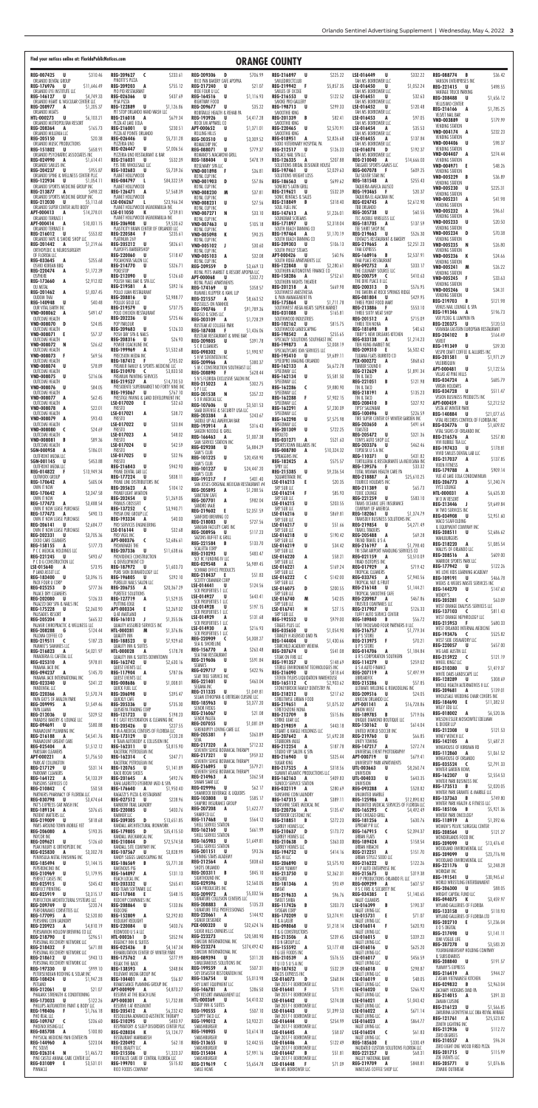| Find vour notices online at: FloridaPublicNotices.com                                              |                                                                                                                |                                                                                                                         | <b>ORANGE COUNTY</b>                                                                                              |                                                                                                          |                                                                                                         |
|----------------------------------------------------------------------------------------------------|----------------------------------------------------------------------------------------------------------------|-------------------------------------------------------------------------------------------------------------------------|-------------------------------------------------------------------------------------------------------------------|----------------------------------------------------------------------------------------------------------|---------------------------------------------------------------------------------------------------------|
| REG-007425 U<br>S310.46<br>ORLANDO DENTAL GROUP                                                    | REG-209627 C<br>\$233.61<br>PINOTTI'S PIZZA                                                                    | <b>REG-209306</b><br>D <sub>D</sub><br>S706.99<br>RICO PAN BAKERY CAFE APOPKA                                           | REG-216897 U<br>\$225.22<br>SMILEDIRECTCLUB                                                                       | LSE-016449<br>U<br>\$332.22<br>TAH MS BORROWER LLC                                                       | REG-088774 B<br>\$36.42<br>VANSON ENTERPRISES INC                                                       |
| \$11,646.49<br>REG-176976<br>U<br>ORLANDO EYE INSTITUTE LLC                                        | \$755.12<br><b>REG-209203</b><br>A<br>PIO PIO RESTAURANT                                                       | <b>REG-217240</b><br>\$21.07<br>U<br>RIDE FOUR U LLC                                                                    | \$5,857.35<br>REG-219942 F<br>SMILES OF OCOEE                                                                     | LSE-016450<br>\$1,052.24<br>U<br>TAH MS BORROWER LLC                                                     | REG-221415<br>\$498.55<br>U<br>VANTAGE TRUCK PARKING                                                    |
| \$4,749.33<br>REG-146127 U<br>ORLANDO HEART & VASCULAR CENTER LLC<br>REG-208977 A<br>\$1,205.37    | \$437.69<br><b>REG-026366</b><br>U<br>PISA PIZZA<br>REG-122889<br>\$1,126.86<br>U                              | \$1,116.93<br>REG-164516<br>U<br>RIGHTWAY FOOD<br>REG-209677 U<br>\$35.22                                               | REG-216553<br>\$122.52<br>U<br>SMOKE PRO GALLERY<br>REG-198713<br>\$299.33<br>U                                   | \$32.63<br>LSE-016451<br>U<br>TAH MS BORROWER LLC<br>LSE-016452<br>\$120.48<br>U                         | <b>REG-208488</b><br>U<br>\$1,656.12<br>VELLISIMO CENTER                                                |
| ORLANDO MEATS<br>U<br>\$6,103.21<br><b>HTL-000273</b>                                              | PIT STOP ORLANDO HAND WASH LLC<br>REG-216018<br>\$679.34<br>A                                                  | ROBITAILLE HEALTH & REHAB PA<br>REG-193926<br>\$4,417.28<br>U                                                           | SMOOTHIE KING<br>REG-201339<br>\$82.41<br>B                                                                       | TAH MS BORROWER LLC<br>\$97.05<br>LSE-016453<br>A                                                        | REG-216166<br>A<br>\$1,785.25<br>VELVET NAIL BAR<br><b>VND-003889</b><br>\$179.99<br>U                  |
| ORLANDO METROPOLITAN RESORT<br>\$165.73<br><b>REG-208364</b><br>A<br>ORLANDO MILLENIA LLC          | PIZZA AT LAKE EOLA<br><b>REG-216001</b><br>\$230.51<br>U.<br>PIZZA AT POINTE ORLANDO                           | ROCK EM APPAREL CO<br><b>APT-000652</b><br>\$1,371.01<br>U<br>ROLLING HILLS                                             | SMOOTHIE KING<br><b>REG-220465</b><br>\$2,570.91<br>U<br>SMOOTHIE KING                                            | TAH MS BORROWER LLC<br>\$35.53<br>LSE-016454<br>A<br>TAH MS BORROWER LLC                                 | <b>VENDING STATION</b><br>VND-004174 A<br>\$232.23                                                      |
| \$20.38<br><b>REG-205150</b><br>U<br>ORLANDO MUSIC PRODUCTIONS                                     | \$5,731.28<br><b>REG-026446</b><br>U<br>PIZZERIA UNO                                                           | \$3,309.52<br>REG-203510<br>U<br>ROMACORP INC                                                                           | \$2,826.68<br><b>REG-018951</b><br>A<br>SODO VETERINARY HOSPITAL PA                                               | \$137.84<br>LSE-016455<br>A<br>TAH MS BORROWER LLC                                                       | VENDING STATION<br>\$98.37<br><b>VND-004406</b><br>U                                                    |
| \$658.91<br>REG-151802 U<br>ORLANDO PSYCHIATRIC ASSOCIATES INC                                     | <b>REG-026447</b><br>U<br>\$7,006.56<br>PIZZERIA UNO RESTAURANT & BAR                                          | <b>REG-088071</b><br>\$779.37<br>U<br>ROMANO'S MACARONI GRILL                                                           | \$126.33<br>REG-212517 U<br>SOLACE NAIL SPA LLC                                                                   | LSE-016074<br>\$192.37<br>D<br>TAH MS BORROWER LLC<br>REG-210040                                         | VENDING STATION<br>\$274.44<br><b>VND-004407</b><br>A                                                   |
| <b>REG-024990</b><br>\$1,614.41<br>A<br>ORLANDO SMILES INC<br><b>REG-204237</b><br>– U<br>\$955.87 | REG-216031<br>\$532.39<br>U<br>PJS TIRE WHOLESALE LLC<br><b>REG-102683</b><br>\$5,739.36<br>U                  | \$478.19<br><b>REG-188404</b><br>U<br>ROSEMARY SPA LLC<br><b>VND-001898</b><br>\$36.81<br>- F                           | REG-126335<br>\$207.88<br>A<br>SOLUTIONS BRIDAL DESIGNER HOUSE<br>\$2,029.63<br>REG-197461<br><b>U</b>            | \$14,666.03<br>A<br>TAILGATE SPORTS GAMES LLC<br>\$609.25<br><b>REG-007078</b><br>-F                     | <b>VENDING STATION</b><br><b>VND-004971</b><br>\$48.26<br>- 6<br>VENDING STATION                        |
| ORLANDO SPINE & WELLNESS CENTER PLLC<br>\$1,054.11<br>REG-122934 U                                 | PLANET HOLLYWOOD<br><b>REG-084797</b><br>\$84,322.59<br>- 1                                                    | ROYAL CUP INC<br>\$57.86<br>VND-001903<br>D                                                                             | SOLUTIONS WEIGHT LOSS<br>\$699.62<br>REG-186563<br>U                                                              | TAJ SILVER STAR INC<br>REG-181548<br>\$255.43<br>A                                                       | VND-005229<br>– B<br>\$36.89<br><b>VENDING STATION</b>                                                  |
| ORLANDO SPORTS MEDICINE GROUP INC<br>\$498.22<br>REG-213877 A<br>ORLANDO SPORTS MEDICINE GROUP INC | PLANET HOLLYWOOD<br>\$7,568.39<br>REG-126471<br>A<br>PLANET HOLLYWOOD                                          | ROYAL CUP INC<br><b>VND-008230</b><br>\$37.81<br>M<br>ROYAL CUP INC                                                     | SONERO'S LATIN GRILL<br>\$532.39<br>REG-219621<br>U<br>SONIC RENTALS & SALES                                      | TAQUERIA AMECA JALISCO<br><b>REG-193465</b><br>\$20.37<br>TAQUERIA EL ALACRAN INC                        | <b>VND-005230</b><br>\$225.31<br>U<br><b>VENDING STATION</b>                                            |
| REG-212030 U<br>\$5.113.68<br>ORLANDO SUPER CENTER AUTO BODY                                       | \$23,966.34<br>LSE-006267<br>-L<br>PLANET HOLLYWOOD MEMORABILIA INC                                            | <b>VND-008231</b><br>U<br>\$27.56<br>ROYAL CUP INC                                                                      | \$318.40<br>REG-218849<br>B<br>SOUL FUEL INC                                                                      | \$2,612.90<br><b>REG-024745</b><br>A<br>TBB ORLANDO                                                      | \$41.98<br><b>VND-005231</b><br>A<br><b>VENDING STATION</b>                                             |
| APT-000413<br>\$14,278.01<br>A<br>ORLANDO TERRACE I<br>\$10,831.15<br>APT-000414<br>A              | LSE-011050<br>K<br>\$739.81<br>PLANET HOLLYWOOD MEMORABILIA INC<br><b>REG-206908</b><br>\$9,520.62<br>U        | <b>VND-007271</b><br>\$33.10<br>N<br>ROYAL CUP INC                                                                      | REG-147613<br>\$1,226.01<br>A<br>SOUNDBAR SCREAMS<br>\$2,318.04<br>REG-171897<br>U                                | \$60.55<br>REG-205738<br>U<br>TCC MOBILE WIRELESS LLC<br>\$137.59<br>REG-181705<br>A                     | <b>VND-005232</b><br>\$96.61<br>A<br><b>VENDING STATION</b><br><b>VND-005233</b><br>\$20.50<br>U.       |
| ORLANDO TERRACE II<br>\$553.82<br>REG-216012 U                                                     | PLASTICITY BRAIN CENTER OF ORLANDO LLC<br>REG-220584<br>\$235.61<br>-F.                                        | <b>VND-007463</b><br>U<br>\$105.18<br>ROYAL CUP INC<br>\$90.25<br><b>VND-005098</b><br>К                                | SOUTH BEACH TANNING CO<br>\$1,170.19<br><b>REG-197464</b><br>A                                                    | TEE SHIRT SHOP INC<br>REG-219663<br>\$526.30<br>U                                                        | <b>VENDING STATION</b><br><b>VND-005234</b><br>\$70.38<br><b>D</b>                                      |
| ORLANDO VAPE & SMOKE SHOP LLC<br>REG-201442 A<br>\$1,219.66                                        | PLATINUM 269<br>\$826.61<br>REG-205212<br>U                                                                    | ROYAL CUP INC<br>VND-005102 J<br>\$30.60                                                                                | SOUTH BEACH TANNING CO<br>\$106.13<br>REG-209303<br>U                                                             | TENTAO'S RESTAURANT & BAKERY<br>REG-219665<br>\$2,251.23<br>A                                            | <b>VENDING STATION</b><br><b>VND-005235</b><br>\$26.80<br><b>N</b>                                      |
| ORTHOPEDIC & NEUROSURGERY<br>OF FLORIDA LLC<br><b>REG-033645</b><br>\$255.68<br>A                  | PLAYOFFS BARBERSHOP<br>\$118.47<br><b>REG-220060</b><br>U<br>POCAHONTA SALON LLC                               | ROYAL CUP INC<br>\$32.08<br><b>VND-005103</b><br>A<br>ROYAL CUP INC                                                     | SOUTH PHILLY STEAKS<br>\$60.96<br>APT-000426<br>U<br>SOUTH RIDGE APARTMENTS LLC                                   | THAI EXPRESS<br>\$2,537.91<br>REG-168916<br>B<br>THAI PLACE RESTAURANT                                   | <b>VENDING STATION</b><br><b>VND-005236</b><br>K<br>\$24.66<br><b>VENDING STATION</b>                   |
| OSHIO KOREAN BBQ<br><b>REG-220474</b><br>\$1,172.39<br>A                                           | \$326.71<br>REG-214770<br>U<br>POKESTOP                                                                        | <b>REG-209559</b><br>\$3,669.13<br>D<br>ROYAL PETS MARKET & RESORT APOPKA LLC                                           | REG-122848<br>\$2,280.61<br>U<br>SOUTHERN AUTOMOTIVE FINANCE CO                                                   | <b>REG-092752</b><br>\$333.17<br>A<br>THE CULINARY SOURCE LLC                                            | <b>VND-005241</b><br>M<br>\$26.22<br><b>VENDING STATION</b>                                             |
| OSPHERE<br>\$2,912.82<br><b>REG-173660</b><br>A<br>OU METAL                                        | <b>REG-212090</b><br>\$126.60<br>U<br>POLISH NAIL BAR & SPA LLC<br>REG-219581<br>\$392.16<br>A                 | \$332.72<br>APT-000068<br>U<br>ROYAL PLACE APARTMENTS<br>\$358.57<br>REG-174169<br>U                                    | REG-158286<br>\$752.61<br>A<br>SOUTHERN NIGHTS THEATER<br>REG-201218 A<br>\$669.98                                | \$410.63<br><b>REG-200759</b><br><b>C</b><br>THE DIVE PLACE II LLC<br><b>REG-200313</b><br>\$576.95<br>D | \$33.63<br>VND-005245 F<br><b>VENDING STATION</b>                                                       |
| \$1,837.45<br>REG-201462<br>A<br><b>OUDOM THAI</b>                                                 | POLLO JUAN RESTAURANT<br>\$2,988.77<br>REG-208816<br>U                                                         | RUMMEL KLEPPER & KAHL LLP<br><b>REG-221557</b><br>\$8,663.52<br>A                                                       | SOUTHWEST ANESTHESIA<br>& PAIN MANAGEMENT PA                                                                      | THE TAVERN AT ROCK SPRINGS RIDGE<br><b>REG-081804</b><br>\$429.95<br>U                                   | <b>VND-005246</b><br>U<br>\$34.31<br>VENDING STATION<br>REG-219703<br>\$121.98<br>B                     |
| REG-140948<br>\$40.48<br>U<br>OUR VITAL EARTH INC<br>\$491.47<br>VND-008062<br>A                   | POLLUX GOLD LLC<br>REG-219579<br>\$737.75<br>U<br>POLO CHICKEN RESTAURANT                                      | RUSSELLS ON IVANHOE<br><b>REG-190746</b><br>\$91,789.36<br>Æ.                                                           | <b>REG-175864</b><br>\$1,711.78<br>. U<br>SOUTHWEST MEGA MEATS SUPER MARKET<br><b>REG-031088</b><br>U<br>\$165.81 | THREE POINT FOOD MART<br>\$553.10<br>REG-213886<br>F.<br>THREE SIXTY MEAT SHOP                           | VENUS NAIL LOUNGE & SPA<br>REG-191346<br>\$196.73<br>A                                                  |
| OUTCOME HEALTH<br>\$24.85<br>VND-008070 D                                                          | \$725.46<br><b>REG-202236</b><br>U<br>POP PARLOUR                                                              | RUSSO & SONS LLC<br>\$1,728.29<br>REG-203109<br>A<br>RUSTEAK AT COLLEGE PARK                                            | SOUTHWOOD INDUSTRIES<br>REG-102162<br>\$815.75<br><b>U</b>                                                        | REG-201512<br>\$715.09<br>A<br>THREE TEN NONA                                                            | VER PLOEG & LUMPKIN PA<br><b>REG-220375</b><br>\$120.53<br>U                                            |
| OUTCOME HEALTH<br>\$57.37<br>VND-008071 E<br>OUTCOME HEALTH                                        | \$126.33<br>REG-209683<br>U<br>POSH DAY SPA & NAILS<br>REG-208316<br>\$26.93<br>U                              | <b>REG-187408</b><br>\$1,436.06<br>RUSTEAK RESTAURANT & WINE BAR                                                        | SOUTHWOOD LANDSCAPING<br>\$255.65<br>REG-198542<br>A<br>SPECIALTY SOLUTIONS SOUTHEAST INC                         | REG-181698<br>\$40.63<br>B<br>TIBBY'S NEW ORLEANS KITCHEN<br>REG-033138<br>\$1,214.23<br>A               | VERANDA EASTERN EUROPEAN RESTAURANT<br><b>REG-204102</b><br>\$164.49<br>B                               |
| \$26.62<br><b>VND-008072</b><br>- N<br>OUTCOME HEALTH                                              | POWER COACHLINE INC<br>\$1,532.68<br>REG-199969<br>A                                                           | <b>REG-209805</b><br>\$391.78<br>U<br>S C R CLEANERS<br>\$1,990.97<br><b>REG-098302</b><br>U                            | \$2,008.19<br>REG-199873<br>A<br>SPECIALTYCARE IOM SERVICES LLC                                                   | TIEN HUNG MARKET INC<br>\$6,502.42<br><b>REG-209310</b><br>-E                                            | VEREIT<br>\$39.30<br>REG-191349<br>U<br>VESPR CRAFT COFFEE & ALLURES INC                                |
| \$69.56<br><b>VND-008073</b><br>OUTCOME HEALTH<br>\$78.89<br>VND-008074 U                          | PRECISION MEDIA INC<br>REG-187412 F<br>\$705.02<br>PREMIER FAMILY & SPORTS MEDICINE LLC                        | S H W SEVENTEEN INC<br>\$380.37<br>REG-209966 A                                                                         | \$9,689.11<br>REG-195410<br>- U<br>SPEEDPRO IMAGING ORLANDO<br>\$6,672.78<br>REG-162133 A                         | TIJUANA FLATS BURRITO CO<br><b>PEX-000272</b><br>\$868.63<br>A<br>TIMBER SOUND II                        | \$1,971.29<br>REG-201581 U<br>VILEBREQUIN                                                               |
| OUTCOME HEALTH<br>VND-008075 U<br>\$216.06                                                         | \$3,833.50<br>REG-210970 C<br>PREMIUM PAINTING SERVICES                                                        | S M C CONSTRUCTION SOUTHEAST LLC<br>REG-208890 F<br>\$628.44<br>S N S FLORIDA EXCLUSIVE SALON INC                       | SPEEDWAY LLC<br>REG-162134 U<br>\$5,581.50                                                                        | \$1,891.34<br>REG-212629 A<br>TIN & TACO                                                                 | APT-000481 U<br>\$1,122.56<br>VILLAS AT PINE HILLS                                                      |
| OUTCOME HEALTH<br>\$84.05<br>VND-008076 U                                                          | REG-219527 A<br>\$14,730.53<br>PRESIDENTE SUPERMARKET NO FORTY NINE INC                                        | REG-215023 A<br>\$302.75<br>SPILLC                                                                                      | SPEEDWAY LLC<br>REG-162286 C<br>\$9,880.90                                                                        | \$121.98<br>REG-221051 B<br>TIN & TACO                                                                   | \$685.79<br>REG-034724 A<br>VIRGIN HOLIDAYS<br>\$511.47<br>REG-034728 U                                 |
| OUTCOME HEALTH<br>\$62.45<br>VND-008077 A<br>OUTCOME HEALTH                                        | REG-195067 U<br>\$767.10<br>PRESTIGE PAVING & LAND DEVELOPMENT INC<br>LSE-017020 E<br>\$32.63                  | \$357.22<br>REG-201538 N<br>S X R MEDICAL LLC<br>\$3,501.53<br>REG-107606 U                                             | SPEEDWAY LLC<br>\$7,902.15<br><b>REG-162288</b><br>- F<br>SPEEDWAY LLC                                            | REG-218191 A<br>\$135.23<br>TIN & TACO<br><b>REG-208410</b><br>\$327.92<br>B                             | VISION BUSINESS PRODUCTS INC<br>\$2,212.52<br>APT-000459<br><b>U</b>                                    |
| \$22.01<br>VND-008078 A<br>OUTCOME HEALTH<br>\$93.43<br>VND-008079 A                               | PRESTO<br>LSE-017021 A<br>\$38.72<br>PRESTO                                                                    | SAAB DEFENSE & SECURITY USA LLC<br>REG-203384 A<br>\$243.67                                                             | REG-162291<br>\$7,230.09<br>A<br>SPEEDWAY LLC<br>REG-162298<br>U<br>\$7,575.98                                    | TIPSY SALONBAR<br>REG-100496 U<br>\$226.59<br>TIRE SUPER CENTER OF WINTER GARDEN INC                     | VISTA AT WINTER PARK<br>REG-140884 U<br>\$21,077.65                                                     |
| OUTCOME HEALTH<br>VND-008080 C<br>\$24.69                                                          | LSE-017022<br>U<br>\$33.84<br>PRESTO                                                                           | SADDLE UP ALL AMERICAN BAR<br>\$316.43<br>REG-193914 A<br>SAIGON NOODLE & GRILL                                         | SPEEDWAY LLC<br>REG-201309 U<br>\$722.25                                                                          | REG-203650 A<br>\$491.64<br>TOASTED                                                                      | VITAL RECORDS CONTROL OF FLORIDA INC<br><b>REG-034776 U</b><br>\$1,609.82<br>VITAL SIGNS OF ORLANDO INC |
| OUTCOME HEALTH<br>\$89.36<br>VND-008081 B<br>OUTCOME HEALTH                                        | \$48.02<br>LSE-017023<br>A<br>PRESTO<br>\$42.59<br>LSE-017024<br>U                                             | REG-166463 A<br>\$1,007.38<br>SAM SERVICE STATION INC                                                                   | SPOLETO<br>\$521.63<br>REG-031271 A<br>SPORTSTOWN BILLARDS INC                                                    | \$321.36<br><b>REG-205472 U</b><br>TONYS AUTO SHOP LLC<br><b>REG-203376 U</b><br>\$462.46                | REG-216576 A<br>\$257.80<br>VIVI BUBBLE TEA LLC                                                         |
| \$186.01<br>SGN-000958 A<br>OUTFRONT MEDIA LLC                                                     | PRESTO<br>U<br>\$32.96<br>LSE-017025                                                                           | REG-029208 U<br>\$6,884.29<br>SAM'S CLUB<br>REG-101225 U<br>\$20,458.90                                                 | \$10,324.32<br><b>REG-008780</b><br>A<br>SPRAGGINS INC                                                            | TOPDESK U S A INC<br>\$431.82<br>REG-110371 U                                                            | REG-197433 U<br>\$178.81<br>VIVID SMILES DENTAL LAB LLC<br>\$137.85<br>REG-217037 A                     |
| \$453.88<br>SGN-001145 U<br>OUTFRONT MEDIA LLC<br>REG-014822 F<br>\$13,949.34                      | PRESTO<br>\$942.93<br>REG-216843 U<br>PRIME DENTAL LAB LLC                                                     | SAM'S CLUB<br>REG-101227 U<br>\$24,447.20                                                                               | \$575.57<br>REG-182425 A<br>SPRY LLC<br>REG-215385 U<br>\$9,236.54                                                | TORTILLERIA & RESTAURANTE LA MEXICANA INC<br>REG-139576 F<br>\$33.32<br>TOTAL WOMAN HEALTH CARE PA       | VIXEN FITNESS<br><b>REG-179788</b><br>\$909.14<br>A                                                     |
| OUTWORX GROUP<br>\$605.04<br>REG-170642 A                                                          | \$838.11<br>REG-177224 U<br>PRIME LINE DISTRIBUTORS INC                                                        | SAM'S CLUB<br>\$401.40<br>REG-191217 F<br>SAN JOSES ORIGINAL MEXICAN RESTAURANT #4                                      | SQUARETRADE INC<br>LSE-016213<br>- E<br>\$20.35                                                                   | \$25,610.25<br>REG-218887 A<br>TOURICO HOLIDAYS INC                                                      | VUE AT LAKE EOLA CONDOMINIUM<br>REG-206773 A<br>\$1,240.74                                              |
| OWN IT NOW<br>REG-170642 A<br>\$3,347.58<br>OWN IT NOW                                             | \$104.12<br>REG-205623 A<br>PRIMEFLIGHT AVIATION<br><b>REG-202454 U</b><br>\$1,269.05                          | REG-205895 A<br>\$1,288.56<br>SANCTUM CAFE<br>\$982.04<br>REG-207701 A                                                  | SRP SUB LLC<br>LSE-016214<br>\$85.93<br>-F.<br>SRP SUB LLC                                                        | \$65.73<br>REG-211389 U<br>TOXIC LOUNGE<br>REG-221259 U<br>\$583.10                                      | VYCE LOUNGE<br><b>HTL-000031</b><br>\$6,635.30<br>A<br>W O W RESORT                                     |
| \$3,488.54<br>REG-177473 A<br>OWN IT NOW LEASE PURCHASE<br>\$490.13<br>REG-177473 A                | PRIMUS CROSSFIT<br>\$3,940.71<br>REG-137252 C<br>PRISM ONE GROUP LLC                                           | SANDRO MAJE<br>REG-219602 E<br>\$2,351.59                                                                               | LSE-016215<br>U<br>\$203.55<br>SRP SUB LLC<br>LSE-016216<br>U                                                     | TRANS OCEANIC LIFE INSURANCE<br>COMPANY OF AMERICA<br>\$1,374.79<br>REG-182061 U                         | REG-213446 J<br>\$9,649.84<br>W TWO SERVICES INC                                                        |
| OWN IT NOW LEASE PURCHASE<br>\$2,684.77<br>REG-206141 U                                            | REG-193334 A<br>\$40.03<br>PRO SERVICES ENGINEERING                                                            | SANFORD BREWING CO<br>\$727.56<br><b>REG-218083</b><br>U<br>SANJEAN FACILITY CARE INC                                   | \$869.81<br>SRP SUB LLC<br>LSE-016217<br>U<br>\$51.66                                                             | TRANSDEV BUSINESS SOLUTIONS INC<br>REG-219854 U<br>\$4,271.49                                            | \$2,951.60<br><b>REG-034908</b><br>. U<br>WACO SCAFFOLDING<br>& EQUIPMENT COMPANY INC                   |
| OWN IT NOW LEASE PURCHASE<br>\$3,705.36<br>REG-202331 U<br>OXXO CARE CLEANERS                      | \$32.68<br>LSE-016144<br>U<br>PRO VIGIL INC<br>\$2,686.61<br>APT-000376 C                                      | REG-208956 U<br>\$117.23<br>SAZONS BUFFET & GRILL                                                                       | SRP SUB LLC<br>LSE-016218<br>U<br>\$190.42<br>SRP SUB LLC                                                         | TRAVEL TRADERS<br>\$69.28<br>REG-205488 A<br>TREND TRAVEL U S A                                          | REG-208511 U<br>\$2,686.62<br>WAHLBURGERS                                                               |
| \$177.73<br>REG-158155 A<br>P C C MEDICAL HOLDINGS LLC                                             | PROMENADE THE<br>REG-207336 U<br>\$11,638.66                                                                   | \$133.70<br>REG-221584 B<br>SCALETTA CORP<br>\$483.47<br>REG-210293<br><b>U</b>                                         | LSE-016219<br>U<br>\$34.42<br>SRP SUB LLC                                                                         | REG-216197 A<br>\$1,798.40<br>TRI STAR AIRPORT HANDLING SERVICES CO                                      | REG-218220 A<br>\$1,085.54<br>WALLYS OF ORLANDO LLC                                                     |
| \$493.67<br>REG-221245 U<br>P C D G CONSTRUCTION LLC<br>\$73.95<br>LSE-015640<br>A                 | PROVIDENCE CONSTRUCTION<br>& DEVELOPMENT CO<br>\$1,603.73<br>REG-187972 U                                      | SCF RC FUNDING IV LLC<br>REG-029548 A<br>\$6,989.45                                                                     | LSE-016220<br>\$58.21<br>A<br>SRP SUB LLC<br>LSE-016221<br>\$169.24<br>A                                          | REG-021159 A<br>\$3,510.09<br>TRIAD ISOTOPES INC<br>\$719.42<br>REG-017929 A                             | REG-208516 A<br>\$609.00<br>WARRIOR SPORTS PARK LLC<br>\$122.26<br>REG-177942 U                         |
| P LAND ASSET LLC<br>\$3,396.15<br><b>REG-183400 U</b>                                              | PURE SKIN DERMATOLOGY LLC<br>\$292.10<br>REG-196805 U                                                          | SCHWAB OFFICE PRODUCTS<br>\$51.83<br>REG-218437 E<br><b>SCOTTY CRANMER CORP</b>                                         | SRP SUB LLC<br>LSE-016222<br>$\epsilon$<br>\$142.00                                                               | TROPICAL CLEANERS<br>REG-033745 A<br>\$7,940.56                                                          | WE LOVE KIDS LEARNING ACADEMY<br>REG-109191 U<br>\$466.78                                               |
| PACK FOUR U CORP<br>\$777.36<br>REG-025253 D<br>PALACE DRY CLEANERS                                | PURELUX NAILS SALON LLC<br>\$20,367.29<br>REG-206755 A<br>PURETEX SOLUTIONS                                    | LSE-014441<br>\$124.56<br>U<br>SCR PROPERTIES 1 LLC                                                                     | SRP SUB LLC<br>\$200.55<br>LSE-016075<br>D<br>SRP SUB LLC                                                         | TROPICAL NUT & FRUIT<br>REG-216148 U<br>\$1,144.21<br>TROPICAL SMOOTHIE CAFE                             | WEEKS & WEEKS WASTE SERVICES INC<br>REG-144270<br><b>U</b><br>\$147.60<br>WENDY'S                       |
| \$126.33<br>REG-202080 U<br>PALAZZO DAY SPA & NAILS INC                                            | REG-127719 A<br>\$1,529.35<br>PUTTING EDGE                                                                     | \$643.41<br>LSE-014927<br>. U<br>SCR PROPERTIES 1 LLC<br>\$197.15<br>LSE-014928<br>. U                                  | LSE-016740<br>\$42.05<br>M<br>SRP SUB LLC                                                                         | REG-220987 A<br>\$467.86<br>TRUSTED COMPANIES LLC                                                        | REG-205281 C<br>\$63.09<br>WEST ORANGE DIALYSIS SERVICES LLC                                            |
| REG-175228 U<br>PALISADES RESORT<br>\$665.32<br>REG-205204 B                                       | \$2,269.02<br>\$2,360.90 APT-000334<br>- E 1<br>Q AT MAITLAND<br>\$1,355.06<br>REG-161013<br>- J               | SCR PROPERTIES 1 LLC<br>\$131.68<br>LSE-014929<br>A                                                                     | LSE-016741<br>H<br>\$27.15<br>SRP SUB LLC<br>\$979.00<br>REG-192552 U                                             | REG-217907 U<br>\$126.33<br>TUFFY AUTO SERVICE CENTER<br>\$56.72<br>REG-189840 B                         | \$811.43<br>REG-137103 C<br>WEST ORANGE NEPHROLOGY LLC                                                  |
| PALMER CHIROPRACTIC & WELLNESS LLC<br>REG-208288 G<br>\$124.44<br>PALOMA COFFEE CO                 | QUALITY ASSURED SERVICES INC<br>\$1,376.86<br>HTL-000281 M<br>QUALITY INN                                      | SCR PROPERTIES 1 LLC<br>LSE-014930<br>\$216.93<br>A<br>SCR PROPERTIES 1 LLC                                             | STAGES PLUS LLC<br>REG-035650 U<br>\$1,054.90<br>STANLEY H ASENSIO DMD PA                                         | TWO THOUSAND FOUR PARTNERS II LLC<br>\$1,779.34<br>REG-216757 A<br>U P S STORE                           | \$680.33<br>REG-215953 F<br>WEST ORLANDO INTERNAL MEDICINE<br>REG-193476 C<br>\$525.82                  |
| REG-219511 C<br>PAMMIE'S SAMMIES LLC                                                               | \$187.23 REG-188523 U<br>\$7,929.60<br>QUALITY INN & SUITES                                                    | \$4,308.27<br>REG-220909 C<br>SEA & SHORELINE<br>\$263.48<br>REG-156770 A                                               | \$1,430.66<br>REG-144404 U<br>STARCHILD ACADEMY WEKIVA                                                            | REG-213975 F<br>\$70.21<br>U P S STORE                                                                   | WEST SIDE CREMATORY LLC<br><b>REG-220057 U</b><br>\$657.00                                              |
| \$4,021.97<br>REG-216823<br>A<br>PANADERIA EL CAFETAL LLC<br>REG-025310 A                          | \$178.78<br>HTL-000028 A<br>QUALITY INN & SUITES DOWNTOWN<br>\$978.81 <b>REG-162742 U</b><br>\$2,630.16        | SEA THAI RESTAURANT<br>\$591.84<br>REG-219606<br>- U                                                                    | \$541.08<br>REG-207674 U<br>STEAK ON FIRE LLC<br>REG-191357 U                                                     | \$1,184.84<br><b>REG-014706</b><br>A<br>U R S CORPORATION SOUTHERN<br>\$148.69 <b>REG-114279 U</b>       | WG LAKE AUSTIN LLC<br>REG-215922 C<br>\$121.19<br>\$259.02 WHEEL KINGZ LLC                              |
| PANAMA JACK INC<br>REG-094237 A                                                                    | QUEST EVENTS LLC<br>\$145.70 REG-117904 A<br>\$787.06                                                          | SEANA'S<br>\$422.96<br>REG-029717 U<br>SEAY TREE SERVICE INC                                                            | STERILE ENVIRONMENT TECHNOLOGIES INC US A AUTO FINANCE<br>\$818.64<br>REG-216090 U                                | \$7,497.99<br>REG-207119 A                                                                               | REG-210380 U<br>\$1,419.37<br>WHITE OAKS LANDSCAPE LLC                                                  |
| PANAMA JACK INTERNATIONAL INC<br>\$341.22<br><b>REG-023340 U</b><br>PANDENTAL LLC                  | QUEST EVENTS LLC<br>\$1,008.01<br><b>REG-008686 U</b><br>QUICK FUEL LLC                                        | \$463.04<br>REG-221401 U<br>SEGANA INC                                                                                  | STEVEN TYLERS LIQUIDATION WAREHOUSE<br>REG-165112 C<br>\$2,903.62<br>STONEYBROOK FAMILY DENTISTRY PA              | UBREAKIFIX<br>\$57.85<br>REG-215286 U<br>ULTIMATE WELDING & REMODELING INC                               | REG-128289 U<br>\$308.69<br>WHOLE HEALTH ALTERNATIVES II LLC                                            |
| REG-220366 A<br>\$1,570.74<br>PAPA GIO'S OF AVALON PARK                                            | REG-206098 U<br>\$395.47<br>QUICKLY CAFE<br>$\mathbf{U}$<br>\$735.30                                           | REG-211335 U<br>\$1,049.81<br>SELAM ETHIOPIAN & ERITREAN CUISINE LLC<br><b>REG-185963</b><br>$\mathbf{U}$<br>\$3,377.20 | REG-218212 U<br>\$217.62<br>STREETWISE URBAN FOOD                                                                 | REG-209516 U<br>\$24.05<br>UNICOM ORLANDO LLC                                                            | REG-209681 A<br>\$139.01<br>WHOLESALE WEDDING CHAIR COVERS INC<br>REG-184690 E<br>\$11,382.51           |
| REG-209995 A<br>\$1,549.46<br>PAPA LLAMA<br>\$329.52<br>REG-212036 U                               | <b>REG-205336</b><br>QUISKEYA TRADING CORP<br>REG-121723 U<br>\$198.23                                         | SENOR FROGS<br>\$21.08<br>REG-216067 U                                                                                  | \$1,075.32<br>REG-219651 A<br>STRETCHZONE NONA<br>REG-212709 B<br>\$515.86                                        | \$16,728.86<br>APT-001141 A<br>UNION WEST<br>\$719.06<br>REG-189785 B                                    | WILEY EDU LLC<br>\$6,520.36<br>REG-018002 A                                                             |
| PARADISE BAKERY & LOUNGE LLC<br>\$580.88<br>REG-094691 U<br>PARAMOUNT PLUMBING INC                 | R C CAST RESTORATION & CLEANING INC<br><b>REG-205426 U</b><br>\$227.55<br>R M A MEDICAL CENTERS OF FLORIDA LLC | SENOR PALETA<br>\$1,081.09<br>REG-207055 U<br>SERENDIPITY LOVING CARE LLC                                               | STRIKE GEAR LLC<br>\$443.18<br>REG-219859 A<br>STUART & KAIGLE HOLDINGS LLC                                       | UNIQUE DIAMOND BOUTIQUE LLC<br>\$614.04<br>REG-150162 U<br>UNITED WORLD SOCCER INC                       | WILSON ESLER MOSKOWTIZ EDELMAN<br>& DICKER LLP<br>REG-212308 U<br>\$121.53                              |
| \$4,541.76<br>REG-216188 A<br>PARAMOUNT URGENT CARE                                                | REG-173129 U<br>\$120.28<br>R TEAM AUTOBODY & COLLISION INC                                                    | \$363.89<br>REG-205381 F<br>SEVA                                                                                        | REG-207642 A<br>\$1,692.38<br>STUBBORN MULE                                                                       | \$66.85<br>REG-219760 U<br>UNITY TOWING                                                                  | WINEY WENCH LLC<br>REG-142105 A<br>\$1,687.21                                                           |
| REG-025404 A<br>\$1,512.12<br>PARISIAN CLEANERS<br>APT-000221 A                                    | REG-162311 U<br>\$3,815.90<br>RACETRAC PETROLEUM INC<br>\$347.71<br>\$1,756.50 <b>REG-162314</b> C             | \$712.32<br>REG-217320 A<br>SEVENTH SENSE BOTANICAL THERAPY<br>REG-217321 U<br>\$959.32                                 | REG-212254 A<br>\$187.78<br>STUDIO VIP SALON & SPA<br>\$325.44<br>REG-216940 U                                    | REG-147217 A<br>\$272.74<br>UNIVERSAL EVENT PHOTOGRAPHY<br>\$679.41<br>APT-000719<br>. U                 | WINGHOUSE OF KIRKMAN RD<br>REG-112860 A<br>\$1,061.52                                                   |
| PARK AT COLLINGTON<br>\$531.14<br>REG-217129 U                                                     | RACETRAC PETROLEUM INC<br>REG-120765 U<br>\$1,141.89                                                           | SEVENTH SENSE BOTANICAL THERAPY<br>\$579.21<br>REG-216895 U<br>SEVENTH SENSE BOTANICAL THERAPY                          | SUGAR KING<br>REG-217525 A<br>\$318.56                                                                            | UNIVERSITY PARK APARTMENTS<br>UTL-003663 U<br>\$8,260.74                                                 | WINGHOUSE OF ORLANDO<br>\$2,791.33<br>REG-035524 C<br>WINTER GARDEN BOWL                                |
| PARKWAY CLEANERS<br>\$4,133.39<br>REG-164122 A<br>PARSONS SERVICES CO                              | RACK ROOM SHOES<br>\$492.76<br>REG-201645 A<br>RAFA LAURETTO EYEBROW MED & SPA                                 | \$362.58<br>REG-214963 A<br>SHAAN SAAR LLC                                                                              | SUMMIT ATLANTIC PRODUCTIONS LLC<br>\$409.83<br>REG-162163 A<br>SUNOCO SERVICE STATION                             | UNIVISION<br>UTL-004033 U<br>\$643.35<br>UNIVISION                                                       | \$2,554.53<br>REG-162307 U<br>WINTER PARK BUSINESS INC                                                  |
| REG-210842 C<br>PARTNERS PHARMACY OF FLORIDA LLC<br>\$3,474.64<br>REG-030798 U                     | \$50.58 <b>REG-176640 A</b><br>\$1,950.40<br>RAGAZZI'S PIZZA & RESTAURANT<br>\$228.96<br>REG-027512 U          | \$62.17<br>REG-029996 U<br>SHAMROCK BEVERAGE & LIQUORS<br>\$585.17<br>REG-103808 U                                      | \$280.69<br>REG-032119 A<br>SUNSHINE COIN LAUNDRY<br>\$389.11<br>REG-147315 A                                     | \$528.82<br>REG-093288 A<br>UNLIMITED MARBLE<br>REG-125986 A<br>\$12,890.82                              | \$2,020.05<br>REG-173513 B<br>WINTER PARK GRANITE & MARBLE LLC<br>\$749.80<br>REG-137363 B              |
| PAT'S EXPRESS CAR WASH INC<br>\$376.65<br>REG-189134 A                                             | RAINBOW TRAIL LAUNDRY<br>\$403.76<br><b>REG-220085 U</b>                                                       | SHAPIRO INSURANCE GROUP<br>REG-207208 A<br>\$1,622.77                                                                   | SUNSHINE STATE MEDICAL INC<br>\$135.47<br>REG-220736 A                                                            | UNLIMITED MEDICAL SERVICES OF FLORIDA LLC<br>REG-165295 C<br>\$4,492.49                                  | WINTER PARK HEALTH & FITNESS LLC<br>REG-185106 B<br>\$5,921.36                                          |
| PATIENT MATTERS LLC<br>\$818.68<br>REG-219009 U<br>PAWS AROUND TOWN MOBILE VET                     | RAMHER LLC<br>\$13,651.85<br>REG-209305 D<br>RANDALL ARCHITECTURAL IRONWORK                                    | SHARIFCO LLC<br>\$564.12<br>REG-117468 U<br>SHELL SERVICE STATION                                                       | SUPERIOR CUSTOMZ INC<br>REG-218851 B<br>\$272.23<br>SURREY HOMES LLC                                              | UNO CHICAGO GRILL<br>REG-181256 A<br>\$630.76<br>UPROAR P R LLC                                          | WINTER PARK ONCOLOGY<br>REG-118919 A<br>\$1,392.46<br>WOMEN'S PELVIC SURGICAL CENTER                    |
| REG-206080 A<br>\$193.35<br>PAYCOR INC                                                             | REG-179805 D<br>\$35,415.50<br>RANDALL MECHANICAL INC                                                          | \$661.99<br>REG-162160 U<br>SHELL SERVICE STATION                                                                       | REG-210637 D<br>\$173.72<br>SURREY HOMES LLC                                                                      | REG-167915 C<br>\$2,394.37<br>URBAN FLATS                                                                | REG-208564 U<br>\$121.27<br>WONDERLANDS FOOD INC                                                        |
| \$126.60<br>REG-209621 U<br>PEAK INJURY & ORTHOPEDIC INC<br>\$3,302.78<br>REG-025830 A             | \$72,574.58<br>REG-210844 D<br>RANDALL SITE COMPANY INC<br>\$3,828.99<br>REG-107567 U                          | \$1,649.81<br>REG-165983 U<br>SHELL SERVICE STATION<br>\$93.26<br>REG-201151 U                                          | \$363.03<br>REG-210638 D<br>SURREY HOMES LLC<br>REG-194752 U<br>\$414.16                                          | \$158.54<br>REG-189424 A<br>URBAN HIBACHI<br>REG-212251<br>\$151.70<br>A                                 | <b>REG-209099 U</b><br>\$13,476.41<br>WOODLAND ENVIROMENTAL LLC                                         |
| PENINSULA METAL FINISHING INC<br>REG-185494 U<br>\$1,144.15                                        | RANDY SUGGS LANDSCAPING INC<br>\$5,771.38<br>REG-186569 B                                                      | SHINING STARS ACADEMY<br>\$838.63<br>REG-212564 A<br>SHOTS ORLANDO                                                      | SUS HI LLC<br>REG-206890 U<br>\$3,575.93                                                                          | URBAN STYLEZ SODO LLC<br>\$122.26<br>REG-216222<br><b>U</b>                                              | REG-209099 U<br>\$23,776.98<br>WOODLAND ENVIROMENTAL LLC<br>REG-221176<br><b>U</b><br>\$2,248.28        |
| PEPERONCINO INC<br>\$1,179.95<br>REG-210969 U<br>PERFECT CASES INC                                 | RAVENOUS PIG<br>\$131.13<br>REG-164897 A<br>REACH LOCAL INC                                                    | REG-203311 B<br>\$845.10<br>SIGHTHOUND INC                                                                              | SUSHI YUMMY<br><b>REG-213750</b><br>U<br>\$2,362.31<br>SUSURU                                                     | V I P AUTO ENTERPRISE INC<br>\$319.38<br>REG-215675 U<br>V I P PRODUCTIONS ORLANDO FL LLC                | WORKDAY INC<br>REG-191541 U<br>\$30,945.61                                                              |
| \$345.42<br>REG-025915 U<br>PERFECT PRINTING<br>\$3,315.17<br>REG-025919 U                         | REG-203332 U<br>\$265.41<br>RED TEAM SOFTWARE LLC<br>\$548.15<br>REG-117848 E                                  | \$2,560.05<br>REG-029596 U<br>SIGN PRODUCERS INC<br>\$5,032.56<br>REG-209972 A                                          | REG-181346 A<br>\$93.49<br>SWEAT<br>REG-219633 A<br>\$96.76                                                       | \$607.57<br>REG-009299 A<br>V S C FIRE & SECURITY INC<br>REG-034385 E<br>\$1,140.65                      | WORLD WRESTLING ENTERTAINMENT<br><b>REG-206300</b><br>\$88.05<br>U.<br>WRIGHT CAPITAL FUND LLC          |
| PERFECTION ARCHITECTURAL SYSTEMS LLC<br>\$220.74<br>REG-209749 U                                   | REDCHIP COMPANIES INC<br><b>REG-208864 U</b><br>\$133.86                                                       | SIGNATURE COLLISION CENTERS LLC<br>\$135.23<br>REG-208883 A                                                             | SWEET SHIBA<br>\$203.73<br>REG-117426<br>B                                                                        | <b>VALET CLEANERS</b><br>LSE-016399 B<br>\$190.37                                                        | \$3,459.97<br>REG-094075 K<br>WYLAND GALLERIES OF FLORIDA                                               |
| PERFORMANCE CORVETTES LLC<br>\$2,520.80<br>REG-177095 A<br>PERSHING COIN LAUNDRY                   | REDCONE<br>\$2,292.83<br>REG-152809 A<br>REDLIGHT REDLIGHT                                                     | SIGNATURE TITLE PROFESSIONALS<br>\$144.92<br>REG-220661 A<br>SIGNER DESIGNER                                            | SYDGAN CORP<br>REG-170209 U<br>\$3,274.91<br>T & A LASER                                                          | VALET LIVING LLC<br>LSE-015731 E<br>\$71.07<br>VALET LIVING LLC                                          | REG-133158 U<br>\$118.93<br>WYLAND GALLERIES OF FLORIDA LTD                                             |
| \$4,810.19<br>REG-220923 A<br>PERSIMMON HOLLOW BREWING CO LLC                                      | \$403.76<br>REG-220084 U<br>REDWOOD U S A LLC                                                                  | \$32,624.16<br>PEX-000320 U<br>SILVER HILLS OWNERS LLC                                                                  | <b>REG-098068 U</b><br>\$1,218.14<br>T & G CONSTRUCTORS                                                           | LSE-016014 F<br>S620.93<br>VALET LIVING LLC                                                              | REG-202710 E<br>\$1,236.04<br>X O S DIGITAL<br>\$1,141.11<br>REG-217498 U                               |
| REG-218790 E<br>PERSONAL RECOVERY NETWORK LLC<br>REG-218432 F                                      | \$352.94<br>\$296.51 <b>HTL-000261 D</b><br>REGENCY INN & SUITES<br>\$671.88 <b>REG-025436 B</b><br>\$4,147.34 | \$20,580.90<br><b>REG-223273</b><br>SIMCOM INTERNATIONAL INC<br>\$274,492.42<br><b>REG-223274</b>                       | REG-213506 A<br>\$239.45<br>T D N GROUP LLC<br>REG-155592 A<br>\$3,177.48                                         | LSE-016015 U<br>\$339.23<br>VALET LIVING LLC<br>\$625.20<br>LSE-016016 U                                 | XIMI VOGUE LIFE<br><b>REG-207278 U</b><br>\$3,583.20                                                    |
| PERSONAL RECOVERY NETWORK LLC<br>REG-218612 U                                                      | REHABILITATION CENTER OF WINTER PARK<br>\$943.13 <b>REG-175762</b> A<br>\$277.99                               | SIMCOM INTERNATIONAL INC<br>\$311.20<br>REG-089394 U                                                                    | T G LEE FOODS INC<br>\$576.55<br>REG-210539 A                                                                     | VALET LIVING LLC<br>\$456.59<br>LSE-016017 U                                                             | YOURMEMBERSHIP HOLDING COMPANY<br>& SUBSIDIARIES<br>\$191.57<br><b>REG-208840 U</b>                     |
| PERSONAL RECOVERY NETWORK LLC<br>REG-197330 U<br>PETERSENDEAN ROOFING & SOLAR INC                  | RELAX THE BACK<br>\$999.10 REG-138593 A<br>\$348.84<br>RELEVANT MEDIA GROUP INC                                | SIMULTANEOUS SOLUTIONS INC<br>REG-199559 A<br>SKY DISASTER RESTORATION INC                                              | TUIDSUSAINC<br>\$507.31 <b>REG-187452</b> U<br>TACOS EXPRESS INC                                                  | VALET LIVING LLC<br>VALET LIVING LLC                                                                     | \$298.87 YUMMY'S EXPRESS<br>REG-216419 A<br>\$944.27                                                    |
| \$1,947.28<br>REG-108424 U<br>PETLAND                                                              | \$56.87<br>REG-104401 A<br>RENAISSANCE PLANNING GROUP INC                                                      | \$5,013.98<br>REG-136754 U<br>SKY LIMIT EQUIPMENT LLC                                                                   | \$368.84<br>LSE-016073 D<br>TAH 2017-1 BORROWER LLC                                                               | LSE-016019 U<br>\$48.05<br>VALET LIVING LLC                                                              | Z ASIAN VIETNAMESE KITCHEN<br>REG-029832 B<br>\$2,963.04                                                |
| \$21.07<br>REG-212061 U<br>PHALANX STRENGTH & CONDITIONING<br>\$122.26<br>REG-173033 U             | APT-000909 A<br>\$4,873.27<br>RESERVE AT THE BEACH LINE<br>\$1,732.88<br>APT-000301 A                          | REG-146781 A<br>\$286.50<br>SKY RESORT MANAGEMENT LLC<br><b>HTL-000369</b><br>U<br>\$4,410.32                           | \$73.91<br>LSE-016441<br>- F<br>TAH 2017-1 BORROWER LLC<br>LSE-016442<br>\$274.08<br>. U                          | U<br>LSE-016020<br>\$266.92<br>VALET LIVING LLC<br>LSE-016021<br>A<br>\$1,043.42                         | ZACHARY HODGINS DMD PA<br>REG-214015 A<br>\$391.33<br>ZAMAN CUISINE                                     |
| PHILLIPS AUTOMOTIVE PAINT & BODY LLC<br>\$1,766.18<br>REG-198406 F<br>PHO REAL LLC                 | RESERVE I AT ROSEMONT<br>\$6,232.42<br>REG-205412 A<br>RESOULUNA ADVANCED AESTHETIC THERAPY                    | SLEEP INN & SUITES<br>REG-190555 A<br>\$507.10<br>SLOPPY TACO LLC                                                       | TAH 2017-1 BORROWER LLC<br>\$1,399.53<br>LSE-016443<br>. U                                                        | VALET LIVING LLC<br>LSE-016022<br>\$671.14<br>A<br>VALET LIVING LLC                                      | REG-216123 U<br>\$1,566.85<br>ZARUBINA LEONTYEVA LLC DBA ROYAL MIRAGE                                   |
| \$236.60<br>REG-109747 C<br>PHOENIX RISING LLC                                                     | \$483.97<br>REG-210295 U<br>RESPIRATORY & SLEEP DISORDERS CENTER PLLC                                          | REG-199012 A<br>\$3,932.21<br>SMASHBURGER                                                                               | TAH 2017-1 BORROWER LLC<br>LSE-016444<br>S254.99<br>TAH 2017-1 BORROWER LLC                                       | \$864.77<br>LSE-016023<br>A<br>VALET LIVING LLC                                                          | REG-121761 A<br>\$25,523.82<br>ZENITH LIGHTING INC<br>REG-212936<br>U<br>\$112.72                       |
| \$100.80<br>REG-085708 A<br>PHYSICAL MEDICINE PAIN CENTER PA<br>REG-144960 A<br>\$223.04           | REG-028034 K<br>\$5,124.77<br>RESTAURANT MARRAKESH<br>REG-220492 A<br>\$62.18                                  | REG-198905 U<br>\$3,614.18<br>SMASHBURGER<br>REG-213655<br>\$2,442.55<br>U                                              | LSE-016445 A<br>\$58.07<br>TAH 2017-1 BORROWER LLC<br>LSE-016446<br>\$122.49<br>A                                 | LSE-016024 C<br>\$61.83<br>VALET LIVING LLC<br>- E<br>\$330.49<br><b>REG-185630</b>                      | ZERO DEGREES<br>REG-210557 A<br>\$96.24                                                                 |
| PIC SOLVE<br>REG-026314 N<br>\$1,465.72                                                            | REVEL BEAUTY LLC<br>REG-215506 U<br>\$1,323.37                                                                 | SMASHBURGER<br>REG-215404<br>\$7,991.16<br>A                                                                            | TAH 2017-1 BORROWER LLC<br>LSE-016447<br>\$51.81<br>B                                                             | VALIDATED CUSTOM SOLUTIONS FLORIDA LLC<br>REG-221257<br>U<br>S68.31                                      | ZERO EIGHT ONE WOOD FIRED PIZZA<br>\$115.99<br>REG-201715 U                                             |
| PINE CASTLE ANIMAL CARE CENTER LLC<br>REG-031089 E<br>\$3,531.01<br>PINNACLE                       | REVITALIZE CARE OF CENTRAL FLORIDA LLC<br>REG-199701 U<br>\$515.82<br>RICO FOODS COMPANY                       | SMASHBURGER<br>REG-219619 C<br>\$5,654.78<br>SMILE HOME                                                                 | TAH 2017-1 BORROWER LLC<br>\$71.09<br>LSE-016448<br>- F<br>TAH MS BORROWER LLC                                    | VALLEY NATIONAL BANK<br>\$848.81<br>REG-219709<br>A<br>VANESSAS COFFEE SHOP LLC                          | ZOE EVENTS LLC<br>REG-205771 U<br>\$1,076.86<br>ZOMBIE OUTBREAK                                         |